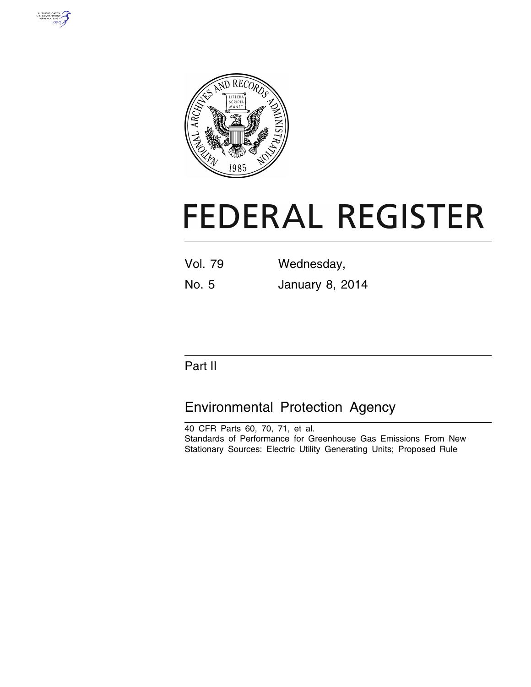



# **FEDERAL REGISTER**

| <b>Vol. 79</b> | Wednesday,             |  |
|----------------|------------------------|--|
| No. 5          | <b>January 8, 2014</b> |  |

# Part II

# Environmental Protection Agency

40 CFR Parts 60, 70, 71, et al. Standards of Performance for Greenhouse Gas Emissions From New Stationary Sources: Electric Utility Generating Units; Proposed Rule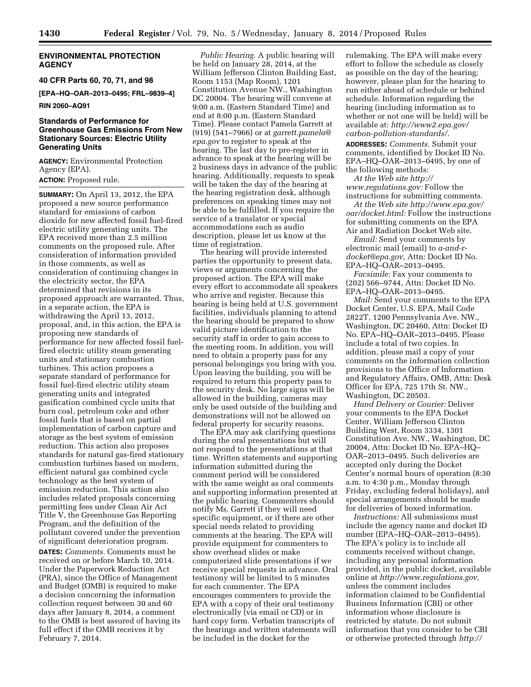# **ENVIRONMENTAL PROTECTION AGENCY**

**40 CFR Parts 60, 70, 71, and 98** 

**[EPA–HQ–OAR–2013–0495; FRL–9839–4]** 

#### **RIN 2060–AQ91**

# **Standards of Performance for Greenhouse Gas Emissions From New Stationary Sources: Electric Utility Generating Units**

**AGENCY:** Environmental Protection Agency (EPA).

**ACTION:** Proposed rule.

**SUMMARY:** On April 13, 2012, the EPA proposed a new source performance standard for emissions of carbon dioxide for new affected fossil fuel-fired electric utility generating units. The EPA received more than 2.5 million comments on the proposed rule. After consideration of information provided in those comments, as well as consideration of continuing changes in the electricity sector, the EPA determined that revisions in its proposed approach are warranted. Thus, in a separate action, the EPA is withdrawing the April 13, 2012, proposal, and, in this action, the EPA is proposing new standards of performance for new affected fossil fuelfired electric utility steam generating units and stationary combustion turbines. This action proposes a separate standard of performance for fossil fuel-fired electric utility steam generating units and integrated gasification combined cycle units that burn coal, petroleum coke and other fossil fuels that is based on partial implementation of carbon capture and storage as the best system of emission reduction. This action also proposes standards for natural gas-fired stationary combustion turbines based on modern, efficient natural gas combined cycle technology as the best system of emission reduction. This action also includes related proposals concerning permitting fees under Clean Air Act Title V, the Greenhouse Gas Reporting Program, and the definition of the pollutant covered under the prevention of significant deterioration program.

**DATES:** *Comments.* Comments must be received on or before March 10, 2014. Under the Paperwork Reduction Act (PRA), since the Office of Management and Budget (OMB) is required to make a decision concerning the information collection request between 30 and 60 days after January 8, 2014, a comment to the OMB is best assured of having its full effect if the OMB receives it by February 7, 2014.

*Public Hearing.* A public hearing will be held on January 28, 2014, at the William Jefferson Clinton Building East, Room 1153 (Map Room), 1201 Constitution Avenue NW., Washington DC 20004. The hearing will convene at 9:00 a.m. (Eastern Standard Time) and end at 8:00 p.m. (Eastern Standard Time). Please contact Pamela Garrett at (919) (541–7966) or at *[garrett.pamela@](mailto:garrett.pamela@epa.gov) [epa.gov](mailto:garrett.pamela@epa.gov)* to register to speak at the hearing. The last day to pre-register in advance to speak at the hearing will be 2 business days in advance of the public hearing. Additionally, requests to speak will be taken the day of the hearing at the hearing registration desk, although preferences on speaking times may not be able to be fulfilled. If you require the service of a translator or special accommodations such as audio description, please let us know at the time of registration.

The hearing will provide interested parties the opportunity to present data, views or arguments concerning the proposed action. The EPA will make every effort to accommodate all speakers who arrive and register. Because this hearing is being held at U.S. government facilities, individuals planning to attend the hearing should be prepared to show valid picture identification to the security staff in order to gain access to the meeting room. In addition, you will need to obtain a property pass for any personal belongings you bring with you. Upon leaving the building, you will be required to return this property pass to the security desk. No large signs will be allowed in the building, cameras may only be used outside of the building and demonstrations will not be allowed on federal property for security reasons.

The EPA may ask clarifying questions during the oral presentations but will not respond to the presentations at that time. Written statements and supporting information submitted during the comment period will be considered with the same weight as oral comments and supporting information presented at the public hearing. Commenters should notify Ms. Garrett if they will need specific equipment, or if there are other special needs related to providing comments at the hearing. The EPA will provide equipment for commenters to show overhead slides or make computerized slide presentations if we receive special requests in advance. Oral testimony will be limited to 5 minutes for each commenter. The EPA encourages commenters to provide the EPA with a copy of their oral testimony electronically (via email or CD) or in hard copy form. Verbatim transcripts of the hearings and written statements will be included in the docket for the

rulemaking. The EPA will make every effort to follow the schedule as closely as possible on the day of the hearing; however, please plan for the hearing to run either ahead of schedule or behind schedule. Information regarding the hearing (including information as to whether or not one will be held) will be available at: *[http://www2.epa.gov/](http://www2.epa.gov/carbon-pollution-standards/) [carbon-pollution-standards/.](http://www2.epa.gov/carbon-pollution-standards/)* 

**ADDRESSES:** *Comments.* Submit your comments, identified by Docket ID No. EPA–HQ–OAR–2013–0495, by one of the following methods:

*At the Web site [http://](http://www.regulations.gov) [www.regulations.gov:](http://www.regulations.gov)* Follow the instructions for submitting comments.

*At the Web site [http://www.epa.gov/](http://www.epa.gov/oar/docket.html) [oar/docket.html:](http://www.epa.gov/oar/docket.html)* Follow the instructions for submitting comments on the EPA Air and Radiation Docket Web site.

*Email:* Send your comments by electronic mail (email) to *[a-and-r](mailto:a-and-r-docket@epa.gov)[docket@epa.gov,](mailto:a-and-r-docket@epa.gov)* Attn: Docket ID No. EPA–HQ–OAR–2013–0495.

*Facsimile:* Fax your comments to (202) 566–9744, Attn: Docket ID No. EPA–HQ–OAR–2013–0495.

*Mail:* Send your comments to the EPA Docket Center, U.S. EPA, Mail Code 2822T, 1200 Pennsylvania Ave. NW., Washington, DC 20460, Attn: Docket ID No. EPA–HQ–OAR–2013–0495. Please include a total of two copies. In addition, please mail a copy of your comments on the information collection provisions to the Office of Information and Regulatory Affairs, OMB, Attn: Desk Officer for EPA, 725 17th St. NW., Washington, DC 20503.

*Hand Delivery or Courier:* Deliver your comments to the EPA Docket Center, William Jefferson Clinton Building West, Room 3334, 1301 Constitution Ave. NW., Washington, DC 20004, Attn: Docket ID No. EPA–HQ– OAR–2013–0495. Such deliveries are accepted only during the Docket Center's normal hours of operation (8:30 a.m. to 4:30 p.m., Monday through Friday, excluding federal holidays), and special arrangements should be made for deliveries of boxed information.

*Instructions:* All submissions must include the agency name and docket ID number (EPA–HQ–OAR–2013–0495). The EPA's policy is to include all comments received without change, including any personal information provided, in the public docket, available online at *[http://www.regulations.gov,](http://www.regulations.gov)*  unless the comment includes information claimed to be Confidential Business Information (CBI) or other information whose disclosure is restricted by statute. Do not submit information that you consider to be CBI or otherwise protected through *[http://](http://www.regulations.gov)*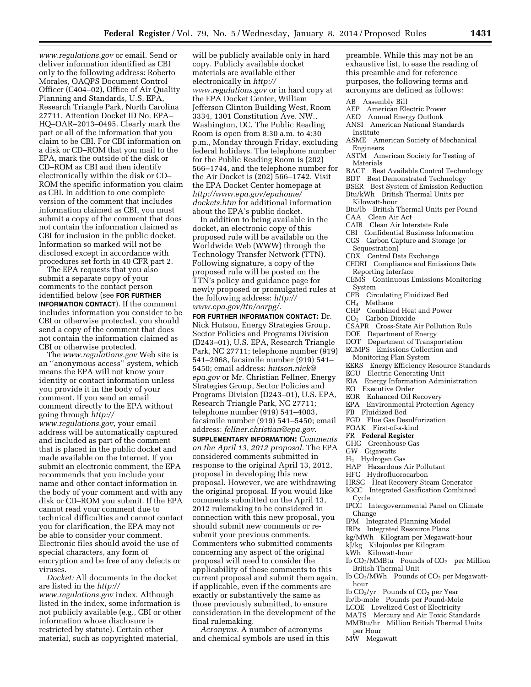*[www.regulations.gov](http://www.regulations.gov)* or email. Send or deliver information identified as CBI only to the following address: Roberto Morales, OAQPS Document Control Officer (C404–02), Office of Air Quality Planning and Standards, U.S. EPA, Research Triangle Park, North Carolina 27711, Attention Docket ID No. EPA– HQ–OAR–2013–0495. Clearly mark the part or all of the information that you claim to be CBI. For CBI information on a disk or CD–ROM that you mail to the EPA, mark the outside of the disk or CD–ROM as CBI and then identify electronically within the disk or CD– ROM the specific information you claim as CBI. In addition to one complete version of the comment that includes information claimed as CBI, you must submit a copy of the comment that does not contain the information claimed as CBI for inclusion in the public docket. Information so marked will not be disclosed except in accordance with procedures set forth in 40 CFR part 2.

The EPA requests that you also submit a separate copy of your comments to the contact person identified below (see **FOR FURTHER INFORMATION CONTACT**). If the comment includes information you consider to be CBI or otherwise protected, you should send a copy of the comment that does not contain the information claimed as CBI or otherwise protected.

The *[www.regulations.gov](http://www.regulations.gov)* Web site is an ''anonymous access'' system, which means the EPA will not know your identity or contact information unless you provide it in the body of your comment. If you send an email comment directly to the EPA without going through *[http://](http://www.regulations.gov) [www.regulations.gov](http://www.regulations.gov)*, your email address will be automatically captured and included as part of the comment that is placed in the public docket and made available on the Internet. If you submit an electronic comment, the EPA recommends that you include your name and other contact information in the body of your comment and with any disk or CD–ROM you submit. If the EPA cannot read your comment due to technical difficulties and cannot contact you for clarification, the EPA may not be able to consider your comment. Electronic files should avoid the use of special characters, any form of encryption and be free of any defects or viruses.

*Docket:* All documents in the docket are listed in the *[http://](http://www.regulations.gov) [www.regulations.gov](http://www.regulations.gov)* index. Although listed in the index, some information is not publicly available (e.g., CBI or other information whose disclosure is restricted by statute). Certain other material, such as copyrighted material,

will be publicly available only in hard copy. Publicly available docket materials are available either electronically in *[http://](http://www.regulations.gov) [www.regulations.gov](http://www.regulations.gov)* or in hard copy at the EPA Docket Center, William Jefferson Clinton Building West, Room 3334, 1301 Constitution Ave. NW., Washington, DC. The Public Reading Room is open from 8:30 a.m. to 4:30 p.m., Monday through Friday, excluding federal holidays. The telephone number for the Public Reading Room is (202) 566–1744, and the telephone number for the Air Docket is (202) 566–1742. Visit the EPA Docket Center homepage at *[http://www.epa.gov/epahome/](http://www.epa.gov/epahome/dockets.htm) [dockets.htm](http://www.epa.gov/epahome/dockets.htm)* for additional information about the EPA's public docket.

In addition to being available in the docket, an electronic copy of this proposed rule will be available on the Worldwide Web (WWW) through the Technology Transfer Network (TTN). Following signature, a copy of the proposed rule will be posted on the TTN's policy and guidance page for newly proposed or promulgated rules at the following address: *[http://](http://www.epa.gov/ttn/oarpg/) [www.epa.gov/ttn/oarpg/.](http://www.epa.gov/ttn/oarpg/)* 

**FOR FURTHER INFORMATION CONTACT:** Dr. Nick Hutson, Energy Strategies Group, Sector Policies and Programs Division (D243–01), U.S. EPA, Research Triangle Park, NC 27711; telephone number (919) 541–2968, facsimile number (919) 541– 5450; email address: *[hutson.nick@](mailto:hutson.nick@epa.gov) [epa.gov](mailto:hutson.nick@epa.gov)* or Mr. Christian Fellner, Energy Strategies Group, Sector Policies and Programs Division (D243–01), U.S. EPA, Research Triangle Park, NC 27711; telephone number (919) 541–4003, facsimile number (919) 541–5450; email address: *[fellner.christian@epa.gov](mailto:fellner.christian@epa.gov)*.

**SUPPLEMENTARY INFORMATION:** *Comments on the April 13, 2012 proposal.* The EPA considered comments submitted in response to the original April 13, 2012, proposal in developing this new proposal. However, we are withdrawing the original proposal. If you would like comments submitted on the April 13, 2012 rulemaking to be considered in connection with this new proposal, you should submit new comments or resubmit your previous comments. Commenters who submitted comments concerning any aspect of the original proposal will need to consider the applicability of those comments to this current proposal and submit them again, if applicable, even if the comments are exactly or substantively the same as those previously submitted, to ensure consideration in the development of the final rulemaking.

*Acronyms.* A number of acronyms and chemical symbols are used in this

preamble. While this may not be an exhaustive list, to ease the reading of this preamble and for reference purposes, the following terms and acronyms are defined as follows:

#### AB Assembly Bill

- AEP American Electric Power
- AEO Annual Energy Outlook
- ANSI American National Standards Institute
- ASME American Society of Mechanical Engineers
- ASTM American Society for Testing of Materials
- BACT Best Available Control Technology
- BDT Best Demonstrated Technology
- BSER Best System of Emission Reduction Btu/kWh British Thermal Units per Kilowatt-hour
- Btu/lb British Thermal Units per Pound
- CAA Clean Air Act
- CAIR Clean Air Interstate Rule
- CBI Confidential Business Information
- CCS Carbon Capture and Storage (or Sequestration)
- CDX Central Data Exchange
- CEDRI Compliance and Emissions Data Reporting Interface
- CEMS Continuous Emissions Monitoring System
- CFB Circulating Fluidized Bed
- CH4 Methane
- CHP Combined Heat and Power
- CO2 Carbon Dioxide
- CSAPR Cross-State Air Pollution Rule
- DOE Department of Energy
- DOT Department of Transportation
- ECMPS Emissions Collection and
- Monitoring Plan System
- EERS Energy Efficiency Resource Standards
- EGU Electric Generating Unit
- EIA Energy Information Administration
- EO Executive Order
- EOR Enhanced Oil Recovery
- EPA Environmental Protection Agency
- FB Fluidized Bed
- FGD Flue Gas Desulfurization
- FOAK First-of-a-kind
- FR **Federal Register**
- GHG Greenhouse Gas
- GW Gigawatts
- H2 Hydrogen Gas
- HAP Hazardous Air Pollutant
- HFC Hydrofluorocarbon
- HRSG Heat Recovery Steam Generator
- IGCC Integrated Gasification Combined
- Cycle
- IPCC Intergovernmental Panel on Climate Change
- IPM Integrated Planning Model
- IRPs Integrated Resource Plans
- kg/MWh Kilogram per Megawatt-hour
- kJ/kg Kilojoules per Kilogram
- kWh Kilowatt-hour
- lb CO2/MMBtu Pounds of CO2 per Million British Thermal Unit
- lb CO<sub>2</sub>/MWh Pounds of CO<sub>2</sub> per Megawatthour
- lb CO2/yr Pounds of CO2 per Year
- lb/lb-mole Pounds per Pound-Mole
- LCOE Levelized Cost of Electricity
- MATS Mercury and Air Toxic Standards
- MMBtu/hr Million British Thermal Units per Hour
- MW Megawatt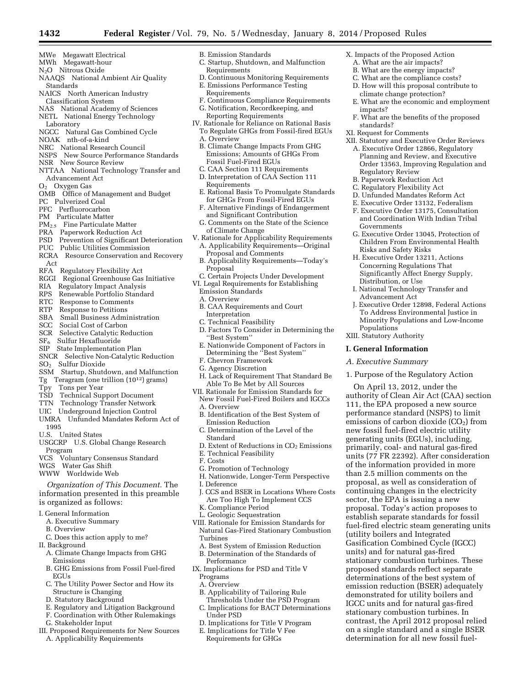- MWh Megawatt-hour
- N2O Nitrous Oxide
- NAAQS National Ambient Air Quality Standards
- NAICS North American Industry Classification System
- NAS National Academy of Sciences
- NETL National Energy Technology Laboratory
- 
- NGCC Natural Gas Combined Cycle NOAK nth-of-a-kind
- NRC National Research Council
- NSPS New Source Performance Standards
- NSR New Source Review
- NTTAA National Technology Transfer and Advancement Act
- O2 Oxygen Gas
- OMB Office of Management and Budget
- PC Pulverized Coal
- PFC Perfluorocarbon
- PM Particulate Matter
- PM2.5 Fine Particulate Matter
- PRA Paperwork Reduction Act
- PSD Prevention of Significant Deterioration
- PUC Public Utilities Commission
- RCRA Resource Conservation and Recovery Act
- RFA Regulatory Flexibility Act
- RGGI Regional Greenhouse Gas Initiative
- RIA Regulatory Impact Analysis
- 
- RPS Renewable Portfolio Standard<br>RTC Response to Comments
- RTC Response to Comments<br>RTP Response to Petitions Response to Petitions
- 
- SBA Small Business Administration<br>SCC Social Cost of Carbon Social Cost of Carbon
- SCR Selective Catalytic Reduction
- SF6 Sulfur Hexafluoride
- SIP State Implementation Plan
- SNCR Selective Non-Catalytic Reduction
- SO<sub>2</sub> Sulfur Dioxide
- SSM Startup, Shutdown, and Malfunction
- Tg Teragram (one trillion (1012) grams)
- Tpy Tons per Year
- TSD Technical Support Document
- TTN Technology Transfer Network
- UIC Underground Injection Control
- UMRA Unfunded Mandates Reform Act of 1995
- U.S. United States
- USGCRP U.S. Global Change Research Program<br>VCS Volt
- Voluntary Consensus Standard
- WGS Water Gas Shift
- WWW Worldwide Web

*Organization of This Document.* The information presented in this preamble is organized as follows:

- I. General Information
- A. Executive Summary
- B. Overview
- C. Does this action apply to me?
- II. Background
- A. Climate Change Impacts from GHG Emissions
- B. GHG Emissions from Fossil Fuel-fired **EGUs**
- C. The Utility Power Sector and How its Structure is Changing
- D. Statutory Background
- E. Regulatory and Litigation Background
- F. Coordination with Other Rulemakings
- G. Stakeholder Input
- III. Proposed Requirements for New Sources A. Applicability Requirements
- B. Emission Standards C. Startup, Shutdown, and Malfunction
- Requirements D. Continuous Monitoring Requirements

X. Impacts of the Proposed Action A. What are the air impacts? B. What are the energy impacts? C. What are the compliance costs? D. How will this proposal contribute to climate change protection?

impacts?

standards? XI. Request for Comments

Regulatory Review B. Paperwork Reduction Act C. Regulatory Flexibility Act D. Unfunded Mandates Reform Act E. Executive Order 13132, Federalism F. Executive Order 13175, Consultation and Coordination With Indian Tribal

Governments

Risks and Safety Risks H. Executive Order 13211, Actions Concerning Regulations That Significantly Affect Energy Supply,

Distribution, or Use

Advancement Act

Populations XIII. Statutory Authority **I. General Information**  *A. Executive Summary* 

E. What are the economic and employment

F. What are the benefits of the proposed

XII. Statutory and Executive Order Reviews A. Executive Order 12866, Regulatory Planning and Review, and Executive Order 13563, Improving Regulation and

G. Executive Order 13045, Protection of Children From Environmental Health

I. National Technology Transfer and

1. Purpose of the Regulatory Action On April 13, 2012, under the authority of Clean Air Act (CAA) section 111, the EPA proposed a new source performance standard (NSPS) to limit emissions of carbon dioxide  $(CO<sub>2</sub>)$  from new fossil fuel-fired electric utility generating units (EGUs), including, primarily, coal- and natural gas-fired units (77 FR 22392). After consideration of the information provided in more than 2.5 million comments on the proposal, as well as consideration of continuing changes in the electricity sector, the EPA is issuing a new proposal. Today's action proposes to establish separate standards for fossil fuel-fired electric steam generating units

(utility boilers and Integrated Gasification Combined Cycle (IGCC) units) and for natural gas-fired stationary combustion turbines. These proposed standards reflect separate determinations of the best system of emission reduction (BSER) adequately demonstrated for utility boilers and IGCC units and for natural gas-fired stationary combustion turbines. In contrast, the April 2012 proposal relied on a single standard and a single BSER determination for all new fossil fuel-

J. Executive Order 12898, Federal Actions To Address Environmental Justice in Minority Populations and Low-Income

- E. Emissions Performance Testing
- Requirements
- F. Continuous Compliance Requirements G. Notification, Recordkeeping, and
- Reporting Requirements
- IV. Rationale for Reliance on Rational Basis To Regulate GHGs from Fossil-fired EGUs A. Overview
	- B. Climate Change Impacts From GHG Emissions; Amounts of GHGs From Fossil Fuel-Fired EGUs
	- C. CAA Section 111 Requirements D. Interpretation of CAA Section 111 Requirements
	- E. Rational Basis To Promulgate Standards for GHGs From Fossil-Fired EGUs
	- F. Alternative Findings of Endangerment
	- and Significant Contribution G. Comments on the State of the Science
- of Climate Change V. Rationale for Applicability Requirements
- A. Applicability Requirements—Original Proposal and Comments
- B. Applicability Requirements—Today's Proposal
- C. Certain Projects Under Development
- VI. Legal Requirements for Establishing
- Emission Standards
- A. Overview
- B. CAA Requirements and Court
- Interpretation
- C. Technical Feasibility
- D. Factors To Consider in Determining the ''Best System''
- E. Nationwide Component of Factors in Determining the "Best System"
- F. Chevron Framework
- G. Agency Discretion
- H. Lack of Requirement That Standard Be Able To Be Met by All Sources
- VII. Rationale for Emission Standards for New Fossil Fuel-Fired Boilers and IGCCs
	- A. Overview
	- B. Identification of the Best System of Emission Reduction
	- C. Determination of the Level of the Standard
	- D. Extent of Reductions in  $CO<sub>2</sub>$  Emissions
	- E. Technical Feasibility

K. Compliance Period L. Geologic Sequestration

F. Costs

Turbines

Programs A. Overview

Performance

Under PSD

- G. Promotion of Technology
- H. Nationwide, Longer-Term Perspective
- I. Deference J. CCS and BSER in Locations Where Costs

Are Too High To Implement CCS

VIII. Rationale for Emission Standards for Natural Gas-Fired Stationary Combustion

A. Best System of Emission Reduction B. Determination of the Standards of

IX. Implications for PSD and Title V

B. Applicability of Tailoring Rule Thresholds Under the PSD Program C. Implications for BACT Determinations

D. Implications for Title V Program E. Implications for Title V Fee Requirements for GHGs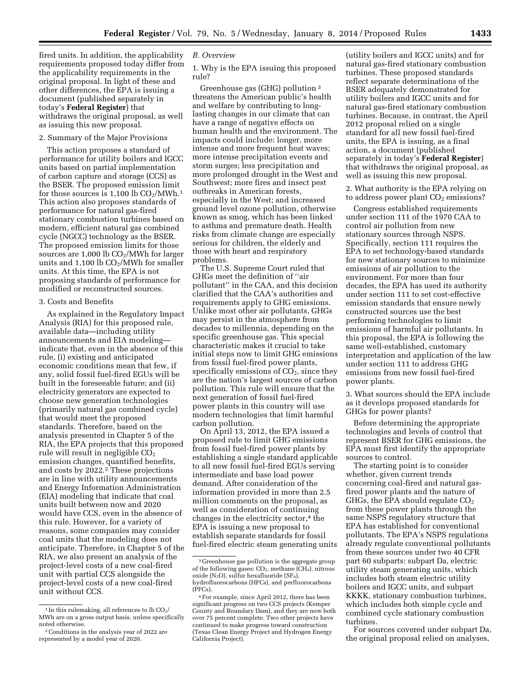fired units. In addition, the applicability requirements proposed today differ from the applicability requirements in the original proposal. In light of these and other differences, the EPA is issuing a document (published separately in today's **Federal Register**) that withdraws the original proposal, as well as issuing this new proposal.

# 2. Summary of the Major Provisions

This action proposes a standard of performance for utility boilers and IGCC units based on partial implementation of carbon capture and storage (CCS) as the BSER. The proposed emission limit for those sources is  $1,100 \text{ lb } CO_2/\text{MWh}.$ <sup>1</sup> This action also proposes standards of performance for natural gas-fired stationary combustion turbines based on modern, efficient natural gas combined cycle (NGCC) technology as the BSER. The proposed emission limits for those sources are  $1,000$  lb  $CO<sub>2</sub>/MWh$  for larger units and  $1,100$  lb  $CO<sub>2</sub>/MWh$  for smaller units. At this time, the EPA is not proposing standards of performance for modified or reconstructed sources.

#### 3. Costs and Benefits

As explained in the Regulatory Impact Analysis (RIA) for this proposed rule, available data—including utility announcements and EIA modeling indicate that, even in the absence of this rule, (i) existing and anticipated economic conditions mean that few, if any, solid fossil fuel-fired EGUs will be built in the foreseeable future; and (ii) electricity generators are expected to choose new generation technologies (primarily natural gas combined cycle) that would meet the proposed standards. Therefore, based on the analysis presented in Chapter 5 of the RIA, the EPA projects that this proposed rule will result in negligible  $CO<sub>2</sub>$ emission changes, quantified benefits, and costs by  $2022.^2$  These projections are in line with utility announcements and Energy Information Administration (EIA) modeling that indicate that coal units built between now and 2020 would have CCS, even in the absence of this rule. However, for a variety of reasons, some companies may consider coal units that the modeling does not anticipate. Therefore, in Chapter 5 of the RIA, we also present an analysis of the project-level costs of a new coal-fired unit with partial CCS alongside the project-level costs of a new coal-fired unit without CCS.

# *B. Overview*

1. Why is the EPA issuing this proposed rule?

Greenhouse gas (GHG) pollution 3 threatens the American public's health and welfare by contributing to longlasting changes in our climate that can have a range of negative effects on human health and the environment. The impacts could include: longer, more intense and more frequent heat waves; more intense precipitation events and storm surges; less precipitation and more prolonged drought in the West and Southwest; more fires and insect pest outbreaks in American forests, especially in the West; and increased ground level ozone pollution, otherwise known as smog, which has been linked to asthma and premature death. Health risks from climate change are especially serious for children, the elderly and those with heart and respiratory problems.

The U.S. Supreme Court ruled that GHGs meet the definition of ''air pollutant'' in the CAA, and this decision clarified that the CAA's authorities and requirements apply to GHG emissions. Unlike most other air pollutants, GHGs may persist in the atmosphere from decades to millennia, depending on the specific greenhouse gas. This special characteristic makes it crucial to take initial steps now to limit GHG emissions from fossil fuel-fired power plants, specifically emissions of  $CO<sub>2</sub>$ , since they are the nation's largest sources of carbon pollution. This rule will ensure that the next generation of fossil fuel-fired power plants in this country will use modern technologies that limit harmful carbon pollution.

On April 13, 2012, the EPA issued a proposed rule to limit GHG emissions from fossil fuel-fired power plants by establishing a single standard applicable to all new fossil fuel-fired EGUs serving intermediate and base load power demand. After consideration of the information provided in more than 2.5 million comments on the proposal, as well as consideration of continuing changes in the electricity sector,<sup>4</sup> the EPA is issuing a new proposal to establish separate standards for fossil fuel-fired electric steam generating units

(utility boilers and IGCC units) and for natural gas-fired stationary combustion turbines. These proposed standards reflect separate determinations of the BSER adequately demonstrated for utility boilers and IGCC units and for natural gas-fired stationary combustion turbines. Because, in contrast, the April 2012 proposal relied on a single standard for all new fossil fuel-fired units, the EPA is issuing, as a final action, a document (published separately in today's **Federal Register**) that withdraws the original proposal, as well as issuing this new proposal.

2. What authority is the EPA relying on to address power plant  $CO<sub>2</sub>$  emissions?

Congress established requirements under section 111 of the 1970 CAA to control air pollution from new stationary sources through NSPS. Specifically, section 111 requires the EPA to set technology-based standards for new stationary sources to minimize emissions of air pollution to the environment. For more than four decades, the EPA has used its authority under section 111 to set cost-effective emission standards that ensure newly constructed sources use the best performing technologies to limit emissions of harmful air pollutants. In this proposal, the EPA is following the same well-established, customary interpretation and application of the law under section 111 to address GHG emissions from new fossil fuel-fired power plants.

3. What sources should the EPA include as it develops proposed standards for GHGs for power plants?

Before determining the appropriate technologies and levels of control that represent BSER for GHG emissions, the EPA must first identify the appropriate sources to control.

The starting point is to consider whether, given current trends concerning coal-fired and natural gasfired power plants and the nature of GHGs, the EPA should regulate  $CO<sub>2</sub>$ from these power plants through the same NSPS regulatory structure that EPA has established for conventional pollutants. The EPA's NSPS regulations already regulate conventional pollutants from these sources under two 40 CFR part 60 subparts: subpart Da, electric utility steam generating units, which includes both steam electric utility boilers and IGCC units, and subpart KKKK, stationary combustion turbines, which includes both simple cycle and combined cycle stationary combustion turbines.

For sources covered under subpart Da, the original proposal relied on analyses,

 $^{\rm 1}$  In this rule<br>making, all references to lb  $\rm CO_2/$ MWh are on a gross output basis, unless specifically noted otherwise.

<sup>2</sup>Conditions in the analysis year of 2022 are represented by a model year of 2020.

<sup>3</sup> Greenhouse gas pollution is the aggregate group of the following gases:  $CO<sub>2</sub>$ , methane (CH<sub>4</sub>), nitrous oxide  $(N_2O)$ , sulfur hexafluoride  $(SF_6)$ , hydrofluorocarbons (HFCs), and perfluorocarbons (PFCs).

<sup>4</sup>For example, since April 2012, there has been significant progress on two CCS projects (Kemper County and Boundary Dam), and they are now both over 75 percent complete. Two other projects have continued to make progress toward construction (Texas Clean Energy Project and Hydrogen Energy California Project).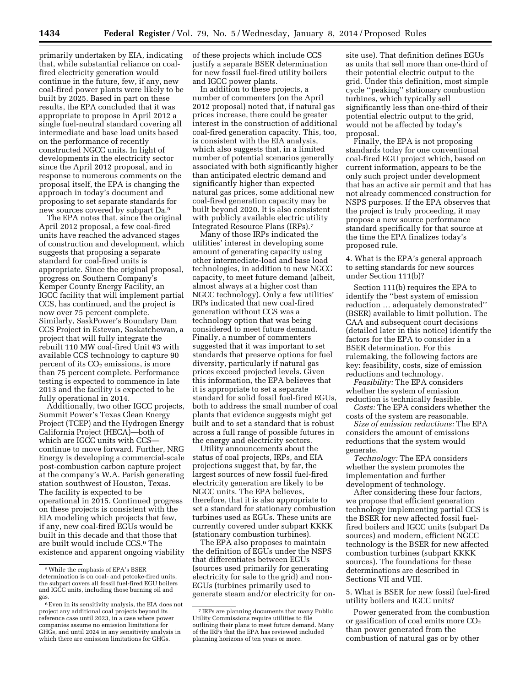primarily undertaken by EIA, indicating that, while substantial reliance on coalfired electricity generation would continue in the future, few, if any, new coal-fired power plants were likely to be built by 2025. Based in part on these results, the EPA concluded that it was appropriate to propose in April 2012 a single fuel-neutral standard covering all intermediate and base load units based on the performance of recently constructed NGCC units. In light of developments in the electricity sector since the April 2012 proposal, and in response to numerous comments on the proposal itself, the EPA is changing the approach in today's document and proposing to set separate standards for new sources covered by subpart Da.5

The EPA notes that, since the original April 2012 proposal, a few coal-fired units have reached the advanced stages of construction and development, which suggests that proposing a separate standard for coal-fired units is appropriate. Since the original proposal, progress on Southern Company's Kemper County Energy Facility, an IGCC facility that will implement partial CCS, has continued, and the project is now over 75 percent complete. Similarly, SaskPower's Boundary Dam CCS Project in Estevan, Saskatchewan, a project that will fully integrate the rebuilt 110 MW coal-fired Unit #3 with available CCS technology to capture 90 percent of its  $CO<sub>2</sub>$  emissions, is more than 75 percent complete. Performance testing is expected to commence in late 2013 and the facility is expected to be fully operational in 2014.

Additionally, two other IGCC projects, Summit Power's Texas Clean Energy Project (TCEP) and the Hydrogen Energy California Project (HECA)—both of which are IGCC units with CCScontinue to move forward. Further, NRG Energy is developing a commercial-scale post-combustion carbon capture project at the company's W.A. Parish generating station southwest of Houston, Texas. The facility is expected to be operational in 2015. Continued progress on these projects is consistent with the EIA modeling which projects that few, if any, new coal-fired EGUs would be built in this decade and that those that are built would include CCS.6 The existence and apparent ongoing viability of these projects which include CCS justify a separate BSER determination for new fossil fuel-fired utility boilers and IGCC power plants.

In addition to these projects, a number of commenters (on the April 2012 proposal) noted that, if natural gas prices increase, there could be greater interest in the construction of additional coal-fired generation capacity. This, too, is consistent with the EIA analysis, which also suggests that, in a limited number of potential scenarios generally associated with both significantly higher than anticipated electric demand and significantly higher than expected natural gas prices, some additional new coal-fired generation capacity may be built beyond 2020. It is also consistent with publicly available electric utility Integrated Resource Plans (IRPs).7

Many of those IRPs indicated the utilities' interest in developing some amount of generating capacity using other intermediate-load and base load technologies, in addition to new NGCC capacity, to meet future demand (albeit, almost always at a higher cost than NGCC technology). Only a few utilities' IRPs indicated that new coal-fired generation without CCS was a technology option that was being considered to meet future demand. Finally, a number of commenters suggested that it was important to set standards that preserve options for fuel diversity, particularly if natural gas prices exceed projected levels. Given this information, the EPA believes that it is appropriate to set a separate standard for solid fossil fuel-fired EGUs, both to address the small number of coal plants that evidence suggests might get built and to set a standard that is robust across a full range of possible futures in the energy and electricity sectors.

Utility announcements about the status of coal projects, IRPs, and EIA projections suggest that, by far, the largest sources of new fossil fuel-fired electricity generation are likely to be NGCC units. The EPA believes, therefore, that it is also appropriate to set a standard for stationary combustion turbines used as EGUs. These units are currently covered under subpart KKKK (stationary combustion turbines).

The EPA also proposes to maintain the definition of EGUs under the NSPS that differentiates between EGUs (sources used primarily for generating electricity for sale to the grid) and non-EGUs (turbines primarily used to generate steam and/or electricity for onsite use). That definition defines EGUs as units that sell more than one-third of their potential electric output to the grid. Under this definition, most simple cycle ''peaking'' stationary combustion turbines, which typically sell significantly less than one-third of their potential electric output to the grid, would not be affected by today's proposal.

Finally, the EPA is not proposing standards today for one conventional coal-fired EGU project which, based on current information, appears to be the only such project under development that has an active air permit and that has not already commenced construction for NSPS purposes. If the EPA observes that the project is truly proceeding, it may propose a new source performance standard specifically for that source at the time the EPA finalizes today's proposed rule.

4. What is the EPA's general approach to setting standards for new sources under Section 111(b)?

Section 111(b) requires the EPA to identify the ''best system of emission reduction … adequately demonstrated'' (BSER) available to limit pollution. The CAA and subsequent court decisions (detailed later in this notice) identify the factors for the EPA to consider in a BSER determination. For this rulemaking, the following factors are key: feasibility, costs, size of emission reductions and technology.

*Feasibility:* The EPA considers whether the system of emission reduction is technically feasible.

*Costs:* The EPA considers whether the costs of the system are reasonable.

*Size of emission reductions:* The EPA considers the amount of emissions reductions that the system would generate.

*Technology:* The EPA considers whether the system promotes the implementation and further development of technology.

After considering these four factors, we propose that efficient generation technology implementing partial CCS is the BSER for new affected fossil fuelfired boilers and IGCC units (subpart Da sources) and modern, efficient NGCC technology is the BSER for new affected combustion turbines (subpart KKKK sources). The foundations for these determinations are described in Sections VII and VIII.

5. What is BSER for new fossil fuel-fired utility boilers and IGCC units?

Power generated from the combustion or gasification of coal emits more  $CO<sub>2</sub>$ than power generated from the combustion of natural gas or by other

<sup>5</sup>While the emphasis of EPA's BSER determination is on coal- and petcoke-fired units, the subpart covers all fossil fuel-fired EGU boilers and IGCC units, including those burning oil and gas.

<sup>6</sup>Even in its sensitivity analysis, the EIA does not project any additional coal projects beyond its reference case until 2023, in a case where power companies assume no emission limitations for GHGs, and until 2024 in any sensitivity analysis in which there are emission limitations for GHGs.

<sup>7</sup> IRPs are planning documents that many Public Utility Commissions require utilities to file outlining their plans to meet future demand. Many of the IRPs that the EPA has reviewed included planning horizons of ten years or more.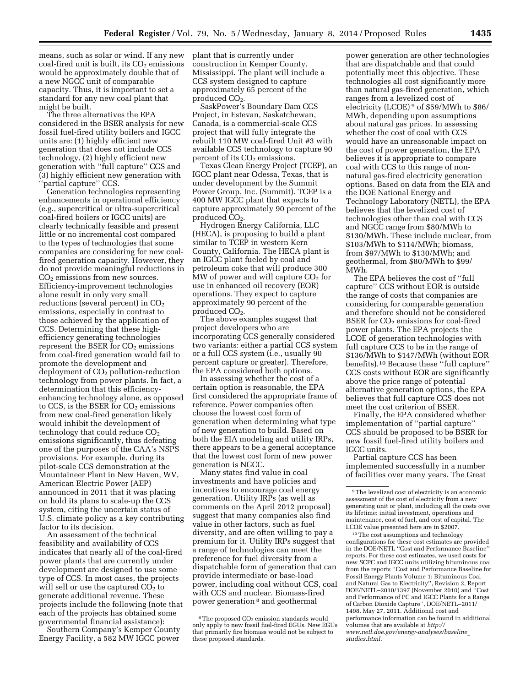means, such as solar or wind. If any new coal-fired unit is built, its  $CO<sub>2</sub>$  emissions would be approximately double that of a new NGCC unit of comparable capacity. Thus, it is important to set a standard for any new coal plant that might be built.

The three alternatives the EPA considered in the BSER analysis for new fossil fuel-fired utility boilers and IGCC units are: (1) highly efficient new generation that does not include CCS technology, (2) highly efficient new generation with ''full capture'' CCS and (3) highly efficient new generation with ''partial capture'' CCS.

Generation technologies representing enhancements in operational efficiency (e.g., supercritical or ultra-supercritical coal-fired boilers or IGCC units) are clearly technically feasible and present little or no incremental cost compared to the types of technologies that some companies are considering for new coalfired generation capacity. However, they do not provide meaningful reductions in CO<sub>2</sub> emissions from new sources. Efficiency-improvement technologies alone result in only very small reductions (several percent) in CO<sub>2</sub> emissions, especially in contrast to those achieved by the application of CCS. Determining that these highefficiency generating technologies represent the BSER for CO<sub>2</sub> emissions from coal-fired generation would fail to promote the development and deployment of  $CO<sub>2</sub>$  pollution-reduction technology from power plants. In fact, a determination that this efficiencyenhancing technology alone, as opposed to CCS, is the BSER for  $CO<sub>2</sub>$  emissions from new coal-fired generation likely would inhibit the development of technology that could reduce  $CO<sub>2</sub>$ emissions significantly, thus defeating one of the purposes of the CAA's NSPS provisions. For example, during its pilot-scale CCS demonstration at the Mountaineer Plant in New Haven, WV, American Electric Power (AEP) announced in 2011 that it was placing on hold its plans to scale-up the CCS system, citing the uncertain status of U.S. climate policy as a key contributing factor to its decision.

An assessment of the technical feasibility and availability of CCS indicates that nearly all of the coal-fired power plants that are currently under development are designed to use some type of CCS. In most cases, the projects will sell or use the captured  $CO<sub>2</sub>$  to generate additional revenue. These projects include the following (note that each of the projects has obtained some governmental financial assistance): Southern Company's Kemper County

Energy Facility, a 582 MW IGCC power

plant that is currently under construction in Kemper County, Mississippi. The plant will include a CCS system designed to capture approximately 65 percent of the produced CO<sub>2</sub>.

SaskPower's Boundary Dam CCS Project, in Estevan, Saskatchewan, Canada, is a commercial-scale CCS project that will fully integrate the rebuilt 110 MW coal-fired Unit #3 with available CCS technology to capture 90 percent of its CO<sub>2</sub> emissions.

Texas Clean Energy Project (TCEP), an IGCC plant near Odessa, Texas, that is under development by the Summit Power Group, Inc. (Summit). TCEP is a 400 MW IGCC plant that expects to capture approximately 90 percent of the produced CO<sub>2</sub>.

Hydrogen Energy California, LLC (HECA), is proposing to build a plant similar to TCEP in western Kern County, California. The HECA plant is an IGCC plant fueled by coal and petroleum coke that will produce 300  $\overline{M}W$  of power and will capture CO<sub>2</sub> for use in enhanced oil recovery (EOR) operations. They expect to capture approximately 90 percent of the produced CO<sub>2</sub>.

The above examples suggest that project developers who are incorporating CCS generally considered two variants: either a partial CCS system or a full CCS system (i.e., usually 90 percent capture or greater). Therefore, the EPA considered both options.

In assessing whether the cost of a certain option is reasonable, the EPA first considered the appropriate frame of reference. Power companies often choose the lowest cost form of generation when determining what type of new generation to build. Based on both the EIA modeling and utility IRPs, there appears to be a general acceptance that the lowest cost form of new power generation is NGCC.

Many states find value in coal investments and have policies and incentives to encourage coal energy generation. Utility IRPs (as well as comments on the April 2012 proposal) suggest that many companies also find value in other factors, such as fuel diversity, and are often willing to pay a premium for it. Utility IRPs suggest that a range of technologies can meet the preference for fuel diversity from a dispatchable form of generation that can provide intermediate or base-load power, including coal without CCS, coal with CCS and nuclear. Biomass-fired power generation 8 and geothermal

power generation are other technologies that are dispatchable and that could potentially meet this objective. These technologies all cost significantly more than natural gas-fired generation, which ranges from a levelized cost of electricity (LCOE) 9 of \$59/MWh to \$86/ MWh, depending upon assumptions about natural gas prices. In assessing whether the cost of coal with CCS would have an unreasonable impact on the cost of power generation, the EPA believes it is appropriate to compare coal with CCS to this range of nonnatural gas-fired electricity generation options. Based on data from the EIA and the DOE National Energy and Technology Laboratory (NETL), the EPA believes that the levelized cost of technologies other than coal with CCS and NGCC range from \$80/MWh to \$130/MWh. These include nuclear, from \$103/MWh to \$114/MWh; biomass, from \$97/MWh to \$130/MWh; and geothermal, from \$80/MWh to \$99/ MWh.

The EPA believes the cost of ''full capture'' CCS without EOR is outside the range of costs that companies are considering for comparable generation and therefore should not be considered BSER for  $CO<sub>2</sub>$  emissions for coal-fired power plants. The EPA projects the LCOE of generation technologies with full capture CCS to be in the range of \$136/MWh to \$147/MWh (without EOR benefits).10 Because these ''full capture'' CCS costs without EOR are significantly above the price range of potential alternative generation options, the EPA believes that full capture CCS does not meet the cost criterion of BSER.

Finally, the EPA considered whether implementation of ''partial capture'' CCS should be proposed to be BSER for new fossil fuel-fired utility boilers and IGCC units.

Partial capture CCS has been implemented successfully in a number of facilities over many years. The Great

10The cost assumptions and technology configurations for these cost estimates are provided in the DOE/NETL ''Cost and Performance Baseline'' reports. For these cost estimates, we used costs for new SCPC and IGCC units utilizing bituminous coal from the reports ''Cost and Performance Baseline for Fossil Energy Plants Volume 1: Bituminous Coal and Natural Gas to Electricity'', Revision 2, Report DOE/NETL–2010/1397 (November 2010) and ''Cost and Performance of PC and IGCC Plants for a Range of Carbon Dioxide Capture'', DOE/NETL–2011/ 1498, May 27, 2011. Additional cost and performance information can be found in additional volumes that are available at *[http://](http://www.netl.doe.gov/energy-analyses/baseline_studies.html) [www.netl.doe.gov/energy-analyses/baseline](http://www.netl.doe.gov/energy-analyses/baseline_studies.html)*\_ *[studies.html.](http://www.netl.doe.gov/energy-analyses/baseline_studies.html)* 

<sup>&</sup>lt;sup>8</sup>The proposed CO<sub>2</sub> emission standards would only apply to new fossil fuel-fired EGUs. New EGUs that primarily fire biomass would not be subject to these proposed standards.

<sup>9</sup>The levelized cost of electricity is an economic assessment of the cost of electricity from a new generating unit or plant, including all the costs over its lifetime: initial investment, operations and maintenance, cost of fuel, and cost of capital. The LCOE value presented here are in \$2007.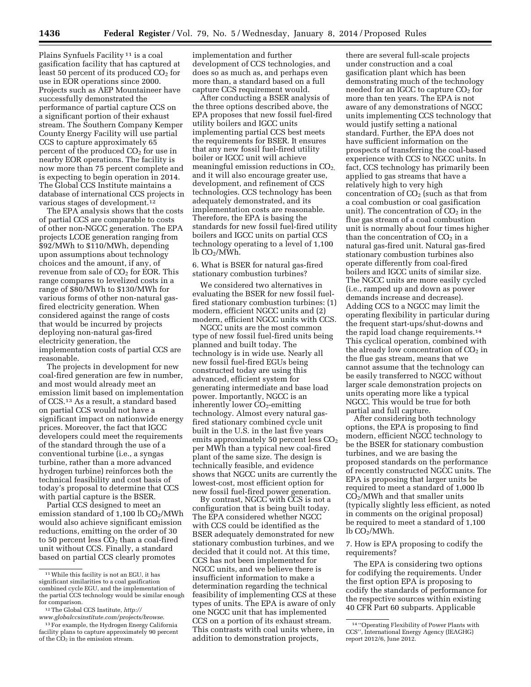Plains Synfuels Facility 11 is a coal gasification facility that has captured at least 50 percent of its produced  $CO<sub>2</sub>$  for use in EOR operations since 2000. Projects such as AEP Mountaineer have successfully demonstrated the performance of partial capture CCS on a significant portion of their exhaust stream. The Southern Company Kemper County Energy Facility will use partial CCS to capture approximately 65 percent of the produced  $CO<sub>2</sub>$  for use in nearby EOR operations. The facility is now more than 75 percent complete and is expecting to begin operation in 2014. The Global CCS Institute maintains a database of international CCS projects in various stages of development.12

The EPA analysis shows that the costs of partial CCS are comparable to costs of other non-NGCC generation. The EPA projects LCOE generation ranging from \$92/MWh to \$110/MWh, depending upon assumptions about technology choices and the amount, if any, of revenue from sale of  $CO<sub>2</sub>$  for EOR. This range compares to levelized costs in a range of \$80/MWh to \$130/MWh for various forms of other non-natural gasfired electricity generation. When considered against the range of costs that would be incurred by projects deploying non-natural gas-fired electricity generation, the implementation costs of partial CCS are reasonable.

The projects in development for new coal-fired generation are few in number, and most would already meet an emission limit based on implementation of CCS.13 As a result, a standard based on partial CCS would not have a significant impact on nationwide energy prices. Moreover, the fact that IGCC developers could meet the requirements of the standard through the use of a conventional turbine (i.e., a syngas turbine, rather than a more advanced hydrogen turbine) reinforces both the technical feasibility and cost basis of today's proposal to determine that CCS with partial capture is the BSER.

Partial CCS designed to meet an emission standard of  $1,100$  lb  $CO<sub>2</sub>/MWh$ would also achieve significant emission reductions, emitting on the order of 30 to 50 percent less  $CO<sub>2</sub>$  than a coal-fired unit without CCS. Finally, a standard based on partial CCS clearly promotes

implementation and further development of CCS technologies, and does so as much as, and perhaps even more than, a standard based on a full capture CCS requirement would.

After conducting a BSER analysis of the three options described above, the EPA proposes that new fossil fuel-fired utility boilers and IGCC units implementing partial CCS best meets the requirements for BSER. It ensures that any new fossil fuel-fired utility boiler or IGCC unit will achieve meaningful emission reductions in  $CO<sub>2</sub>$ , and it will also encourage greater use, development, and refinement of CCS technologies. CCS technology has been adequately demonstrated, and its implementation costs are reasonable. Therefore, the EPA is basing the standards for new fossil fuel-fired utility boilers and IGCC units on partial CCS technology operating to a level of 1,100  $lb$  CO<sub>2</sub>/MWh.

6. What is BSER for natural gas-fired stationary combustion turbines?

We considered two alternatives in evaluating the BSER for new fossil fuelfired stationary combustion turbines: (1) modern, efficient NGCC units and (2) modern, efficient NGCC units with CCS.

NGCC units are the most common type of new fossil fuel-fired units being planned and built today. The technology is in wide use. Nearly all new fossil fuel-fired EGUs being constructed today are using this advanced, efficient system for generating intermediate and base load power. Importantly, NGCC is an inherently lower  $CO<sub>2</sub>$ -emitting technology. Almost every natural gasfired stationary combined cycle unit built in the U.S. in the last five years emits approximately 50 percent less  $CO<sub>2</sub>$ per MWh than a typical new coal-fired plant of the same size. The design is technically feasible, and evidence shows that NGCC units are currently the lowest-cost, most efficient option for new fossil fuel-fired power generation.

By contrast, NGCC with CCS is not a configuration that is being built today. The EPA considered whether NGCC with CCS could be identified as the BSER adequately demonstrated for new stationary combustion turbines, and we decided that it could not. At this time, CCS has not been implemented for NGCC units, and we believe there is insufficient information to make a determination regarding the technical feasibility of implementing CCS at these types of units. The EPA is aware of only one NGCC unit that has implemented CCS on a portion of its exhaust stream. This contrasts with coal units where, in addition to demonstration projects,

there are several full-scale projects under construction and a coal gasification plant which has been demonstrating much of the technology needed for an IGCC to capture  $CO<sub>2</sub>$  for more than ten years. The EPA is not aware of any demonstrations of NGCC units implementing CCS technology that would justify setting a national standard. Further, the EPA does not have sufficient information on the prospects of transferring the coal-based experience with CCS to NGCC units. In fact, CCS technology has primarily been applied to gas streams that have a relatively high to very high concentration of  $CO<sub>2</sub>$  (such as that from a coal combustion or coal gasification unit). The concentration of  $CO<sub>2</sub>$  in the flue gas stream of a coal combustion unit is normally about four times higher than the concentration of  $CO<sub>2</sub>$  in a natural gas-fired unit. Natural gas-fired stationary combustion turbines also operate differently from coal-fired boilers and IGCC units of similar size. The NGCC units are more easily cycled (i.e., ramped up and down as power demands increase and decrease). Adding CCS to a NGCC may limit the operating flexibility in particular during the frequent start-ups/shut-downs and the rapid load change requirements.14 This cyclical operation, combined with the already low concentration of  $CO<sub>2</sub>$  in the flue gas stream, means that we cannot assume that the technology can be easily transferred to NGCC without larger scale demonstration projects on units operating more like a typical NGCC. This would be true for both partial and full capture.

After considering both technology options, the EPA is proposing to find modern, efficient NGCC technology to be the BSER for stationary combustion turbines, and we are basing the proposed standards on the performance of recently constructed NGCC units. The EPA is proposing that larger units be required to meet a standard of 1,000 lb CO2/MWh and that smaller units (typically slightly less efficient, as noted in comments on the original proposal) be required to meet a standard of 1,100  $lb$  CO<sub>2</sub>/MWh.

7. How is EPA proposing to codify the requirements?

The EPA is considering two options for codifying the requirements. Under the first option EPA is proposing to codify the standards of performance for the respective sources within existing 40 CFR Part 60 subparts. Applicable

<sup>11</sup>While this facility is not an EGU, it has significant similarities to a coal gasification combined cycle EGU, and the implementation of the partial CCS technology would be similar enough for comparison.

<sup>12</sup>The Global CCS Institute, *[http://](http://www.globalccsinstitute.com/projects/browse)*

*[www.globalccsinstitute.com/projects/browse](http://www.globalccsinstitute.com/projects/browse)*. 13For example, the Hydrogen Energy California

facility plans to capture approximately 90 percent of the  $CO<sub>2</sub>$  in the emission stream.

<sup>14</sup> ''Operating Flexibility of Power Plants with CCS'', International Energy Agency (IEAGHG) report 2012/6, June 2012.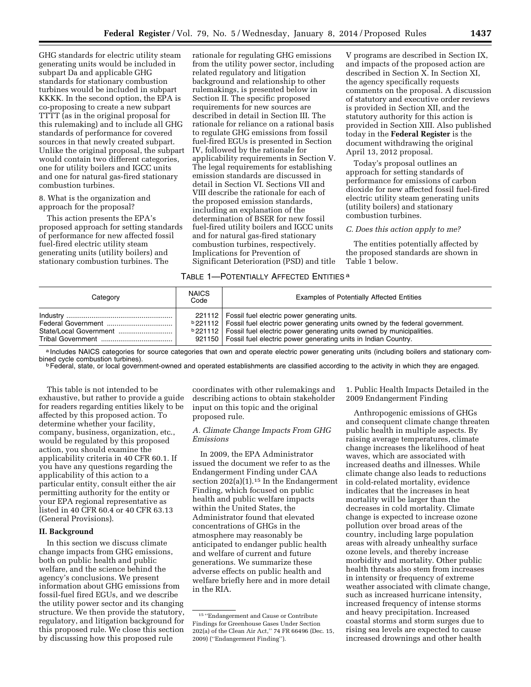GHG standards for electric utility steam generating units would be included in subpart Da and applicable GHG standards for stationary combustion turbines would be included in subpart KKKK. In the second option, the EPA is co-proposing to create a new subpart TTTT (as in the original proposal for this rulemaking) and to include all GHG standards of performance for covered sources in that newly created subpart. Unlike the original proposal, the subpart would contain two different categories, one for utility boilers and IGCC units and one for natural gas-fired stationary combustion turbines.

8. What is the organization and approach for the proposal?

This action presents the EPA's proposed approach for setting standards of performance for new affected fossil fuel-fired electric utility steam generating units (utility boilers) and stationary combustion turbines. The

rationale for regulating GHG emissions from the utility power sector, including related regulatory and litigation background and relationship to other rulemakings, is presented below in Section II. The specific proposed requirements for new sources are described in detail in Section III. The rationale for reliance on a rational basis to regulate GHG emissions from fossil fuel-fired EGUs is presented in Section IV, followed by the rationale for applicability requirements in Section V. The legal requirements for establishing emission standards are discussed in detail in Section VI. Sections VII and VIII describe the rationale for each of the proposed emission standards, including an explanation of the determination of BSER for new fossil fuel-fired utility boilers and IGCC units and for natural gas-fired stationary combustion turbines, respectively. Implications for Prevention of Significant Deterioration (PSD) and title

V programs are described in Section IX, and impacts of the proposed action are described in Section X. In Section XI, the agency specifically requests comments on the proposal. A discussion of statutory and executive order reviews is provided in Section XII, and the statutory authority for this action is provided in Section XIII. Also published today in the **Federal Register** is the document withdrawing the original April 13, 2012 proposal.

Today's proposal outlines an approach for setting standards of performance for emissions of carbon dioxide for new affected fossil fuel-fired electric utility steam generating units (utility boilers) and stationary combustion turbines.

# *C. Does this action apply to me?*

The entities potentially affected by the proposed standards are shown in Table 1 below.

#### TABLE 1—POTENTIALLY AFFECTED ENTITIES a

| Category | <b>NAICS</b><br>Code | <b>Examples of Potentially Affected Entities</b>                                                                                                                                                                                                                                                                             |
|----------|----------------------|------------------------------------------------------------------------------------------------------------------------------------------------------------------------------------------------------------------------------------------------------------------------------------------------------------------------------|
|          |                      | 221112   Fossil fuel electric power generating units.<br><b>b</b> 221112   Fossil fuel electric power generating units owned by the federal government.<br><b>b</b> 221112   Fossil fuel electric power generating units owned by municipalities.<br>921150   Fossil fuel electric power generating units in Indian Country. |

a Includes NAICS categories for source categories that own and operate electric power generating units (including boilers and stationary com-<br>bined cycle combustion turbines).

<sup>b</sup> Federal, state, or local government-owned and operated establishments are classified according to the activity in which they are engaged.

This table is not intended to be exhaustive, but rather to provide a guide for readers regarding entities likely to be affected by this proposed action. To determine whether your facility, company, business, organization, etc., would be regulated by this proposed action, you should examine the applicability criteria in 40 CFR 60.1. If you have any questions regarding the applicability of this action to a particular entity, consult either the air permitting authority for the entity or your EPA regional representative as listed in 40 CFR 60.4 or 40 CFR 63.13 (General Provisions).

## **II. Background**

In this section we discuss climate change impacts from GHG emissions, both on public health and public welfare, and the science behind the agency's conclusions. We present information about GHG emissions from fossil-fuel fired EGUs, and we describe the utility power sector and its changing structure. We then provide the statutory, regulatory, and litigation background for this proposed rule. We close this section by discussing how this proposed rule

coordinates with other rulemakings and describing actions to obtain stakeholder input on this topic and the original proposed rule.

# *A. Climate Change Impacts From GHG Emissions*

In 2009, the EPA Administrator issued the document we refer to as the Endangerment Finding under CAA section  $202(a)(1).$ <sup>15</sup> In the Endangerment Finding, which focused on public health and public welfare impacts within the United States, the Administrator found that elevated concentrations of GHGs in the atmosphere may reasonably be anticipated to endanger public health and welfare of current and future generations. We summarize these adverse effects on public health and welfare briefly here and in more detail in the RIA.

1. Public Health Impacts Detailed in the 2009 Endangerment Finding

Anthropogenic emissions of GHGs and consequent climate change threaten public health in multiple aspects. By raising average temperatures, climate change increases the likelihood of heat waves, which are associated with increased deaths and illnesses. While climate change also leads to reductions in cold-related mortality, evidence indicates that the increases in heat mortality will be larger than the decreases in cold mortality. Climate change is expected to increase ozone pollution over broad areas of the country, including large population areas with already unhealthy surface ozone levels, and thereby increase morbidity and mortality. Other public health threats also stem from increases in intensity or frequency of extreme weather associated with climate change, such as increased hurricane intensity, increased frequency of intense storms and heavy precipitation. Increased coastal storms and storm surges due to rising sea levels are expected to cause increased drownings and other health

<sup>15</sup> ''Endangerment and Cause or Contribute Findings for Greenhouse Gases Under Section 202(a) of the Clean Air Act,'' 74 FR 66496 (Dec. 15, 2009) (''Endangerment Finding'').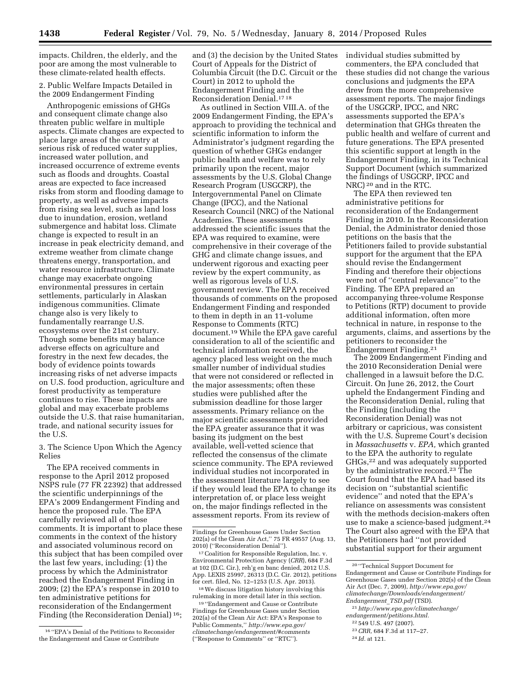impacts. Children, the elderly, and the poor are among the most vulnerable to these climate-related health effects.

# 2. Public Welfare Impacts Detailed in the 2009 Endangerment Finding

Anthropogenic emissions of GHGs and consequent climate change also threaten public welfare in multiple aspects. Climate changes are expected to place large areas of the country at serious risk of reduced water supplies, increased water pollution, and increased occurrence of extreme events such as floods and droughts. Coastal areas are expected to face increased risks from storm and flooding damage to property, as well as adverse impacts from rising sea level, such as land loss due to inundation, erosion, wetland submergence and habitat loss. Climate change is expected to result in an increase in peak electricity demand, and extreme weather from climate change threatens energy, transportation, and water resource infrastructure. Climate change may exacerbate ongoing environmental pressures in certain settlements, particularly in Alaskan indigenous communities. Climate change also is very likely to fundamentally rearrange U.S. ecosystems over the 21st century. Though some benefits may balance adverse effects on agriculture and forestry in the next few decades, the body of evidence points towards increasing risks of net adverse impacts on U.S. food production, agriculture and forest productivity as temperature continues to rise. These impacts are global and may exacerbate problems outside the U.S. that raise humanitarian, trade, and national security issues for the U.S.

3. The Science Upon Which the Agency Relies

The EPA received comments in response to the April 2012 proposed NSPS rule (77 FR 22392) that addressed the scientific underpinnings of the EPA's 2009 Endangerment Finding and hence the proposed rule. The EPA carefully reviewed all of those comments. It is important to place these comments in the context of the history and associated voluminous record on this subject that has been compiled over the last few years, including: (1) the process by which the Administrator reached the Endangerment Finding in 2009; (2) the EPA's response in 2010 to ten administrative petitions for reconsideration of the Endangerment Finding (the Reconsideration Denial) 16;

and (3) the decision by the United States Court of Appeals for the District of Columbia Circuit (the D.C. Circuit or the Court) in 2012 to uphold the Endangerment Finding and the Reconsideration Denial.17 18

As outlined in Section VIII.A. of the 2009 Endangerment Finding, the EPA's approach to providing the technical and scientific information to inform the Administrator's judgment regarding the question of whether GHGs endanger public health and welfare was to rely primarily upon the recent, major assessments by the U.S. Global Change Research Program (USGCRP), the Intergovernmental Panel on Climate Change (IPCC), and the National Research Council (NRC) of the National Academies. These assessments addressed the scientific issues that the EPA was required to examine, were comprehensive in their coverage of the GHG and climate change issues, and underwent rigorous and exacting peer review by the expert community, as well as rigorous levels of U.S. government review. The EPA received thousands of comments on the proposed Endangerment Finding and responded to them in depth in an 11-volume Response to Comments (RTC) document.19 While the EPA gave careful consideration to all of the scientific and technical information received, the agency placed less weight on the much smaller number of individual studies that were not considered or reflected in the major assessments; often these studies were published after the submission deadline for those larger assessments. Primary reliance on the major scientific assessments provided the EPA greater assurance that it was basing its judgment on the best available, well-vetted science that reflected the consensus of the climate science community. The EPA reviewed individual studies not incorporated in the assessment literature largely to see if they would lead the EPA to change its interpretation of, or place less weight on, the major findings reflected in the assessment reports. From its review of

 $^{\rm 18}\!$  We discuss litigation history involving this rulemaking in more detail later in this section.

19 ''Endangerment and Cause or Contribute Findings for Greenhouse Gases under Section 202(a) of the Clean Air Act: EPA's Response to Public Comments,'' *[http://www.epa.gov/](http://www.epa.gov/climatechange/endangerment/#comments) [climatechange/endangerment/#comments](http://www.epa.gov/climatechange/endangerment/#comments)*  (''Response to Comments'' or ''RTC'').

individual studies submitted by commenters, the EPA concluded that these studies did not change the various conclusions and judgments the EPA drew from the more comprehensive assessment reports. The major findings of the USGCRP, IPCC, and NRC assessments supported the EPA's determination that GHGs threaten the public health and welfare of current and future generations. The EPA presented this scientific support at length in the Endangerment Finding, in its Technical Support Document (which summarized the findings of USGCRP, IPCC and NRC) 20 and in the RTC.

The EPA then reviewed ten administrative petitions for reconsideration of the Endangerment Finding in 2010. In the Reconsideration Denial, the Administrator denied those petitions on the basis that the Petitioners failed to provide substantial support for the argument that the EPA should revise the Endangerment Finding and therefore their objections were not of ''central relevance'' to the Finding. The EPA prepared an accompanying three-volume Response to Petitions (RTP) document to provide additional information, often more technical in nature, in response to the arguments, claims, and assertions by the petitioners to reconsider the Endangerment Finding.21

The 2009 Endangerment Finding and the 2010 Reconsideration Denial were challenged in a lawsuit before the D.C. Circuit. On June 26, 2012, the Court upheld the Endangerment Finding and the Reconsideration Denial, ruling that the Finding (including the Reconsideration Denial) was not arbitrary or capricious, was consistent with the U.S. Supreme Court's decision in *Massachusetts* v. *EPA,* which granted to the EPA the authority to regulate GHGs,22 and was adequately supported by the administrative record.23 The Court found that the EPA had based its decision on ''substantial scientific evidence'' and noted that the EPA's reliance on assessments was consistent with the methods decision-makers often use to make a science-based judgment.<sup>24</sup> The Court also agreed with the EPA that the Petitioners had ''not provided substantial support for their argument

- 23*CRR,* 684 F.3d at 117–27.
- 24 *Id.* at 121.

<sup>16</sup> ''EPA's Denial of the Petitions to Reconsider the Endangerment and Cause or Contribute

Findings for Greenhouse Gases Under Section 202(a) of the Clean Air Act,'' 75 FR 49557 (Aug. 13, 2010) (''Reconsideration Denial'').

<sup>17</sup>Coalition for Responsible Regulation, Inc. v. Environmental Protection Agency (*CRR*), 684 F.3d at 102 (D.C. Cir.), reh'g en banc denied, 2012 U.S. App. LEXIS 25997, 26313 (D.C. Cir. 2012), petitions for cert. filed, No. 12–1253 (U.S. Apr. 2013).

<sup>20</sup> ''Technical Support Document for Endangerment and Cause or Contribute Findings for Greenhouse Gases under Section 202(s) of the Clean Air Act (Dec. 7, 2009), *[http://www.epa.gov/](http://www.epa.gov/climatechange/Downloads/endangerment/Endangerment_TSD.pdf) [climatechange/Downloads/endangerment/](http://www.epa.gov/climatechange/Downloads/endangerment/Endangerment_TSD.pdf) [Endangerment](http://www.epa.gov/climatechange/Downloads/endangerment/Endangerment_TSD.pdf)*\_*TSD.pdf* (TSD).

<sup>21</sup>*[http://www.epa.gov/climatechange/](http://www.epa.gov/climatechange/endangerment/petitions.html)  [endangerment/petitions.html.](http://www.epa.gov/climatechange/endangerment/petitions.html)* 

<sup>22</sup> 549 U.S. 497 (2007).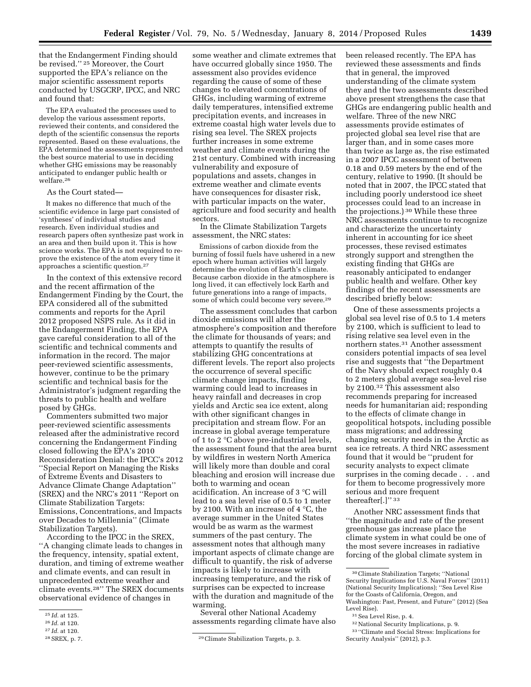that the Endangerment Finding should be revised.'' 25 Moreover, the Court supported the EPA's reliance on the major scientific assessment reports conducted by USGCRP, IPCC, and NRC and found that:

The EPA evaluated the processes used to develop the various assessment reports, reviewed their contents, and considered the depth of the scientific consensus the reports represented. Based on these evaluations, the EPA determined the assessments represented the best source material to use in deciding whether GHG emissions may be reasonably anticipated to endanger public health or welfare.26

#### As the Court stated—

It makes no difference that much of the scientific evidence in large part consisted of 'syntheses' of individual studies and research. Even individual studies and research papers often synthesize past work in an area and then build upon it. This is how science works. The EPA is not required to reprove the existence of the atom every time it approaches a scientific question.27

In the context of this extensive record and the recent affirmation of the Endangerment Finding by the Court, the EPA considered all of the submitted comments and reports for the April 2012 proposed NSPS rule. As it did in the Endangerment Finding, the EPA gave careful consideration to all of the scientific and technical comments and information in the record. The major peer-reviewed scientific assessments, however, continue to be the primary scientific and technical basis for the Administrator's judgment regarding the threats to public health and welfare posed by GHGs.

Commenters submitted two major peer-reviewed scientific assessments released after the administrative record concerning the Endangerment Finding closed following the EPA's 2010 Reconsideration Denial: the IPCC's 2012 ''Special Report on Managing the Risks of Extreme Events and Disasters to Advance Climate Change Adaptation'' (SREX) and the NRC's 2011 ''Report on Climate Stabilization Targets: Emissions, Concentrations, and Impacts over Decades to Millennia'' (Climate Stabilization Targets).

According to the IPCC in the SREX, ''A changing climate leads to changes in the frequency, intensity, spatial extent, duration, and timing of extreme weather and climate events, and can result in unprecedented extreme weather and climate events.28'' The SREX documents observational evidence of changes in

some weather and climate extremes that have occurred globally since 1950. The assessment also provides evidence regarding the cause of some of these changes to elevated concentrations of GHGs, including warming of extreme daily temperatures, intensified extreme precipitation events, and increases in extreme coastal high water levels due to rising sea level. The SREX projects further increases in some extreme weather and climate events during the 21st century. Combined with increasing vulnerability and exposure of populations and assets, changes in extreme weather and climate events have consequences for disaster risk, with particular impacts on the water, agriculture and food security and health sectors.

In the Climate Stabilization Targets assessment, the NRC states:

Emissions of carbon dioxide from the burning of fossil fuels have ushered in a new epoch where human activities will largely determine the evolution of Earth's climate. Because carbon dioxide in the atmosphere is long lived, it can effectively lock Earth and future generations into a range of impacts, some of which could become very severe.<sup>29</sup>

The assessment concludes that carbon dioxide emissions will alter the atmosphere's composition and therefore the climate for thousands of years; and attempts to quantify the results of stabilizing GHG concentrations at different levels. The report also projects the occurrence of several specific climate change impacts, finding warming could lead to increases in heavy rainfall and decreases in crop yields and Arctic sea ice extent, along with other significant changes in precipitation and stream flow. For an increase in global average temperature of 1 to 2 °C above pre-industrial levels, the assessment found that the area burnt by wildfires in western North America will likely more than double and coral bleaching and erosion will increase due both to warming and ocean acidification. An increase of 3 °C will lead to a sea level rise of 0.5 to 1 meter by 2100. With an increase of 4 °C, the average summer in the United States would be as warm as the warmest summers of the past century. The assessment notes that although many important aspects of climate change are difficult to quantify, the risk of adverse impacts is likely to increase with increasing temperature, and the risk of surprises can be expected to increase with the duration and magnitude of the warming.

Several other National Academy assessments regarding climate have also been released recently. The EPA has reviewed these assessments and finds that in general, the improved understanding of the climate system they and the two assessments described above present strengthens the case that GHGs are endangering public health and welfare. Three of the new NRC assessments provide estimates of projected global sea level rise that are larger than, and in some cases more than twice as large as, the rise estimated in a 2007 IPCC assessment of between 0.18 and 0.59 meters by the end of the century, relative to 1990. (It should be noted that in 2007, the IPCC stated that including poorly understood ice sheet processes could lead to an increase in the projections.) 30 While these three NRC assessments continue to recognize and characterize the uncertainty inherent in accounting for ice sheet processes, these revised estimates strongly support and strengthen the existing finding that GHGs are reasonably anticipated to endanger public health and welfare. Other key findings of the recent assessments are described briefly below:

One of these assessments projects a global sea level rise of 0.5 to 1.4 meters by 2100, which is sufficient to lead to rising relative sea level even in the northern states.31 Another assessment considers potential impacts of sea level rise and suggests that ''the Department of the Navy should expect roughly 0.4 to 2 meters global average sea-level rise by 2100.32 This assessment also recommends preparing for increased needs for humanitarian aid; responding to the effects of climate change in geopolitical hotspots, including possible mass migrations; and addressing changing security needs in the Arctic as sea ice retreats. A third NRC assessment found that it would be ''prudent for security analysts to expect climate surprises in the coming decade . . . and for them to become progressively more serious and more frequent thereafter[.]'' 33

Another NRC assessment finds that ''the magnitude and rate of the present greenhouse gas increase place the climate system in what could be one of the most severe increases in radiative forcing of the global climate system in

<sup>25</sup> *Id.* at 125.

<sup>26</sup> *Id.* at 120.

<sup>27</sup> *Id.* at 120.

<sup>&</sup>lt;sup>29</sup> Climate Stabilization Targets, p. 3.

<sup>30</sup>Climate Stabilization Targets; ''National Security Implications for U.S. Naval Forces'' (2011) (National Security Implications); ''Sea Level Rise for the Coasts of California, Oregon, and Washington: Past, Present, and Future'' (2012) (Sea Level Rise).

 $^{\rm 31}$  Sea Level Rise, p. 4.

<sup>32</sup>National Security Implications, p. 9.

<sup>33</sup> ''Climate and Social Stress: Implications for Security Analysis'' (2012), p.3.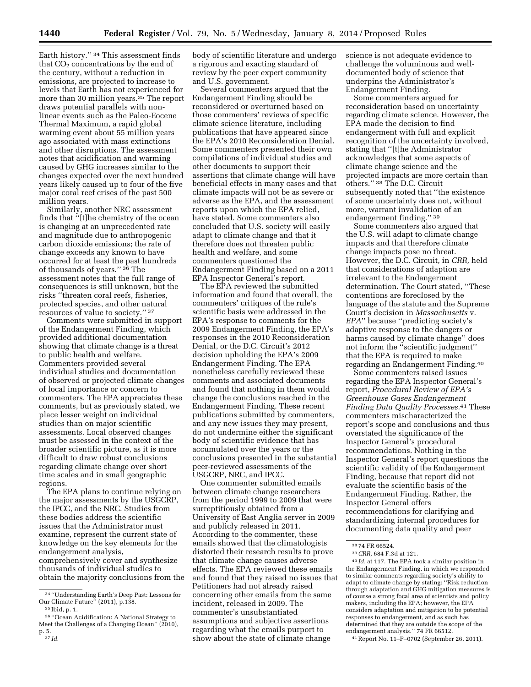Earth history."<sup>34</sup> This assessment finds that  $CO<sub>2</sub>$  concentrations by the end of the century, without a reduction in emissions, are projected to increase to levels that Earth has not experienced for more than 30 million years.35 The report draws potential parallels with nonlinear events such as the Paleo-Eocene Thermal Maximum, a rapid global warming event about 55 million years ago associated with mass extinctions and other disruptions. The assessment notes that acidification and warming caused by GHG increases similar to the changes expected over the next hundred years likely caused up to four of the five major coral reef crises of the past 500 million years.

Similarly, another NRC assessment finds that ''[t]he chemistry of the ocean is changing at an unprecedented rate and magnitude due to anthropogenic carbon dioxide emissions; the rate of change exceeds any known to have occurred for at least the past hundreds of thousands of years.'' 36 The assessment notes that the full range of consequences is still unknown, but the risks ''threaten coral reefs, fisheries, protected species, and other natural resources of value to society.'' 37

Comments were submitted in support of the Endangerment Finding, which provided additional documentation showing that climate change is a threat to public health and welfare. Commenters provided several individual studies and documentation of observed or projected climate changes of local importance or concern to commenters. The EPA appreciates these comments, but as previously stated, we place lesser weight on individual studies than on major scientific assessments. Local observed changes must be assessed in the context of the broader scientific picture, as it is more difficult to draw robust conclusions regarding climate change over short time scales and in small geographic regions.

The EPA plans to continue relying on the major assessments by the USGCRP, the IPCC, and the NRC. Studies from these bodies address the scientific issues that the Administrator must examine, represent the current state of knowledge on the key elements for the endangerment analysis, comprehensively cover and synthesize thousands of individual studies to obtain the majority conclusions from the

Several commenters argued that the Endangerment Finding should be reconsidered or overturned based on those commenters' reviews of specific climate science literature, including publications that have appeared since the EPA's 2010 Reconsideration Denial. Some commenters presented their own compilations of individual studies and other documents to support their assertions that climate change will have beneficial effects in many cases and that climate impacts will not be as severe or adverse as the EPA, and the assessment reports upon which the EPA relied, have stated. Some commenters also concluded that U.S. society will easily adapt to climate change and that it therefore does not threaten public health and welfare, and some commenters questioned the Endangerment Finding based on a 2011 EPA Inspector General's report.

The EPA reviewed the submitted information and found that overall, the commenters' critiques of the rule's scientific basis were addressed in the EPA's response to comments for the 2009 Endangerment Finding, the EPA's responses in the 2010 Reconsideration Denial, or the D.C. Circuit's 2012 decision upholding the EPA's 2009 Endangerment Finding. The EPA nonetheless carefully reviewed these comments and associated documents and found that nothing in them would change the conclusions reached in the Endangerment Finding. These recent publications submitted by commenters, and any new issues they may present, do not undermine either the significant body of scientific evidence that has accumulated over the years or the conclusions presented in the substantial peer-reviewed assessments of the USGCRP, NRC, and IPCC.

One commenter submitted emails between climate change researchers from the period 1999 to 2009 that were surreptitiously obtained from a University of East Anglia server in 2009 and publicly released in 2011. According to the commenter, these emails showed that the climatologists distorted their research results to prove that climate change causes adverse effects. The EPA reviewed these emails and found that they raised no issues that Petitioners had not already raised concerning other emails from the same incident, released in 2009. The commenter's unsubstantiated assumptions and subjective assertions regarding what the emails purport to show about the state of climate change

science is not adequate evidence to challenge the voluminous and welldocumented body of science that underpins the Administrator's Endangerment Finding.

Some commenters argued for reconsideration based on uncertainty regarding climate science. However, the EPA made the decision to find endangerment with full and explicit recognition of the uncertainty involved, stating that ''[t]he Administrator acknowledges that some aspects of climate change science and the projected impacts are more certain than others.'' 38 The D.C. Circuit subsequently noted that ''the existence of some uncertainty does not, without more, warrant invalidation of an endangerment finding.'' 39

Some commenters also argued that the U.S. will adapt to climate change impacts and that therefore climate change impacts pose no threat. However, the D.C. Circuit, in *CRR,* held that considerations of adaption are irrelevant to the Endangerment determination. The Court stated, ''These contentions are foreclosed by the language of the statute and the Supreme Court's decision in *Massachusetts* v. *EPA*'' because ''predicting society's adaptive response to the dangers or harms caused by climate change'' does not inform the ''scientific judgment'' that the EPA is required to make regarding an Endangerment Finding.40

Some commenters raised issues regarding the EPA Inspector General's report, *Procedural Review of EPA's Greenhouse Gases Endangerment Finding Data Quality Processes.*41 These commenters mischaracterized the report's scope and conclusions and thus overstated the significance of the Inspector General's procedural recommendations. Nothing in the Inspector General's report questions the scientific validity of the Endangerment Finding, because that report did not evaluate the scientific basis of the Endangerment Finding. Rather, the Inspector General offers recommendations for clarifying and standardizing internal procedures for documenting data quality and peer

40 *Id.* at 117. The EPA took a similar position in the Endangerment Finding, in which we responded to similar comments regarding society's ability to adapt to climate change by stating: ''Risk reduction through adaptation and GHG mitigation measures is of course a strong focal area of scientists and policy makers, including the EPA; however, the EPA considers adaptation and mitigation to be potential responses to endangerment, and as such has determined that they are outside the scope of the endangerment analysis.'' 74 FR 66512.

41Report No. 11–P–0702 (September 26, 2011).

<sup>34</sup> ''Understanding Earth's Deep Past: Lessons for Our Climate Future'' (2011), p.138. 35 Ibid, p. 1.

<sup>36</sup> ''Ocean Acidification: A National Strategy to Meet the Challenges of a Changing Ocean'' (2010), p. 5. 37 *Id.* 

body of scientific literature and undergo a rigorous and exacting standard of review by the peer expert community and U.S. government.

<sup>38</sup> 74 FR 66524.

<sup>39</sup>*CRR,* 684 F.3d at 121.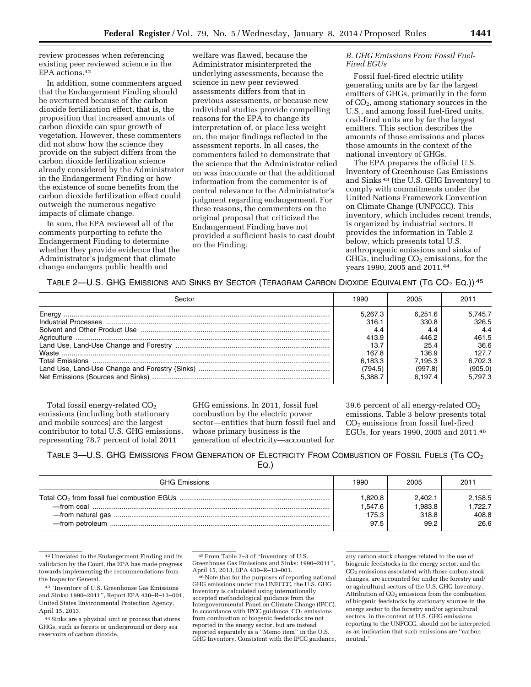review processes when referencing existing peer reviewed science in the EPA actions.42

In addition, some commenters argued that the Endangerment Finding should be overturned because of the carbon dioxide fertilization effect, that is, the proposition that increased amounts of carbon dioxide can spur growth of vegetation. However, these commenters did not show how the science they provide on the subject differs from the carbon dioxide fertilization science already considered by the Administrator in the Endangerment Finding or how the existence of some benefits from the carbon dioxide fertilization effect could outweigh the numerous negative impacts of climate change.

In sum, the EPA reviewed all of the comments purporting to refute the Endangerment Finding to determine whether they provide evidence that the Administrator's judgment that climate change endangers public health and

welfare was flawed, because the Administrator misinterpreted the underlying assessments, because the science in new peer reviewed assessments differs from that in previous assessments, or because new individual studies provide compelling reasons for the EPA to change its interpretation of, or place less weight on, the major findings reflected in the assessment reports. In all cases, the commenters failed to demonstrate that the science that the Administrator relied on was inaccurate or that the additional information from the commenter is of central relevance to the Administrator's judgment regarding endangerment. For these reasons, the commenters on the original proposal that criticized the Endangerment Finding have not provided a sufficient basis to cast doubt on the Finding.

#### *B. GHG Emissions From Fossil Fuel-Fired EGUs*

Fossil fuel-fired electric utility generating units are by far the largest emitters of GHGs, primarily in the form of CO2, among stationary sources in the U.S., and among fossil fuel-fired units, coal-fired units are by far the largest emitters. This section describes the amounts of those emissions and places those amounts in the context of the national inventory of GHGs.

The EPA prepares the official U.S. Inventory of Greenhouse Gas Emissions and Sinks 43 (the U.S. GHG Inventory) to comply with commitments under the United Nations Framework Convention on Climate Change (UNFCCC). This inventory, which includes recent trends, is organized by industrial sectors. It provides the information in Table 2 below, which presents total U.S. anthropogenic emissions and sinks of  $GHGs$ , including  $CO<sub>2</sub>$  emissions, for the years 1990, 2005 and 2011.44

TABLE 2—U.S. GHG EMISSIONS AND SINKS BY SECTOR (TERAGRAM CARBON DIOXIDE EQUIVALENT (TG CO<sub>2</sub> EQ.)) <sup>45</sup>

| Sector | 1990    | 2005    | 2011    |
|--------|---------|---------|---------|
|        | 5.267.3 | 6.251.6 | 5.745.7 |
|        | 316.1   | 330.8   | 326.5   |
|        | 4.4     | 4.4     | 4.4     |
|        | 413.9   | 446.2   | 461.5   |
|        | 13.7    | 25.4    | 36.6    |
|        | 167.8   | 136.9   | 127.7   |
|        | 6.183.3 | 7.195.3 | 6,702.3 |
|        | (794.5) | (997.8) | (905.0) |
|        | 5.388.7 | 6.197.4 | 5.797.3 |

Total fossil energy-related CO<sub>2</sub> emissions (including both stationary and mobile sources) are the largest contributor to total U.S. GHG emissions, representing 78.7 percent of total 2011

GHG emissions. In 2011, fossil fuel combustion by the electric power sector—entities that burn fossil fuel and whose primary business is the generation of electricity—accounted for

39.6 percent of all energy-related  $CO<sub>2</sub>$ emissions. Table 3 below presents total CO2 emissions from fossil fuel-fired EGUs, for years 1990, 2005 and 2011.46

TABLE 3—U.S. GHG EMISSIONS FROM GENERATION OF ELECTRICITY FROM COMBUSTION OF FOSSIL FUELS (TG  $CO<sub>2</sub>$ EQ.)

| <b>GHG Emissions</b> | 1990    | 2005    | 2011    |
|----------------------|---------|---------|---------|
|                      | 1,820.8 | 2.402.1 | 2,158.5 |
|                      | 1.547.6 | 1.983.8 | 1.722.7 |
|                      | 175.3   | 318.8   | 408.8   |
|                      | 97.5    | 99.2    | 26.6    |

42Unrelated to the Endangerment Finding and its validation by the Court, the EPA has made progress towards implementing the recommendations from the Inspector General.

43 ''Inventory of U.S. Greenhouse Gas Emissions and Sinks: 1990–2011'', Report EPA 430–R–13–001, United States Environmental Protection Agency, April 15, 2013.

44Sinks are a physical unit or process that stores GHGs, such as forests or underground or deep sea reservoirs of carbon dioxide.

 $^{46}\,$ Note that for the purposes of reporting national GHG emissions under the UNFCCC, the U.S. GHG Inventory is calculated using internationally accepted methodological guidance from the Intergovernmental Panel on Climate Change (IPCC). In accordance with IPCC guidance,  $CO<sub>2</sub>$  emissions from combustion of biogenic feedstocks are not reported in the energy sector, but are instead reported separately as a ''Memo item'' in the U.S. GHG Inventory. Consistent with the IPCC guidance,

<sup>45</sup>From Table 2–3 of ''Inventory of U.S. Greenhouse Gas Emissions and Sinks: 1990–2011'',

any carbon stock changes related to the use of biogenic feedstocks in the energy sector, and the CO2 emissions associated with those carbon stock changes, are accounted for under the forestry and/ or agricultural sectors of the U.S. GHG Inventory. Attribution of  $CO<sub>2</sub>$  emissions from the combustion of biogenic feedstocks by stationary sources in the energy sector to the forestry and/or agricultural sectors, in the context of U.S. GHG emissions reporting to the UNFCCC, should not be interpreted as an indication that such emissions are ''carbon neutral.''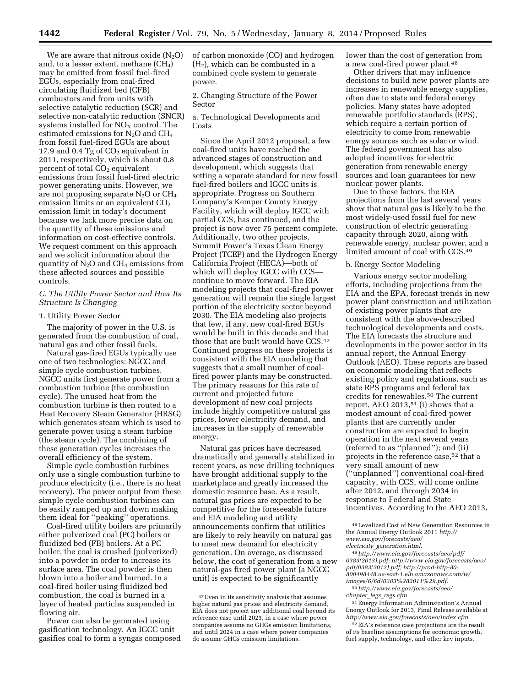We are aware that nitrous oxide  $(N_2O)$ and, to a lesser extent, methane  $(CH_4)$ may be emitted from fossil fuel-fired EGUs, especially from coal-fired circulating fluidized bed (CFB) combustors and from units with selective catalytic reduction (SCR) and selective non-catalytic reduction (SNCR) systems installed for  $NO<sub>x</sub>$  control. The estimated emissions for N2O and CH4 from fossil fuel-fired EGUs are about 17.9 and 0.4 Tg of  $CO<sub>2</sub>$  equivalent in 2011, respectively, which is about 0.8 percent of total  $CO<sub>2</sub>$  equivalent emissions from fossil fuel-fired electric power generating units. However, we are not proposing separate  $N_2O$  or  $CH_4$ emission limits or an equivalent  $CO<sub>2</sub>$ emission limit in today's document because we lack more precise data on the quantity of these emissions and information on cost-effective controls. We request comment on this approach and we solicit information about the quantity of  $N_2O$  and  $CH_4$  emissions from these affected sources and possible controls.

*C. The Utility Power Sector and How Its Structure Is Changing* 

### 1. Utility Power Sector

The majority of power in the U.S. is generated from the combustion of coal, natural gas and other fossil fuels.

Natural gas-fired EGUs typically use one of two technologies: NGCC and simple cycle combustion turbines. NGCC units first generate power from a combustion turbine (the combustion cycle). The unused heat from the combustion turbine is then routed to a Heat Recovery Steam Generator (HRSG) which generates steam which is used to generate power using a steam turbine (the steam cycle). The combining of these generation cycles increases the overall efficiency of the system.

Simple cycle combustion turbines only use a single combustion turbine to produce electricity (i.e., there is no heat recovery). The power output from these simple cycle combustion turbines can be easily ramped up and down making them ideal for ''peaking'' operations.

Coal-fired utility boilers are primarily either pulverized coal (PC) boilers or fluidized bed (FB) boilers. At a PC boiler, the coal is crushed (pulverized) into a powder in order to increase its surface area. The coal powder is then blown into a boiler and burned. In a coal-fired boiler using fluidized bed combustion, the coal is burned in a layer of heated particles suspended in flowing air.

Power can also be generated using gasification technology. An IGCC unit gasifies coal to form a syngas composed of carbon monoxide (CO) and hydrogen  $(H<sub>2</sub>)$ , which can be combusted in a combined cycle system to generate power.

2. Changing Structure of the Power Sector

a. Technological Developments and Costs

Since the April 2012 proposal, a few coal-fired units have reached the advanced stages of construction and development, which suggests that setting a separate standard for new fossil fuel-fired boilers and IGCC units is appropriate. Progress on Southern Company's Kemper County Energy Facility, which will deploy IGCC with partial CCS, has continued, and the project is now over 75 percent complete. Additionally, two other projects, Summit Power's Texas Clean Energy Project (TCEP) and the Hydrogen Energy California Project (HECA)—both of which will deploy IGCC with CCS continue to move forward. The EIA modeling projects that coal-fired power generation will remain the single largest portion of the electricity sector beyond 2030. The EIA modeling also projects that few, if any, new coal-fired EGUs would be built in this decade and that those that are built would have CCS.47 Continued progress on these projects is consistent with the EIA modeling that suggests that a small number of coalfired power plants may be constructed. The primary reasons for this rate of current and projected future development of new coal projects include highly competitive natural gas prices, lower electricity demand, and increases in the supply of renewable energy.

Natural gas prices have decreased dramatically and generally stabilized in recent years, as new drilling techniques have brought additional supply to the marketplace and greatly increased the domestic resource base. As a result, natural gas prices are expected to be competitive for the foreseeable future and EIA modeling and utility announcements confirm that utilities are likely to rely heavily on natural gas to meet new demand for electricity generation. On average, as discussed below, the cost of generation from a new natural-gas fired power plant (a NGCC unit) is expected to be significantly

lower than the cost of generation from a new coal-fired power plant.48

Other drivers that may influence decisions to build new power plants are increases in renewable energy supplies, often due to state and federal energy policies. Many states have adopted renewable portfolio standards (RPS), which require a certain portion of electricity to come from renewable energy sources such as solar or wind. The federal government has also adopted incentives for electric generation from renewable energy sources and loan guarantees for new nuclear power plants.

Due to these factors, the EIA projections from the last several years show that natural gas is likely to be the most widely-used fossil fuel for new construction of electric generating capacity through 2020, along with renewable energy, nuclear power, and a limited amount of coal with CCS.49

#### b. Energy Sector Modeling

Various energy sector modeling efforts, including projections from the EIA and the EPA, forecast trends in new power plant construction and utilization of existing power plants that are consistent with the above-described technological developments and costs. The EIA forecasts the structure and developments in the power sector in its annual report, the Annual Energy Outlook (AEO). These reports are based on economic modeling that reflects existing policy and regulations, such as state RPS programs and federal tax credits for renewables.50 The current report, AEO 2013, $51$  (i) shows that a modest amount of coal-fired power plants that are currently under construction are expected to begin operation in the next several years (referred to as ''planned''); and (ii) projects in the reference case,52 that a very small amount of new (''unplanned'') conventional coal-fired capacity, with CCS, will come online after 2012, and through 2034 in response to Federal and State incentives. According to the AEO 2013,

48Levelized Cost of New Generation Resources in the Annual Energy Outlook 2011 *[http://](http://www.eia.gov/forecasts/aeo/electricity_generation.html) [www.eia.gov/forecasts/aeo/](http://www.eia.gov/forecasts/aeo/electricity_generation.html) electricity*\_*[generation.html.](http://www.eia.gov/forecasts/aeo/electricity_generation.html)* 

49*[http://www.eia.gov/forecasts/aeo/pdf/](http://www.eia.gov/forecasts/aeo/pdf/0383(2013).pdf)  [0383\(2013\).pdf;](http://www.eia.gov/forecasts/aeo/pdf/0383(2013).pdf) [http://www.eia.gov/forecasts/aeo/](http://www.eia.gov/forecasts/aeo/pdf/0383(2012).pdf)  [pdf/0383\(2012\).pdf;](http://www.eia.gov/forecasts/aeo/pdf/0383(2012).pdf) [http://prod-http-80-](http://prod-http-80-800498448.us-east-1.elb.amazonaws.com/w/images/6/6d/0383%282011%29.pdf)  [800498448.us-east-1.elb.amazonaws.com/w/](http://prod-http-80-800498448.us-east-1.elb.amazonaws.com/w/images/6/6d/0383%282011%29.pdf)  [images/6/6d/0383%282011%29.pdf.](http://prod-http-80-800498448.us-east-1.elb.amazonaws.com/w/images/6/6d/0383%282011%29.pdf)* 

50*[http://www.eia.gov/forecasts/aeo/](http://www.eia.gov/forecasts/aeo/chapter_legs_regs.cfm) chapter*\_*legs*\_*[regs.cfm.](http://www.eia.gov/forecasts/aeo/chapter_legs_regs.cfm)* 

51Energy Information Adminstration's Annual Energy Outlook for 2013, Final Release available at *[http://www.eia.gov/forecasts/aeo/index.cfm.](http://www.eia.gov/forecasts/aeo/index.cfm)* 

52EIA's reference case projections are the result of its baseline assumptions for economic growth, fuel supply, technology, and other key inputs.

<sup>47</sup>Even in its sensitivity analysis that assumes higher natural gas prices and electricity demand, EIA does not project any additional coal beyond its reference case until 2023, in a case where power companies assume no GHGs emission limitations, and until 2024 in a case where power companies do assume GHGs emission limitations.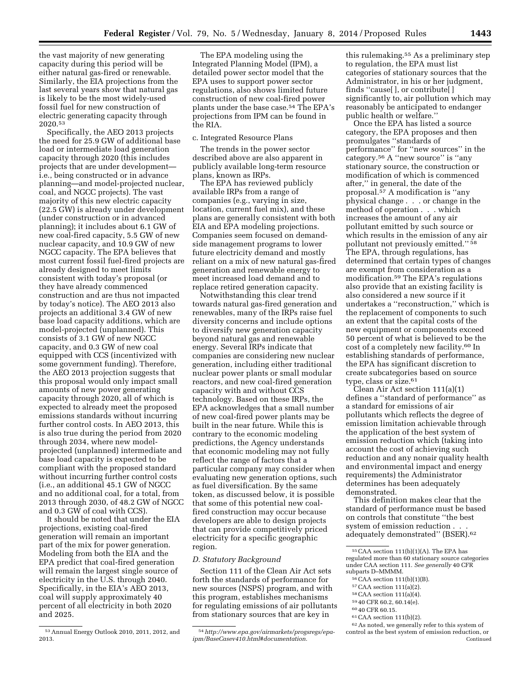the vast majority of new generating capacity during this period will be either natural gas-fired or renewable. Similarly, the EIA projections from the last several years show that natural gas is likely to be the most widely-used fossil fuel for new construction of electric generating capacity through 2020.53

Specifically, the AEO 2013 projects the need for 25.9 GW of additional base load or intermediate load generation capacity through 2020 (this includes projects that are under development i.e., being constructed or in advance planning—and model-projected nuclear, coal, and NGCC projects). The vast majority of this new electric capacity (22.5 GW) is already under development (under construction or in advanced planning); it includes about 6.1 GW of new coal-fired capacity, 5.5 GW of new nuclear capacity, and 10.9 GW of new NGCC capacity. The EPA believes that most current fossil fuel-fired projects are already designed to meet limits consistent with today's proposal (or they have already commenced construction and are thus not impacted by today's notice). The AEO 2013 also projects an additional 3.4 GW of new base load capacity additions, which are model-projected (unplanned). This consists of 3.1 GW of new NGCC capacity, and 0.3 GW of new coal equipped with CCS (incentivized with some government funding). Therefore, the AEO 2013 projection suggests that this proposal would only impact small amounts of new power generating capacity through 2020, all of which is expected to already meet the proposed emissions standards without incurring further control costs. In AEO 2013, this is also true during the period from 2020 through 2034, where new modelprojected (unplanned) intermediate and base load capacity is expected to be compliant with the proposed standard without incurring further control costs (i.e., an additional 45.1 GW of NGCC and no additional coal, for a total, from 2013 through 2030, of 48.2 GW of NGCC and 0.3 GW of coal with CCS).

It should be noted that under the EIA projections, existing coal-fired generation will remain an important part of the mix for power generation. Modeling from both the EIA and the EPA predict that coal-fired generation will remain the largest single source of electricity in the U.S. through 2040. Specifically, in the EIA's AEO 2013, coal will supply approximately 40 percent of all electricity in both 2020 and 2025.

53Annual Energy Outlook 2010, 2011, 2012, and 2013.

#### c. Integrated Resource Plans

The trends in the power sector described above are also apparent in publicly available long-term resource plans, known as IRPs.

The EPA has reviewed publicly available IRPs from a range of companies (e.g., varying in size, location, current fuel mix), and these plans are generally consistent with both EIA and EPA modeling projections. Companies seem focused on demandside management programs to lower future electricity demand and mostly reliant on a mix of new natural gas-fired generation and renewable energy to meet increased load demand and to replace retired generation capacity.

Notwithstanding this clear trend towards natural gas-fired generation and renewables, many of the IRPs raise fuel diversity concerns and include options to diversify new generation capacity beyond natural gas and renewable energy. Several IRPs indicate that companies are considering new nuclear generation, including either traditional nuclear power plants or small modular reactors, and new coal-fired generation capacity with and without CCS technology. Based on these IRPs, the EPA acknowledges that a small number of new coal-fired power plants may be built in the near future. While this is contrary to the economic modeling predictions, the Agency understands that economic modeling may not fully reflect the range of factors that a particular company may consider when evaluating new generation options, such as fuel diversification. By the same token, as discussed below, it is possible that some of this potential new coalfired construction may occur because developers are able to design projects that can provide competitively priced electricity for a specific geographic region.

#### *D. Statutory Background*

Section 111 of the Clean Air Act sets forth the standards of performance for new sources (NSPS) program, and with this program, establishes mechanisms for regulating emissions of air pollutants from stationary sources that are key in

54*[http://www.epa.gov/airmarkets/progsregs/epa](http://www.epa.gov/airmarkets/progsregs/epa-ipm/BaseCasev410.html#documentation)[ipm/BaseCasev410.html#documentation.](http://www.epa.gov/airmarkets/progsregs/epa-ipm/BaseCasev410.html#documentation)* 

this rulemaking.55 As a preliminary step to regulation, the EPA must list categories of stationary sources that the Administrator, in his or her judgment, finds ''cause[ ], or contribute[ ] significantly to, air pollution which may reasonably be anticipated to endanger public health or welfare.''

Once the EPA has listed a source category, the EPA proposes and then promulgates ''standards of performance'' for ''new sources'' in the category.56 A ''new source'' is ''any stationary source, the construction or modification of which is commenced after,'' in general, the date of the proposal.57 A modification is ''any physical change . . . or change in the method of operation . . . which increases the amount of any air pollutant emitted by such source or which results in the emission of any air pollutant not previously emitted.'' 58 The EPA, through regulations, has determined that certain types of changes are exempt from consideration as a modification.59 The EPA's regulations also provide that an existing facility is also considered a new source if it undertakes a ''reconstruction,'' which is the replacement of components to such an extent that the capital costs of the new equipment or components exceed 50 percent of what is believed to be the cost of a completely new facility.60 In establishing standards of performance, the EPA has significant discretion to create subcategories based on source type, class or size.<sup>61</sup>

Clean Air Act section 111(a)(1) defines a ''standard of performance'' as a standard for emissions of air pollutants which reflects the degree of emission limitation achievable through the application of the best system of emission reduction which (taking into account the cost of achieving such reduction and any nonair quality health and environmental impact and energy requirements) the Administrator determines has been adequately demonstrated.

This definition makes clear that the standard of performance must be based on controls that constitute ''the best system of emission reduction . . . adequately demonstrated'' (BSER).62

- 
- 
- 
- 
- 

The EPA modeling using the Integrated Planning Model (IPM), a detailed power sector model that the EPA uses to support power sector regulations, also shows limited future construction of new coal-fired power plants under the base case.54 The EPA's projections from IPM can be found in the RIA.

<sup>55</sup>CAA section 111(b)(1)(A). The EPA has regulated more than 60 stationary source categories under CAA section 111. *See generally* 40 CFR

<sup>&</sup>lt;sup>56</sup> CAA section 111(b)(1)(B).<br><sup>57</sup> CAA section 111(a)(2).<br><sup>58</sup> CAA section 111(a)(4).<br><sup>69</sup> 40 CFR 60.2, 60.14(e).<br><sup>60</sup> 40 CFR 60.15.<br><sup>61</sup> CAA section 111(b)(2).<br><sup>62</sup> As noted, we generally refer to this system of control as the best system of emission reduction, or Continued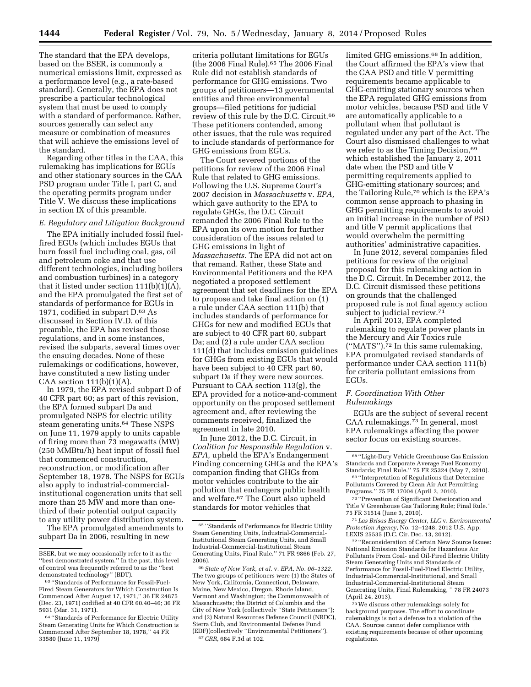The standard that the EPA develops, based on the BSER, is commonly a numerical emissions limit, expressed as a performance level (e.g., a rate-based standard). Generally, the EPA does not prescribe a particular technological system that must be used to comply with a standard of performance. Rather, sources generally can select any measure or combination of measures that will achieve the emissions level of the standard.

Regarding other titles in the CAA, this rulemaking has implications for EGUs and other stationary sources in the CAA PSD program under Title I, part C, and the operating permits program under Title V. We discuss these implications in section IX of this preamble.

#### *E. Regulatory and Litigation Background*

The EPA initially included fossil fuelfired EGUs (which includes EGUs that burn fossil fuel including coal, gas, oil and petroleum coke and that use different technologies, including boilers and combustion turbines) in a category that it listed under section 111(b)(1)(A), and the EPA promulgated the first set of standards of performance for EGUs in 1971, codified in subpart D.63 As discussed in Section IV.D. of this preamble, the EPA has revised those regulations, and in some instances, revised the subparts, several times over the ensuing decades. None of these rulemakings or codifications, however, have constituted a new listing under CAA section  $111(b)(1)(A)$ .

In 1979, the EPA revised subpart D of 40 CFR part 60; as part of this revision, the EPA formed subpart Da and promulgated NSPS for electric utility steam generating units.<sup>64</sup> These NSPS on June 11, 1979 apply to units capable of firing more than 73 megawatts (MW) (250 MMBtu/h) heat input of fossil fuel that commenced construction, reconstruction, or modification after September 18, 1978. The NSPS for EGUs also apply to industrial-commercialinstitutional cogeneration units that sell more than 25 MW and more than onethird of their potential output capacity to any utility power distribution system.

The EPA promulgated amendments to subpart Da in 2006, resulting in new

criteria pollutant limitations for EGUs (the 2006 Final Rule).65 The 2006 Final Rule did not establish standards of performance for GHG emissions. Two groups of petitioners—13 governmental entities and three environmental groups—filed petitions for judicial review of this rule by the D.C. Circuit.66 These petitioners contended, among other issues, that the rule was required to include standards of performance for GHG emissions from EGUs.

The Court severed portions of the petitions for review of the 2006 Final Rule that related to GHG emissions. Following the U.S. Supreme Court's 2007 decision in *Massachusetts* v. *EPA,*  which gave authority to the EPA to regulate GHGs, the D.C. Circuit remanded the 2006 Final Rule to the EPA upon its own motion for further consideration of the issues related to GHG emissions in light of *Massachusetts.* The EPA did not act on that remand. Rather, these State and Environmental Petitioners and the EPA negotiated a proposed settlement agreement that set deadlines for the EPA to propose and take final action on (1) a rule under CAA section 111(b) that includes standards of performance for GHGs for new and modified EGUs that are subject to 40 CFR part 60, subpart Da; and (2) a rule under CAA section 111(d) that includes emission guidelines for GHGs from existing EGUs that would have been subject to 40 CFR part 60, subpart Da if they were new sources. Pursuant to CAA section 113(g), the EPA provided for a notice-and-comment opportunity on the proposed settlement agreement and, after reviewing the comments received, finalized the agreement in late 2010.

In June 2012, the D.C. Circuit, in *Coalition for Responsible Regulation* v. *EPA,* upheld the EPA's Endangerment Finding concerning GHGs and the EPA's companion finding that GHGs from motor vehicles contribute to the air pollution that endangers public health and welfare.67 The Court also upheld standards for motor vehicles that

limited GHG emissions.<sup>68</sup> In addition, the Court affirmed the EPA's view that the CAA PSD and title V permitting requirements became applicable to GHG-emitting stationary sources when the EPA regulated GHG emissions from motor vehicles, because PSD and title V are automatically applicable to a pollutant when that pollutant is regulated under any part of the Act. The Court also dismissed challenges to what we refer to as the Timing Decision,<sup>69</sup> which established the January 2, 2011 date when the PSD and title V permitting requirements applied to GHG-emitting stationary sources; and the Tailoring Rule,70 which is the EPA's common sense approach to phasing in GHG permitting requirements to avoid an initial increase in the number of PSD and title V permit applications that would overwhelm the permitting authorities' administrative capacities.

In June 2012, several companies filed petitions for review of the original proposal for this rulemaking action in the D.C. Circuit. In December 2012, the D.C. Circuit dismissed these petitions on grounds that the challenged proposed rule is not final agency action subject to judicial review.71

In April 2013, EPA completed rulemaking to regulate power plants in the Mercury and Air Toxics rule  $("MATS")$ .<sup>72</sup> In this same rulemaking, EPA promulgated revised standards of performance under CAA section 111(b) for criteria pollutant emissions from EGUs.

#### *F. Coordination With Other Rulemakings*

EGUs are the subject of several recent CAA rulemakings.73 In general, most EPA rulemakings affecting the power sector focus on existing sources.

72 ''Reconsideration of Certain New Source Issues: National Emission Standards for Hazardous Air Pollutants From Coal- and Oil-Fired Electric Utility Steam Generating Units and Standards of Performance for Fossil-Fuel-Fired Electric Utility, Industrial-Commercial-Institutional, and Small Industrial-Commercial-Institutional Steam Generating Units, Final Rulemaking, '' 78 FR 24073 (April 24, 2013).

73We discuss other rulemakings solely for background purposes. The effort to coordinate rulemakings is not a defense to a violation of the CAA. Sources cannot defer compliance with existing requirements because of other upcoming regulations.

BSER, but we may occasionally refer to it as the "best demonstrated system." In the past, this level of control was frequently referred to as the ''best demonstrated technology'' (BDT).

<sup>63</sup> ''Standards of Performance for Fossil-Fuel-Fired Steam Generators for Which Construction Is Commenced After August 17, 1971,'' 36 FR 24875 (Dec. 23, 1971) codified at 40 CFR 60.40–46; 36 FR 5931 (Mar. 31, 1971).

<sup>64</sup> ''Standards of Performance for Electric Utility Steam Generating Units for Which Construction is Commenced After September 18, 1978,'' 44 FR 33580 (June 11, 1979)

 $^{65}$ ''Standards of Performance for Electric Utility Steam Generating Units, Industrial-Commercial-Institutional Steam Generating Units, and Small Industrial-Commercial-Institutional Steam Generating Units, Final Rule.'' 71 FR 9866 (Feb. 27, 2006).

<sup>66</sup>*State of New York, et al.* v. *EPA, No. 06–1322.*  The two groups of petitioners were (1) the States of New York, California, Connecticut, Delaware, Maine, New Mexico, Oregon, Rhode Island, Vermont and Washington; the Commonwealth of Massachusetts; the District of Columbia and the City of New York (collectively ''State Petitioners''); and (2) Natural Resources Defense Council (NRDC), Sierra Club, and Environmental Defense Fund (EDF)(collectively ''Environmental Petitioners''). 67*CRR,* 684 F.3d at 102.

<sup>68</sup> ''Light-Duty Vehicle Greenhouse Gas Emission Standards and Corporate Average Fuel Economy

<sup>69 &</sup>quot;Interpretation of Regulations that Determine Pollutants Covered by Clean Air Act Permitting Programs.'' 75 FR 17004 (April 2, 2010).

<sup>70</sup> ''Prevention of Significant Deterioration and Title V Greenhouse Gas Tailoring Rule; Final Rule.'' 75 FR 31514 (June 3, 2010).

<sup>71</sup> *Las Brisas Energy Center, LLC* v. *Environmental Protection Agency,* No. 12–1248, 2012 U.S. App. LEXIS 25535 (D.C. Cir. Dec. 13, 2012).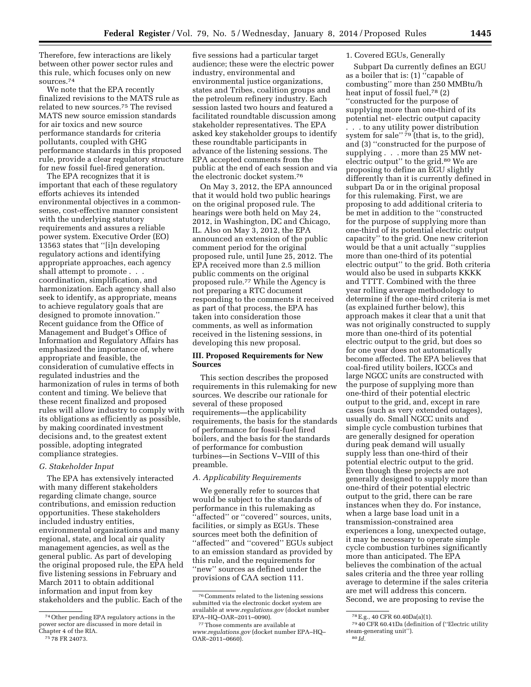Therefore, few interactions are likely between other power sector rules and this rule, which focuses only on new sources.74

We note that the EPA recently finalized revisions to the MATS rule as related to new sources.75 The revised MATS new source emission standards for air toxics and new source performance standards for criteria pollutants, coupled with GHG performance standards in this proposed rule, provide a clear regulatory structure for new fossil fuel-fired generation.

The EPA recognizes that it is important that each of these regulatory efforts achieves its intended environmental objectives in a commonsense, cost-effective manner consistent with the underlying statutory requirements and assures a reliable power system. Executive Order (EO) 13563 states that ''[i]n developing regulatory actions and identifying appropriate approaches, each agency shall attempt to promote . . . coordination, simplification, and harmonization. Each agency shall also seek to identify, as appropriate, means to achieve regulatory goals that are designed to promote innovation.'' Recent guidance from the Office of Management and Budget's Office of Information and Regulatory Affairs has emphasized the importance of, where appropriate and feasible, the consideration of cumulative effects in regulated industries and the harmonization of rules in terms of both content and timing. We believe that these recent finalized and proposed rules will allow industry to comply with its obligations as efficiently as possible, by making coordinated investment decisions and, to the greatest extent possible, adopting integrated compliance strategies.

### *G. Stakeholder Input*

The EPA has extensively interacted with many different stakeholders regarding climate change, source contributions, and emission reduction opportunities. These stakeholders included industry entities, environmental organizations and many regional, state, and local air quality management agencies, as well as the general public. As part of developing the original proposed rule, the EPA held five listening sessions in February and March 2011 to obtain additional information and input from key stakeholders and the public. Each of the

five sessions had a particular target audience; these were the electric power industry, environmental and environmental justice organizations, states and Tribes, coalition groups and the petroleum refinery industry. Each session lasted two hours and featured a facilitated roundtable discussion among stakeholder representatives. The EPA asked key stakeholder groups to identify these roundtable participants in advance of the listening sessions. The EPA accepted comments from the public at the end of each session and via the electronic docket system.76

On May 3, 2012, the EPA announced that it would hold two public hearings on the original proposed rule. The hearings were both held on May 24, 2012, in Washington, DC and Chicago, IL. Also on May 3, 2012, the EPA announced an extension of the public comment period for the original proposed rule, until June 25, 2012. The EPA received more than 2.5 million public comments on the original proposed rule.77 While the Agency is not preparing a RTC document responding to the comments it received as part of that process, the EPA has taken into consideration those comments, as well as information received in the listening sessions, in developing this new proposal.

# **III. Proposed Requirements for New Sources**

This section describes the proposed requirements in this rulemaking for new sources. We describe our rationale for several of these proposed requirements—the applicability requirements, the basis for the standards of performance for fossil-fuel fired boilers, and the basis for the standards of performance for combustion turbines—in Sections V–VIII of this preamble.

#### *A. Applicability Requirements*

We generally refer to sources that would be subject to the standards of performance in this rulemaking as "affected" or "covered" sources, units, facilities, or simply as EGUs. These sources meet both the definition of "affected" and "covered" EGUs subject to an emission standard as provided by this rule, and the requirements for "new" sources as defined under the provisions of CAA section 111.

#### 1. Covered EGUs, Generally

Subpart Da currently defines an EGU as a boiler that is: (1) ''capable of combusting'' more than 250 MMBtu/h heat input of fossil fuel,78 (2) ''constructed for the purpose of supplying more than one-third of its potential net- electric output capacity

. . . to any utility power distribution system for sale" 79 (that is, to the grid), and (3) ''constructed for the purpose of supplying . . . more than 25 MW netelectric output" to the grid.<sup>80</sup> We are proposing to define an EGU slightly differently than it is currently defined in subpart Da or in the original proposal for this rulemaking. First, we are proposing to add additional criteria to be met in addition to the ''constructed for the purpose of supplying more than one-third of its potential electric output capacity'' to the grid. One new criterion would be that a unit actually ''supplies more than one-third of its potential electric output'' to the grid. Both criteria would also be used in subparts KKKK and TTTT. Combined with the three year rolling average methodology to determine if the one-third criteria is met (as explained further below), this approach makes it clear that a unit that was not originally constructed to supply more than one-third of its potential electric output to the grid, but does so for one year does not automatically become affected. The EPA believes that coal-fired utility boilers, IGCCs and large NGCC units are constructed with the purpose of supplying more than one-third of their potential electric output to the grid, and, except in rare cases (such as very extended outages), usually do. Small NGCC units and simple cycle combustion turbines that are generally designed for operation during peak demand will usually supply less than one-third of their potential electric output to the grid. Even though these projects are not generally designed to supply more than one-third of their potential electric output to the grid, there can be rare instances when they do. For instance, when a large base load unit in a transmission-constrained area experiences a long, unexpected outage, it may be necessary to operate simple cycle combustion turbines significantly more than anticipated. The EPA believes the combination of the actual sales criteria and the three year rolling average to determine if the sales criteria are met will address this concern. Second, we are proposing to revise the

<sup>74</sup>Other pending EPA regulatory actions in the power sector are discussed in more detail in Chapter 4 of the RIA.

<sup>75</sup> 78 FR 24073.

<sup>76</sup>Comments related to the listening sessions submitted via the electronic docket system are available at *[www.regulations.gov](http://www.regulations.gov)* (docket number EPA–HQ–OAR–2011–0090).

<sup>77</sup>Those comments are available at *[www.regulations.gov](http://www.regulations.gov)* (docket number EPA–HQ– OAR–2011–0660).

 $^{78}\mathrm{E.g.},$  40 CFR 60.40Da(a)(1).  $^{79}\mathrm{40}$  CFR 60.41Da (definition of (''Electric utility steam-generating unit'').

<sup>80</sup> *Id.*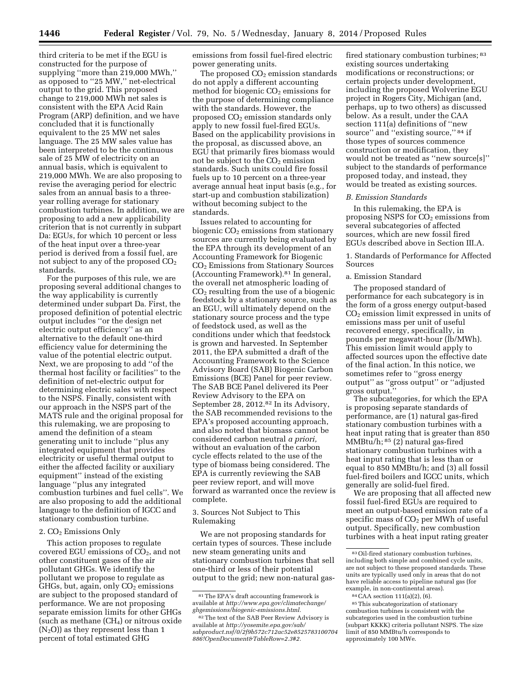third criteria to be met if the EGU is constructed for the purpose of supplying ''more than 219,000 MWh,'' as opposed to ''25 MW,'' net-electrical output to the grid. This proposed change to 219,000 MWh net sales is consistent with the EPA Acid Rain Program (ARP) definition, and we have concluded that it is functionally equivalent to the 25 MW net sales language. The 25 MW sales value has been interpreted to be the continuous sale of 25 MW of electricity on an annual basis, which is equivalent to 219,000 MWh. We are also proposing to revise the averaging period for electric sales from an annual basis to a threeyear rolling average for stationary combustion turbines. In addition, we are proposing to add a new applicability criterion that is not currently in subpart Da: EGUs, for which 10 percent or less of the heat input over a three-year period is derived from a fossil fuel, are not subject to any of the proposed  $CO<sub>2</sub>$ standards.

For the purposes of this rule, we are proposing several additional changes to the way applicability is currently determined under subpart Da. First, the proposed definition of potential electric output includes ''or the design net electric output efficiency'' as an alternative to the default one-third efficiency value for determining the value of the potential electric output. Next, we are proposing to add ''of the thermal host facility or facilities'' to the definition of net-electric output for determining electric sales with respect to the NSPS. Finally, consistent with our approach in the NSPS part of the MATS rule and the original proposal for this rulemaking, we are proposing to amend the definition of a steam generating unit to include ''plus any integrated equipment that provides electricity or useful thermal output to either the affected facility or auxiliary equipment'' instead of the existing language ''plus any integrated combustion turbines and fuel cells''. We are also proposing to add the additional language to the definition of IGCC and stationary combustion turbine.

#### 2. CO<sub>2</sub> Emissions Only

This action proposes to regulate covered EGU emissions of  $CO<sub>2</sub>$ , and not other constituent gases of the air pollutant GHGs. We identify the pollutant we propose to regulate as  $GHGs$ , but, again, only  $CO<sub>2</sub>$  emissions are subject to the proposed standard of performance. We are not proposing separate emission limits for other GHGs (such as methane  $(CH<sub>4</sub>)$  or nitrous oxide  $(N<sub>2</sub>O)$ ) as they represent less than 1 percent of total estimated GHG

emissions from fossil fuel-fired electric power generating units.

The proposed  $CO<sub>2</sub>$  emission standards do not apply a different accounting method for biogenic  $CO<sub>2</sub>$  emissions for the purpose of determining compliance with the standards. However, the proposed  $CO<sub>2</sub>$  emission standards only apply to new fossil fuel-fired EGUs. Based on the applicability provisions in the proposal, as discussed above, an EGU that primarily fires biomass would not be subject to the  $CO<sub>2</sub>$  emission standards. Such units could fire fossil fuels up to 10 percent on a three-year average annual heat input basis (e.g., for start-up and combustion stabilization) without becoming subject to the standards.

Issues related to accounting for biogenic  $CO<sub>2</sub>$  emissions from stationary sources are currently being evaluated by the EPA through its development of an Accounting Framework for Biogenic CO2 Emissions from Stationary Sources (Accounting Framework).81 In general, the overall net atmospheric loading of  $CO<sub>2</sub>$  resulting from the use of a biogenic feedstock by a stationary source, such as an EGU, will ultimately depend on the stationary source process and the type of feedstock used, as well as the conditions under which that feedstock is grown and harvested. In September 2011, the EPA submitted a draft of the Accounting Framework to the Science Advisory Board (SAB) Biogenic Carbon Emissions (BCE) Panel for peer review. The SAB BCE Panel delivered its Peer Review Advisory to the EPA on September 28, 2012.<sup>82</sup> In its Advisory, the SAB recommended revisions to the EPA's proposed accounting approach, and also noted that biomass cannot be considered carbon neutral *a priori,*  without an evaluation of the carbon cycle effects related to the use of the type of biomass being considered. The EPA is currently reviewing the SAB peer review report, and will move forward as warranted once the review is complete.

3. Sources Not Subject to This Rulemaking

We are not proposing standards for certain types of sources. These include new steam generating units and stationary combustion turbines that sell one-third or less of their potential output to the grid; new non-natural gas-

fired stationary combustion turbines; 83 existing sources undertaking modifications or reconstructions; or certain projects under development, including the proposed Wolverine EGU project in Rogers City, Michigan (and, perhaps, up to two others) as discussed below. As a result, under the CAA section 111(a) definitions of ''new source" and "existing source,"  $84$  if those types of sources commence construction or modification, they would not be treated as ''new source[s]'' subject to the standards of performance proposed today, and instead, they would be treated as existing sources.

#### *B. Emission Standards*

In this rulemaking, the EPA is proposing NSPS for  $CO<sub>2</sub>$  emissions from several subcategories of affected sources, which are new fossil fired EGUs described above in Section III.A.

1. Standards of Performance for Affected Sources

#### a. Emission Standard

The proposed standard of performance for each subcategory is in the form of a gross energy output-based CO2 emission limit expressed in units of emissions mass per unit of useful recovered energy, specifically, in pounds per megawatt-hour (lb/MWh). This emission limit would apply to affected sources upon the effective date of the final action. In this notice, we sometimes refer to ''gross energy output'' as ''gross output'' or ''adjusted gross output.''

The subcategories, for which the EPA is proposing separate standards of performance, are (1) natural gas-fired stationary combustion turbines with a heat input rating that is greater than 850 MMBtu/h; 85 (2) natural gas-fired stationary combustion turbines with a heat input rating that is less than or equal to 850 MMBtu/h; and (3) all fossil fuel-fired boilers and IGCC units, which generally are solid-fuel fired.

We are proposing that all affected new fossil fuel-fired EGUs are required to meet an output-based emission rate of a specific mass of  $CO<sub>2</sub>$  per MWh of useful output. Specifically, new combustion turbines with a heat input rating greater

 $\ensuremath{^{81}}$  The EPA's draft accounting framework is available at *[http://www.epa.gov/climatechange/](http://www.epa.gov/climatechange/ghgemissions/biogenic-emissions.html)  [ghgemissions/biogenic-emissions.html.](http://www.epa.gov/climatechange/ghgemissions/biogenic-emissions.html)* 

<sup>82</sup>The text of the SAB Peer Review Advisory is available at *[http://yosemite.epa.gov/sab/](http://yosemite.epa.gov/sab/sabproduct.nsf/0/2f9b572c712ac52e8525783100704886!OpenDocument&TableRow=2.3#2) [sabproduct.nsf/0/2f9b572c712ac52e8525783100704](http://yosemite.epa.gov/sab/sabproduct.nsf/0/2f9b572c712ac52e8525783100704886!OpenDocument&TableRow=2.3#2) [886!OpenDocument&TableRow=2.3#2.](http://yosemite.epa.gov/sab/sabproduct.nsf/0/2f9b572c712ac52e8525783100704886!OpenDocument&TableRow=2.3#2)* 

<sup>83</sup>Oil-fired stationary combustion turbines, including both simple and combined cycle units, are not subject to these proposed standards. These units are typically used only in areas that do not have reliable access to pipeline natural gas (for example, in non-continental areas).

<sup>84</sup>CAA section 111(a)(2), (6).

<sup>85</sup> This subcategorization of stationary combustion turbines is consistent with the subcategories used in the combustion turbine (subpart KKKK) criteria pollutant NSPS. The size limit of 850 MMBtu/h corresponds to approximately 100 MWe.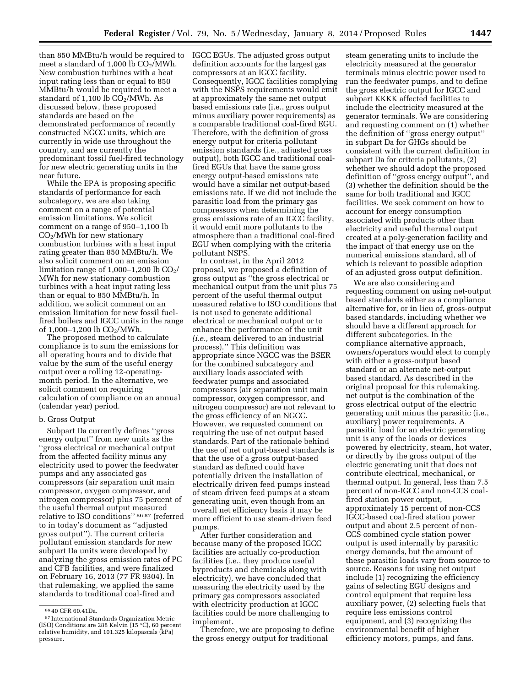than 850 MMBtu/h would be required to meet a standard of 1,000 lb  $CO<sub>2</sub>/MWh$ . New combustion turbines with a heat input rating less than or equal to 850 MMBtu/h would be required to meet a standard of  $1,100$  lb  $CO<sub>2</sub>/MWh$ . As discussed below, these proposed standards are based on the demonstrated performance of recently constructed NGCC units, which are currently in wide use throughout the country, and are currently the predominant fossil fuel-fired technology for new electric generating units in the near future.

While the EPA is proposing specific standards of performance for each subcategory, we are also taking comment on a range of potential emission limitations. We solicit comment on a range of 950–1,100 lb  $CO<sub>2</sub>/MWh$  for new stationary combustion turbines with a heat input rating greater than 850 MMBtu/h. We also solicit comment on an emission limitation range of  $1,000-1,200$  lb  $CO<sub>2</sub>/$ MWh for new stationary combustion turbines with a heat input rating less than or equal to 850 MMBtu/h. In addition, we solicit comment on an emission limitation for new fossil fuelfired boilers and IGCC units in the range of 1,000–1,200 lb CO2/MWh.

The proposed method to calculate compliance is to sum the emissions for all operating hours and to divide that value by the sum of the useful energy output over a rolling 12-operatingmonth period. In the alternative, we solicit comment on requiring calculation of compliance on an annual (calendar year) period.

#### b. Gross Output

Subpart Da currently defines ''gross energy output'' from new units as the ''gross electrical or mechanical output from the affected facility minus any electricity used to power the feedwater pumps and any associated gas compressors (air separation unit main compressor, oxygen compressor, and nitrogen compressor) plus 75 percent of the useful thermal output measured relative to ISO conditions'' 86 87 (referred to in today's document as ''adjusted gross output''). The current criteria pollutant emission standards for new subpart Da units were developed by analyzing the gross emission rates of PC and CFB facilities, and were finalized on February 16, 2013 (77 FR 9304). In that rulemaking, we applied the same standards to traditional coal-fired and

IGCC EGUs. The adjusted gross output definition accounts for the largest gas compressors at an IGCC facility. Consequently, IGCC facilities complying with the NSPS requirements would emit at approximately the same net output based emissions rate (i.e., gross output minus auxiliary power requirements) as a comparable traditional coal-fired EGU. Therefore, with the definition of gross energy output for criteria pollutant emission standards (i.e., adjusted gross output), both IGCC and traditional coalfired EGUs that have the same gross energy output-based emissions rate would have a similar net output-based emissions rate. If we did not include the parasitic load from the primary gas compressors when determining the gross emissions rate of an IGCC facility, it would emit more pollutants to the atmosphere than a traditional coal-fired EGU when complying with the criteria pollutant NSPS.

In contrast, in the April 2012 proposal, we proposed a definition of gross output as ''the gross electrical or mechanical output from the unit plus 75 percent of the useful thermal output measured relative to ISO conditions that is not used to generate additional electrical or mechanical output or to enhance the performance of the unit *(i.e.,* steam delivered to an industrial process).'' This definition was appropriate since NGCC was the BSER for the combined subcategory and auxiliary loads associated with feedwater pumps and associated compressors (air separation unit main compressor, oxygen compressor, and nitrogen compressor) are not relevant to the gross efficiency of an NGCC. However, we requested comment on requiring the use of net output based standards. Part of the rationale behind the use of net output-based standards is that the use of a gross output-based standard as defined could have potentially driven the installation of electrically driven feed pumps instead of steam driven feed pumps at a steam generating unit, even though from an overall net efficiency basis it may be more efficient to use steam-driven feed pumps.

After further consideration and because many of the proposed IGCC facilities are actually co-production facilities (i.e., they produce useful byproducts and chemicals along with electricity), we have concluded that measuring the electricity used by the primary gas compressors associated with electricity production at IGCC facilities could be more challenging to implement.

Therefore, we are proposing to define the gross energy output for traditional

steam generating units to include the electricity measured at the generator terminals minus electric power used to run the feedwater pumps, and to define the gross electric output for IGCC and subpart KKKK affected facilities to include the electricity measured at the generator terminals. We are considering and requesting comment on (1) whether the definition of ''gross energy output'' in subpart Da for GHGs should be consistent with the current definition in subpart Da for criteria pollutants, (2) whether we should adopt the proposed definition of ''gross energy output'', and (3) whether the definition should be the same for both traditional and IGCC facilities. We seek comment on how to account for energy consumption associated with products other than electricity and useful thermal output created at a poly-generation facility and the impact of that energy use on the numerical emissions standard, all of which is relevant to possible adoption of an adjusted gross output definition.

We are also considering and requesting comment on using net-output based standards either as a compliance alternative for, or in lieu of, gross-output based standards, including whether we should have a different approach for different subcategories. In the compliance alternative approach, owners/operators would elect to comply with either a gross-output based standard or an alternate net-output based standard. As described in the original proposal for this rulemaking, net output is the combination of the gross electrical output of the electric generating unit minus the parasitic (i.e., auxiliary) power requirements. A parasitic load for an electric generating unit is any of the loads or devices powered by electricity, steam, hot water, or directly by the gross output of the electric generating unit that does not contribute electrical, mechanical, or thermal output. In general, less than 7.5 percent of non-IGCC and non-CCS coalfired station power output, approximately 15 percent of non-CCS IGCC-based coal-fired station power output and about 2.5 percent of non-CCS combined cycle station power output is used internally by parasitic energy demands, but the amount of these parasitic loads vary from source to source. Reasons for using net output include (1) recognizing the efficiency gains of selecting EGU designs and control equipment that require less auxiliary power, (2) selecting fuels that require less emissions control equipment, and (3) recognizing the environmental benefit of higher efficiency motors, pumps, and fans.

<sup>&</sup>lt;sup>86</sup> 40 CFR 60.41Da.<br><sup>87</sup> International Standards Organization Metric (ISO) Conditions are 288 Kelvin (15 °C), 60 percent relative humidity, and 101.325 kilopascals (kPa) pressure.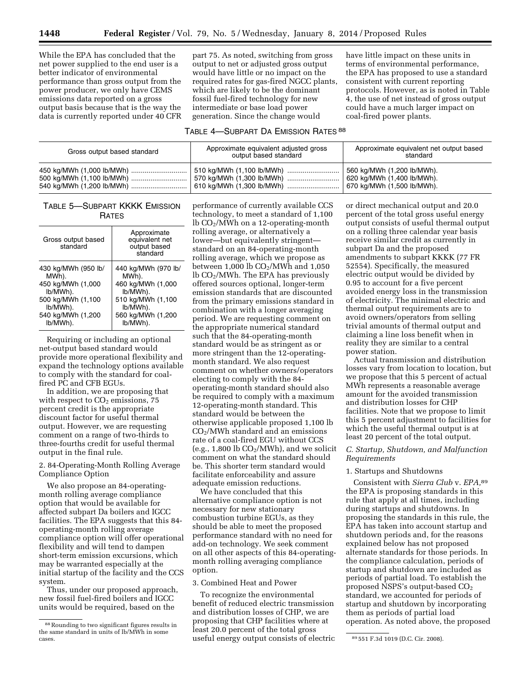While the EPA has concluded that the net power supplied to the end user is a better indicator of environmental performance than gross output from the power producer, we only have CEMS emissions data reported on a gross output basis because that is the way the data is currently reported under 40 CFR

part 75. As noted, switching from gross output to net or adjusted gross output would have little or no impact on the required rates for gas-fired NGCC plants, which are likely to be the dominant fossil fuel-fired technology for new intermediate or base load power generation. Since the change would

have little impact on these units in terms of environmental performance, the EPA has proposed to use a standard consistent with current reporting protocols. However, as is noted in Table 4, the use of net instead of gross output could have a much larger impact on coal-fired power plants.

# TABLE 4—SUBPART DA EMISSION RATES 88

| Gross output based standard | Approximate equivalent adjusted gross<br>output based standard | Approximate equivalent net output based<br>standard |
|-----------------------------|----------------------------------------------------------------|-----------------------------------------------------|
|                             | 510 kg/MWh (1,100 lb/MWh)                                      | 560 kg/MWh (1,200 lb/MWh).                          |
|                             | 570 kg/MWh (1,300 lb/MWh)                                      | 620 kg/MWh (1,400 lb/MWh).                          |
|                             |                                                                | 670 kg/MWh (1,500 lb/MWh).                          |

# TABLE 5—SUBPART KKKK EMISSION **RATES**

| Gross output based<br>standard | Approximate<br>equivalent net<br>output based<br>standard |
|--------------------------------|-----------------------------------------------------------|
| 430 kg/MWh (950 lb/            | 440 kg/MWh (970 lb/                                       |
| MWh).                          | MWh).                                                     |
| 450 kg/MWh (1,000              | 460 kg/MWh (1,000                                         |
| lb/MWh).                       | lb/MWh).                                                  |
| 500 kg/MWh (1,100              | 510 kg/MWh (1,100                                         |
| lb/MWh).                       | lb/MWh).                                                  |
| 540 kg/MWh (1,200              | 560 kg/MWh (1,200                                         |
| lb/MWh).                       | lb/MWh).                                                  |

Requiring or including an optional net-output based standard would provide more operational flexibility and expand the technology options available to comply with the standard for coalfired PC and CFB EGUs.

In addition, we are proposing that with respect to  $CO<sub>2</sub>$  emissions, 75 percent credit is the appropriate discount factor for useful thermal output. However, we are requesting comment on a range of two-thirds to three-fourths credit for useful thermal output in the final rule.

2. 84-Operating-Month Rolling Average Compliance Option

We also propose an 84-operatingmonth rolling average compliance option that would be available for affected subpart Da boilers and IGCC facilities. The EPA suggests that this 84 operating-month rolling average compliance option will offer operational flexibility and will tend to dampen short-term emission excursions, which may be warranted especially at the initial startup of the facility and the CCS system.

Thus, under our proposed approach, new fossil fuel-fired boilers and IGCC units would be required, based on the

performance of currently available CCS technology, to meet a standard of 1,100 lb CO2/MWh on a 12-operating-month rolling average, or alternatively a lower—but equivalently stringent standard on an 84-operating-month rolling average, which we propose as between 1,000 lb  $CO<sub>2</sub>/MWh$  and 1,050 lb CO2/MWh. The EPA has previously offered sources optional, longer-term emission standards that are discounted from the primary emissions standard in combination with a longer averaging period. We are requesting comment on the appropriate numerical standard such that the 84-operating-month standard would be as stringent as or more stringent than the 12-operatingmonth standard. We also request comment on whether owners/operators electing to comply with the 84 operating-month standard should also be required to comply with a maximum 12-operating-month standard. This standard would be between the otherwise applicable proposed 1,100 lb CO2/MWh standard and an emissions rate of a coal-fired EGU without CCS  $(e.g., 1,800 lb CO<sub>2</sub>/MWh)$ , and we solicit comment on what the standard should be. This shorter term standard would facilitate enforceability and assure adequate emission reductions.

We have concluded that this alternative compliance option is not necessary for new stationary combustion turbine EGUs, as they should be able to meet the proposed performance standard with no need for add-on technology. We seek comment on all other aspects of this 84-operatingmonth rolling averaging compliance option.

### 3. Combined Heat and Power

cases. 89 551 F.3d 1019 (D.C. Cir. 2008). useful energy output consists of electric To recognize the environmental benefit of reduced electric transmission and distribution losses of CHP, we are proposing that CHP facilities where at least 20.0 percent of the total gross

or direct mechanical output and 20.0 percent of the total gross useful energy output consists of useful thermal output on a rolling three calendar year basis receive similar credit as currently in subpart Da and the proposed amendments to subpart KKKK (77 FR 52554). Specifically, the measured electric output would be divided by 0.95 to account for a five percent avoided energy loss in the transmission of electricity. The minimal electric and thermal output requirements are to avoid owners/operators from selling trivial amounts of thermal output and claiming a line loss benefit when in reality they are similar to a central power station.

Actual transmission and distribution losses vary from location to location, but we propose that this 5 percent of actual MWh represents a reasonable average amount for the avoided transmission and distribution losses for CHP facilities. Note that we propose to limit this 5 percent adjustment to facilities for which the useful thermal output is at least 20 percent of the total output.

# *C. Startup, Shutdown, and Malfunction Requirements*

#### 1. Startups and Shutdowns

Consistent with *Sierra Club* v. *EPA,*89 the EPA is proposing standards in this rule that apply at all times, including during startups and shutdowns. In proposing the standards in this rule, the EPA has taken into account startup and shutdown periods and, for the reasons explained below has not proposed alternate standards for those periods. In the compliance calculation, periods of startup and shutdown are included as periods of partial load. To establish the proposed NSPS's output-based CO<sub>2</sub> standard, we accounted for periods of startup and shutdown by incorporating them as periods of partial load operation. As noted above, the proposed

<sup>88</sup>Rounding to two significant figures results in the same standard in units of lb/MWh in some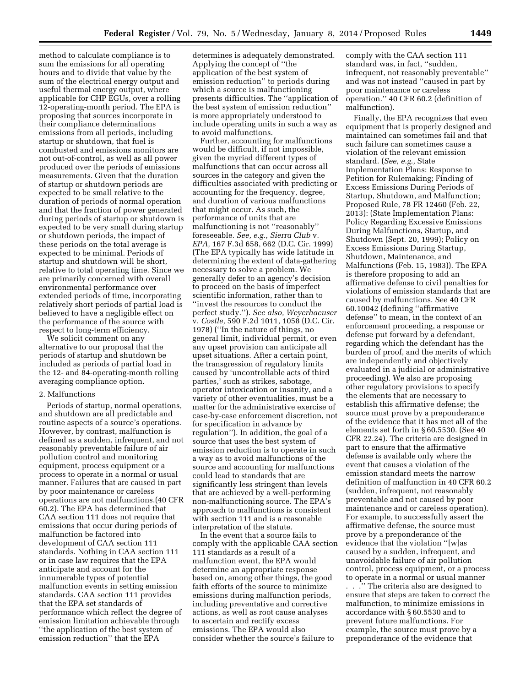method to calculate compliance is to sum the emissions for all operating hours and to divide that value by the sum of the electrical energy output and useful thermal energy output, where applicable for CHP EGUs, over a rolling 12-operating-month period. The EPA is proposing that sources incorporate in their compliance determinations emissions from all periods, including startup or shutdown, that fuel is combusted and emissions monitors are not out-of-control, as well as all power produced over the periods of emissions measurements. Given that the duration of startup or shutdown periods are expected to be small relative to the duration of periods of normal operation and that the fraction of power generated during periods of startup or shutdown is expected to be very small during startup or shutdown periods, the impact of these periods on the total average is expected to be minimal. Periods of startup and shutdown will be short, relative to total operating time. Since we are primarily concerned with overall environmental performance over extended periods of time, incorporating relatively short periods of partial load is believed to have a negligible effect on the performance of the source with respect to long-term efficiency.

We solicit comment on any alternative to our proposal that the periods of startup and shutdown be included as periods of partial load in the 12- and 84-operating-month rolling averaging compliance option.

#### 2. Malfunctions

Periods of startup, normal operations, and shutdown are all predictable and routine aspects of a source's operations. However, by contrast, malfunction is defined as a sudden, infrequent, and not reasonably preventable failure of air pollution control and monitoring equipment, process equipment or a process to operate in a normal or usual manner. Failures that are caused in part by poor maintenance or careless operations are not malfunctions.(40 CFR 60.2). The EPA has determined that CAA section 111 does not require that emissions that occur during periods of malfunction be factored into development of CAA section 111 standards. Nothing in CAA section 111 or in case law requires that the EPA anticipate and account for the innumerable types of potential malfunction events in setting emission standards. CAA section 111 provides that the EPA set standards of performance which reflect the degree of emission limitation achievable through ''the application of the best system of emission reduction'' that the EPA

determines is adequately demonstrated. Applying the concept of ''the application of the best system of emission reduction'' to periods during which a source is malfunctioning presents difficulties. The ''application of the best system of emission reduction'' is more appropriately understood to include operating units in such a way as to avoid malfunctions.

Further, accounting for malfunctions would be difficult, if not impossible, given the myriad different types of malfunctions that can occur across all sources in the category and given the difficulties associated with predicting or accounting for the frequency, degree, and duration of various malfunctions that might occur. As such, the performance of units that are malfunctioning is not ''reasonably'' foreseeable. *See, e.g., Sierra Club* v*. EPA,* 167 F.3d 658, 662 (D.C. Cir. 1999) (The EPA typically has wide latitude in determining the extent of data-gathering necessary to solve a problem. We generally defer to an agency's decision to proceed on the basis of imperfect scientific information, rather than to ''invest the resources to conduct the perfect study.''). *See also, Weyerhaeuser*  v. *Costle,* 590 F.2d 1011, 1058 (D.C. Cir. 1978) (''In the nature of things, no general limit, individual permit, or even any upset provision can anticipate all upset situations. After a certain point, the transgression of regulatory limits caused by 'uncontrollable acts of third parties,' such as strikes, sabotage, operator intoxication or insanity, and a variety of other eventualities, must be a matter for the administrative exercise of case-by-case enforcement discretion, not for specification in advance by regulation''). In addition, the goal of a source that uses the best system of emission reduction is to operate in such a way as to avoid malfunctions of the source and accounting for malfunctions could lead to standards that are significantly less stringent than levels that are achieved by a well-performing non-malfunctioning source. The EPA's approach to malfunctions is consistent with section 111 and is a reasonable interpretation of the statute.

In the event that a source fails to comply with the applicable CAA section 111 standards as a result of a malfunction event, the EPA would determine an appropriate response based on, among other things, the good faith efforts of the source to minimize emissions during malfunction periods, including preventative and corrective actions, as well as root cause analyses to ascertain and rectify excess emissions. The EPA would also consider whether the source's failure to

comply with the CAA section 111 standard was, in fact, ''sudden, infrequent, not reasonably preventable'' and was not instead ''caused in part by poor maintenance or careless operation.'' 40 CFR 60.2 (definition of malfunction).

Finally, the EPA recognizes that even equipment that is properly designed and maintained can sometimes fail and that such failure can sometimes cause a violation of the relevant emission standard. (*See, e.g.,* State Implementation Plans: Response to Petition for Rulemaking; Finding of Excess Emissions During Periods of Startup, Shutdown, and Malfunction; Proposed Rule, 78 FR 12460 (Feb. 22, 2013): (State Implementation Plans: Policy Regarding Excessive Emissions During Malfunctions, Startup, and Shutdown (Sept. 20, 1999); Policy on Excess Emissions During Startup, Shutdown, Maintenance, and Malfunctions (Feb. 15, 1983)). The EPA is therefore proposing to add an affirmative defense to civil penalties for violations of emission standards that are caused by malfunctions. See 40 CFR 60.10042 (defining ''affirmative defense'' to mean, in the context of an enforcement proceeding, a response or defense put forward by a defendant, regarding which the defendant has the burden of proof, and the merits of which are independently and objectively evaluated in a judicial or administrative proceeding). We also are proposing other regulatory provisions to specify the elements that are necessary to establish this affirmative defense; the source must prove by a preponderance of the evidence that it has met all of the elements set forth in § 60.5530. (See 40 CFR 22.24). The criteria are designed in part to ensure that the affirmative defense is available only where the event that causes a violation of the emission standard meets the narrow definition of malfunction in 40 CFR 60.2 (sudden, infrequent, not reasonably preventable and not caused by poor maintenance and or careless operation). For example, to successfully assert the affirmative defense, the source must prove by a preponderance of the evidence that the violation ''[w]as caused by a sudden, infrequent, and unavoidable failure of air pollution control, process equipment, or a process to operate in a normal or usual manner . . .'' The criteria also are designed to ensure that steps are taken to correct the malfunction, to minimize emissions in accordance with § 60.5530 and to prevent future malfunctions. For example, the source must prove by a preponderance of the evidence that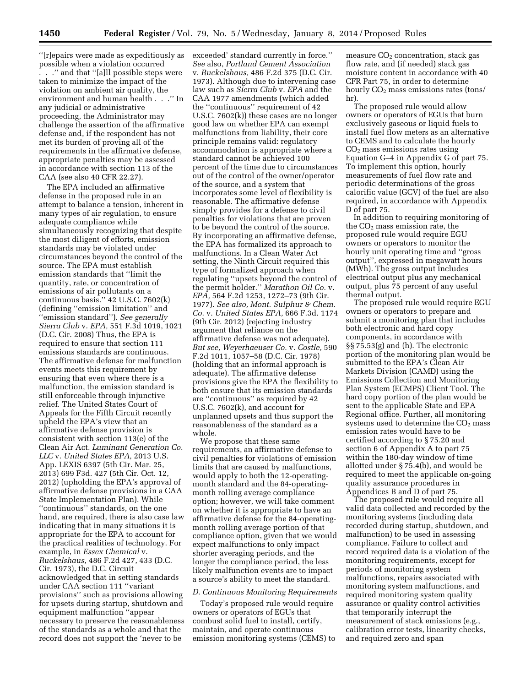''[r]epairs were made as expeditiously as possible when a violation occurred . . .'' and that ''[a]ll possible steps were taken to minimize the impact of the violation on ambient air quality, the environment and human health . . .'' In any judicial or administrative proceeding, the Administrator may challenge the assertion of the affirmative defense and, if the respondent has not met its burden of proving all of the requirements in the affirmative defense, appropriate penalties may be assessed in accordance with section 113 of the CAA (see also 40 CFR 22.27).

The EPA included an affirmative defense in the proposed rule in an attempt to balance a tension, inherent in many types of air regulation, to ensure adequate compliance while simultaneously recognizing that despite the most diligent of efforts, emission standards may be violated under circumstances beyond the control of the source. The EPA must establish emission standards that ''limit the quantity, rate, or concentration of emissions of air pollutants on a continuous basis.'' 42 U.S.C. 7602(k) (defining ''emission limitation'' and ''emission standard''). *See generally Sierra Club* v. *EPA,* 551 F.3d 1019, 1021 (D.C. Cir. 2008) Thus, the EPA is required to ensure that section 111 emissions standards are continuous. The affirmative defense for malfunction events meets this requirement by ensuring that even where there is a malfunction, the emission standard is still enforceable through injunctive relief. The United States Court of Appeals for the Fifth Circuit recently upheld the EPA's view that an affirmative defense provision is consistent with section 113(e) of the Clean Air Act. *Luminant Generation Co. LLC* v. *United States EPA,* 2013 U.S. App. LEXIS 6397 (5th Cir. Mar. 25, 2013) 699 F3d. 427 (5th Cir. Oct. 12, 2012) (upholding the EPA's approval of affirmative defense provisions in a CAA State Implementation Plan). While ''continuous'' standards, on the one hand, are required, there is also case law indicating that in many situations it is appropriate for the EPA to account for the practical realities of technology. For example, in *Essex Chemical* v. *Ruckelshaus,* 486 F.2d 427, 433 (D.C. Cir. 1973), the D.C. Circuit acknowledged that in setting standards under CAA section 111 ''variant provisions'' such as provisions allowing for upsets during startup, shutdown and equipment malfunction ''appear necessary to preserve the reasonableness of the standards as a whole and that the record does not support the 'never to be

exceeded' standard currently in force.'' *See* also, *Portland Cement Association*  v. *Ruckelshaus,* 486 F.2d 375 (D.C. Cir. 1973). Although due to intervening case law such as *Sierra Club* v. *EPA* and the CAA 1977 amendments (which added the ''continuous'' requirement of 42 U.S.C. 7602(k)) these cases are no longer good law on whether EPA can exempt malfunctions from liability, their core principle remains valid: regulatory accommodation is appropriate where a standard cannot be achieved 100 percent of the time due to circumstances out of the control of the owner/operator of the source, and a system that incorporates some level of flexibility is reasonable. The affirmative defense simply provides for a defense to civil penalties for violations that are proven to be beyond the control of the source. By incorporating an affirmative defense, the EPA has formalized its approach to malfunctions. In a Clean Water Act setting, the Ninth Circuit required this type of formalized approach when regulating ''upsets beyond the control of the permit holder.'' *Marathon Oil Co.* v. *EPA,* 564 F.2d 1253, 1272–73 (9th Cir. 1977). *See also, Mont. Sulphur & Chem. Co.* v. *United States EPA,* 666 F.3d. 1174 (9th Cir. 2012) (rejecting industry argument that reliance on the affirmative defense was not adequate). *But see, Weyerhaeuser Co.* v. *Costle,* 590 F.2d 1011, 1057–58 (D.C. Cir. 1978) (holding that an informal approach is adequate). The affirmative defense provisions give the EPA the flexibility to both ensure that its emission standards are ''continuous'' as required by 42 U.S.C. 7602(k), and account for unplanned upsets and thus support the reasonableness of the standard as a whole.

We propose that these same requirements, an affirmative defense to civil penalties for violations of emission limits that are caused by malfunctions, would apply to both the 12-operatingmonth standard and the 84-operatingmonth rolling average compliance option; however, we will take comment on whether it is appropriate to have an affirmative defense for the 84-operatingmonth rolling average portion of that compliance option, given that we would expect malfunctions to only impact shorter averaging periods, and the longer the compliance period, the less likely malfunction events are to impact a source's ability to meet the standard.

#### *D. Continuous Monitoring Requirements*

Today's proposed rule would require owners or operators of EGUs that combust solid fuel to install, certify, maintain, and operate continuous emission monitoring systems (CEMS) to

measure CO<sub>2</sub> concentration, stack gas flow rate, and (if needed) stack gas moisture content in accordance with 40 CFR Part 75, in order to determine hourly  $CO<sub>2</sub>$  mass emissions rates (tons/ hr).

The proposed rule would allow owners or operators of EGUs that burn exclusively gaseous or liquid fuels to install fuel flow meters as an alternative to CEMS and to calculate the hourly CO2 mass emissions rates using Equation G–4 in Appendix G of part 75. To implement this option, hourly measurements of fuel flow rate and periodic determinations of the gross calorific value (GCV) of the fuel are also required, in accordance with Appendix D of part 75.

In addition to requiring monitoring of the  $CO<sub>2</sub>$  mass emission rate, the proposed rule would require EGU owners or operators to monitor the hourly unit operating time and ''gross output'', expressed in megawatt hours (MWh). The gross output includes electrical output plus any mechanical output, plus 75 percent of any useful thermal output.

The proposed rule would require EGU owners or operators to prepare and submit a monitoring plan that includes both electronic and hard copy components, in accordance with §§ 75.53(g) and (h). The electronic portion of the monitoring plan would be submitted to the EPA's Clean Air Markets Division (CAMD) using the Emissions Collection and Monitoring Plan System (ECMPS) Client Tool. The hard copy portion of the plan would be sent to the applicable State and EPA Regional office. Further, all monitoring systems used to determine the  $CO<sub>2</sub>$  mass emission rates would have to be certified according to § 75.20 and section 6 of Appendix A to part 75 within the 180-day window of time allotted under § 75.4(b), and would be required to meet the applicable on-going quality assurance procedures in Appendices B and D of part 75.

The proposed rule would require all valid data collected and recorded by the monitoring systems (including data recorded during startup, shutdown, and malfunction) to be used in assessing compliance. Failure to collect and record required data is a violation of the monitoring requirements, except for periods of monitoring system malfunctions, repairs associated with monitoring system malfunctions, and required monitoring system quality assurance or quality control activities that temporarily interrupt the measurement of stack emissions (e.g., calibration error tests, linearity checks, and required zero and span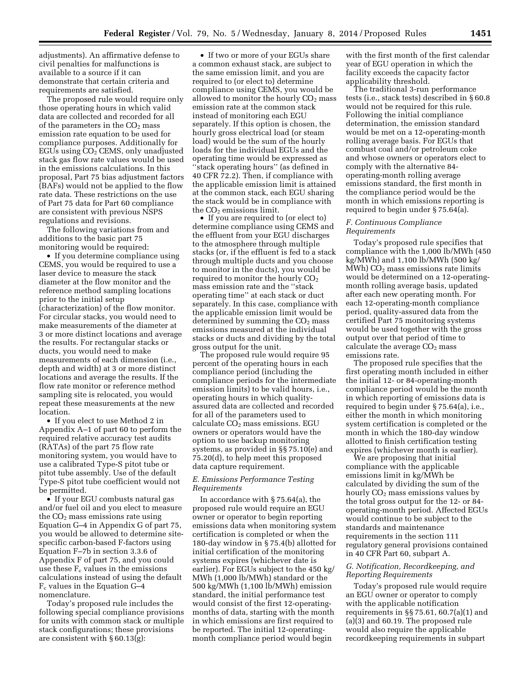adjustments). An affirmative defense to civil penalties for malfunctions is available to a source if it can demonstrate that certain criteria and requirements are satisfied.

The proposed rule would require only those operating hours in which valid data are collected and recorded for all of the parameters in the  $CO<sub>2</sub>$  mass emission rate equation to be used for compliance purposes. Additionally for EGUs using CO<sub>2</sub> CEMS, only unadjusted stack gas flow rate values would be used in the emissions calculations. In this proposal, Part 75 bias adjustment factors (BAFs) would not be applied to the flow rate data. These restrictions on the use of Part 75 data for Part 60 compliance are consistent with previous NSPS regulations and revisions.

The following variations from and additions to the basic part 75 monitoring would be required:

• If you determine compliance using CEMS, you would be required to use a laser device to measure the stack diameter at the flow monitor and the reference method sampling locations prior to the initial setup (characterization) of the flow monitor. For circular stacks, you would need to make measurements of the diameter at 3 or more distinct locations and average the results. For rectangular stacks or ducts, you would need to make measurements of each dimension (i.e., depth and width) at 3 or more distinct locations and average the results. If the flow rate monitor or reference method sampling site is relocated, you would repeat these measurements at the new location.

• If you elect to use Method 2 in Appendix A–1 of part 60 to perform the required relative accuracy test audits (RATAs) of the part 75 flow rate monitoring system, you would have to use a calibrated Type-S pitot tube or pitot tube assembly. Use of the default Type-S pitot tube coefficient would not be permitted.

• If your EGU combusts natural gas and/or fuel oil and you elect to measure the  $CO<sub>2</sub>$  mass emissions rate using Equation G–4 in Appendix G of part 75, you would be allowed to determine sitespecific carbon-based F-factors using Equation F–7b in section 3.3.6 of Appendix F of part 75, and you could use these  $F_c$  values in the emissions calculations instead of using the default Fc values in the Equation G–4 nomenclature.

Today's proposed rule includes the following special compliance provisions for units with common stack or multiple stack configurations; these provisions are consistent with § 60.13(g):

• If two or more of your EGUs share a common exhaust stack, are subject to the same emission limit, and you are required to (or elect to) determine compliance using CEMS, you would be allowed to monitor the hourly  $CO<sub>2</sub>$  mass emission rate at the common stack instead of monitoring each EGU separately. If this option is chosen, the hourly gross electrical load (or steam load) would be the sum of the hourly loads for the individual EGUs and the operating time would be expressed as ''stack operating hours'' (as defined in 40 CFR 72.2). Then, if compliance with the applicable emission limit is attained at the common stack, each EGU sharing the stack would be in compliance with the  $CO<sub>2</sub>$  emissions limit.

• If you are required to (or elect to) determine compliance using CEMS and the effluent from your EGU discharges to the atmosphere through multiple stacks (or, if the effluent is fed to a stack through multiple ducts and you choose to monitor in the ducts), you would be required to monitor the hourly  $CO<sub>2</sub>$ mass emission rate and the ''stack operating time'' at each stack or duct separately. In this case, compliance with the applicable emission limit would be determined by summing the  $CO<sub>2</sub>$  mass emissions measured at the individual stacks or ducts and dividing by the total gross output for the unit.

The proposed rule would require 95 percent of the operating hours in each compliance period (including the compliance periods for the intermediate emission limits) to be valid hours, i.e., operating hours in which qualityassured data are collected and recorded for all of the parameters used to calculate  $CO<sub>2</sub>$  mass emissions. EGU owners or operators would have the option to use backup monitoring systems, as provided in §§ 75.10(e) and 75.20(d), to help meet this proposed data capture requirement.

#### *E. Emissions Performance Testing Requirements*

In accordance with § 75.64(a), the proposed rule would require an EGU owner or operator to begin reporting emissions data when monitoring system certification is completed or when the 180-day window in § 75.4(b) allotted for initial certification of the monitoring systems expires (whichever date is earlier). For EGUs subject to the 450 kg/ MWh (1,000 lb/MWh) standard or the 500 kg/MWh (1,100 lb/MWh) emission standard, the initial performance test would consist of the first 12-operatingmonths of data, starting with the month in which emissions are first required to be reported. The initial 12-operatingmonth compliance period would begin

with the first month of the first calendar year of EGU operation in which the facility exceeds the capacity factor applicability threshold.

The traditional 3-run performance tests (i.e., stack tests) described in § 60.8 would not be required for this rule. Following the initial compliance determination, the emission standard would be met on a 12-operating-month rolling average basis. For EGUs that combust coal and/or petroleum coke and whose owners or operators elect to comply with the alternative 84 operating-month rolling average emissions standard, the first month in the compliance period would be the month in which emissions reporting is required to begin under § 75.64(a).

#### *F. Continuous Compliance Requirements*

Today's proposed rule specifies that compliance with the 1,000 lb/MWh (450 kg/MWh) and 1,100 lb/MWh (500 kg/  $MWh$ ) CO<sub>2</sub> mass emissions rate limits would be determined on a 12-operatingmonth rolling average basis, updated after each new operating month. For each 12-operating-month compliance period, quality-assured data from the certified Part 75 monitoring systems would be used together with the gross output over that period of time to calculate the average  $CO<sub>2</sub>$  mass emissions rate.

The proposed rule specifies that the first operating month included in either the initial 12- or 84-operating-month compliance period would be the month in which reporting of emissions data is required to begin under § 75.64(a), i.e., either the month in which monitoring system certification is completed or the month in which the 180-day window allotted to finish certification testing expires (whichever month is earlier).

We are proposing that initial compliance with the applicable emissions limit in kg/MWh be calculated by dividing the sum of the hourly CO<sub>2</sub> mass emissions values by the total gross output for the 12- or 84 operating-month period. Affected EGUs would continue to be subject to the standards and maintenance requirements in the section 111 regulatory general provisions contained in 40 CFR Part 60, subpart A.

# *G. Notification, Recordkeeping, and Reporting Requirements*

Today's proposed rule would require an EGU owner or operator to comply with the applicable notification requirements in §§ 75.61, 60.7(a)(1) and (a) $(3)$  and 60.19. The proposed rule would also require the applicable recordkeeping requirements in subpart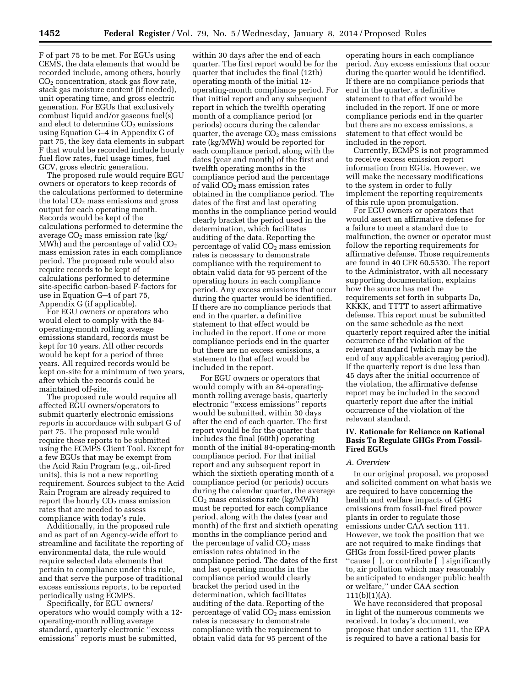F of part 75 to be met. For EGUs using CEMS, the data elements that would be recorded include, among others, hourly  $CO<sub>2</sub>$  concentration, stack gas flow rate, stack gas moisture content (if needed), unit operating time, and gross electric generation. For EGUs that exclusively combust liquid and/or gaseous fuel(s) and elect to determine  $CO<sub>2</sub>$  emissions using Equation G–4 in Appendix G of part 75, the key data elements in subpart F that would be recorded include hourly fuel flow rates, fuel usage times, fuel GCV, gross electric generation.

The proposed rule would require EGU owners or operators to keep records of the calculations performed to determine the total  $CO<sub>2</sub>$  mass emissions and gross output for each operating month. Records would be kept of the calculations performed to determine the average  $CO<sub>2</sub>$  mass emission rate (kg/ MWh) and the percentage of valid  $CO<sub>2</sub>$ mass emission rates in each compliance period. The proposed rule would also require records to be kept of calculations performed to determine site-specific carbon-based F-factors for use in Equation G–4 of part 75, Appendix G (if applicable).

For EGU owners or operators who would elect to comply with the 84 operating-month rolling average emissions standard, records must be kept for 10 years. All other records would be kept for a period of three years. All required records would be kept on-site for a minimum of two years, after which the records could be maintained off-site.

The proposed rule would require all affected EGU owners/operators to submit quarterly electronic emissions reports in accordance with subpart G of part 75. The proposed rule would require these reports to be submitted using the ECMPS Client Tool. Except for a few EGUs that may be exempt from the Acid Rain Program (e.g., oil-fired units), this is not a new reporting requirement. Sources subject to the Acid Rain Program are already required to report the hourly  $CO<sub>2</sub>$  mass emission rates that are needed to assess compliance with today's rule.

Additionally, in the proposed rule and as part of an Agency-wide effort to streamline and facilitate the reporting of environmental data, the rule would require selected data elements that pertain to compliance under this rule, and that serve the purpose of traditional excess emissions reports, to be reported periodically using ECMPS.

Specifically, for EGU owners/ operators who would comply with a 12 operating-month rolling average standard, quarterly electronic ''excess emissions'' reports must be submitted,

within 30 days after the end of each quarter. The first report would be for the quarter that includes the final (12th) operating month of the initial 12 operating-month compliance period. For that initial report and any subsequent report in which the twelfth operating month of a compliance period (or periods) occurs during the calendar quarter, the average  $CO<sub>2</sub>$  mass emissions rate (kg/MWh) would be reported for each compliance period, along with the dates (year and month) of the first and twelfth operating months in the compliance period and the percentage of valid CO2 mass emission rates obtained in the compliance period. The dates of the first and last operating months in the compliance period would clearly bracket the period used in the determination, which facilitates auditing of the data. Reporting the percentage of valid  $CO<sub>2</sub>$  mass emission rates is necessary to demonstrate compliance with the requirement to obtain valid data for 95 percent of the operating hours in each compliance period. Any excess emissions that occur during the quarter would be identified. If there are no compliance periods that end in the quarter, a definitive statement to that effect would be included in the report. If one or more compliance periods end in the quarter but there are no excess emissions, a statement to that effect would be included in the report.

For EGU owners or operators that would comply with an 84-operatingmonth rolling average basis, quarterly electronic ''excess emissions'' reports would be submitted, within 30 days after the end of each quarter. The first report would be for the quarter that includes the final (60th) operating month of the initial 84-operating-month compliance period. For that initial report and any subsequent report in which the sixtieth operating month of a compliance period (or periods) occurs during the calendar quarter, the average  $CO<sub>2</sub>$  mass emissions rate (kg/MWh) must be reported for each compliance period, along with the dates (year and month) of the first and sixtieth operating months in the compliance period and the percentage of valid CO<sub>2</sub> mass emission rates obtained in the compliance period. The dates of the first and last operating months in the compliance period would clearly bracket the period used in the determination, which facilitates auditing of the data. Reporting of the percentage of valid  $CO<sub>2</sub>$  mass emission rates is necessary to demonstrate compliance with the requirement to obtain valid data for 95 percent of the

operating hours in each compliance period. Any excess emissions that occur during the quarter would be identified. If there are no compliance periods that end in the quarter, a definitive statement to that effect would be included in the report. If one or more compliance periods end in the quarter but there are no excess emissions, a statement to that effect would be included in the report.

Currently, ECMPS is not programmed to receive excess emission report information from EGUs. However, we will make the necessary modifications to the system in order to fully implement the reporting requirements of this rule upon promulgation.

For EGU owners or operators that would assert an affirmative defense for a failure to meet a standard due to malfunction, the owner or operator must follow the reporting requirements for affirmative defense. Those requirements are found in 40 CFR 60.5530. The report to the Administrator, with all necessary supporting documentation, explains how the source has met the requirements set forth in subparts Da, KKKK, and TTTT to assert affirmative defense. This report must be submitted on the same schedule as the next quarterly report required after the initial occurrence of the violation of the relevant standard (which may be the end of any applicable averaging period). If the quarterly report is due less than 45 days after the initial occurrence of the violation, the affirmative defense report may be included in the second quarterly report due after the initial occurrence of the violation of the relevant standard.

# **IV. Rationale for Reliance on Rational Basis To Regulate GHGs From Fossil-Fired EGUs**

#### *A. Overview*

In our original proposal, we proposed and solicited comment on what basis we are required to have concerning the health and welfare impacts of GHG emissions from fossil-fuel fired power plants in order to regulate those emissions under CAA section 111. However, we took the position that we are not required to make findings that GHGs from fossil-fired power plants ''cause [ ], or contribute [ ] significantly to, air pollution which may reasonably be anticipated to endanger public health or welfare,'' under CAA section  $111(b)(1)(A).$ 

We have reconsidered that proposal in light of the numerous comments we received. In today's document, we propose that under section 111, the EPA is required to have a rational basis for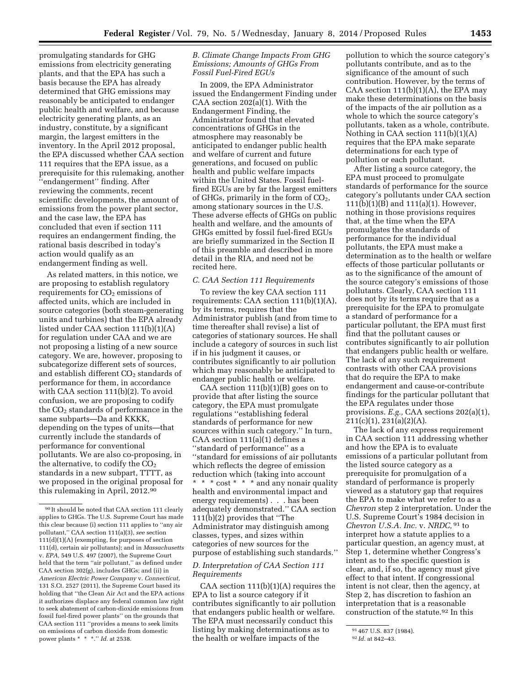promulgating standards for GHG emissions from electricity generating plants, and that the EPA has such a basis because the EPA has already determined that GHG emissions may reasonably be anticipated to endanger public health and welfare, and because electricity generating plants, as an industry, constitute, by a significant margin, the largest emitters in the inventory. In the April 2012 proposal, the EPA discussed whether CAA section 111 requires that the EPA issue, as a prerequisite for this rulemaking, another ''endangerment'' finding. After reviewing the comments, recent scientific developments, the amount of emissions from the power plant sector, and the case law, the EPA has concluded that even if section 111 requires an endangerment finding, the rational basis described in today's action would qualify as an endangerment finding as well.

As related matters, in this notice, we are proposing to establish regulatory requirements for  $CO<sub>2</sub>$  emissions of affected units, which are included in source categories (both steam-generating units and turbines) that the EPA already listed under CAA section 111(b)(1)(A) for regulation under CAA and we are not proposing a listing of a new source category. We are, however, proposing to subcategorize different sets of sources, and establish different  $CO<sub>2</sub>$  standards of performance for them, in accordance with CAA section 111(b)(2). To avoid confusion, we are proposing to codify the  $CO<sub>2</sub>$  standards of performance in the same subparts—Da and KKKK, depending on the types of units—that currently include the standards of performance for conventional pollutants. We are also co-proposing, in the alternative, to codify the  $CO<sub>2</sub>$ standards in a new subpart, TTTT, as we proposed in the original proposal for this rulemaking in April, 2012.90

# *B. Climate Change Impacts From GHG Emissions; Amounts of GHGs From Fossil Fuel-Fired EGUs*

In 2009, the EPA Administrator issued the Endangerment Finding under CAA section 202(a)(1). With the Endangerment Finding, the Administrator found that elevated concentrations of GHGs in the atmosphere may reasonably be anticipated to endanger public health and welfare of current and future generations, and focused on public health and public welfare impacts within the United States. Fossil fuelfired EGUs are by far the largest emitters of GHGs, primarily in the form of  $CO<sub>2</sub>$ , among stationary sources in the U.S. These adverse effects of GHGs on public health and welfare, and the amounts of GHGs emitted by fossil fuel-fired EGUs are briefly summarized in the Section II of this preamble and described in more detail in the RIA, and need not be recited here.

#### *C. CAA Section 111 Requirements*

To review the key CAA section 111 requirements: CAA section 111(b)(1)(A), by its terms, requires that the Administrator publish (and from time to time thereafter shall revise) a list of categories of stationary sources. He shall include a category of sources in such list if in his judgment it causes, or contributes significantly to air pollution which may reasonably be anticipated to endanger public health or welfare.

CAA section  $111(b)(1)(B)$  goes on to provide that after listing the source category, the EPA must promulgate regulations ''establishing federal standards of performance for new sources within such category.'' In turn, CAA section 111(a)(1) defines a ''standard of performance'' as a ''standard for emissions of air pollutants which reflects the degree of emission reduction which (taking into account \* \* \* cost \* \* \* and any nonair quality health and environmental impact and energy requirements) . . . has been adequately demonstrated.'' CAA section 111(b)(2) provides that ''The Administrator may distinguish among classes, types, and sizes within categories of new sources for the purpose of establishing such standards.''

# *D. Interpretation of CAA Section 111 Requirements*

CAA section  $111(b)(1)(A)$  requires the EPA to list a source category if it contributes significantly to air pollution that endangers public health or welfare. The EPA must necessarily conduct this listing by making determinations as to the health or welfare impacts of the

pollution to which the source category's pollutants contribute, and as to the significance of the amount of such contribution. However, by the terms of CAA section  $111(b)(1)(A)$ , the EPA may make these determinations on the basis of the impacts of the air pollution as a whole to which the source category's pollutants, taken as a whole, contribute. Nothing in CAA section 111(b)(1)(A) requires that the EPA make separate determinations for each type of pollution or each pollutant.

After listing a source category, the EPA must proceed to promulgate standards of performance for the source category's pollutants under CAA section 111(b)(1)(B) and 111(a)(1). However, nothing in those provisions requires that, at the time when the EPA promulgates the standards of performance for the individual pollutants, the EPA must make a determination as to the health or welfare effects of those particular pollutants or as to the significance of the amount of the source category's emissions of those pollutants. Clearly, CAA section 111 does not by its terms require that as a prerequisite for the EPA to promulgate a standard of performance for a particular pollutant, the EPA must first find that the pollutant causes or contributes significantly to air pollution that endangers public health or welfare. The lack of any such requirement contrasts with other CAA provisions that do require the EPA to make endangerment and cause-or-contribute findings for the particular pollutant that the EPA regulates under those provisions. *E.g.,* CAA sections 202(a)(1),  $211(c)(1), 231(a)(2)(A).$ 

The lack of any express requirement in CAA section 111 addressing whether and how the EPA is to evaluate emissions of a particular pollutant from the listed source category as a prerequisite for promulgation of a standard of performance is properly viewed as a statutory gap that requires the EPA to make what we refer to as a *Chevron* step 2 interpretation. Under the U.S. Supreme Court's 1984 decision in *Chevron U.S.A. Inc.* v. *NRDC,* 91 to interpret how a statute applies to a particular question, an agency must, at Step 1, determine whether Congress's intent as to the specific question is clear, and, if so, the agency must give effect to that intent. If congressional intent is not clear, then the agency, at Step 2, has discretion to fashion an interpretation that is a reasonable construction of the statute.<sup>92</sup> In this

 $\rm{^{90}It}$  should be noted that CAA section 111 clearly applies to GHGs. The U.S. Supreme Court has made this clear because (i) section 111 applies to ''any air pollutant,'' CAA section 111(a)(3), *see* section 111(d)(1)(A) (exempting, for purposes of section 111(d), certain air pollutants); and in *Massachusetts*  v. *EPA,* 549 U.S. 497 (2007), the Supreme Court held that the term ''air pollutant,'' as defined under CAA section 302(g), includes GHGs; and (ii) in *American Electric Power Company* v. *Connecticut,*  131 S.Ct. 2527 (2011), the Supreme Court based its holding that ''the Clean Air Act and the EPA actions it authorizes displace any federal common law right to seek abatement of carbon-dioxide emissions from fossil fuel-fired power plants'' on the grounds that CAA section 111 ''provides a means to seek limits on emissions of carbon dioxide from domestic power plants \* \* \*.'' *Id.* at 2538.

<sup>91</sup> 467 U.S. 837 (1984).

<sup>92</sup> *Id.* at 842–43.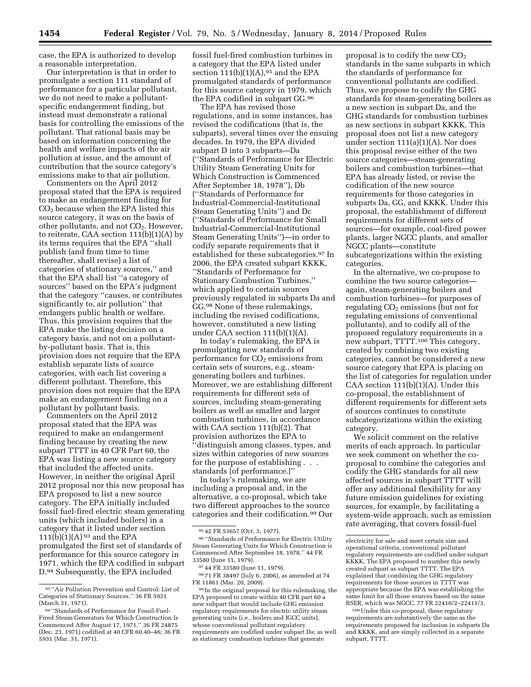case, the EPA is authorized to develop a reasonable interpretation.

Our interpretation is that in order to promulgate a section 111 standard of performance for a particular pollutant, we do not need to make a pollutantspecific endangerment finding, but instead must demonstrate a rational basis for controlling the emissions of the pollutant. That rational basis may be based on information concerning the health and welfare impacts of the air pollution at issue, and the amount of contribution that the source category's emissions make to that air pollution.

Commenters on the April 2012 proposal stated that the EPA is required to make an endangerment finding for  $CO<sub>2</sub>$  because when the EPA listed this source category, it was on the basis of other pollutants, and not  $CO<sub>2</sub>$ . However, to reiterate, CAA section 111(b)(1)(A) by its terms requires that the EPA ''shall publish (and from time to time thereafter, shall revise) a list of categories of stationary sources,'' and that the EPA shall list ''a category of sources'' based on the EPA's judgment that the category ''causes, or contributes significantly to, air pollution'' that endangers public health or welfare. Thus, this provision requires that the EPA make the listing decision on a category basis, and not on a pollutantby-pollutant basis. That is, this provision does not require that the EPA establish separate lists of source categories, with each list covering a different pollutant. Therefore, this provision does not require that the EPA make an endangerment finding on a pollutant by pollutant basis.

Commenters on the April 2012 proposal stated that the EPA was required to make an endangerment finding because by creating the new subpart TTTT in 40 CFR Part 60, the EPA was listing a new source category that included the affected units. However, in neither the original April 2012 proposal nor this new proposal has EPA proposed to list a new source category. The EPA initially included fossil fuel-fired electric steam generating units (which included boilers) in a category that it listed under section 111(b)(1)(A)  $93$  and the EPA promulgated the first set of standards of performance for this source category in 1971, which the EPA codified in subpart D.94 Subsequently, the EPA included

fossil fuel-fired combustion turbines in a category that the EPA listed under section  $111(b)(1)(A)$ , <sup>95</sup> and the EPA promulgated standards of performance for this source category in 1979, which the EPA codified in subpart GG.96

The EPA has revised those regulations, and in some instances, has revised the codifications (that is, the subparts), several times over the ensuing decades. In 1979, the EPA divided subpart D into 3 subparts—Da (''Standards of Performance for Electric Utility Steam Generating Units for Which Construction is Commenced After September 18, 1978''), Db (''Standards of Performance for Industrial-Commercial-Institutional Steam Generating Units'') and Dc (''Standards of Performance for Small Industrial-Commercial-Institutional Steam Generating Units'')—in order to codify separate requirements that it established for these subcategories.97 In 2006, the EPA created subpart KKKK, ''Standards of Performance for Stationary Combustion Turbines,'' which applied to certain sources previously regulated in subparts Da and GG.98 None of these rulemakings, including the revised codifications, however, constituted a new listing under CAA section 111(b)(1)(A).

In today's rulemaking, the EPA is promulgating new standards of performance for  $CO<sub>2</sub>$  emissions from certain sets of sources, e.g., steamgenerating boilers and turbines. Moreover, we are establishing different requirements for different sets of sources, including steam-generating boilers as well as smaller and larger combustion turbines, in accordance with CAA section 111(b)(2). That provision authorizes the EPA to ''distinguish among classes, types, and sizes within categories of new sources for the purpose of establishing . . . standards [of performance.]''

In today's rulemaking, we are including a proposal and, in the alternative, a co-proposal, which take two different approaches to the source categories and their codification.99 Our

proposal is to codify the new  $CO<sub>2</sub>$ standards in the same subparts in which the standards of performance for conventional pollutants are codified. Thus, we propose to codify the GHG standards for steam-generating boilers as a new section in subpart Da, and the GHG standards for combustion turbines as new sections in subpart KKKK. This proposal does not list a new category under section 111(a)(1)(A). Nor does this proposal revise either of the two source categories—steam-generating boilers and combustion turbines—that EPA has already listed, or revise the codification of the new source requirements for those categories in subparts Da, GG, and KKKK. Under this proposal, the establishment of different requirements for different sets of sources—for example, coal-fired power plants, larger NGCC plants, and smaller NGCC plants—constitute subcategorizations within the existing categories.

In the alternative, we co-propose to combine the two source categories again, steam-generating boilers and combustion turbines—for purposes of regulating  $CO<sub>2</sub>$  emissions (but not for regulating emissions of conventional pollutants), and to codify all of the proposed regulatory requirements in a new subpart, TTTT.100 This category, created by combining two existing categories, cannot be considered a new source category that EPA is placing on the list of categories for regulation under CAA section  $111(b)(1)(A)$ . Under this co-proposal, the establishment of different requirements for different sets of sources continues to constitute subcategorizations within the existing category.

We solicit comment on the relative merits of each approach. In particular we seek comment on whether the coproposal to combine the categories and codify the GHG standards for all new affected sources in subpart TTTT will offer any additional flexibility for any future emission guidelines for existing sources, for example, by facilitating a system-wide approach, such as emission rate averaging, that covers fossil-fuel

<sup>93</sup> ''Air Pollution Prevention and Control: List of Categories of Stationary Sources,'' 36 FR 5931 (March 31, 1971).

<sup>94</sup> ''Standards of Performance for Fossil-Fuel-Fired Steam Generators for Which Construction Is Commenced After August 17, 1971,'' 36 FR 24875 (Dec. 23, 1971) codified at 40 CFR 60.40–46; 36 FR 5931 (Mar. 31, 1971).

<sup>95</sup> 42 FR 53657 (Oct. 3, 1977).

<sup>96</sup> ''Standards of Performance for Electric Utility Steam Generating Units for Which Construction is Commenced After September 18, 1978,'' 44 FR 33580 (June 11, 1979).

<sup>97</sup> 44 FR 33580 (June 11, 1979).

<sup>98</sup> 71 FR 38497 (July 6, 2006), as amended at 74 FR 11861 (Mar. 20, 2009).

<sup>99</sup> In the original proposal for this rulemaking, the EPA proposed to create within 40 CFR part 60 a new subpart that would include GHG emission regulatory requirements for electric utility steam generating units (i.e., boilers and IGCC units), whose conventional pollutant regulatory requirements are codified under subpart Da; as well as stationary combustion turbines that generate

electricity for sale and meet certain size and operational criteria, conventional pollutant regulatory requirements are codified under subpart KKKK. The EPA proposed to number this newly created subpart as subpart TTTT. The EPA explained that combining the GHG regulatory requirements for those sources in TTTT was appropriate because the EPA was establishing the same limit for all those sources based on the same BSER, which was NGCC. 77 FR 22410/2–22411/3.

<sup>100</sup>Under this co-proposal, these regulatory requirements are substantively the same as the requirements proposed for inclusion in subparts Da and KKKK, and are simply collected in a separate subpart, TTTT.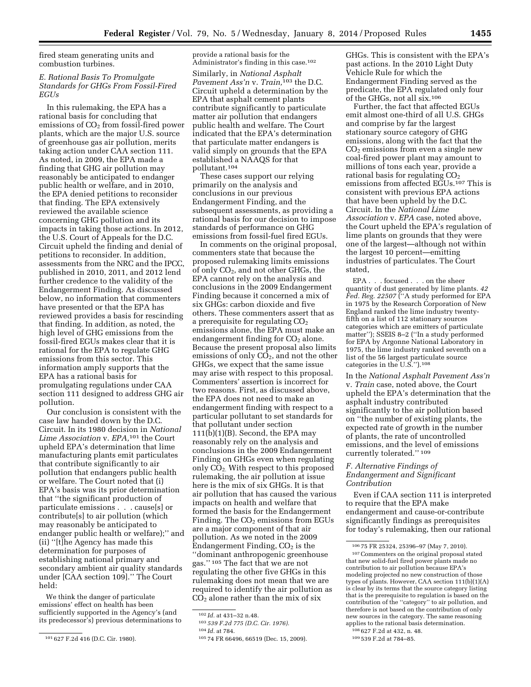fired steam generating units and combustion turbines.

### *E. Rational Basis To Promulgate Standards for GHGs From Fossil-Fired EGUs*

In this rulemaking, the EPA has a rational basis for concluding that emissions of  $CO<sub>2</sub>$  from fossil-fired power plants, which are the major U.S. source of greenhouse gas air pollution, merits taking action under CAA section 111. As noted, in 2009, the EPA made a finding that GHG air pollution may reasonably be anticipated to endanger public health or welfare, and in 2010, the EPA denied petitions to reconsider that finding. The EPA extensively reviewed the available science concerning GHG pollution and its impacts in taking those actions. In 2012, the U.S. Court of Appeals for the D.C. Circuit upheld the finding and denial of petitions to reconsider. In addition, assessments from the NRC and the IPCC, published in 2010, 2011, and 2012 lend further credence to the validity of the Endangerment Finding. As discussed below, no information that commenters have presented or that the EPA has reviewed provides a basis for rescinding that finding. In addition, as noted, the high level of GHG emissions from the fossil-fired EGUs makes clear that it is rational for the EPA to regulate GHG emissions from this sector. This information amply supports that the EPA has a rational basis for promulgating regulations under CAA section 111 designed to address GHG air pollution.

Our conclusion is consistent with the case law handed down by the D.C. Circuit. In its 1980 decision in *National Lime Association* v. *EPA,*101 the Court upheld EPA's determination that lime manufacturing plants emit particulates that contribute significantly to air pollution that endangers public health or welfare. The Court noted that (i) EPA's basis was its prior determination that ''the significant production of particulate emissions . . . cause[s] or contribute[s] to air pollution (which may reasonably be anticipated to endanger public health or welfare);'' and (ii) ''[t]he Agency has made this determination for purposes of establishing national primary and secondary ambient air quality standards under [CAA section 109].'' The Court held:

We think the danger of particulate emissions' effect on health has been sufficiently supported in the Agency's (and its predecessor's) previous determinations to

provide a rational basis for the Administrator's finding in this case.102 Similarly, in *National Asphalt Pavement Ass'n* v. *Train,*103 the D.C. Circuit upheld a determination by the EPA that asphalt cement plants contribute significantly to particulate matter air pollution that endangers public health and welfare. The Court indicated that the EPA's determination that particulate matter endangers is valid simply on grounds that the EPA established a NAAQS for that pollutant.104

These cases support our relying primarily on the analysis and conclusions in our previous Endangerment Finding, and the subsequent assessments, as providing a rational basis for our decision to impose standards of performance on GHG emissions from fossil-fuel fired EGUs.

In comments on the original proposal, commenters state that because the proposed rulemaking limits emissions of only  $CO<sub>2</sub>$ , and not other GHGs, the EPA cannot rely on the analysis and conclusions in the 2009 Endangerment Finding because it concerned a mix of six GHGs: carbon dioxide and five others. These commenters assert that as a prerequisite for regulating  $CO<sub>2</sub>$ emissions alone, the EPA must make an endangerment finding for  $CO<sub>2</sub>$  alone. Because the present proposal also limits emissions of only  $CO<sub>2</sub>$ , and not the other GHGs, we expect that the same issue may arise with respect to this proposal. Commenters' assertion is incorrect for two reasons. First, as discussed above, the EPA does not need to make an endangerment finding with respect to a particular pollutant to set standards for that pollutant under section  $111(b)(1)(B)$ . Second, the EPA may reasonably rely on the analysis and conclusions in the 2009 Endangerment Finding on GHGs even when regulating only CO2. With respect to this proposed rulemaking, the air pollution at issue here is the mix of six GHGs. It is that air pollution that has caused the various impacts on health and welfare that formed the basis for the Endangerment Finding. The  $CO<sub>2</sub>$  emissions from EGUs are a major component of that air pollution. As we noted in the 2009 Endangerment Finding,  $CO<sub>2</sub>$  is the ''dominant anthropogenic greenhouse gas.'' 105 The fact that we are not regulating the other five GHGs in this rulemaking does not mean that we are required to identify the air pollution as  $CO<sub>2</sub>$  alone rather than the mix of six

GHGs. This is consistent with the EPA's past actions. In the 2010 Light Duty Vehicle Rule for which the Endangerment Finding served as the predicate, the EPA regulated only four of the GHGs, not all six.106

Further, the fact that affected EGUs emit almost one-third of all U.S. GHGs and comprise by far the largest stationary source category of GHG emissions, along with the fact that the  $CO<sub>2</sub>$  emissions from even a single new coal-fired power plant may amount to millions of tons each year, provide a rational basis for regulating  $CO<sub>2</sub>$ emissions from affected EGUs.107 This is consistent with previous EPA actions that have been upheld by the D.C. Circuit. In the *National Lime Association* v. *EPA* case, noted above, the Court upheld the EPA's regulation of lime plants on grounds that they were one of the largest—although not within the largest 10 percent—emitting industries of particulates. The Court stated,

EPA . . . focused . . . on the sheer quantity of dust generated by lime plants. *42 Fed. Reg. 22507* (''A study performed for EPA in 1975 by the Research Corporation of New England ranked the lime industry twentyfifth on a list of 112 stationary sources categories which are emitters of particulate matter''); SSEIS 8–2 (''In a study performed for EPA by Argonne National Laboratory in 1975, the lime industry ranked seventh on a list of the 56 largest particulate source categories in the U.S.'').108

In the *National Asphalt Pavement Ass'n*  v. *Train* case, noted above, the Court upheld the EPA's determination that the asphalt industry contributed significantly to the air pollution based on ''the number of existing plants, the expected rate of growth in the number of plants, the rate of uncontrolled emissions, and the level of emissions currently tolerated.'' 109

#### *F. Alternative Findings of Endangerment and Significant Contribution*

Even if CAA section 111 is interpreted to require that the EPA make endangerment and cause-or-contribute significantly findings as prerequisites for today's rulemaking, then our rational

<sup>101</sup> 627 F.2d 416 (D.C. Cir. 1980).

<sup>102</sup> *Id.* at 431–32 n.48.

<sup>103</sup> *539 F.2d 775 (D.C. Cir. 1976).* 

<sup>104</sup> *Id.* at 784.

<sup>105</sup> 74 FR 66496, 66519 (Dec. 15, 2009).

<sup>106</sup> 75 FR 25324, 25396–97 (May 7, 2010).

<sup>107</sup>Commenters on the original proposal stated that new solid-fuel fired power plants made no contribution to air pollution because EPA's modeling projected no new construction of those types of plants. However, CAA section 111(b)(1)(A) is clear by its terms that the source category listing that is the prerequisite to regulation is based on the contribution of the ''category'' to air pollution, and therefore is not based on the contribution of only new sources in the category. The same reasoning applies to the rational basis determination.

<sup>108</sup> 627 F.2d at 432, n. 48. 109 539 F.2d at 784–85.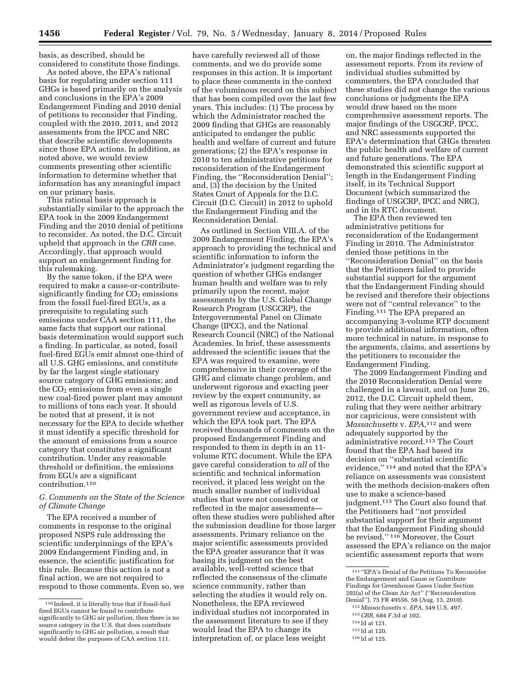basis, as described, should be considered to constitute those findings.

As noted above, the EPA's rational basis for regulating under section 111 GHGs is based primarily on the analysis and conclusions in the EPA's 2009 Endangerment Finding and 2010 denial of petitions to reconsider that Finding, coupled with the 2010, 2011, and 2012 assessments from the IPCC and NRC that describe scientific developments since those EPA actions. In addition, as noted above, we would review comments presenting other scientific information to determine whether that information has any meaningful impact on our primary basis.

This rational basis approach is substantially similar to the approach the EPA took in the 2009 Endangerment Finding and the 2010 denial of petitions to reconsider. As noted, the D.C. Circuit upheld that approach in the *CRR* case. Accordingly, that approach would support an endangerment finding for this rulemaking.

By the same token, if the EPA were required to make a cause-or-contributesignificantly finding for  $CO<sub>2</sub>$  emissions from the fossil fuel-fired EGUs, as a prerequisite to regulating such emissions under CAA section 111, the same facts that support our rational basis determination would support such a finding. In particular, as noted, fossil fuel-fired EGUs emit almost one-third of all U.S. GHG emissions, and constitute by far the largest single stationary source category of GHG emissions; and the  $CO<sub>2</sub>$  emissions from even a single new coal-fired power plant may amount to millions of tons each year. It should be noted that at present, it is not necessary for the EPA to decide whether it must identify a specific threshold for the amount of emissions from a source category that constitutes a significant contribution. Under any reasonable threshold or definition, the emissions from EGUs are a significant contribution.110

# *G. Comments on the State of the Science of Climate Change*

The EPA received a number of comments in response to the original proposed NSPS rule addressing the scientific underpinnings of the EPA's 2009 Endangerment Finding and, in essence, the scientific justification for this rule. Because this action is not a final action, we are not required to respond to those comments. Even so, we

have carefully reviewed all of those comments, and we do provide some responses in this action. It is important to place these comments in the context of the voluminous record on this subject that has been compiled over the last few years. This includes: (1) The process by which the Administrator reached the 2009 finding that GHGs are reasonably anticipated to endanger the public health and welfare of current and future generations; (2) the EPA's response in 2010 to ten administrative petitions for reconsideration of the Endangerment Finding, the ''Reconsideration Denial''; and, (3) the decision by the United States Court of Appeals for the D.C. Circuit (D.C. Circuit) in 2012 to uphold the Endangerment Finding and the Reconsideration Denial.

As outlined in Section VIII.A. of the 2009 Endangerment Finding, the EPA's approach to providing the technical and scientific information to inform the Administrator's judgment regarding the question of whether GHGs endanger human health and welfare was to rely primarily upon the recent, major assessments by the U.S. Global Change Research Program (USGCRP), the Intergovernmental Panel on Climate Change (IPCC), and the National Research Council (NRC) of the National Academies. In brief, these assessments addressed the scientific issues that the EPA was required to examine, were comprehensive in their coverage of the GHG and climate change problem, and underwent rigorous and exacting peer review by the expert community, as well as rigorous levels of U.S. government review and acceptance, in which the EPA took part. The EPA received thousands of comments on the proposed Endangerment Finding and responded to them in depth in an 11 volume RTC document. While the EPA gave careful consideration to *all* of the scientific and technical information received, it placed less weight on the much smaller number of individual studies that were not considered or reflected in the major assessments often these studies were published after the submission deadline for those larger assessments. Primary reliance on the major scientific assessments provided the EPA greater assurance that it was basing its judgment on the best available, well-vetted science that reflected the consensus of the climate science community, rather than selecting the studies it would rely on. Nonetheless, the EPA reviewed individual studies not incorporated in the assessment literature to see if they would lead the EPA to change its interpretation of, or place less weight

on, the major findings reflected in the assessment reports. From its review of individual studies submitted by commenters, the EPA concluded that these studies did not change the various conclusions or judgments the EPA would draw based on the more comprehensive assessment reports. The major findings of the USGCRP, IPCC, and NRC assessments supported the EPA's determination that GHGs threaten the public health and welfare of current and future generations. The EPA demonstrated this scientific support at length in the Endangerment Finding itself, in its Technical Support Document (which summarized the findings of USGCRP, IPCC and NRC), and in its RTC document.

The EPA then reviewed ten administrative petitions for reconsideration of the Endangerment Finding in 2010. The Administrator denied those petitions in the ''Reconsideration Denial'' on the basis that the Petitioners failed to provide substantial support for the argument that the Endangerment Finding should be revised and therefore their objections were not of ''central relevance'' to the Finding.111 The EPA prepared an accompanying 3-volume RTP document to provide additional information, often more technical in nature, in response to the arguments, claims, and assertions by the petitioners to reconsider the Endangerment Finding.

The 2009 Endangerment Finding and the 2010 Reconsideration Denial were challenged in a lawsuit, and on June 26, 2012, the D.C. Circuit upheld them, ruling that they were neither arbitrary nor capricious, were consistent with *Massachusetts* v. *EPA,*112 and were adequately supported by the administrative record.113 The Court found that the EPA had based its decision on ''substantial scientific evidence," 114 and noted that the EPA's reliance on assessments was consistent with the methods decision-makers often use to make a science-based judgment.115 The Court also found that the Petitioners had ''not provided substantial support for their argument that the Endangerment Finding should be revised.'' 116 Moreover, the Court assessed the EPA's reliance on the major scientific assessment reports that were

114 Id at 121.

<sup>110</sup> Indeed, it is literally true that if fossil-fuel fired EGUs cannot be found to contribute significantly to GHG air pollution, then there is no source category in the U.S. that does contribute significantly to GHG air pollution, a result that would defeat the purposes of CAA section 111.

<sup>111</sup> ''EPA's Denial of the Petitions To Reconsider the Endangerment and Cause or Contribute Findings for Greenhouse Gases Under Section 202(a) of the Clean Air Act'' (''Reconsideration Denial''), 75 FR 49556, 58 (Aug. 13, 2010).

<sup>112</sup> *Massachusetts* v. *EPA,* 549 U.S. 497.

<sup>113</sup>*CRR,* 684 F.3d at 102.

<sup>115</sup> Id at 120.

<sup>116</sup> Id at 125.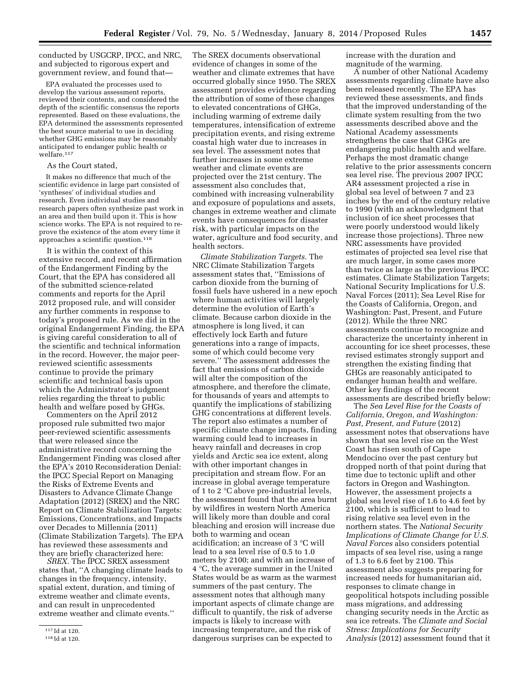conducted by USGCRP, IPCC, and NRC, and subjected to rigorous expert and government review, and found that—

EPA evaluated the processes used to develop the various assessment reports, reviewed their contents, and considered the depth of the scientific consensus the reports represented. Based on these evaluations, the EPA determined the assessments represented the best source material to use in deciding whether GHG emissions may be reasonably anticipated to endanger public health or welfare.117

#### As the Court stated,

It makes no difference that much of the scientific evidence in large part consisted of 'syntheses' of individual studies and research. Even individual studies and research papers often synthesize past work in an area and then build upon it. This is how science works. The EPA is not required to reprove the existence of the atom every time it approaches a scientific question.118

It is within the context of this extensive record, and recent affirmation of the Endangerment Finding by the Court, that the EPA has considered all of the submitted science-related comments and reports for the April 2012 proposed rule, and will consider any further comments in response to today's proposed rule. As we did in the original Endangerment Finding, the EPA is giving careful consideration to all of the scientific and technical information in the record. However, the major peerreviewed scientific assessments continue to provide the primary scientific and technical basis upon which the Administrator's judgment relies regarding the threat to public health and welfare posed by GHGs.

Commenters on the April 2012 proposed rule submitted two major peer-reviewed scientific assessments that were released since the administrative record concerning the Endangerment Finding was closed after the EPA's 2010 Reconsideration Denial: the IPCC Special Report on Managing the Risks of Extreme Events and Disasters to Advance Climate Change Adaptation (2012) (SREX) and the NRC Report on Climate Stabilization Targets: Emissions, Concentrations, and Impacts over Decades to Millennia (2011) (Climate Stabilization Targets). The EPA has reviewed these assessments and they are briefly characterized here:

*SREX.* The IPCC SREX assessment states that, ''A changing climate leads to changes in the frequency, intensity, spatial extent, duration, and timing of extreme weather and climate events, and can result in unprecedented extreme weather and climate events.''

The SREX documents observational evidence of changes in some of the weather and climate extremes that have occurred globally since 1950. The SREX assessment provides evidence regarding the attribution of some of these changes to elevated concentrations of GHGs, including warming of extreme daily temperatures, intensification of extreme precipitation events, and rising extreme coastal high water due to increases in sea level. The assessment notes that further increases in some extreme weather and climate events are projected over the 21st century. The assessment also concludes that, combined with increasing vulnerability and exposure of populations and assets, changes in extreme weather and climate events have consequences for disaster risk, with particular impacts on the water, agriculture and food security, and health sectors.

*Climate Stabilization Targets.* The NRC Climate Stabilization Targets assessment states that, ''Emissions of carbon dioxide from the burning of fossil fuels have ushered in a new epoch where human activities will largely determine the evolution of Earth's climate. Because carbon dioxide in the atmosphere is long lived, it can effectively lock Earth and future generations into a range of impacts, some of which could become very severe.'' The assessment addresses the fact that emissions of carbon dioxide will alter the composition of the atmosphere, and therefore the climate, for thousands of years and attempts to quantify the implications of stabilizing GHG concentrations at different levels. The report also estimates a number of specific climate change impacts, finding warming could lead to increases in heavy rainfall and decreases in crop yields and Arctic sea ice extent, along with other important changes in precipitation and stream flow. For an increase in global average temperature of 1 to 2 °C above pre-industrial levels, the assessment found that the area burnt by wildfires in western North America will likely more than double and coral bleaching and erosion will increase due both to warming and ocean acidification; an increase of 3 °C will lead to a sea level rise of 0.5 to 1.0 meters by 2100; and with an increase of 4 °C, the average summer in the United States would be as warm as the warmest summers of the past century. The assessment notes that although many important aspects of climate change are difficult to quantify, the risk of adverse impacts is likely to increase with increasing temperature, and the risk of dangerous surprises can be expected to

increase with the duration and magnitude of the warming.

A number of other National Academy assessments regarding climate have also been released recently. The EPA has reviewed these assessments, and finds that the improved understanding of the climate system resulting from the two assessments described above and the National Academy assessments strengthens the case that GHGs are endangering public health and welfare. Perhaps the most dramatic change relative to the prior assessments concern sea level rise. The previous 2007 IPCC AR4 assessment projected a rise in global sea level of between 7 and 23 inches by the end of the century relative to 1990 (with an acknowledgment that inclusion of ice sheet processes that were poorly understood would likely increase those projections). Three new NRC assessments have provided estimates of projected sea level rise that are much larger, in some cases more than twice as large as the previous IPCC estimates. Climate Stabilization Targets; National Security Implications for U.S. Naval Forces (2011); Sea Level Rise for the Coasts of California, Oregon, and Washington: Past, Present, and Future (2012). While the three NRC assessments continue to recognize and characterize the uncertainty inherent in accounting for ice sheet processes, these revised estimates strongly support and strengthen the existing finding that GHGs are reasonably anticipated to endanger human health and welfare. Other key findings of the recent assessments are described briefly below:

The *Sea Level Rise for the Coasts of California, Oregon, and Washington: Past, Present, and Future* (2012) assessment notes that observations have shown that sea level rise on the West Coast has risen south of Cape Mendocino over the past century but dropped north of that point during that time due to tectonic uplift and other factors in Oregon and Washington. However, the assessment projects a global sea level rise of 1.6 to 4.6 feet by 2100, which is sufficient to lead to rising relative sea level even in the northern states. The *National Security Implications of Climate Change for U.S. Naval Forces* also considers potential impacts of sea level rise, using a range of 1.3 to 6.6 feet by 2100. This assessment also suggests preparing for increased needs for humanitarian aid, responses to climate change in geopolitical hotspots including possible mass migrations, and addressing changing security needs in the Arctic as sea ice retreats. The *Climate and Social Stress: Implications for Security Analysis* (2012) assessment found that it

<sup>117</sup> Id at 120.

<sup>118</sup> Id at 120.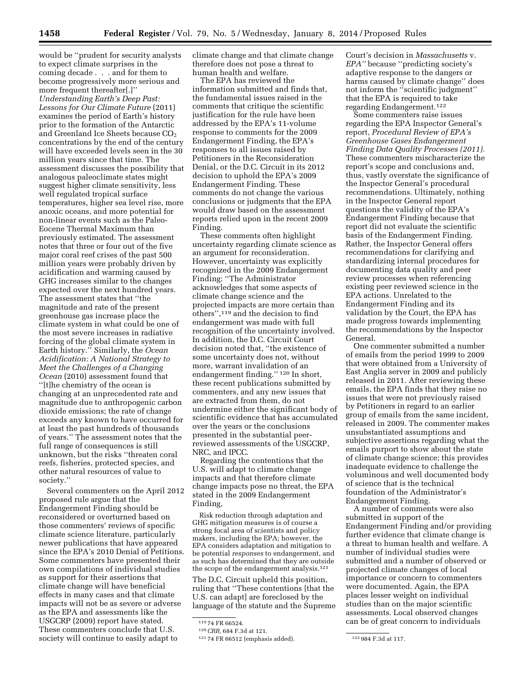would be ''prudent for security analysts to expect climate surprises in the coming decade . . . and for them to become progressively more serious and more frequent thereafter[.]'' *Understanding Earth's Deep Past: Lessons for Our Climate Future* (2011) examines the period of Earth's history prior to the formation of the Antarctic and Greenland Ice Sheets because  $CO<sub>2</sub>$ concentrations by the end of the century will have exceeded levels seen in the 30 million years since that time. The assessment discusses the possibility that analogous paleoclimate states might suggest higher climate sensitivity, less well regulated tropical surface temperatures, higher sea level rise, more anoxic oceans, and more potential for non-linear events such as the Paleo-Eocene Thermal Maximum than previously estimated. The assessment notes that three or four out of the five major coral reef crises of the past 500 million years were probably driven by acidification and warming caused by GHG increases similar to the changes expected over the next hundred years. The assessment states that ''the magnitude and rate of the present greenhouse gas increase place the climate system in what could be one of the most severe increases in radiative forcing of the global climate system in Earth history.'' Similarly, the *Ocean Acidification: A National Strategy to Meet the Challenges of a Changing Ocean* (2010) assessment found that ''[t]he chemistry of the ocean is changing at an unprecedented rate and magnitude due to anthropogenic carbon dioxide emissions; the rate of change exceeds any known to have occurred for at least the past hundreds of thousands of years.'' The assessment notes that the full range of consequences is still unknown, but the risks ''threaten coral reefs, fisheries, protected species, and other natural resources of value to society.''

Several commenters on the April 2012 proposed rule argue that the Endangerment Finding should be reconsidered or overturned based on those commenters' reviews of specific climate science literature, particularly newer publications that have appeared since the EPA's 2010 Denial of Petitions. Some commenters have presented their own compilations of individual studies as support for their assertions that climate change will have beneficial effects in many cases and that climate impacts will not be as severe or adverse as the EPA and assessments like the USGCRP (2009) report have stated. These commenters conclude that U.S. society will continue to easily adapt to

climate change and that climate change therefore does not pose a threat to human health and welfare.

The EPA has reviewed the information submitted and finds that, the fundamental issues raised in the comments that critique the scientific justification for the rule have been addressed by the EPA's 11-volume response to comments for the 2009 Endangerment Finding, the EPA's responses to all issues raised by Petitioners in the Reconsideration Denial, or the D.C. Circuit in its 2012 decision to uphold the EPA's 2009 Endangerment Finding. These comments do not change the various conclusions or judgments that the EPA would draw based on the assessment reports relied upon in the recent 2009 Finding.

These comments often highlight uncertainty regarding climate science as an argument for reconsideration. However, uncertainty was explicitly recognized in the 2009 Endangerment Finding: ''The Administrator acknowledges that some aspects of climate change science and the projected impacts are more certain than others'',119 and the decision to find endangerment was made with full recognition of the uncertainty involved. In addition, the D.C. Circuit Court decision noted that, ''the existence of some uncertainty does not, without more, warrant invalidation of an endangerment finding.'' 120 In short, these recent publications submitted by commenters, and any new issues that are extracted from them, do not undermine either the significant body of scientific evidence that has accumulated over the years or the conclusions presented in the substantial peerreviewed assessments of the USGCRP, NRC, and IPCC.

Regarding the contentions that the U.S. will adapt to climate change impacts and that therefore climate change impacts pose no threat, the EPA stated in the 2009 Endangerment Finding,

Risk reduction through adaptation and GHG mitigation measures is of course a strong focal area of scientists and policy makers, including the EPA; however, the EPA considers adaptation and mitigation to be potential *responses* to endangerment, and as such has determined that they are outside the scope of the endangerment analysis.121

The D.C. Circuit upheld this position, ruling that ''These contentions [that the U.S. can adapt] are foreclosed by the language of the statute and the Supreme Court's decision in *Massachusetts* v. *EPA''* because ''predicting society's adaptive response to the dangers or harms caused by climate change'' does not inform the ''scientific judgment'' that the EPA is required to take regarding Endangerment.122

Some commenters raise issues regarding the EPA Inspector General's report, *Procedural Review of EPA's Greenhouse Gases Endangerment Finding Data Quality Processes (2011).*  These commenters mischaracterize the report's scope and conclusions and, thus, vastly overstate the significance of the Inspector General's procedural recommendations. Ultimately, nothing in the Inspector General report questions the validity of the EPA's Endangerment Finding because that report did not evaluate the scientific basis of the Endangerment Finding. Rather, the Inspector General offers recommendations for clarifying and standardizing internal procedures for documenting data quality and peer review processes when referencing existing peer reviewed science in the EPA actions. Unrelated to the Endangerment Finding and its validation by the Court, the EPA has made progress towards implementing the recommendations by the Inspector General.

One commenter submitted a number of emails from the period 1999 to 2009 that were obtained from a University of East Anglia server in 2009 and publicly released in 2011. After reviewing these emails, the EPA finds that they raise no issues that were not previously raised by Petitioners in regard to an earlier group of emails from the same incident, released in 2009. The commenter makes unsubstantiated assumptions and subjective assertions regarding what the emails purport to show about the state of climate change science; this provides inadequate evidence to challenge the voluminous and well documented body of science that is the technical foundation of the Administrator's Endangerment Finding.

A number of comments were also submitted in support of the Endangerment Finding and/or providing further evidence that climate change is a threat to human health and welfare. A number of individual studies were submitted and a number of observed or projected climate changes of local importance or concern to commenters were documented. Again, the EPA places lesser weight on individual studies than on the major scientific assessments. Local observed changes can be of great concern to individuals

<sup>119</sup> 74 FR 66524.

<sup>120</sup>*CRR,* 684 F.3d at 121.

<sup>121</sup> 74 FR 66512 (emphasis added). 122 984 F.3d at 117.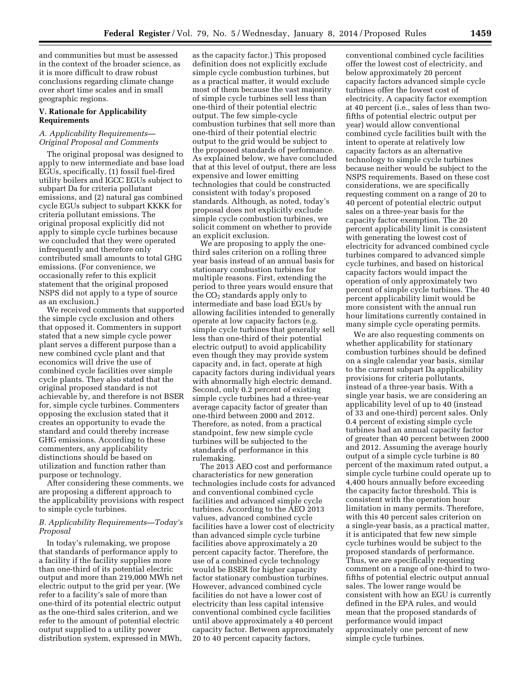and communities but must be assessed in the context of the broader science, as it is more difficult to draw robust conclusions regarding climate change over short time scales and in small geographic regions.

#### **V. Rationale for Applicability Requirements**

# *A. Applicability Requirements— Original Proposal and Comments*

The original proposal was designed to apply to new intermediate and base load EGUs, specifically, (1) fossil fuel-fired utility boilers and IGCC EGUs subject to subpart Da for criteria pollutant emissions, and (2) natural gas combined cycle EGUs subject to subpart KKKK for criteria pollutant emissions. The original proposal explicitly did not apply to simple cycle turbines because we concluded that they were operated infrequently and therefore only contributed small amounts to total GHG emissions. (For convenience, we occasionally refer to this explicit statement that the original proposed NSPS did not apply to a type of source as an exclusion.)

We received comments that supported the simple cycle exclusion and others that opposed it. Commenters in support stated that a new simple cycle power plant serves a different purpose than a new combined cycle plant and that economics will drive the use of combined cycle facilities over simple cycle plants. They also stated that the original proposed standard is not achievable by, and therefore is not BSER for, simple cycle turbines. Commenters opposing the exclusion stated that it creates an opportunity to evade the standard and could thereby increase GHG emissions. According to these commenters, any applicability distinctions should be based on utilization and function rather than purpose or technology.

After considering these comments, we are proposing a different approach to the applicability provisions with respect to simple cycle turbines.

## *B. Applicability Requirements—Today's Proposal*

In today's rulemaking, we propose that standards of performance apply to a facility if the facility supplies more than one-third of its potential electric output and more than 219,000 MWh net electric output to the grid per year. (We refer to a facility's sale of more than one-third of its potential electric output as the one-third sales criterion, and we refer to the amount of potential electric output supplied to a utility power distribution system, expressed in MWh,

as the capacity factor.) This proposed definition does not explicitly exclude simple cycle combustion turbines, but as a practical matter, it would exclude most of them because the vast majority of simple cycle turbines sell less than one-third of their potential electric output. The few simple-cycle combustion turbines that sell more than one-third of their potential electric output to the grid would be subject to the proposed standards of performance. As explained below, we have concluded that at this level of output, there are less expensive and lower emitting technologies that could be constructed consistent with today's proposed standards. Although, as noted, today's proposal does not explicitly exclude simple cycle combustion turbines, we solicit comment on whether to provide an explicit exclusion.

We are proposing to apply the onethird sales criterion on a rolling three year basis instead of an annual basis for stationary combustion turbines for multiple reasons. First, extending the period to three years would ensure that the  $CO<sub>2</sub>$  standards apply only to intermediate and base load EGUs by allowing facilities intended to generally operate at low capacity factors (e.g. simple cycle turbines that generally sell less than one-third of their potential electric output) to avoid applicability even though they may provide system capacity and, in fact, operate at high capacity factors during individual years with abnormally high electric demand. Second, only 0.2 percent of existing simple cycle turbines had a three-year average capacity factor of greater than one-third between 2000 and 2012. Therefore, as noted, from a practical standpoint, few new simple cycle turbines will be subjected to the standards of performance in this rulemaking.

The 2013 AEO cost and performance characteristics for new generation technologies include costs for advanced and conventional combined cycle facilities and advanced simple cycle turbines. According to the AEO 2013 values, advanced combined cycle facilities have a lower cost of electricity than advanced simple cycle turbine facilities above approximately a 20 percent capacity factor. Therefore, the use of a combined cycle technology would be BSER for higher capacity factor stationary combustion turbines. However, advanced combined cycle facilities do not have a lower cost of electricity than less capital intensive conventional combined cycle facilities until above approximately a 40 percent capacity factor. Between approximately 20 to 40 percent capacity factors,

conventional combined cycle facilities offer the lowest cost of electricity, and below approximately 20 percent capacity factors advanced simple cycle turbines offer the lowest cost of electricity. A capacity factor exemption at 40 percent (i.e., sales of less than twofifths of potential electric output per year) would allow conventional combined cycle facilities built with the intent to operate at relatively low capacity factors as an alternative technology to simple cycle turbines because neither would be subject to the NSPS requirements. Based on these cost considerations, we are specifically requesting comment on a range of 20 to 40 percent of potential electric output sales on a three-year basis for the capacity factor exemption. The 20 percent applicability limit is consistent with generating the lowest cost of electricity for advanced combined cycle turbines compared to advanced simple cycle turbines, and based on historical capacity factors would impact the operation of only approximately two percent of simple cycle turbines. The 40 percent applicability limit would be more consistent with the annual run hour limitations currently contained in many simple cycle operating permits.

We are also requesting comments on whether applicability for stationary combustion turbines should be defined on a single calendar year basis, similar to the current subpart Da applicability provisions for criteria pollutants, instead of a three-year basis. With a single year basis, we are considering an applicability level of up to 40 (instead of 33 and one-third) percent sales. Only 0.4 percent of existing simple cycle turbines had an annual capacity factor of greater than 40 percent between 2000 and 2012. Assuming the average hourly output of a simple cycle turbine is 80 percent of the maximum rated output, a simple cycle turbine could operate up to 4,400 hours annually before exceeding the capacity factor threshold. This is consistent with the operation hour limitation in many permits. Therefore, with this 40 percent sales criterion on a single-year basis, as a practical matter, it is anticipated that few new simple cycle turbines would be subject to the proposed standards of performance. Thus, we are specifically requesting comment on a range of one-third to twofifths of potential electric output annual sales. The lower range would be consistent with how an EGU is currently defined in the EPA rules, and would mean that the proposed standards of performance would impact approximately one percent of new simple cycle turbines.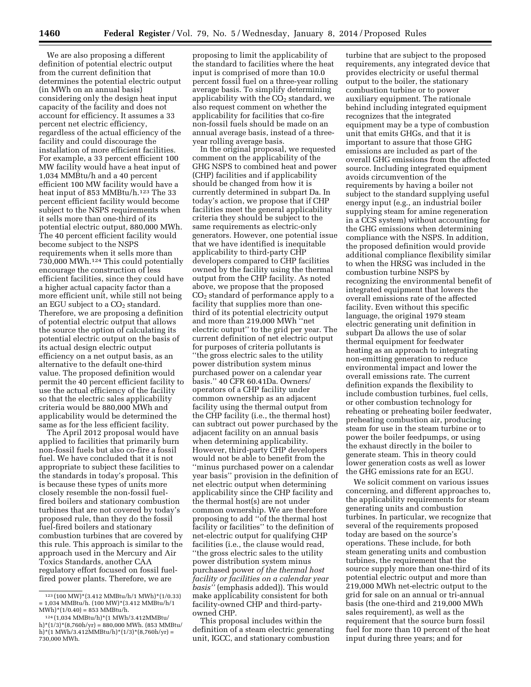We are also proposing a different definition of potential electric output from the current definition that determines the potential electric output (in MWh on an annual basis) considering only the design heat input capacity of the facility and does not account for efficiency. It assumes a 33 percent net electric efficiency, regardless of the actual efficiency of the facility and could discourage the installation of more efficient facilities. For example, a 33 percent efficient 100 MW facility would have a heat input of 1,034 MMBtu/h and a 40 percent efficient 100 MW facility would have a heat input of 853 MMBtu/h.<sup>123</sup> The 33 percent efficient facility would become subject to the NSPS requirements when it sells more than one-third of its potential electric output, 880,000 MWh. The 40 percent efficient facility would become subject to the NSPS requirements when it sells more than 730,000 MWh.124 This could potentially encourage the construction of less efficient facilities, since they could have a higher actual capacity factor than a more efficient unit, while still not being an EGU subject to a  $CO<sub>2</sub>$  standard. Therefore, we are proposing a definition of potential electric output that allows the source the option of calculating its potential electric output on the basis of its actual design electric output efficiency on a net output basis, as an alternative to the default one-third value. The proposed definition would permit the 40 percent efficient facility to use the actual efficiency of the facility so that the electric sales applicability criteria would be 880,000 MWh and applicability would be determined the same as for the less efficient facility.

The April 2012 proposal would have applied to facilities that primarily burn non-fossil fuels but also co-fire a fossil fuel. We have concluded that it is not appropriate to subject these facilities to the standards in today's proposal. This is because these types of units more closely resemble the non-fossil fuelfired boilers and stationary combustion turbines that are not covered by today's proposed rule, than they do the fossil fuel-fired boilers and stationary combustion turbines that are covered by this rule. This approach is similar to the approach used in the Mercury and Air Toxics Standards, another CAA regulatory effort focused on fossil fuelfired power plants. Therefore, we are

proposing to limit the applicability of the standard to facilities where the heat input is comprised of more than 10.0 percent fossil fuel on a three-year rolling average basis. To simplify determining applicability with the  $CO<sub>2</sub>$  standard, we also request comment on whether the applicability for facilities that co-fire non-fossil fuels should be made on an annual average basis, instead of a threeyear rolling average basis.

In the original proposal, we requested comment on the applicability of the GHG NSPS to combined heat and power (CHP) facilities and if applicability should be changed from how it is currently determined in subpart Da. In today's action, we propose that if CHP facilities meet the general applicability criteria they should be subject to the same requirements as electric-only generators. However, one potential issue that we have identified is inequitable applicability to third-party CHP developers compared to CHP facilities owned by the facility using the thermal output from the CHP facility. As noted above, we propose that the proposed  $CO<sub>2</sub>$  standard of performance apply to a facility that supplies more than onethird of its potential electricity output and more than 219,000 MWh ''net electric output'' to the grid per year. The current definition of net electric output for purposes of criteria pollutants is ''the gross electric sales to the utility power distribution system minus purchased power on a calendar year basis.'' 40 CFR 60.41Da. Owners/ operators of a CHP facility under common ownership as an adjacent facility using the thermal output from the CHP facility (i.e., the thermal host) can subtract out power purchased by the adjacent facility on an annual basis when determining applicability. However, third-party CHP developers would not be able to benefit from the ''minus purchased power on a calendar year basis'' provision in the definition of net electric output when determining applicability since the CHP facility and the thermal host(s) are not under common ownership. We are therefore proposing to add ''of the thermal host facility or facilities'' to the definition of net-electric output for qualifying CHP facilities (i.e., the clause would read, ''the gross electric sales to the utility power distribution system minus purchased power *of the thermal host facility or facilities on a calendar year basis''* (emphasis added)). This would make applicability consistent for both facility-owned CHP and third-partyowned CHP.

This proposal includes within the definition of a steam electric generating unit, IGCC, and stationary combustion

turbine that are subject to the proposed requirements, any integrated device that provides electricity or useful thermal output to the boiler, the stationary combustion turbine or to power auxiliary equipment. The rationale behind including integrated equipment recognizes that the integrated equipment may be a type of combustion unit that emits GHGs, and that it is important to assure that those GHG emissions are included as part of the overall GHG emissions from the affected source. Including integrated equipment avoids circumvention of the requirements by having a boiler not subject to the standard supplying useful energy input (e.g., an industrial boiler supplying steam for amine regeneration in a CCS system) without accounting for the GHG emissions when determining compliance with the NSPS. In addition, the proposed definition would provide additional compliance flexibility similar to when the HRSG was included in the combustion turbine NSPS by recognizing the environmental benefit of integrated equipment that lowers the overall emissions rate of the affected facility. Even without this specific language, the original 1979 steam electric generating unit definition in subpart Da allows the use of solar thermal equipment for feedwater heating as an approach to integrating non-emitting generation to reduce environmental impact and lower the overall emissions rate. The current definition expands the flexibility to include combustion turbines, fuel cells, or other combustion technology for reheating or preheating boiler feedwater, preheating combustion air, producing steam for use in the steam turbine or to power the boiler feedpumps, or using the exhaust directly in the boiler to generate steam. This in theory could lower generation costs as well as lower the GHG emissions rate for an EGU.

We solicit comment on various issues concerning, and different approaches to, the applicability requirements for steam generating units and combustion turbines. In particular, we recognize that several of the requirements proposed today are based on the source's operations. These include, for both steam generating units and combustion turbines, the requirement that the source supply more than one-third of its potential electric output and more than 219,000 MWh net-electric output to the grid for sale on an annual or tri-annual basis (the one-third and 219,000 MWh sales requirement), as well as the requirement that the source burn fossil fuel for more than 10 percent of the heat input during three years; and for

<sup>123</sup> (100 MW)\*(3.412 MMBtu/h/1 MWh)\*(1/0.33) = 1,034 MMBtu/h. (100 MW)\*(3.412 MMBtu/h/1  $MWh$ <sup>\*</sup>(1/0.40) = 853 MMBtu/h.

<sup>124</sup> (1,034 MMBtu/h)\*(1 MWh/3.412MMBtu/ h)\*(1/3)\*(8,760h/yr) = 880,000 MWh. (853 MMBtu/ h)\*(1 MWh/3.412MMBtu/h)\*(1/3)\*(8,760h/yr) = 730,000 MWh.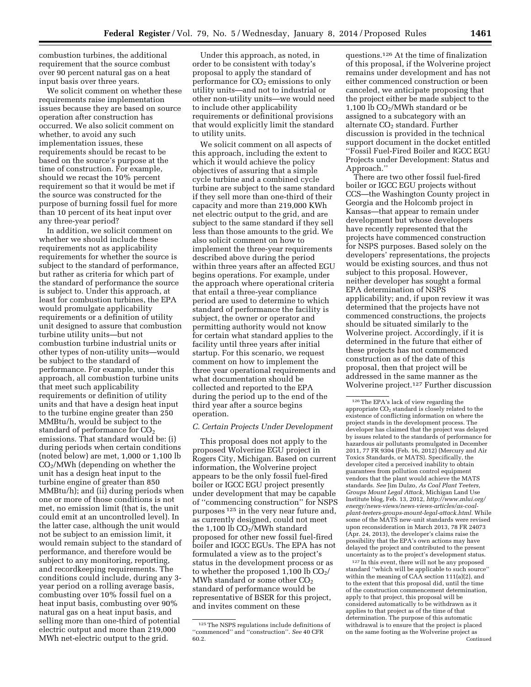combustion turbines, the additional requirement that the source combust over 90 percent natural gas on a heat input basis over three years.

We solicit comment on whether these requirements raise implementation issues because they are based on source operation after construction has occurred. We also solicit comment on whether, to avoid any such implementation issues, these requirements should be recast to be based on the source's purpose at the time of construction. For example, should we recast the 10% percent requirement so that it would be met if the source was constructed for the purpose of burning fossil fuel for more than 10 percent of its heat input over any three-year period?

In addition, we solicit comment on whether we should include these requirements not as applicability requirements for whether the source is subject to the standard of performance, but rather as criteria for which part of the standard of performance the source is subject to. Under this approach, at least for combustion turbines, the EPA would promulgate applicability requirements or a definition of utility unit designed to assure that combustion turbine utility units—but not combustion turbine industrial units or other types of non-utility units—would be subject to the standard of performance. For example, under this approach, all combustion turbine units that meet such applicability requirements or definition of utility units and that have a design heat input to the turbine engine greater than 250 MMBtu/h, would be subject to the standard of performance for CO<sub>2</sub> emissions. That standard would be: (i) during periods when certain conditions (noted below) are met, 1,000 or 1,100 lb  $CO<sub>2</sub>/MWh$  (depending on whether the unit has a design heat input to the turbine engine of greater than 850 MMBtu/h); and (ii) during periods when one or more of those conditions is not met, no emission limit (that is, the unit could emit at an uncontrolled level). In the latter case, although the unit would not be subject to an emission limit, it would remain subject to the standard of performance, and therefore would be subject to any monitoring, reporting, and recordkeeping requirements. The conditions could include, during any 3 year period on a rolling average basis, combusting over 10% fossil fuel on a heat input basis, combusting over 90% natural gas on a heat input basis, and selling more than one-third of potential electric output and more than 219,000 MWh net-electric output to the grid.

Under this approach, as noted, in order to be consistent with today's proposal to apply the standard of performance for  $CO<sub>2</sub>$  emissions to only utility units—and not to industrial or other non-utility units—we would need to include other applicability requirements or definitional provisions that would explicitly limit the standard to utility units.

We solicit comment on all aspects of this approach, including the extent to which it would achieve the policy objectives of assuring that a simple cycle turbine and a combined cycle turbine are subject to the same standard if they sell more than one-third of their capacity and more than 219,000 KWh net electric output to the grid, and are subject to the same standard if they sell less than those amounts to the grid. We also solicit comment on how to implement the three-year requirements described above during the period within three years after an affected EGU begins operations. For example, under the approach where operational criteria that entail a three-year compliance period are used to determine to which standard of performance the facility is subject, the owner or operator and permitting authority would not know for certain what standard applies to the facility until three years after initial startup. For this scenario, we request comment on how to implement the three year operational requirements and what documentation should be collected and reported to the EPA during the period up to the end of the third year after a source begins operation.

#### *C. Certain Projects Under Development*

This proposal does not apply to the proposed Wolverine EGU project in Rogers City, Michigan. Based on current information, the Wolverine project appears to be the only fossil fuel-fired boiler or IGCC EGU project presently under development that may be capable of ''commencing construction'' for NSPS purposes 125 in the very near future and, as currently designed, could not meet the 1,100 lb  $CO<sub>2</sub>/MWh$  standard proposed for other new fossil fuel-fired boiler and IGCC EGUs. The EPA has not formulated a view as to the project's status in the development process or as to whether the proposed 1,100 lb  $CO<sub>2</sub>/$ MWh standard or some other  $CO<sub>2</sub>$ standard of performance would be representative of BSER for this project, and invites comment on these

questions.126 At the time of finalization of this proposal, if the Wolverine project remains under development and has not either commenced construction or been canceled, we anticipate proposing that the project either be made subject to the 1,100 lb  $CO<sub>2</sub>/MWh$  standard or be assigned to a subcategory with an alternate  $CO<sub>2</sub>$  standard. Further discussion is provided in the technical support document in the docket entitled ''Fossil Fuel-Fired Boiler and IGCC EGU Projects under Development: Status and Approach.''

There are two other fossil fuel-fired boiler or IGCC EGU projects without CCS—the Washington County project in Georgia and the Holcomb project in Kansas—that appear to remain under development but whose developers have recently represented that the projects have commenced construction for NSPS purposes. Based solely on the developers' representations, the projects would be existing sources, and thus not subject to this proposal. However, neither developer has sought a formal EPA determination of NSPS applicability; and, if upon review it was determined that the projects have not commenced constructions, the projects should be situated similarly to the Wolverine project. Accordingly, if it is determined in the future that either of these projects has not commenced construction as of the date of this proposal, then that project will be addressed in the same manner as the Wolverine project.127 Further discussion

127 In this event, there will not be any proposed standard ''which will be applicable to such source'' within the meaning of CAA section 111(a)(2), and to the extent that this proposal did, until the time of the construction commencement determination, apply to that project, this proposal will be considered automatically to be withdrawn as it applies to that project as of the time of that determination. The purpose of this automatic withdrawal is to ensure that the project is placed on the same footing as the Wolverine project as Continued

<sup>125</sup>The NSPS regulations include definitions of ''commenced'' and ''construction''. *See* 40 CFR 60.2.

<sup>126</sup>The EPA's lack of view regarding the appropriate CO2 standard is closely related to the existence of conflicting information on where the project stands in the development process. The developer has claimed that the project was delayed by issues related to the standards of performance for hazardous air pollutants promulgated in December 2011, 77 FR 9304 (Feb. 16, 2012) (Mercury and Air Toxics Standards, or MATS). Specifically, the developer cited a perceived inability to obtain guarantees from pollution control equipment vendors that the plant would achieve the MATS standards. *See* Jim Dulzo, *As Coal Plant Teeters, Groups Mount Legal Attack,* Michigan Land Use Institute blog, Feb. 13, 2012, *[http://www.mlui.org/](http://www.mlui.org/energy/news-views/news-views-articles/as-coal-plant-teeters-groups-mount-legal-attack.html) [energy/news-views/news-views-articles/as-coal](http://www.mlui.org/energy/news-views/news-views-articles/as-coal-plant-teeters-groups-mount-legal-attack.html)[plant-teeters-groups-mount-legal-attack.html.](http://www.mlui.org/energy/news-views/news-views-articles/as-coal-plant-teeters-groups-mount-legal-attack.html)* While some of the MATS new-unit standards were revised upon reconsideration in March 2013, 78 FR 24073 (Apr. 24, 2013), the developer's claims raise the possibility that the EPA's own actions may have delayed the project and contributed to the present uncertainty as to the project's development status.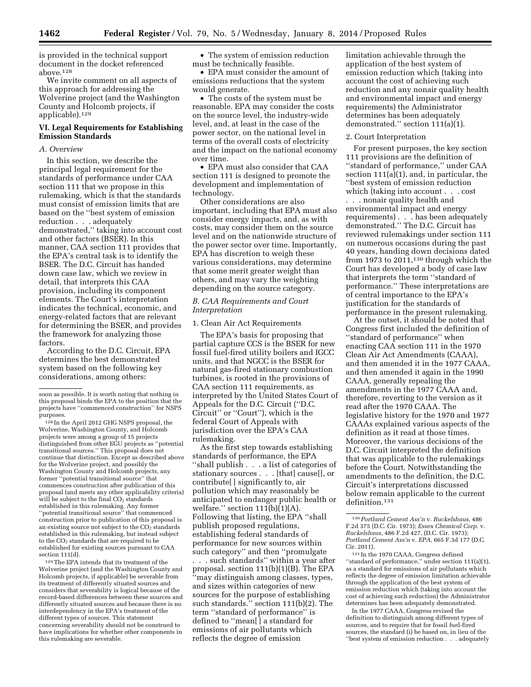is provided in the technical support document in the docket referenced above.128

We invite comment on all aspects of this approach for addressing the Wolverine project (and the Washington County and Holcomb projects, if applicable).129

# **VI. Legal Requirements for Establishing Emission Standards**

### *A. Overview*

In this section, we describe the principal legal requirement for the standards of performance under CAA section 111 that we propose in this rulemaking, which is that the standards must consist of emission limits that are based on the ''best system of emission reduction . . . adequately demonstrated,'' taking into account cost and other factors (BSER). In this manner, CAA section 111 provides that the EPA's central task is to identify the BSER. The D.C. Circuit has handed down case law, which we review in detail, that interprets this CAA provision, including its component elements. The Court's interpretation indicates the technical, economic, and energy-related factors that are relevant for determining the BSER, and provides the framework for analyzing those factors.

According to the D.C. Circuit, EPA determines the best demonstrated system based on the following key considerations, among others:

128 In the April 2012 GHG NSPS proposal, the Wolverine, Washington County, and Holcomb projects were among a group of 15 projects distinguished from other EGU projects as ''potential transitional sources.'' This proposal does not continue that distinction. Except as described above for the Wolverine project, and possibly the Washington County and Holcomb projects, any former ''potential transitional source'' that commences construction after publication of this proposal (and meets any other applicability criteria) will be subject to the final  $CO<sub>2</sub>$  standards established in this rulemaking. Any former ''potential transitional source'' that commenced construction prior to publication of this proposal is an existing source not subject to the  $CO<sub>2</sub>$  standards established in this rulemaking, but instead subject to the CO2 standards that are required to be established for existing sources pursuant to CAA section 111(d).

129The EPA intends that its treatment of the Wolverine project (and the Washington County and Holcomb projects, if applicable) be severable from its treatment of differently situated sources and considers that severability is logical because of the record-based differences between these sources and differently situated sources and because there is no interdependency in the EPA's treatment of the different types of sources. This statement concerning severability should not be construed to have implications for whether other components in this rulemaking are severable.

• The system of emission reduction must be technically feasible.

• EPA must consider the amount of emissions reductions that the system would generate.

• The costs of the system must be reasonable. EPA may consider the costs on the source level, the industry-wide level, and, at least in the case of the power sector, on the national level in terms of the overall costs of electricity and the impact on the national economy over time.

• EPA must also consider that CAA section 111 is designed to promote the development and implementation of technology.

Other considerations are also important, including that EPA must also consider energy impacts, and, as with costs, may consider them on the source level and on the nationwide structure of the power sector over time. Importantly, EPA has discretion to weigh these various considerations, may determine that some merit greater weight than others, and may vary the weighting depending on the source category.

#### *B. CAA Requirements and Court Interpretation*

#### 1. Clean Air Act Requirements

The EPA's basis for proposing that partial capture CCS is the BSER for new fossil fuel-fired utility boilers and IGCC units, and that NGCC is the BSER for natural gas-fired stationary combustion turbines, is rooted in the provisions of CAA section 111 requirements, as interpreted by the United States Court of Appeals for the D.C. Circuit (''D.C. Circuit'' or ''Court''), which is the federal Court of Appeals with jurisdiction over the EPA's CAA rulemaking.

As the first step towards establishing standards of performance, the EPA ''shall publish . . . a list of categories of stationary sources . . . [that] cause[], or contribute[ ] significantly to, air pollution which may reasonably be anticipated to endanger public health or welfare." section  $111(b)(1)(A)$ . Following that listing, the EPA ''shall publish proposed regulations, establishing federal standards of performance for new sources within such category'' and then ''promulgate . . . such standards'' within a year after proposal. section 111(b)(1)(B). The EPA ''may distinguish among classes, types, and sizes within categories of new sources for the purpose of establishing such standards.'' section 111(b)(2). The term ''standard of performance'' is defined to ''mean[ ] a standard for emissions of air pollutants which reflects the degree of emission

limitation achievable through the application of the best system of emission reduction which (taking into account the cost of achieving such reduction and any nonair quality health and environmental impact and energy requirements) the Administrator determines has been adequately demonstrated.'' section 111(a)(1).

#### 2. Court Interpretation

For present purposes, the key section 111 provisions are the definition of ''standard of performance,'' under CAA section 111(a)(1), and, in particular, the ''best system of emission reduction which (taking into account . . . cost . . . nonair quality health and

environmental impact and energy requirements) . . . has been adequately demonstrated.'' The D.C. Circuit has reviewed rulemakings under section 111 on numerous occasions during the past 40 years, handing down decisions dated from 1973 to 2011,<sup>130</sup> through which the Court has developed a body of case law that interprets the term ''standard of performance.'' These interpretations are of central importance to the EPA's justification for the standards of performance in the present rulemaking.

At the outset, it should be noted that Congress first included the definition of ''standard of performance'' when enacting CAA section 111 in the 1970 Clean Air Act Amendments (CAAA), and then amended it in the 1977 CAAA, and then amended it again in the 1990 CAAA, generally repealing the amendments in the 1977 CAAA and, therefore, reverting to the version as it read after the 1970 CAAA. The legislative history for the 1970 and 1977 CAAAs explained various aspects of the definition as it read at those times. Moreover, the various decisions of the D.C. Circuit interpreted the definition that was applicable to the rulemakings before the Court. Notwithstanding the amendments to the definition, the D.C. Circuit's interpretations discussed below remain applicable to the current definition.131

131 In the 1970 CAAA, Congress defined ''standard of performance,'' under section 111(a)(1), as a standard for emissions of air pollutants which reflects the degree of emission limitation achievable through the application of the best system of emission reduction which (taking into account the cost of achieving such reduction) the Administrator determines has been adequately demonstrated.

In the 1977 CAAA, Congress revised the definition to distinguish among different types of sources, and to require that for fossil fuel-fired sources, the standard (i) be based on, in lieu of the ''best system of emission reduction . . . adequately

soon as possible. It is worth noting that nothing in this proposal binds the EPA to the position that the projects have ''commenced construction'' for NSPS purposes.

<sup>130</sup>*Portland Cement Ass'n* v. *Ruckelshaus*, 486 F.2d 375 (D.C. Cir. 1973); *Essex Chemical Corp.* v. *Ruckelshaus*, 486 F.2d 427, (D.C. Cir. 1973); *Portland Cement Ass'n* v. *EPA*, 665 F.3d 177 (D.C. Cir. 2011).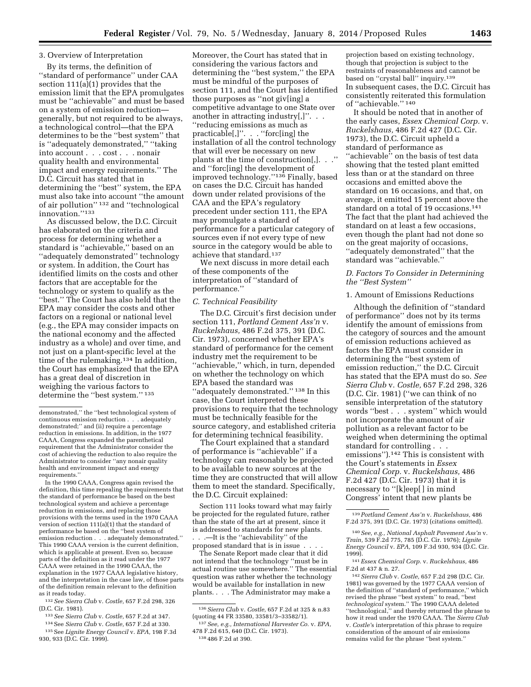#### 3. Overview of Interpretation

By its terms, the definition of ''standard of performance'' under CAA section 111(a)(1) provides that the emission limit that the EPA promulgates must be ''achievable'' and must be based on a system of emission reduction generally, but not required to be always, a technological control—that the EPA determines to be the ''best system'' that is ''adequately demonstrated,'' ''taking into account . . . cost . . . nonair quality health and environmental impact and energy requirements.'' The D.C. Circuit has stated that in determining the ''best'' system, the EPA must also take into account ''the amount of air pollution'' 132 and ''technological innovation.''133

As discussed below, the D.C. Circuit has elaborated on the criteria and process for determining whether a standard is ''achievable,'' based on an ''adequately demonstrated'' technology or system. In addition, the Court has identified limits on the costs and other factors that are acceptable for the technology or system to qualify as the ''best.'' The Court has also held that the EPA may consider the costs and other factors on a regional or national level (e.g., the EPA may consider impacts on the national economy and the affected industry as a whole) and over time, and not just on a plant-specific level at the time of the rulemaking.134 In addition, the Court has emphasized that the EPA has a great deal of discretion in weighing the various factors to determine the ''best system.'' 135

In the 1990 CAAA, Congress again revised the definition, this time repealing the requirements that the standard of performance be based on the best technological system and achieve a percentage reduction in emissions, and replacing those provisions with the terms used in the 1970 CAAA version of section 111(a)(1) that the standard of performance be based on the ''best system of emission reduction . . . adequately demonstrated.'' This 1990 CAAA version is the current definition, which is applicable at present. Even so, because parts of the definition as it read under the 1977 CAAA were retained in the 1990 CAAA, the explanation in the 1977 CAAA legislative history, and the interpretation in the case law, of those parts of the definition remain relevant to the definition as it reads today.

132*See Sierra Club* v. *Costle,* 657 F.2d 298, 326 (D.C. Cir. 1981).

133*See Sierra Club* v. *Costle,* 657 F.2d at 347.

134See *Sierra Club* v. *Costle,* 657 F.2d at 330.

135See *Lignite Energy Council* v. *EPA,* 198 F.3d 930, 933 (D.C. Cir. 1999).

Moreover, the Court has stated that in considering the various factors and determining the ''best system,'' the EPA must be mindful of the purposes of section 111, and the Court has identified those purposes as ''not giv[ing] a competitive advantage to one State over another in attracting industry[,]''. . . ''reducing emissions as much as practicable[,]''. . . ''forc[ing] the installation of all the control technology that will ever be necessary on new plants at the time of construction[,]. . .'' and ''forc[ing] the development of improved technology.''136 Finally, based on cases the D.C. Circuit has handed down under related provisions of the CAA and the EPA's regulatory precedent under section 111, the EPA may promulgate a standard of performance for a particular category of sources even if not every type of new source in the category would be able to achieve that standard.137

We next discuss in more detail each of these components of the interpretation of ''standard of performance.''

#### *C. Technical Feasibility*

The D.C. Circuit's first decision under section 111, *Portland Cement Ass'n* v. *Ruckelshaus,* 486 F.2d 375, 391 (D.C. Cir. 1973), concerned whether EPA's standard of performance for the cement industry met the requirement to be ''achievable,'' which, in turn, depended on whether the technology on which EPA based the standard was "adequately demonstrated."<sup>138</sup> In this case, the Court interpreted these provisions to require that the technology must be technically feasible for the source category, and established criteria for determining technical feasibility.

The Court explained that a standard of performance is ''achievable'' if a technology can reasonably be projected to be available to new sources at the time they are constructed that will allow them to meet the standard. Specifically, the D.C. Circuit explained:

Section 111 looks toward what may fairly be projected for the regulated future, rather than the state of the art at present, since it is addressed to standards for new plants. . . .—It is the ''achievability'' of the proposed standard that is in issue . . . .

The Senate Report made clear that it did not intend that the technology ''must be in actual routine use somewhere.'' The essential question was rather whether the technology would be available for installation in new plants. . . . The Administrator may make a

projection based on existing technology, though that projection is subject to the restraints of reasonableness and cannot be based on ''crystal ball'' inquiry.139 In subsequent cases, the D.C. Circuit has consistently reiterated this formulation of ''achievable.'' 140

It should be noted that in another of the early cases, *Essex Chemical Corp.* v. *Ruckelshaus,* 486 F.2d 427 (D.C. Cir. 1973), the D.C. Circuit upheld a standard of performance as "achievable" on the basis of test data showing that the tested plant emitted less than or at the standard on three occasions and emitted above the standard on 16 occasions, and that, on average, it emitted 15 percent above the standard on a total of 19 occasions.<sup>141</sup> The fact that the plant had achieved the standard on at least a few occasions, even though the plant had not done so on the great majority of occasions, ''adequately demonstrated'' that the standard was ''achievable.''

### *D. Factors To Consider in Determining the ''Best System''*

1. Amount of Emissions Reductions

Although the definition of ''standard of performance'' does not by its terms identify the amount of emissions from the category of sources and the amount of emission reductions achieved as factors the EPA must consider in determining the ''best system of emission reduction,'' the D.C. Circuit has stated that the EPA must do so. *See Sierra Club* v. *Costle,* 657 F.2d 298, 326 (D.C. Cir. 1981) (''we can think of no sensible interpretation of the statutory words ''best . . . system'' which would not incorporate the amount of air pollution as a relevant factor to be weighed when determining the optimal standard for controlling . . . emissions'').142 This is consistent with the Court's statements in *Essex Chemical Corp.* v. *Ruckelshaus,* 486 F.2d 427 (D.C. Cir. 1973) that it is necessary to ''[k]eep[ ] in mind Congress' intent that new plants be

demonstrated,'' the ''best technological system of continuous emission reduction . . . adequately demonstrated;'' and (ii) require a percentage reduction in emissions. In addition, in the 1977 CAAA, Congress expanded the parenthetical requirement that the Administrator consider the cost of achieving the reduction to also require the Administrator to consider ''any nonair quality health and environment impact and energy requirements.''

<sup>136</sup>*Sierra Club* v. *Costle,* 657 F.2d at 325 & n.83 (quoting 44 FR 33580, 33581/3–33582/1).

<sup>137</sup>*See, e.g., International Harvester Co.* v. *EPA,*  478 F.2d 615, 640 (D.C. Cir. 1973). 138 486 F.2d at 390.

<sup>139</sup>*Portland Cement Ass'n* v. *Ruckelshaus,* 486 F.2d 375, 391 (D.C. Cir. 1973) (citations omitted).

<sup>140</sup>*See, e.g., National Asphalt Pavement Ass'n* v. *Train,* 539 F.2d 775, 785 (D.C. Cir. 1976); *Lignite Energy Council* v. *EPA,* 109 F.3d 930, 934 (D.C. Cir. 1999).

<sup>141</sup>*Essex Chemical Corp.* v. *Ruckelshaus,* 486 F.2d at 437 & n. 27.

<sup>142</sup>*Sierra Club* v. *Costle,* 657 F.2d 298 (D.C. Cir. 1981) was governed by the 1977 CAAA version of the definition of ''standard of performance,'' which revised the phrase ''best system'' to read, ''best *technological* system.'' The 1990 CAAA deleted ''technological,'' and thereby returned the phrase to how it read under the 1970 CAAA. The *Sierra Club*  v. *Costle'*s interpretation of this phrase to require consideration of the amount of air emissions remains valid for the phrase ''best system.''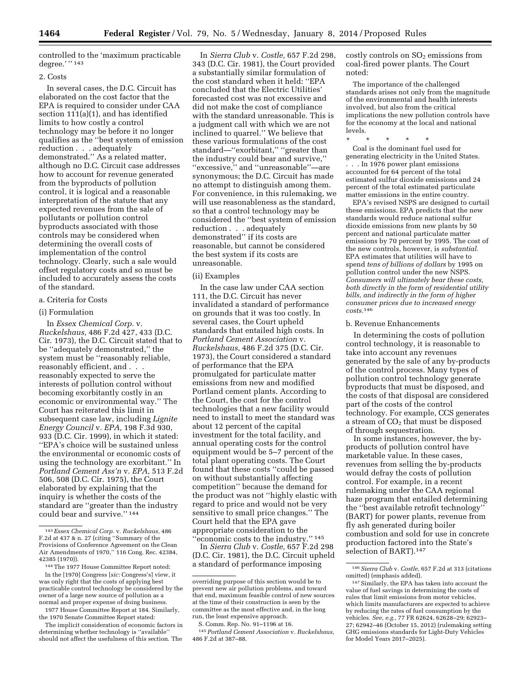controlled to the 'maximum practicable degree.'" 143

#### 2. Costs

In several cases, the D.C. Circuit has elaborated on the cost factor that the EPA is required to consider under CAA section 111(a)(1), and has identified limits to how costly a control technology may be before it no longer qualifies as the ''best system of emission reduction . . . adequately demonstrated.'' As a related matter, although no D.C. Circuit case addresses how to account for revenue generated from the byproducts of pollution control, it is logical and a reasonable interpretation of the statute that any expected revenues from the sale of pollutants or pollution control byproducts associated with those controls may be considered when determining the overall costs of implementation of the control technology. Clearly, such a sale would offset regulatory costs and so must be included to accurately assess the costs of the standard.

# a. Criteria for Costs

#### (i) Formulation

In *Essex Chemical Corp.* v. *Ruckelshaus,* 486 F.2d 427, 433 (D.C. Cir. 1973), the D.C. Circuit stated that to be ''adequately demonstrated,'' the system must be ''reasonably reliable, reasonably efficient, and . . . reasonably expected to serve the interests of pollution control without becoming exorbitantly costly in an economic or environmental way.'' The Court has reiterated this limit in subsequent case law, including *Lignite Energy Council* v. *EPA,* 198 F.3d 930, 933 (D.C. Cir. 1999), in which it stated: ''EPA's choice will be sustained unless the environmental or economic costs of using the technology are exorbitant.'' In *Portland Cement Ass'n* v. *EPA,* 513 F.2d 506, 508 (D.C. Cir. 1975), the Court elaborated by explaining that the inquiry is whether the costs of the standard are ''greater than the industry could bear and survive.'' 144

In *Sierra Club* v. *Costle,* 657 F.2d 298, 343 (D.C. Cir. 1981), the Court provided a substantially similar formulation of the cost standard when it held: ''EPA concluded that the Electric Utilities' forecasted cost was not excessive and did not make the cost of compliance with the standard unreasonable. This is a judgment call with which we are not inclined to quarrel.'' We believe that these various formulations of the cost standard—''exorbitant,'' ''greater than the industry could bear and survive,'' ''excessive,'' and ''unreasonable''—are synonymous; the D.C. Circuit has made no attempt to distinguish among them. For convenience, in this rulemaking, we will use reasonableness as the standard, so that a control technology may be considered the ''best system of emission reduction . . . adequately demonstrated'' if its costs are reasonable, but cannot be considered the best system if its costs are unreasonable.

#### (ii) Examples

In the case law under CAA section 111, the D.C. Circuit has never invalidated a standard of performance on grounds that it was too costly. In several cases, the Court upheld standards that entailed high costs. In *Portland Cement Association* v. *Ruckelshaus,* 486 F.2d 375 (D.C. Cir. 1973), the Court considered a standard of performance that the EPA promulgated for particulate matter emissions from new and modified Portland cement plants. According to the Court, the cost for the control technologies that a new facility would need to install to meet the standard was about 12 percent of the capital investment for the total facility, and annual operating costs for the control equipment would be 5–7 percent of the total plant operating costs. The Court found that these costs ''could be passed on without substantially affecting competition'' because the demand for the product was not ''highly elastic with regard to price and would not be very sensitive to small price changes.'' The Court held that the EPA gave appropriate consideration to the ''economic costs to the industry.'' 145

In *Sierra Club* v. *Costle,* 657 F.2d 298 (D.C. Cir. 1981), the D.C. Circuit upheld a standard of performance imposing

costly controls on  $SO<sub>2</sub>$  emissions from coal-fired power plants. The Court noted:

The importance of the challenged standards arises not only from the magnitude of the environmental and health interests involved, but also from the critical implications the new pollution controls have for the economy at the local and national levels.

\* \* \* \* \* Coal is the dominant fuel used for generating electricity in the United States. . . . In 1976 power plant emissions accounted for 64 percent of the total estimated sulfur dioxide emissions and 24 percent of the total estimated particulate matter emissions in the entire country.

EPA's revised NSPS are designed to curtail these emissions. EPA predicts that the new standards would reduce national sulfur dioxide emissions from new plants by 50 percent and national particulate matter emissions by 70 percent by 1995. The cost of the new controls, however, is *substantial.*  EPA estimates that utilities will have to spend *tens of billions of dollars* by 1995 on pollution control under the new NSPS. *Consumers will ultimately bear these costs, both directly in the form of residential utility bills, and indirectly in the form of higher consumer prices due to increased energy costs.*146

#### b. Revenue Enhancements

In determining the costs of pollution control technology, it is reasonable to take into account any revenues generated by the sale of any by-products of the control process. Many types of pollution control technology generate byproducts that must be disposed, and the costs of that disposal are considered part of the costs of the control technology. For example, CCS generates a stream of  $CO<sub>2</sub>$  that must be disposed of through sequestration.

In some instances, however, the byproducts of pollution control have marketable value. In these cases, revenues from selling the by-products would defray the costs of pollution control. For example, in a recent rulemaking under the CAA regional haze program that entailed determining the ''best available retrofit technology'' (BART) for power plants, revenue from fly ash generated during boiler combustion and sold for use in concrete production factored into the State's selection of BART).147

<sup>143</sup>*Essex Chemical Corp.* v. *Ruckelshaus,* 486 F.2d at 437 & n. 27 (citing ''Summary of the Provisions of Conference Agreement on the Clean Air Amendments of 1970,'' 116 Cong. Rec. 42384, 42385 (1970)).

<sup>144</sup>The 1977 House Committee Report noted: In the [1970] Congress [*sic:* Congress's] view, it was only right that the costs of applying best practicable control technology be considered by the owner of a large new source of pollution as a normal and proper expense of doing business.

<sup>1977</sup> House Committee Report at 184. Similarly, the 1970 Senate Committee Report stated:

The implicit consideration of economic factors in determining whether technology is ''available'' should not affect the usefulness of this section. The

overriding purpose of this section would be to prevent new air pollution problems, and toward that end, maximum feasible control of new sources at the time of their construction is seen by the committee as the most effective and, in the long run, the least expensive approach.

S. Comm. Rep. No. 91–1196 at 16.

<sup>145</sup>*Portland Cement Association* v. *Ruckelshaus,*  486 F.2d at 387–88.

<sup>146</sup>*Sierra Club* v. *Costle,* 657 F.2d at 313 (citations omitted) (emphasis added).

<sup>147</sup>Similarly, the EPA has taken into account the value of fuel savings in determining the costs of rules that limit emissions from motor vehicles, which limits manufacturers are expected to achieve by reducing the rates of fuel consumption by the vehicles. *See, e.g.,* 77 FR 62624, 62628–29; 62923– 27; 62942–46 (October 15, 2012) (rulemaking setting GHG emissions standards for Light-Duty Vehicles for Model Years 2017–2025).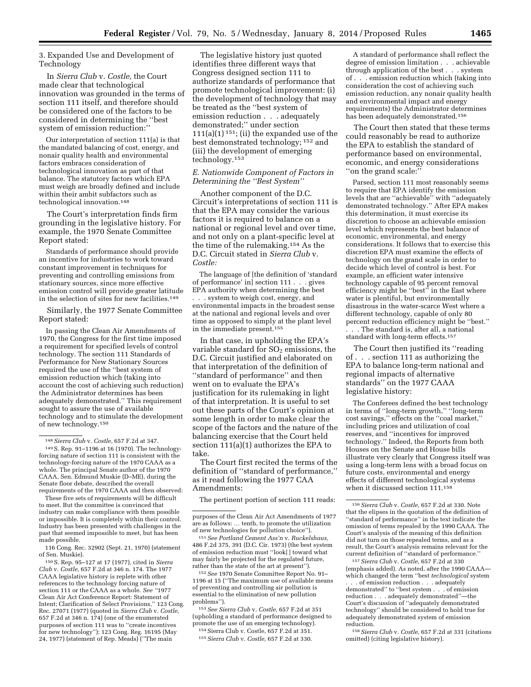3. Expanded Use and Development of Technology

In *Sierra Club* v. *Costle,* the Court made clear that technological innovation was grounded in the terms of section 111 itself, and therefore should be considered one of the factors to be considered in determining the ''best system of emission reduction:''

Our interpretation of section 111(a) is that the mandated balancing of cost, energy, and nonair quality health and environmental factors embraces consideration of technological innovation as part of that balance. The statutory factors which EPA must weigh are broadly defined and include within their ambit subfactors such as technological innovation.148

The Court's interpretation finds firm grounding in the legislative history. For example, the 1970 Senate Committee Report stated:

Standards of performance should provide an incentive for industries to work toward constant improvement in techniques for preventing and controlling emissions from stationary sources, since more effective emission control will provide greater latitude in the selection of sites for new facilities.149

Similarly, the 1977 Senate Committee Report stated:

In passing the Clean Air Amendments of 1970, the Congress for the first time imposed a requirement for specified levels of control technology. The section 111 Standards of Performance for New Stationary Sources required the use of the ''best system of emission reduction which (taking into account the cost of achieving such reduction) the Administrator determines has been adequately demonstrated.'' This requirement sought to assure the use of available technology and to stimulate the development of new technology.150

These five sets of requirements will be difficult to meet. But the committee is convinced that industry can make compliance with them possible or impossible. It is completely within their control. Industry has been presented with challenges in the past that seemed impossible to meet, but has been made possible.

116 Cong. Rec. 32902 (Sept. 21, 1970) (statement of Sen. Muskie).

150S. Rep. 95–127 at 17 (1977), cited in *Sierra Club* v. *Costle,* 657 F.2d at 346 n. 174. The 1977 CAAA legislative history is replete with other references to the technology forcing nature of section 111 or the CAAA as a whole. *See ''*1977 Clean Air Act Conference Report: Statement of Intent; Clarification of Select Provisions,'' 123 Cong. Rec. 27071 (1977) (quoted in *Sierra Club* v. *Costle,*  657 F.2d at 346 n. 174) (one of the enumerated purposes of section 111 was to ''create incentives for new technology''); 123 Cong. Reg. 16195 (May 24, 1977) (statement of Rep. Meads) (''The main

The legislative history just quoted identifies three different ways that Congress designed section 111 to authorize standards of performance that promote technological improvement: (i) the development of technology that may be treated as the ''best system of emission reduction . . . adequately demonstrated;'' under section  $111(a)(1)$ <sup>151</sup>; (ii) the expanded use of the best demonstrated technology; 152 and (iii) the development of emerging technology.153

# *E. Nationwide Component of Factors in Determining the ''Best System''*

Another component of the D.C. Circuit's interpretations of section 111 is that the EPA may consider the various factors it is required to balance on a national or regional level and over time, and not only on a plant-specific level at the time of the rulemaking.154 As the D.C. Circuit stated in *Sierra Club* v. *Costle:* 

The language of [the definition of 'standard of performance' in] section 111 . . . gives EPA authority when determining the best . . . system to weigh cost, energy, and environmental impacts in the broadest sense at the national and regional levels and over time as opposed to simply at the plant level in the immediate present.155

In that case, in upholding the EPA's variable standard for  $SO<sub>2</sub>$  emissions, the D.C. Circuit justified and elaborated on that interpretation of the definition of ''standard of performance'' and then went on to evaluate the EPA's justification for its rulemaking in light of that interpretation. It is useful to set out these parts of the Court's opinion at some length in order to make clear the scope of the factors and the nature of the balancing exercise that the Court held section 111(a)(1) authorizes the EPA to take.

The Court first recited the terms of the definition of ''standard of performance,'' as it read following the 1977 CAA Amendments:

The pertinent portion of section 111 reads:

151*See Portland Cement Ass'n* v. *Ruckelshaus,*  486 F.2d 375, 391 (D.C. Cir. 1973) (the best system of emission reduction must ''look[ ] toward what may fairly be projected for the regulated future, rather than the state of the art at present'').

152*See* 1970 Senate Committee Report No. 91– 1196 at 15 (''The maximum use of available means of preventing and controlling air pollution is essential to the elimination of new pollution problems'').

153*See Sierra Club* v. *Costle,* 657 F.2d at 351 (upholding a standard of performance designed to promote the use of an emerging technology).

154Sierra Club v. Costle, 657 F.2d at 351. 155*Sierra Club* v. *Costle,* 657 F.2d at 330.

A standard of performance shall reflect the degree of emission limitation . . . achievable through application of the best . . . system of . . . emission reduction which (taking into consideration the cost of achieving such emission reduction, any nonair quality health and environmental impact and energy requirements) the Administrator determines has been adequately demonstrated.156

The Court then stated that these terms could reasonably be read to authorize the EPA to establish the standard of performance based on environmental, economic, and energy considerations ''on the grand scale:''

Parsed, section 111 most reasonably seems to require that EPA identify the emission levels that are ''achievable'' with ''adequately demonstrated technology.'' After EPA makes this determination, it must exercise its discretion to choose an achievable emission level which represents the best balance of economic, environmental, and energy considerations. It follows that to exercise this discretion EPA must examine the effects of technology on the grand scale in order to decide which level of control is best. For example, an efficient water intensive technology capable of 95 percent removal efficiency might be ''best'' in the East where water is plentiful, but environmentally disastrous in the water-scarce West where a different technology, capable of only 80 percent reduction efficiency might be ''best.'' . . . The standard is, after all, a national standard with long-term effects.157

The Court then justified its ''reading of . . . section 111 as authorizing the EPA to balance long-term national and regional impacts of alternative standards'' on the 1977 CAAA legislative history:

The Conferees defined the best technology in terms of ''long-term growth,'' ''long-term cost savings,'' effects on the ''coal market,'' including prices and utilization of coal reserves, and ''incentives for improved technology.'' Indeed, the Reports from both Houses on the Senate and House bills illustrate very clearly that Congress itself was using a long-term lens with a broad focus on future costs, environmental and energy effects of different technological systems when it discussed section 111.<sup>158</sup>

157*Sierra Club* v. *Costle,* 657 F.2d at 330 (emphasis added). As noted, after the 1990 CAAA which changed the term ''best *technological* system

. . . of emission reduction . . . adequately demonstrated'' to ''best system . . . of emission reduction . . . adequately demonstrated''—the Court's discussion of ''adequately demonstrated technology'' should be considered to hold true for adequately demonstrated system of emission reduction.

158*Sierra Club* v. *Costle,* 657 F.2d at 331 (citations omitted) (citing legislative history).

<sup>148</sup>*Sierra Club* v. *Costle,* 657 F.2d at 347.

<sup>149</sup>S. Rep. 91–1196 at 16 (1970). The technologyforcing nature of section 111 is consistent with the technology-forcing nature of the 1970 CAAA as a whole. The principal Senate author of the 1970 CAAA, Sen. Edmund Muskie (D–ME), during the Senate floor debate, described the overall requirements of the 1970 CAAA and then observed:

purposes of the Clean Air Act Amendments of 1977 are as follows: … tenth, to promote the utilization of new technologies for pollution choice'').

<sup>156</sup>*Sierra Club* v. *Costle,* 657 F.2d at 330. Note that the elipses in the quotation of the definition of "standard of performance" in the text indicate the omission of terms repealed by the 1990 CAAA. The Court's analysis of the meaning of this definition did not turn on those repealed terms, and as a result, the Court's analysis remains relevant for the current definition of ''standard of performance.''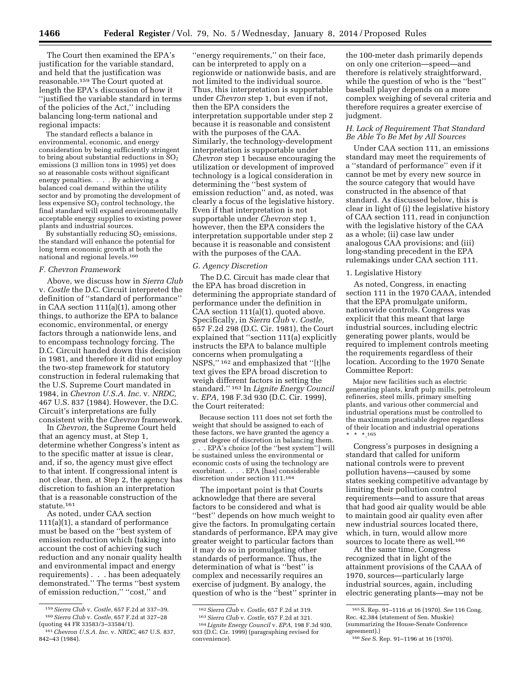The Court then examined the EPA's justification for the variable standard, and held that the justification was reasonable.159 The Court quoted at length the EPA's discussion of how it ''justified the variable standard in terms of the policies of the Act,'' including balancing long-term national and regional impacts:

The standard reflects a balance in environmental, economic, and energy consideration by being sufficiently stringent to bring about substantial reductions in  $SO<sub>2</sub>$ emissions (3 million tons in 1995) yet does so at reasonable costs without significant energy penalties. . . . By achieving a balanced coal demand within the utility sector and by promoting the development of less expensive  $SO<sub>2</sub>$  control technology, the final standard will expand environmentally acceptable energy supplies to existing power plants and industrial sources.

By substantially reducing  $SO<sub>2</sub>$  emissions, the standard will enhance the potential for long term economic growth at both the national and regional levels.160

### *F. Chevron Framework*

Above, we discuss how in *Sierra Club*  v. *Costle* the D.C. Circuit interpreted the definition of ''standard of performance'' in CAA section 111(a)(1), among other things, to authorize the EPA to balance economic, environmental, or energy factors through a nationwide lens, and to encompass technology forcing. The D.C. Circuit handed down this decision in 1981, and therefore it did not employ the two-step framework for statutory construction in federal rulemaking that the U.S. Supreme Court mandated in 1984, in *Chevron U.S.A. Inc.* v. *NRDC,*  467 U.S. 837 (1984). However, the D.C. Circuit's interpretations are fully consistent with the *Chevron* framework.

In *Chevron,* the Supreme Court held that an agency must, at Step 1, determine whether Congress's intent as to the specific matter at issue is clear, and, if so, the agency must give effect to that intent. If congressional intent is not clear, then, at Step 2, the agency has discretion to fashion an interpretation that is a reasonable construction of the statute.161

As noted, under CAA section 111(a)(1), a standard of performance must be based on the ''best system of emission reduction which (taking into account the cost of achieving such reduction and any nonair quality health and environmental impact and energy requirements) . . . has been adequately demonstrated.'' The terms ''best system of emission reduction,'' ''cost,'' and

''energy requirements,'' on their face, can be interpreted to apply on a regionwide or nationwide basis, and are not limited to the individual source. Thus, this interpretation is supportable under *Chevron* step 1, but even if not, then the EPA considers the interpretation supportable under step 2 because it is reasonable and consistent with the purposes of the CAA. Similarly, the technology-development interpretation is supportable under *Chevron* step 1 because encouraging the utilization or development of improved technology is a logical consideration in determining the ''best system of emission reduction'' and, as noted, was clearly a focus of the legislative history. Even if that interpretation is not supportable under *Chevron* step 1, however, then the EPA considers the interpretation supportable under step 2 because it is reasonable and consistent with the purposes of the CAA.

### *G. Agency Discretion*

The D.C. Circuit has made clear that the EPA has broad discretion in determining the appropriate standard of performance under the definition in CAA section 111(a)(1), quoted above. Specifically, in *Sierra Club* v. *Costle,*  657 F.2d 298 (D.C. Cir. 1981), the Court explained that ''section 111(a) explicitly instructs the EPA to balance multiple concerns when promulgating a NSPS,'' 162 and emphasized that ''[t]he text gives the EPA broad discretion to weigh different factors in setting the standard.'' 163 In *Lignite Energy Council*  v. *EPA,* 198 F.3d 930 (D.C. Cir. 1999), the Court reiterated:

Because section 111 does not set forth the weight that should be assigned to each of these factors, we have granted the agency a great degree of discretion in balancing them. . . . EPA's choice [of the ''best system''] will be sustained unless the environmental or economic costs of using the technology are exorbitant. . . . EPA [has] considerable discretion under section 111.164

The important point is that Courts acknowledge that there are several factors to be considered and what is ''best'' depends on how much weight to give the factors. In promulgating certain standards of performance, EPA may give greater weight to particular factors than it may do so in promulgating other standards of performance. Thus, the determination of what is ''best'' is complex and necessarily requires an exercise of judgment. By analogy, the question of who is the ''best'' sprinter in

the 100-meter dash primarily depends on only one criterion—speed—and therefore is relatively straightforward, while the question of who is the ''best'' baseball player depends on a more complex weighing of several criteria and therefore requires a greater exercise of judgment.

# *H. Lack of Requirement That Standard Be Able To Be Met by All Sources*

Under CAA section 111, an emissions standard may meet the requirements of a ''standard of performance'' even if it cannot be met by every new source in the source category that would have constructed in the absence of that standard. As discussed below, this is clear in light of (i) the legislative history of CAA section 111, read in conjunction with the legislative history of the CAA as a whole; (ii) case law under analogous CAA provisions; and (iii) long-standing precedent in the EPA rulemakings under CAA section 111.

## 1. Legislative History

As noted, Congress, in enacting section 111 in the 1970 CAAA, intended that the EPA promulgate uniform, nationwide controls. Congress was explicit that this meant that large industrial sources, including electric generating power plants, would be required to implement controls meeting the requirements regardless of their location. According to the 1970 Senate Committee Report:

Major new facilities such as electric generating plants, kraft pulp mills, petroleum refineries, steel mills, primary smelting plants, and various other commercial and industrial operations must be controlled to the maximum practicable degree regardless of their location and industrial operations  $* 165$ 

Congress's purposes in designing a standard that called for uniform national controls were to prevent pollution havens—caused by some states seeking competitive advantage by limiting their pollution control requirements—and to assure that areas that had good air quality would be able to maintain good air quality even after new industrial sources located there, which, in turn, would allow more sources to locate there as well.<sup>166</sup>

At the same time, Congress recognized that in light of the attainment provisions of the CAAA of 1970, sources—particularly large industrial sources, again, including electric generating plants—may not be

<sup>159</sup>*Sierra Club* v. *Costle,* 657 F.2d at 337–39. 160*Sierra Club* v. *Costle,* 657 F.2d at 327–28 (quoting 44 FR 33583/3–33584/1).

<sup>161</sup>*Chevron U.S.A. Inc.* v. *NRDC,* 467 U.S. 837, 842–43 (1984).

<sup>162</sup>*Sierra Club* v. *Costle,* 657 F.2d at 319. 163*Sierra Club* v. *Costle,* 657 F.2d at 321. 164 *Lignite Energy Council* v. *EPA,* 198 F.3d 930, 933 (D.C. Cir. 1999) (paragraphing revised for convenience).

<sup>165</sup>S. Rep. 91–1116 at 16 (1970). *See* 116 Cong. Rec. 42,384 (statement of Sen. Muskie) (summarizing the House-Senate Conference agreement).)

<sup>166</sup>*See* S. Rep. 91–1196 at 16 (1970).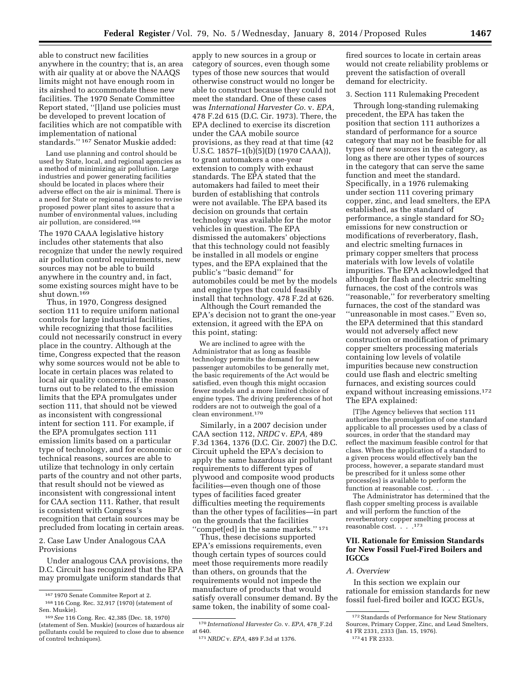able to construct new facilities anywhere in the country; that is, an area with air quality at or above the NAAQS limits might not have enough room in its airshed to accommodate these new facilities. The 1970 Senate Committee Report stated, ''[l]and use policies must be developed to prevent location of facilities which are not compatible with implementation of national standards.'' 167 Senator Muskie added:

Land use planning and control should be used by State, local, and regional agencies as a method of minimizing air pollution. Large

industries and power generating facilities should be located in places where their adverse effect on the air is minimal. There is a need for State or regional agencies to revise proposed power plant sites to assure that a number of environmental values, including air pollution, are considered.168

The 1970 CAAA legislative history includes other statements that also recognize that under the newly required air pollution control requirements, new sources may not be able to build anywhere in the country and, in fact, some existing sources might have to be shut down.<sup>169</sup>

Thus, in 1970, Congress designed section 111 to require uniform national controls for large industrial facilities, while recognizing that those facilities could not necessarily construct in every place in the country. Although at the time, Congress expected that the reason why some sources would not be able to locate in certain places was related to local air quality concerns, if the reason turns out to be related to the emission limits that the EPA promulgates under section 111, that should not be viewed as inconsistent with congressional intent for section 111. For example, if the EPA promulgates section 111 emission limits based on a particular type of technology, and for economic or technical reasons, sources are able to utilize that technology in only certain parts of the country and not other parts, that result should not be viewed as inconsistent with congressional intent for CAA section 111. Rather, that result is consistent with Congress's recognition that certain sources may be precluded from locating in certain areas.

2. Case Law Under Analogous CAA Provisions

Under analogous CAA provisions, the D.C. Circuit has recognized that the EPA may promulgate uniform standards that

apply to new sources in a group or category of sources, even though some types of those new sources that would otherwise construct would no longer be able to construct because they could not meet the standard. One of these cases was *International Harvester Co.* v. *EPA,*  478 F.2d 615 (D.C. Cir. 1973). There, the EPA declined to exercise its discretion under the CAA mobile source provisions, as they read at that time (42 U.S.C. 1857f–1(b)(5)(D) (1970 CAAA)), to grant automakers a one-year extension to comply with exhaust standards. The EPA stated that the automakers had failed to meet their burden of establishing that controls were not available. The EPA based its decision on grounds that certain technology was available for the motor vehicles in question. The EPA dismissed the automakers' objections that this technology could not feasibly be installed in all models or engine types, and the EPA explained that the public's ''basic demand'' for automobiles could be met by the models and engine types that could feasibly install that technology. 478 F.2d at 626.

Although the Court remanded the EPA's decision not to grant the one-year extension, it agreed with the EPA on this point, stating:

We are inclined to agree with the Administrator that as long as feasible technology permits the demand for new passenger automobiles to be generally met, the basic requirements of the Act would be satisfied, even though this might occasion fewer models and a more limited choice of engine types. The driving preferences of hot rodders are not to outweigh the goal of a clean environment.170

Similarly, in a 2007 decision under CAA section 112, *NRDC* v. *EPA,* 489 F.3d 1364, 1376 (D.C. Cir. 2007) the D.C. Circuit upheld the EPA's decision to apply the same hazardous air pollutant requirements to different types of plywood and composite wood products facilities—even though one of those types of facilities faced greater difficulties meeting the requirements than the other types of facilities—in part on the grounds that the facilities "compet[ed] in the same markets."<sup>171</sup>

Thus, these decisions supported EPA's emissions requirements, even though certain types of sources could meet those requirements more readily than others, on grounds that the requirements would not impede the manufacture of products that would satisfy overall consumer demand. By the same token, the inability of some coal-

fired sources to locate in certain areas would not create reliability problems or prevent the satisfaction of overall demand for electricity.

# 3. Section 111 Rulemaking Precedent

Through long-standing rulemaking precedent, the EPA has taken the position that section 111 authorizes a standard of performance for a source category that may not be feasible for all types of new sources in the category, as long as there are other types of sources in the category that can serve the same function and meet the standard. Specifically, in a 1976 rulemaking under section 111 covering primary copper, zinc, and lead smelters, the EPA established, as the standard of performance, a single standard for  $SO<sub>2</sub>$ emissions for new construction or modifications of reverberatory, flash, and electric smelting furnaces in primary copper smelters that process materials with low levels of volatile impurities. The EPA acknowledged that although for flash and electric smelting furnaces, the cost of the controls was ''reasonable,'' for reverberatory smelting furnaces, the cost of the standard was ''unreasonable in most cases.'' Even so, the EPA determined that this standard would not adversely affect new construction or modification of primary copper smelters processing materials containing low levels of volatile impurities because new construction could use flash and electric smelting furnaces, and existing sources could expand without increasing emissions.172 The EPA explained:

[T]he Agency believes that section 111 authorizes the promulgation of one standard applicable to all processes used by a class of sources, in order that the standard may reflect the maximum feasible control for that class. When the application of a standard to a given process would effectively ban the process, however, a separate standard must be prescribed for it unless some other process(es) is available to perform the function at reasonable cost. . .

The Administrator has determined that the flash copper smelting process is available and will perform the function of the reverberatory copper smelting process at reasonable cost....173

# **VII. Rationale for Emission Standards for New Fossil Fuel-Fired Boilers and IGCCs**

### *A. Overview*

In this section we explain our rationale for emission standards for new fossil fuel-fired boiler and IGCC EGUs,

<sup>167</sup> 1970 Senate Commitee Report at 2.

<sup>168</sup> 116 Cong. Rec. 32,917 (1970) (statement of Sen. Muskie).

<sup>169</sup>*See* 116 Cong. Rec. 42,385 (Dec. 18, 1970) (statement of Sen. Muskie) (sources of hazardous air pollutants could be required to close due to absence of control techniques).

<sup>170</sup> *International Harvester Co.* v. *EPA,* 478\_F.2d at 640.

<sup>171</sup>*NRDC* v. *EPA,* 489 F.3d at 1376.

 $^{\rm 172}$  Standards of Performance for New Stationary Sources, Primary Copper, Zinc, and Lead Smelters, 41 FR 2331, 2333 (Jan. 15, 1976).

<sup>173</sup> 41 FR 2333.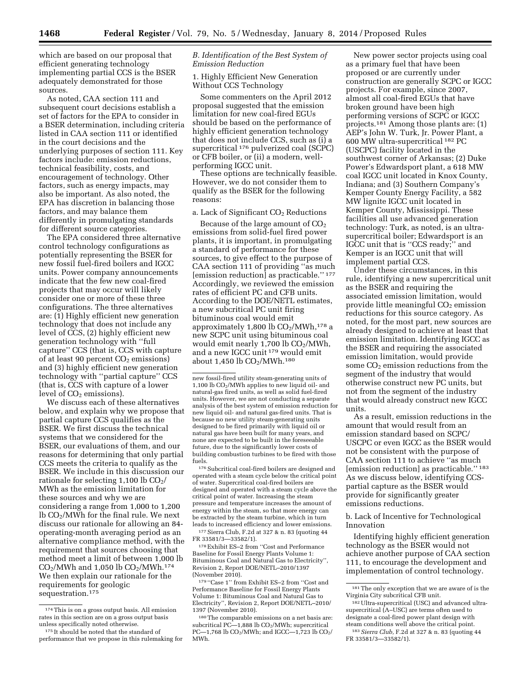which are based on our proposal that efficient generating technology implementing partial CCS is the BSER adequately demonstrated for those sources.

As noted, CAA section 111 and subsequent court decisions establish a set of factors for the EPA to consider in a BSER determination, including criteria listed in CAA section 111 or identified in the court decisions and the underlying purposes of section 111. Key factors include: emission reductions, technical feasibility, costs, and encouragement of technology. Other factors, such as energy impacts, may also be important. As also noted, the EPA has discretion in balancing those factors, and may balance them differently in promulgating standards for different source categories.

The EPA considered three alternative control technology configurations as potentially representing the BSER for new fossil fuel-fired boilers and IGCC units. Power company announcements indicate that the few new coal-fired projects that may occur will likely consider one or more of these three configurations. The three alternatives are: (1) Highly efficient new generation technology that does not include any level of CCS, (2) highly efficient new generation technology with ''full capture'' CCS (that is, CCS with capture of at least 90 percent  $CO<sub>2</sub>$  emissions) and (3) highly efficient new generation technology with ''partial capture'' CCS (that is, CCS with capture of a lower level of  $CO<sub>2</sub>$  emissions).

We discuss each of these alternatives below, and explain why we propose that partial capture CCS qualifies as the BSER. We first discuss the technical systems that we considered for the BSER, our evaluations of them, and our reasons for determining that only partial CCS meets the criteria to qualify as the BSER. We include in this discussion our rationale for selecting  $1,100$  lb  $CO<sub>2</sub>/$ MWh as the emission limitation for these sources and why we are considering a range from 1,000 to 1,200 lb  $CO<sub>2</sub>/MWh$  for the final rule. We next discuss our rationale for allowing an 84 operating-month averaging period as an alternative compliance method, with the requirement that sources choosing that method meet a limit of between 1,000 lb  $CO<sub>2</sub>/MWh$  and 1,050 lb  $CO<sub>2</sub>/MWh.<sup>174</sup>$ We then explain our rationale for the requirements for geologic sequestration.<sup>175</sup>

# *B. Identification of the Best System of Emission Reduction*

1. Highly Efficient New Generation Without CCS Technology

Some commenters on the April 2012 proposal suggested that the emission limitation for new coal-fired EGUs should be based on the performance of highly efficient generation technology that does not include CCS, such as (i) a supercritical 176 pulverized coal (SCPC) or CFB boiler, or (ii) a modern, wellperforming IGCC unit.

These options are technically feasible. However, we do not consider them to qualify as the BSER for the following reasons:

a. Lack of Significant  $CO<sub>2</sub>$  Reductions

Because of the large amount of  $CO<sub>2</sub>$ emissions from solid-fuel fired power plants, it is important, in promulgating a standard of performance for these sources, to give effect to the purpose of CAA section 111 of providing ''as much [emission reduction] as practicable.'' 177 Accordingly, we reviewed the emission rates of efficient PC and CFB units. According to the DOE/NETL estimates, a new subcritical PC unit firing bituminous coal would emit approximately  $1,800$  lb  $CO<sub>2</sub>/MWh,$ <sup>178</sup> a new SCPC unit using bituminous coal would emit nearly  $1,700$  lb  $CO<sub>2</sub>/MWh$ , and a new IGCC unit 179 would emit about 1,450 lb  $\rm CO_2/MWh.^{180}$ 

new fossil-fired utility steam-generating units of 1,100 lb CO2/MWh applies to new liquid oil- and natural-gas fired units, as well as solid fuel-fired units. However, we are not conducting a separate analysis of the best system of emission reduction for new liquid oil- and natural gas-fired units. That is because no new utility steam-generating units designed to be fired primarily with liquid oil or natural gas have been built for many years, and none are expected to be built in the foreseeable future, due to the significantly lower costs of building combustion turbines to be fired with those fuels.

176 Subcritical coal-fired boilers are designed and operated with a steam cycle below the critical point of water. Supercritical coal-fired boilers are designed and operated with a steam cycle above the critical point of water. Increasing the steam pressure and temperature increases the amount of energy within the steam, so that more energy can be extracted by the steam turbine, which in turn leads to increased efficiency and lower emissions.

177Sierra Club, F.2d at 327 & n. 83 (quoting 44 FR 33581/3—33582/1).

178Exhibit ES–2 from ''Cost and Performance Baseline for Fossil Energy Plants Volume 1: Bituminous Coal and Natural Gas to Electricity'', Revision 2, Report DOE/NETL–2010/1397 (November 2010).

 $^{179\,\textrm{''}}$  Case 1'' from Exhibit ES–2 from ''Cost and Performance Baseline for Fossil Energy Plants Volume 1: Bituminous Coal and Natural Gas to Electricity'', Revision 2, Report DOE/NETL–2010/ 1397 (November 2010).

New power sector projects using coal as a primary fuel that have been proposed or are currently under construction are generally SCPC or IGCC projects. For example, since 2007, almost all coal-fired EGUs that have broken ground have been high performing versions of SCPC or IGCC projects.181 Among those plants are: (1) AEP's John W. Turk, Jr. Power Plant, a 600 MW ultra-supercritical 182 PC (USCPC) facility located in the southwest corner of Arkansas; (2) Duke Power's Edwardsport plant, a 618 MW coal IGCC unit located in Knox County, Indiana; and (3) Southern Company's Kemper County Energy Facility, a 582 MW lignite IGCC unit located in Kemper County, Mississippi. These facilities all use advanced generation technology: Turk, as noted, is an ultrasupercritical boiler; Edwardsport is an IGCC unit that is ''CCS ready;'' and Kemper is an IGCC unit that will implement partial CCS.

Under these circumstances, in this rule, identifying a new supercritical unit as the BSER and requiring the associated emission limitation, would provide little meaningful  $CO<sub>2</sub>$  emission reductions for this source category. As noted, for the most part, new sources are already designed to achieve at least that emission limitation. Identifying IGCC as the BSER and requiring the associated emission limitation, would provide some  $CO<sub>2</sub>$  emission reductions from the segment of the industry that would otherwise construct new PC units, but not from the segment of the industry that would already construct new IGCC units.

As a result, emission reductions in the amount that would result from an emission standard based on SCPC/ USCPC or even IGCC as the BSER would not be consistent with the purpose of CAA section 111 to achieve ''as much [emission reduction] as practicable.'' 183 As we discuss below, identifying CCSpartial capture as the BSER would provide for significantly greater emissions reductions.

b. Lack of Incentive for Technological Innovation

Identifying highly efficient generation technology as the BSER would not achieve another purpose of CAA section 111, to encourage the development and implementation of control technology.

<sup>174</sup>This is on a gross output basis. All emission rates in this section are on a gross output basis unless specifically noted otherwise.

<sup>175</sup> It should be noted that the standard of performance that we propose in this rulemaking for

<sup>180</sup>The comparable emissions on a net basis are: subcritical PC $-1,888$  lb CO<sub>2</sub>/MWh; supercritical PC—1,768 lb CO<sub>2</sub>/MWh; and IGCC—1,723 lb CO<sub>2</sub>/ MWh.

<sup>181</sup>The only exception that we are aware of is the Virginia City subcritical CFB unit.

<sup>182</sup>Ultra-supercritical (USC) and advanced ultrasupercritical (A–USC) are terms often used to designate a coal-fired power plant design with steam conditions well above the critical point.

<sup>183</sup>*Sierra Club,* F.2d at 327 & n. 83 (quoting 44 FR 33581/3—33582/1).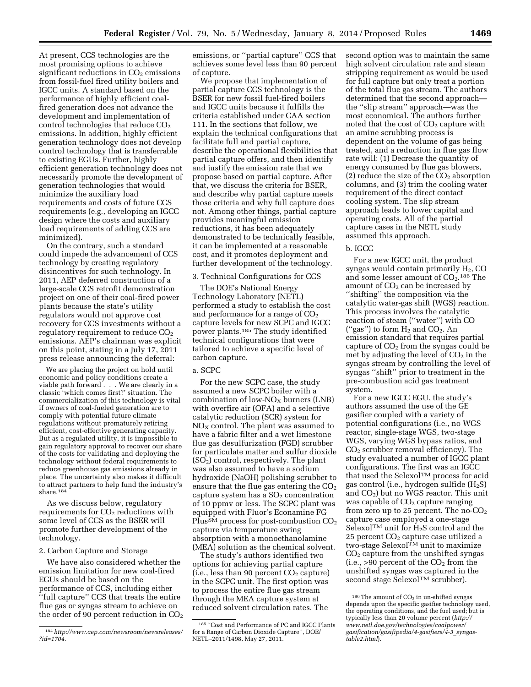At present, CCS technologies are the most promising options to achieve significant reductions in  $CO<sub>2</sub>$  emissions from fossil-fuel fired utility boilers and IGCC units. A standard based on the performance of highly efficient coalfired generation does not advance the development and implementation of control technologies that reduce  $CO<sub>2</sub>$ emissions. In addition, highly efficient generation technology does not develop control technology that is transferrable to existing EGUs. Further, highly efficient generation technology does not necessarily promote the development of generation technologies that would minimize the auxiliary load requirements and costs of future CCS requirements (e.g., developing an IGCC design where the costs and auxiliary load requirements of adding CCS are minimized).

On the contrary, such a standard could impede the advancement of CCS technology by creating regulatory disincentives for such technology. In 2011, AEP deferred construction of a large-scale CCS retrofit demonstration project on one of their coal-fired power plants because the state's utility regulators would not approve cost recovery for CCS investments without a regulatory requirement to reduce  $CO<sub>2</sub>$ emissions. AEP's chairman was explicit on this point, stating in a July 17, 2011 press release announcing the deferral:

We are placing the project on hold until economic and policy conditions create a viable path forward . . . We are clearly in a classic 'which comes first?' situation. The commercialization of this technology is vital if owners of coal-fueled generation are to comply with potential future climate regulations without prematurely retiring efficient, cost-effective generating capacity. But as a regulated utility, it is impossible to gain regulatory approval to recover our share of the costs for validating and deploying the technology without federal requirements to reduce greenhouse gas emissions already in place. The uncertainty also makes it difficult to attract partners to help fund the industry's share.184

As we discuss below, regulatory requirements for  $CO<sub>2</sub>$  reductions with some level of CCS as the BSER will promote further development of the technology.

## 2. Carbon Capture and Storage

We have also considered whether the emission limitation for new coal-fired EGUs should be based on the performance of CCS, including either ''full capture'' CCS that treats the entire flue gas or syngas stream to achieve on the order of 90 percent reduction in  $CO<sub>2</sub>$  emissions, or ''partial capture'' CCS that achieves some level less than 90 percent of capture.

We propose that implementation of partial capture CCS technology is the BSER for new fossil fuel-fired boilers and IGCC units because it fulfills the criteria established under CAA section 111. In the sections that follow, we explain the technical configurations that facilitate full and partial capture, describe the operational flexibilities that partial capture offers, and then identify and justify the emission rate that we propose based on partial capture. After that, we discuss the criteria for BSER, and describe why partial capture meets those criteria and why full capture does not. Among other things, partial capture provides meaningful emission reductions, it has been adequately demonstrated to be technically feasible, it can be implemented at a reasonable cost, and it promotes deployment and further development of the technology.

# 3. Technical Configurations for CCS

The DOE's National Energy Technology Laboratory (NETL) performed a study to establish the cost and performance for a range of  $CO<sub>2</sub>$ capture levels for new SCPC and IGCC power plants.185 The study identified technical configurations that were tailored to achieve a specific level of carbon capture.

# a. SCPC

For the new SCPC case, the study assumed a new SCPC boiler with a combination of low- $NO<sub>X</sub>$  burners (LNB) with overfire air (OFA) and a selective catalytic reduction (SCR) system for  $NO<sub>X</sub>$  control. The plant was assumed to have a fabric filter and a wet limestone flue gas desulfurization (FGD) scrubber for particulate matter and sulfur dioxide  $(SO<sub>2</sub>)$  control, respectively. The plant was also assumed to have a sodium hydroxide (NaOH) polishing scrubber to ensure that the flue gas entering the  $CO<sub>2</sub>$ capture system has a  $SO<sub>2</sub>$  concentration of 10 ppmv or less. The SCPC plant was equipped with Fluor's Econamine FG Plus<sup>SM</sup> process for post-combustion CO<sub>2</sub> capture via temperature swing absorption with a monoethanolamine (MEA) solution as the chemical solvent.

The study's authors identified two options for achieving partial capture  $(i.e., less than 90 percent CO<sub>2</sub> capture)$ in the SCPC unit. The first option was to process the entire flue gas stream through the MEA capture system at reduced solvent circulation rates. The

second option was to maintain the same high solvent circulation rate and steam stripping requirement as would be used for full capture but only treat a portion of the total flue gas stream. The authors determined that the second approach the ''slip stream'' approach—was the most economical. The authors further noted that the cost of  $CO<sub>2</sub>$  capture with an amine scrubbing process is dependent on the volume of gas being treated, and a reduction in flue gas flow rate will: (1) Decrease the quantity of energy consumed by flue gas blowers, (2) reduce the size of the  $CO<sub>2</sub>$  absorption columns, and (3) trim the cooling water requirement of the direct contact cooling system. The slip stream approach leads to lower capital and operating costs. All of the partial capture cases in the NETL study assumed this approach.

## b. IGCC

For a new IGCC unit, the product syngas would contain primarily  $H_2$ , CO and some lesser amount of  $CO<sub>2</sub>$ .<sup>186</sup> The amount of  $CO<sub>2</sub>$  can be increased by ''shifting'' the composition via the catalytic water-gas shift (WGS) reaction. This process involves the catalytic reaction of steam (''water'') with CO ("gas") to form  $H_2$  and  $CO_2$ . An emission standard that requires partial capture of  $CO<sub>2</sub>$  from the syngas could be met by adjusting the level of  $CO<sub>2</sub>$  in the syngas stream by controlling the level of syngas ''shift'' prior to treatment in the pre-combustion acid gas treatment system.

For a new IGCC EGU, the study's authors assumed the use of the GE gasifier coupled with a variety of potential configurations (i.e., no WGS reactor, single-stage WGS, two-stage WGS, varying WGS bypass ratios, and CO2 scrubber removal efficiency). The study evaluated a number of IGCC plant configurations. The first was an IGCC that used the SelexolTM process for acid gas control (i.e., hydrogen sulfide  $(H_2S)$ and  $CO<sub>2</sub>$ ) but no WGS reactor. This unit was capable of  $CO<sub>2</sub>$  capture ranging from zero up to 25 percent. The no- $CO<sub>2</sub>$ capture case employed a one-stage Selexol<sup>TM</sup> unit for  $H_2S$  control and the 25 percent CO<sub>2</sub> capture case utilized a  $two$ -stage Selexol $\overline{M}$  unit to maximize CO2 capture from the unshifted syngas  $(i.e., >90$  percent of the  $CO<sub>2</sub>$  from the unshifted syngas was captured in the second stage Selexol<sup>TM</sup> scrubber).

<sup>184</sup>*[http://www.aep.com/newsroom/newsreleases/](http://www.aep.com/newsroom/newsreleases/?id=1704) [?id=1704.](http://www.aep.com/newsroom/newsreleases/?id=1704)* 

<sup>185</sup> ''Cost and Performance of PC and IGCC Plants for a Range of Carbon Dioxide Capture'', DOE/ NETL–2011/1498, May 27, 2011.

 $186$  The amount of  $CO<sub>2</sub>$  in un-shifted syngas depends upon the specific gasifier technology used, the operating conditions, and the fuel used; but is typically less than 20 volume percent (*[http://](http://www.netl.doe.gov/technologies/coalpower/gasification/gasifipedia/4-gasifiers/4-3_syngas-table2.html) [www.netl.doe.gov/technologies/coalpower/](http://www.netl.doe.gov/technologies/coalpower/gasification/gasifipedia/4-gasifiers/4-3_syngas-table2.html) [gasification/gasifipedia/4-gasifiers/4-3](http://www.netl.doe.gov/technologies/coalpower/gasification/gasifipedia/4-gasifiers/4-3_syngas-table2.html)*\_*syngas[table2.html](http://www.netl.doe.gov/technologies/coalpower/gasification/gasifipedia/4-gasifiers/4-3_syngas-table2.html)*).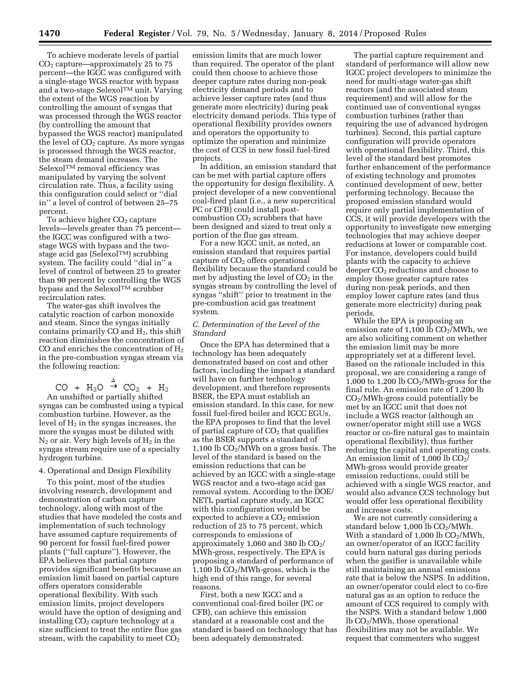To achieve moderate levels of partial  $CO<sub>2</sub>$  capture—approximately 25 to 75 percent—the IGCC was configured with a single-stage WGS reactor with bypass and a two-stage SelexolTM unit. Varying the extent of the WGS reaction by controlling the amount of syngas that was processed through the WGS reactor (by controlling the amount that bypassed the WGS reactor) manipulated the level of  $CO<sub>2</sub>$  capture. As more syngas is processed through the WGS reactor, the steam demand increases. The SelexolTM removal efficiency was manipulated by varying the solvent circulation rate. Thus, a facility using this configuration could select or ''dial in'' a level of control of between 25–75 percent.

To achieve higher  $CO<sub>2</sub>$  capture levels—levels greater than 75 percent the IGCC was configured with a twostage WGS with bypass and the twostage acid gas (SelexolTM) scrubbing system. The facility could ''dial in'' a level of control of between 25 to greater than 90 percent by controlling the WGS bypass and the Selexol™ scrubber recirculation rates.

The water-gas shift involves the catalytic reaction of carbon monoxide and steam. Since the syngas initially contains primarily CO and  $H_2$ , this shift reaction diminishes the concentration of CO and enriches the concentration of  $H_2$ in the pre-combustion syngas stream via the following reaction:

 $CO + H_2O \stackrel{\Delta}{\rightarrow} CO_2 + H_2$ <br>An unshifted or partially shifted syngas can be combusted using a typical combustion turbine. However, as the level of  $H_2$  in the syngas increases, the more the syngas must be diluted with  $N_2$  or air. Very high levels of  $H_2$  in the syngas stream require use of a specialty hydrogen turbine.

# 4. Operational and Design Flexibility

To this point, most of the studies involving research, development and demonstration of carbon capture technology, along with most of the studies that have modeled the costs and implementation of such technology have assumed capture requirements of 90 percent for fossil fuel-fired power plants (''full capture''). However, the EPA believes that partial capture provides significant benefits because an emission limit based on partial capture offers operators considerable operational flexibility. With such emission limits, project developers would have the option of designing and installing  $CO<sub>2</sub>$  capture technology at a size sufficient to treat the entire flue gas stream, with the capability to meet  $CO<sub>2</sub>$ 

emission limits that are much lower than required. The operator of the plant could then choose to achieve those deeper capture rates during non-peak electricity demand periods and to achieve lesser capture rates (and thus generate more electricity) during peak electricity demand periods. This type of operational flexibility provides owners and operators the opportunity to optimize the operation and minimize the cost of CCS in new fossil fuel-fired projects.

In addition, an emission standard that can be met with partial capture offers the opportunity for design flexibility. A project developer of a new conventional coal-fired plant (i.e., a new supercritical PC or CFB) could install postcombustion  $CO<sub>2</sub>$  scrubbers that have been designed and sized to treat only a portion of the flue gas stream.

For a new IGCC unit, as noted, an emission standard that requires partial capture of  $CO<sub>2</sub>$  offers operational flexibility because the standard could be met by adjusting the level of  $CO<sub>2</sub>$  in the syngas stream by controlling the level of syngas ''shift'' prior to treatment in the pre-combustion acid gas treatment system.

# *C. Determination of the Level of the Standard*

Once the EPA has determined that a technology has been adequately demonstrated based on cost and other factors, including the impact a standard will have on further technology development, and therefore represents BSER, the EPA must establish an emission standard. In this case, for new fossil fuel-fired boiler and IGCC EGUs, the EPA proposes to find that the level of partial capture of  $CO<sub>2</sub>$  that qualifies as the BSER supports a standard of 1,100 lb  $CO<sub>2</sub>/MWh$  on a gross basis. The level of the standard is based on the emission reductions that can be achieved by an IGCC with a single-stage WGS reactor and a two-stage acid gas removal system. According to the DOE/ NETL partial capture study, an IGCC with this configuration would be expected to achieve a  $CO<sub>2</sub>$  emission reduction of 25 to 75 percent, which corresponds to emissions of approximately 1,060 and 380 lb  $CO<sub>2</sub>/$ MWh-gross, respectively. The EPA is proposing a standard of performance of 1,100 lb  $CO<sub>2</sub>/MWh-gross$ , which is the high end of this range, for several reasons.

First, both a new IGCC and a conventional coal-fired boiler (PC or CFB), can achieve this emission standard at a reasonable cost and the standard is based on technology that has been adequately demonstrated.

The partial capture requirement and standard of performance will allow new IGCC project developers to minimize the need for multi-stage water-gas shift reactors (and the associated steam requirement) and will allow for the continued use of conventional syngas combustion turbines (rather than requiring the use of advanced hydrogen turbines). Second, this partial capture configuration will provide operators with operational flexibility. Third, this level of the standard best promotes further enhancement of the performance of existing technology and promotes continued development of new, better performing technology. Because the proposed emission standard would require only partial implementation of CCS, it will provide developers with the opportunity to investigate new emerging technologies that may achieve deeper reductions at lower or comparable cost. For instance, developers could build plants with the capacity to achieve deeper CO<sub>2</sub> reductions and choose to employ those greater capture rates during non-peak periods, and then employ lower capture rates (and thus generate more electricity) during peak periods.

While the EPA is proposing an emission rate of  $1,100$  lb  $CO<sub>2</sub>/MWh$ , we are also soliciting comment on whether the emission limit may be more appropriately set at a different level. Based on the rationale included in this proposal, we are considering a range of 1,000 to 1,200 lb  $CO<sub>2</sub>/MWh-gross$  for the final rule. An emission rate of 1,200 lb  $CO<sub>2</sub>/MWh-gross could potentially be$ met by an IGCC unit that does not include a WGS reactor (although an owner/operator might still use a WGS reactor or co-fire natural gas to maintain operational flexibility), thus further reducing the capital and operating costs. An emission limit of  $1,000$  lb  $CO<sub>2</sub>/$ MWh-gross would provide greater emission reductions, could still be achieved with a single WGS reactor, and would also advance CCS technology but would offer less operational flexibility and increase costs.

We are not currently considering a standard below  $1,000$  lb  $CO<sub>2</sub>/MWh$ . With a standard of 1,000 lb  $CO<sub>2</sub>/MWh$ , an owner/operator of an IGCC facility could burn natural gas during periods when the gasifier is unavailable while still maintaining an annual emissions rate that is below the NSPS. In addition, an owner/operator could elect to co-fire natural gas as an option to reduce the amount of CCS required to comply with the NSPS. With a standard below 1,000 lb CO2/MWh, those operational flexibilities may not be available. We request that commenters who suggest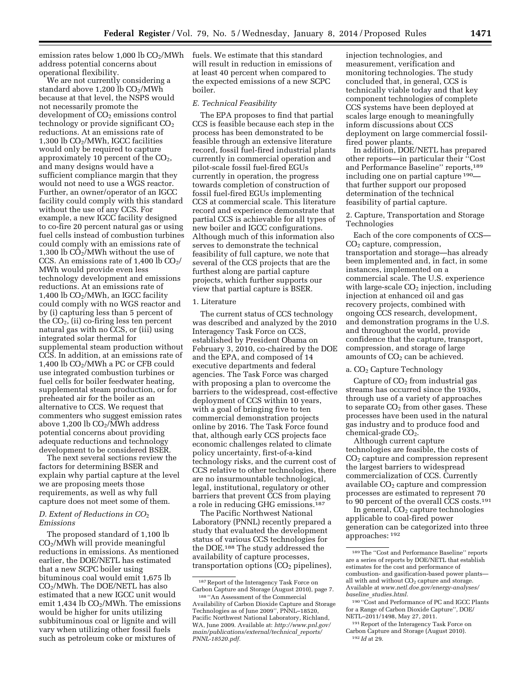emission rates below  $1,000$  lb  $CO<sub>2</sub>/MWh$ address potential concerns about operational flexibility.

We are not currently considering a standard above  $1,200$  lb  $CO<sub>2</sub>/MWh$ because at that level, the NSPS would not necessarily promote the development of CO<sub>2</sub> emissions control technology or provide significant  $CO<sub>2</sub>$ reductions. At an emissions rate of 1,300 lb  $CO<sub>2</sub>/MWh$ , IGCC facilities would only be required to capture approximately 10 percent of the CO2, and many designs would have a sufficient compliance margin that they would not need to use a WGS reactor. Further, an owner/operator of an IGCC facility could comply with this standard without the use of any CCS. For example, a new IGCC facility designed to co-fire 20 percent natural gas or using fuel cells instead of combustion turbines could comply with an emissions rate of 1,300 lb  $\overline{CO_2}/MWh$  without the use of CCS. An emissions rate of  $1,400 \text{ lb } CO_2$ / MWh would provide even less technology development and emissions reductions. At an emissions rate of 1,400 lb  $CO<sub>2</sub>/MWh$ , an IGCC facility could comply with no WGS reactor and by (i) capturing less than 5 percent of the  $CO<sub>2</sub>$ , (ii) co-firing less ten percent natural gas with no CCS, or (iii) using integrated solar thermal for supplemental steam production without CCS. In addition, at an emissions rate of 1,400 lb CO<sub>2</sub>/MWh a PC or CFB could use integrated combustion turbines or fuel cells for boiler feedwater heating, supplemental steam production, or for preheated air for the boiler as an alternative to CCS. We request that commenters who suggest emission rates above 1,200 lb  $CO<sub>2</sub>/\widetilde{M}Wh$  address potential concerns about providing adequate reductions and technology development to be considered BSER.

The next several sections review the factors for determining BSER and explain why partial capture at the level we are proposing meets those requirements, as well as why full capture does not meet some of them.

# *D. Extent of Reductions in CO*2 *Emissions*

The proposed standard of 1,100 lb CO2/MWh will provide meaningful reductions in emissions. As mentioned earlier, the DOE/NETL has estimated that a new SCPC boiler using bituminous coal would emit 1,675 lb CO2/MWh. The DOE/NETL has also estimated that a new IGCC unit would emit 1,434 lb  $CO<sub>2</sub>/MWh$ . The emissions would be higher for units utilizing subbituminous coal or lignite and will vary when utilizing other fossil fuels such as petroleum coke or mixtures of

fuels. We estimate that this standard will result in reduction in emissions of at least 40 percent when compared to the expected emissions of a new SCPC boiler.

## *E. Technical Feasibility*

The EPA proposes to find that partial CCS is feasible because each step in the process has been demonstrated to be feasible through an extensive literature record, fossil fuel-fired industrial plants currently in commercial operation and pilot-scale fossil fuel-fired EGUs currently in operation, the progress towards completion of construction of fossil fuel-fired EGUs implementing CCS at commercial scale. This literature record and experience demonstrate that partial CCS is achievable for all types of new boiler and IGCC configurations. Although much of this information also serves to demonstrate the technical feasibility of full capture, we note that several of the CCS projects that are the furthest along are partial capture projects, which further supports our view that partial capture is BSER.

#### 1. Literature

The current status of CCS technology was described and analyzed by the 2010 Interagency Task Force on CCS, established by President Obama on February 3, 2010, co-chaired by the DOE and the EPA, and composed of 14 executive departments and federal agencies. The Task Force was charged with proposing a plan to overcome the barriers to the widespread, cost-effective deployment of CCS within 10 years, with a goal of bringing five to ten commercial demonstration projects online by 2016. The Task Force found that, although early CCS projects face economic challenges related to climate policy uncertainty, first-of-a-kind technology risks, and the current cost of CCS relative to other technologies, there are no insurmountable technological, legal, institutional, regulatory or other barriers that prevent CCS from playing a role in reducing GHG emissions.187

The Pacific Northwest National Laboratory (PNNL) recently prepared a study that evaluated the development status of various CCS technologies for the DOE.188 The study addressed the availability of capture processes, transportation options (CO<sub>2</sub> pipelines), injection technologies, and measurement, verification and monitoring technologies. The study concluded that, in general, CCS is technically viable today and that key component technologies of complete CCS systems have been deployed at scales large enough to meaningfully inform discussions about CCS deployment on large commercial fossilfired power plants.

In addition, DOE/NETL has prepared other reports—in particular their ''Cost and Performance Baseline'' reports,189 including one on partial capture 190 that further support our proposed determination of the technical feasibility of partial capture.

2. Capture, Transportation and Storage Technologies

Each of the core components of CCS— CO2 capture, compression, transportation and storage—has already been implemented and, in fact, in some instances, implemented on a commercial scale. The U.S. experience with large-scale  $CO<sub>2</sub>$  injection, including injection at enhanced oil and gas recovery projects, combined with ongoing CCS research, development, and demonstration programs in the U.S. and throughout the world, provide confidence that the capture, transport, compression, and storage of large amounts of  $CO<sub>2</sub>$  can be achieved.

#### a. CO<sub>2</sub> Capture Technology

Capture of  $CO<sub>2</sub>$  from industrial gas streams has occurred since the 1930s, through use of a variety of approaches to separate  $CO<sub>2</sub>$  from other gases. These processes have been used in the natural gas industry and to produce food and chemical-grade  $CO<sub>2</sub>$ .

Although current capture technologies are feasible, the costs of CO2 capture and compression represent the largest barriers to widespread commercialization of CCS. Currently available  $CO<sub>2</sub>$  capture and compression processes are estimated to represent 70 to 90 percent of the overall CCS costs.191

In general,  $CO<sub>2</sub>$  capture technologies applicable to coal-fired power generation can be categorized into three approaches: 192

<sup>187</sup>Report of the Interagency Task Force on Carbon Capture and Storage (August 2010), page 7.

<sup>188</sup> ''An Assessment of the Commercial Availability of Carbon Dioxide Capture and Storage Technologies as of June 2009'', PNNL–18520, Pacific Northwest National Laboratory, Richland, WA, June 2009. Available at: *[http://www.pnl.gov/](http://www.pnl.gov/main/publications/external/technical_reports/PNNL-18520.pdf) [main/publications/external/technical](http://www.pnl.gov/main/publications/external/technical_reports/PNNL-18520.pdf)*\_*reports/ [PNNL-18520.pdf.](http://www.pnl.gov/main/publications/external/technical_reports/PNNL-18520.pdf)* 

<sup>189</sup>The ''Cost and Performance Baseline'' reports are a series of reports by DOE/NETL that establish estimates for the cost and performance of combustion- and gasification-based power plants all with and without CO<sub>2</sub> capture and storage Available at *[www.netl.doe.gov/energy-analyses/](http://www.netl.doe.gov/energy-analyses/baseline_studies.html)  baseline*\_*[studies.html.](http://www.netl.doe.gov/energy-analyses/baseline_studies.html)* 

<sup>190</sup> ''Cost and Performance of PC and IGCC Plants for a Range of Carbon Dioxide Capture'', DOE/ NETL–2011/1498, May 27, 2011.

<sup>191</sup>Report of the Interagency Task Force on Carbon Capture and Storage (August 2010). 192 *Id* at 29.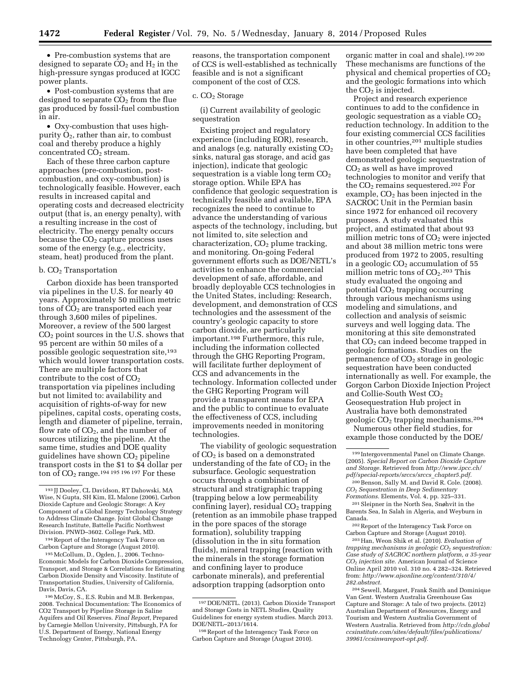• Pre-combustion systems that are designed to separate  $CO<sub>2</sub>$  and  $H<sub>2</sub>$  in the high-pressure syngas produced at IGCC power plants.

• Post-combustion systems that are designed to separate  $CO<sub>2</sub>$  from the flue gas produced by fossil-fuel combustion in air.

• Oxy-combustion that uses highpurity  $O_2$ , rather than air, to combust coal and thereby produce a highly concentrated  $CO<sub>2</sub>$  stream.

Each of these three carbon capture approaches (pre-combustion, postcombustion, and oxy-combustion) is technologically feasible. However, each results in increased capital and operating costs and decreased electricity output (that is, an energy penalty), with a resulting increase in the cost of electricity. The energy penalty occurs because the  $CO<sub>2</sub>$  capture process uses some of the energy (e.g., electricity, steam, heat) produced from the plant.

## $b. CO<sub>2</sub>$  Transportation

Carbon dioxide has been transported via pipelines in the U.S. for nearly 40 years. Approximately 50 million metric tons of  $\overline{CO}_2$  are transported each year through 3,600 miles of pipelines. Moreover, a review of the 500 largest  $CO<sub>2</sub>$  point sources in the U.S. shows that 95 percent are within 50 miles of a possible geologic sequestration site,193 which would lower transportation costs. There are multiple factors that contribute to the cost of  $CO<sub>2</sub>$ transportation via pipelines including but not limited to: availability and acquisition of rights-of-way for new pipelines, capital costs, operating costs, length and diameter of pipeline, terrain, flow rate of  $CO<sub>2</sub>$ , and the number of sources utilizing the pipeline. At the same time, studies and DOE quality guidelines have shown CO2 pipeline transport costs in the \$1 to \$4 dollar per ton of  $CO<sub>2</sub>$  range.<sup>194 195</sup> 196 197 For these

194Report of the Interagency Task Force on Carbon Capture and Storage (August 2010).

195McCollum, D., Ogden, J., 2006. Techno-Economic Models for Carbon Dioxide Compression, Transport, and Storage & Correlations for Estimating Carbon Dioxide Density and Viscosity. Institute of Transportation Studies, University of California, Davis, Davis, CA.

196McCoy, S., E.S. Rubin and M.B. Berkenpas, 2008. Technical Documentation: The Economics of CO2 Transport by Pipeline Storage in Saline Aquifers and Oil Reserves. *Final Report,* Prepared by Carnegie Mellon University, Pittsburgh, PA for U.S. Department of Energy, National Energy Technology Center, Pittsburgh, PA.

reasons, the transportation component of CCS is well-established as technically feasible and is not a significant component of the cost of CCS.

### c. CO<sub>2</sub> Storage

(i) Current availability of geologic sequestration

Existing project and regulatory experience (including EOR), research, and analogs (e.g. naturally existing  $CO<sub>2</sub>$ sinks, natural gas storage, and acid gas injection), indicate that geologic sequestration is a viable long term  $CO<sub>2</sub>$ storage option. While EPA has confidence that geologic sequestration is technically feasible and available, EPA recognizes the need to continue to advance the understanding of various aspects of the technology, including, but not limited to, site selection and characterization,  $CO<sub>2</sub>$  plume tracking, and monitoring. On-going Federal government efforts such as DOE/NETL's activities to enhance the commercial development of safe, affordable, and broadly deployable CCS technologies in the United States, including: Research, development, and demonstration of CCS technologies and the assessment of the country's geologic capacity to store carbon dioxide, are particularly important.198 Furthermore, this rule, including the information collected through the GHG Reporting Program, will facilitate further deployment of CCS and advancements in the technology. Information collected under the GHG Reporting Program will provide a transparent means for EPA and the public to continue to evaluate the effectiveness of CCS, including improvements needed in monitoring technologies.

The viability of geologic sequestration of  $CO<sub>2</sub>$  is based on a demonstrated understanding of the fate of  $CO<sub>2</sub>$  in the subsurface. Geologic sequestration occurs through a combination of structural and stratigraphic trapping (trapping below a low permeability confining layer), residual  $CO<sub>2</sub>$  trapping (retention as an immobile phase trapped in the pore spaces of the storage formation), solubility trapping (dissolution in the in situ formation fluids), mineral trapping (reaction with the minerals in the storage formation and confining layer to produce carbonate minerals), and preferential adsorption trapping (adsorption onto

organic matter in coal and shale).199 200 These mechanisms are functions of the physical and chemical properties of  $CO<sub>2</sub>$ and the geologic formations into which the  $CO<sub>2</sub>$  is injected.

Project and research experience continues to add to the confidence in geologic sequestration as a viable  $CO<sub>2</sub>$ reduction technology. In addition to the four existing commercial CCS facilities in other countries,201 multiple studies have been completed that have demonstrated geologic sequestration of  $CO<sub>2</sub>$  as well as have improved technologies to monitor and verify that the CO<sup>2</sup> remains sequestered.202 For example,  $CO<sub>2</sub>$  has been injected in the SACROC Unit in the Permian basin since 1972 for enhanced oil recovery purposes. A study evaluated this project, and estimated that about 93 million metric tons of CO<sub>2</sub> were injected and about 38 million metric tons were produced from 1972 to 2005, resulting in a geologic  $CO<sub>2</sub>$  accumulation of 55 million metric tons of  $CO<sub>2</sub>$ .<sup>203</sup> This study evaluated the ongoing and potential  $CO<sub>2</sub>$  trapping occurring through various mechanisms using modeling and simulations, and collection and analysis of seismic surveys and well logging data. The monitoring at this site demonstrated that  $CO<sub>2</sub>$  can indeed become trapped in geologic formations. Studies on the permanence of  $CO<sub>2</sub>$  storage in geologic sequestration have been conducted internationally as well. For example, the Gorgon Carbon Dioxide Injection Project and Collie-South West CO2 Geosequestration Hub project in Australia have both demonstrated geologic CO<sup>2</sup> trapping mechanisms.204

Numerous other field studies, for example those conducted by the DOE/

202Report of the Interagency Task Force on Carbon Capture and Storage (August 2010).

203Han, Weon Shik et al. (2010). *Evaluation of trapping mechanisms in geologic CO*2 *sequestration: Case study of SACROC northern platform, a 35-year CO*2 *injection site.* American Journal of Science Online April 2010 vol. 310 no. 4 282–324. Retrieved from: *[http://www.ajsonline.org/content/310/4/](http://www.ajsonline.org/content/310/4/282.abstract) [282.abstract.](http://www.ajsonline.org/content/310/4/282.abstract)* 

204Sewell, Margaret, Frank Smith and Dominique Van Gent. Western Australia Greenhouse Gas Capture and Storage: A tale of two projects. (2012) Australian Department of Resources, Energy and Tourism and Western Australia Government of Western Australia. Retrieved from *[http://cdn.global](http://cdn.globalccsinstitute.com/sites/default/files/publications/39961/ccsinwareport-opt.pdf) [ccsinstitute.com/sites/default/files/publications/](http://cdn.globalccsinstitute.com/sites/default/files/publications/39961/ccsinwareport-opt.pdf) [39961/ccsinwareport-opt.pdf.](http://cdn.globalccsinstitute.com/sites/default/files/publications/39961/ccsinwareport-opt.pdf)* 

<sup>193</sup> JJ Dooley, CL Davidson, RT Dahowski, MA Wise, N Gupta, SH Kim, EL Malone (2006), Carbon Dioxide Capture and Geologic Storage: A Key Component of a Global Energy Technology Strategy to Address Climate Change. Joint Global Change Research Institute, Battelle Pacific Northwest Division. PNWD–3602. College Park, MD.

<sup>197</sup> DOE/NETL. (2013). Carbon Dioxide Transport and Storage Costs in NETL Studies, Quality Guidelines for energy system studies. March 2013. DOE/NETL–2013/1614.

<sup>198</sup>Report of the Interagency Task Force on Carbon Capture and Storage (August 2010).

<sup>199</sup> Intergovernmental Panel on Climate Change. (2005). *Special Report on Carbon Dioxide Capture and Storage.* Retrieved from *[http://www.ipcc.ch/](http://www.ipcc.ch/pdf/special-reports/srccs/srccs_chapter5.pdf) [pdf/special-reports/srccs/srccs](http://www.ipcc.ch/pdf/special-reports/srccs/srccs_chapter5.pdf)*\_*chapter5.pdf.* 

<sup>200</sup>Benson, Sally M. and David R. Cole. (2008). *CO*2 *Sequestration in Deep Sedimentary Formations.* Elements, Vol. 4, pp. 325–331.

 $^{\rm 201}$  Sleipner in the North Sea, Snøhvit in the Barents Sea, In Salah in Algeria, and Weyburn in Canada.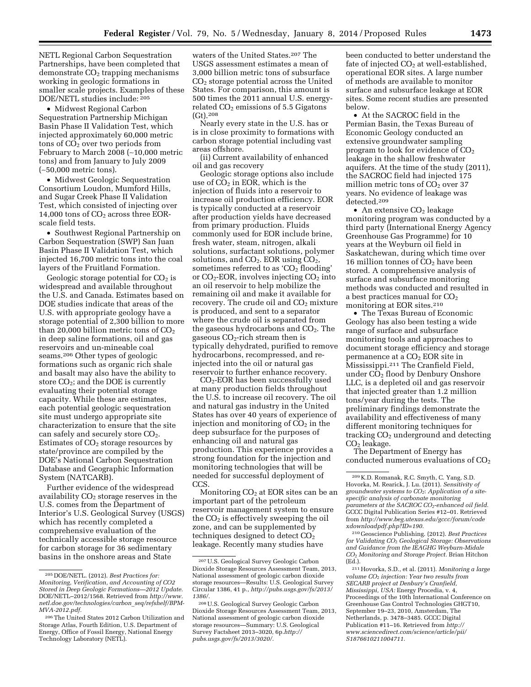NETL Regional Carbon Sequestration Partnerships, have been completed that  $d$ emonstrate  $CO<sub>2</sub>$  trapping mechanisms working in geologic formations in smaller scale projects. Examples of these DOE/NETL studies include: 205

• Midwest Regional Carbon Sequestration Partnership Michigan Basin Phase II Validation Test, which injected approximately 60,000 metric tons of CO<sub>2</sub> over two periods from February to March 2008 (∼10,000 metric tons) and from January to July 2009 (∼50,000 metric tons).

• Midwest Geologic Sequestration Consortium Loudon, Mumford Hills, and Sugar Creek Phase II Validation Test, which consisted of injecting over 14,000 tons of  $CO<sub>2</sub>$  across three EORscale field tests.

• Southwest Regional Partnership on Carbon Sequestration (SWP) San Juan Basin Phase II Validation Test, which injected 16,700 metric tons into the coal layers of the Fruitland Formation.

Geologic storage potential for  $CO<sub>2</sub>$  is widespread and available throughout the U.S. and Canada. Estimates based on DOE studies indicate that areas of the U.S. with appropriate geology have a storage potential of 2,300 billion to more than 20,000 billion metric tons of  $CO<sub>2</sub>$ in deep saline formations, oil and gas reservoirs and un-mineable coal seams.206 Other types of geologic formations such as organic rich shale and basalt may also have the ability to store  $CO<sub>2</sub>$ ; and the DOE is currently evaluating their potential storage capacity. While these are estimates, each potential geologic sequestration site must undergo appropriate site characterization to ensure that the site can safely and securely store  $CO<sub>2</sub>$ . Estimates of  $CO<sub>2</sub>$  storage resources by state/province are compiled by the DOE's National Carbon Sequestration Database and Geographic Information System (NATCARB).

Further evidence of the widespread availability  $CO<sub>2</sub>$  storage reserves in the U.S. comes from the Department of Interior's U.S. Geological Survey (USGS) which has recently completed a comprehensive evaluation of the technically accessible storage resource for carbon storage for 36 sedimentary basins in the onshore areas and State

waters of the United States.207 The USGS assessment estimates a mean of 3,000 billion metric tons of subsurface CO2 storage potential across the United States. For comparison, this amount is 500 times the 2011 annual U.S. energyrelated  $CO<sub>2</sub>$  emissions of 5.5 Gigatons (Gt).208

Nearly every state in the U.S. has or is in close proximity to formations with carbon storage potential including vast areas offshore.

(ii) Current availability of enhanced oil and gas recovery

Geologic storage options also include use of  $CO<sub>2</sub>$  in EOR, which is the injection of fluids into a reservoir to increase oil production efficiency. EOR is typically conducted at a reservoir after production yields have decreased from primary production. Fluids commonly used for EOR include brine, fresh water, steam, nitrogen, alkali solutions, surfactant solutions, polymer solutions, and  $CO<sub>2</sub>$ . EOR using  $CO<sub>2</sub>$ , sometimes referred to as ' $CO<sub>2</sub>$  flooding' or  $CO<sub>2</sub>$ -EOR, involves injecting  $CO<sub>2</sub>$  into an oil reservoir to help mobilize the remaining oil and make it available for recovery. The crude oil and  $CO<sub>2</sub>$  mixture is produced, and sent to a separator where the crude oil is separated from the gaseous hydrocarbons and  $CO<sub>2</sub>$ . The gaseous  $CO<sub>2</sub>$ -rich stream then is typically dehydrated, purified to remove hydrocarbons, recompressed, and reinjected into the oil or natural gas reservoir to further enhance recovery.

CO2-EOR has been successfully used at many production fields throughout the U.S. to increase oil recovery. The oil and natural gas industry in the United States has over 40 years of experience of injection and monitoring of  $CO<sub>2</sub>$  in the deep subsurface for the purposes of enhancing oil and natural gas production. This experience provides a strong foundation for the injection and monitoring technologies that will be needed for successful deployment of CCS.

Monitoring  $CO<sub>2</sub>$  at EOR sites can be an important part of the petroleum reservoir management system to ensure the  $CO<sub>2</sub>$  is effectively sweeping the oil zone, and can be supplemented by techniques designed to detect  $CO<sub>2</sub>$ leakage. Recently many studies have

been conducted to better understand the fate of injected  $CO<sub>2</sub>$  at well-established, operational EOR sites. A large number of methods are available to monitor surface and subsurface leakage at EOR sites. Some recent studies are presented below.

• At the SACROC field in the Permian Basin, the Texas Bureau of Economic Geology conducted an extensive groundwater sampling program to look for evidence of  $\mathrm{CO}_2$ leakage in the shallow freshwater aquifers. At the time of the study (2011), the SACROC field had injected 175 million metric tons of  $CO<sub>2</sub>$  over 37 years. No evidence of leakage was detected.209

 $\bullet$  An extensive CO<sub>2</sub> leakage monitoring program was conducted by a third party (International Energy Agency Greenhouse Gas Programme) for 10 years at the Weyburn oil field in Saskatchewan, during which time over 16 million tonnes of  $CO<sub>2</sub>$  have been stored. A comprehensive analysis of surface and subsurface monitoring methods was conducted and resulted in a best practices manual for  $CO<sub>2</sub>$ monitoring at EOR sites.210

• The Texas Bureau of Economic Geology has also been testing a wide range of surface and subsurface monitoring tools and approaches to document storage efficiency and storage permanence at a  $CO<sub>2</sub>$  EOR site in Mississippi.211 The Cranfield Field, under CO2 flood by Denbury Onshore LLC, is a depleted oil and gas reservoir that injected greater than 1.2 million tons/year during the tests. The preliminary findings demonstrate the availability and effectiveness of many different monitoring techniques for tracking  $CO<sub>2</sub>$  underground and detecting  $CO<sub>2</sub>$  leakage.

The Department of Energy has conducted numerous evaluations of  $CO<sub>2</sub>$ 

210 Geoscience Publishing. (2012). *Best Practices for Validating CO*2 *Geological Storage: Observations and Guidance from the IEAGHG Weyburn-Midale CO*2 *Monitoring and Storage Project.* Brian Hitchon (Ed.).

211Hovorka, S.D., et al. (2011). *Monitoring a large volume CO*2 *injection: Year two results from SECARB project at Denbury's Cranfield, Mississippi, USA:* Energy Procedia, v. 4, Proceedings of the 10th International Conference on Greenhouse Gas Control Technologies GHGT10, September 19–23, 2010, Amsterdam, The Netherlands, p. 3478–3485. GCCC Digital Publication #11–16. Retrieved from *[http://](http://www.sciencedirect.com/science/article/pii/S1876610211004711) [www.sciencedirect.com/science/article/pii/](http://www.sciencedirect.com/science/article/pii/S1876610211004711) [S1876610211004711.](http://www.sciencedirect.com/science/article/pii/S1876610211004711)* 

<sup>205</sup> DOE/NETL. (2012). *Best Practices for: Monitoring, Verification, and Accounting of CO2 Stored in Deep Geologic Formations—2012 Update.*  DOE/NETL–2012/1568. Retrieved from *[http://www.](http://www.netl.doe.gov/technologies/carbon_seq/refshelf/BPM-MVA-2012.pdf) [netl.doe.gov/technologies/carbon](http://www.netl.doe.gov/technologies/carbon_seq/refshelf/BPM-MVA-2012.pdf)*\_*seq/refshelf/BPM-[MVA-2012.pdf.](http://www.netl.doe.gov/technologies/carbon_seq/refshelf/BPM-MVA-2012.pdf)* 

<sup>206</sup>The United States 2012 Carbon Utilization and Storage Atlas, Fourth Edition, U.S. Department of Energy, Office of Fossil Energy, National Energy Technology Laboratory (NETL).

<sup>207</sup>U.S. Geological Survey Geologic Carbon Dioxide Storage Resources Assessment Team, 2013, National assessment of geologic carbon dioxide storage resources—Results: U.S. Geological Survey Circular 1386, 41 p., *[http://pubs.usgs.gov/fs/2013/](http://pubs.usgs.gov/fs/2013/1386/) [1386/.](http://pubs.usgs.gov/fs/2013/1386/)* 

<sup>208</sup>U.S. Geological Survey Geologic Carbon Dioxide Storage Resources Assessment Team, 2013, National assessment of geologic carbon dioxide storage resources—Summary: U.S. Geological Survey Factsheet 2013–3020, 6p.*[http://](http://pubs.usgs.gov/fs/2013/3020/) [pubs.usgs.gov/fs/2013/3020/.](http://pubs.usgs.gov/fs/2013/3020/)* 

<sup>209</sup> K.D. Romanak, R.C. Smyth, C. Yang, S.D. Hovorka, M. Rearick, J. Lu. (2011). *Sensitivity of groundwater systems to CO2*: *Application of a sitespecific analysis of carbonate monitoring parameters at the SACROC CO2*-*enhanced oil field.*  GCCC Digital Publication Series #12–01. Retrieved from *[http://www.beg.utexas.edu/gccc/forum/code](http://www.beg.utexas.edu/gccc/forum/codexdownloadpdf.php?ID=190) [xdownloadpdf.php?ID=190.](http://www.beg.utexas.edu/gccc/forum/codexdownloadpdf.php?ID=190)*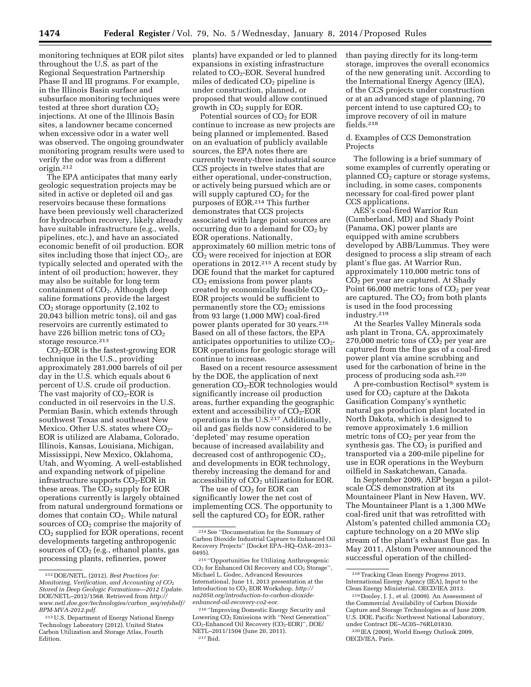monitoring techniques at EOR pilot sites throughout the U.S. as part of the Regional Sequestration Partnership Phase II and III programs. For example, in the Illinois Basin surface and subsurface monitoring techniques were tested at three short duration  $CO<sub>2</sub>$ injections. At one of the Illinois Basin sites, a landowner became concerned when excessive odor in a water well was observed. The ongoing groundwater monitoring program results were used to verify the odor was from a different origin.212

The EPA anticipates that many early geologic sequestration projects may be sited in active or depleted oil and gas reservoirs because these formations have been previously well characterized for hydrocarbon recovery, likely already have suitable infrastructure (e.g., wells, pipelines, etc.), and have an associated economic benefit of oil production. EOR sites including those that inject  $CO<sub>2</sub>$ , are typically selected and operated with the intent of oil production; however, they may also be suitable for long term containment of  $CO<sub>2</sub>$ . Although deep saline formations provide the largest  $CO<sub>2</sub>$  storage opportunity (2,102 to 20,043 billion metric tons), oil and gas reservoirs are currently estimated to have 226 billion metric tons of  $CO<sub>2</sub>$ storage resource.<sup>213</sup>

 $CO<sub>2</sub>$ -EOR is the fastest-growing EOR technique in the U.S., providing approximately 281,000 barrels of oil per day in the U.S. which equals about 6 percent of U.S. crude oil production. The vast majority of  $CO<sub>2</sub>$ -EOR is conducted in oil reservoirs in the U.S. Permian Basin, which extends through southwest Texas and southeast New Mexico. Other U.S. states where  $CO<sub>2</sub>$ -EOR is utilized are Alabama, Colorado, Illinois, Kansas, Louisiana, Michigan, Mississippi, New Mexico, Oklahoma, Utah, and Wyoming. A well-established and expanding network of pipeline infrastructure supports  $CO<sub>2</sub>$ -EOR in these areas. The  $CO<sub>2</sub>$  supply for EOR operations currently is largely obtained from natural underground formations or domes that contain CO<sub>2</sub>. While natural sources of  $CO<sub>2</sub>$  comprise the majority of CO2 supplied for EOR operations, recent developments targeting anthropogenic sources of  $CO<sub>2</sub>$  (e.g., ethanol plants, gas processing plants, refineries, power

plants) have expanded or led to planned expansions in existing infrastructure related to  $CO<sub>2</sub>$ -EOR. Several hundred miles of dedicated CO2 pipeline is under construction, planned, or proposed that would allow continued growth in  $CO<sub>2</sub>$  supply for EOR.

Potential sources of  $CO<sub>2</sub>$  for EOR continue to increase as new projects are being planned or implemented. Based on an evaluation of publicly available sources, the EPA notes there are currently twenty-three industrial source CCS projects in twelve states that are either operational, under-construction, or actively being pursued which are or will supply captured  $CO<sub>2</sub>$  for the purposes of EOR.214 This further demonstrates that CCS projects associated with large point sources are occurring due to a demand for  $CO<sub>2</sub>$  by EOR operations. Nationally, approximately 60 million metric tons of CO2 were received for injection at EOR operations in 2012.215 A recent study by DOE found that the market for captured  $CO<sub>2</sub>$  emissions from power plants created by economically feasible CO<sub>2</sub>-EOR projects would be sufficient to permanently store the  $CO<sub>2</sub>$  emissions from 93 large (1,000 MW) coal-fired power plants operated for 30 years.216 Based on all of these factors, the EPA anticipates opportunities to utilize  $CO<sub>2</sub>$ -EOR operations for geologic storage will continue to increase.

Based on a recent resource assessment by the DOE, the application of next generation  $CO<sub>2</sub>$ -EOR technologies would significantly increase oil production areas, further expanding the geographic extent and accessibility of  $CO<sub>2</sub>$ -EOR operations in the U.S. $^{217}$  Additionally, oil and gas fields now considered to be 'depleted' may resume operation because of increased availability and decreased cost of anthropogenic  $CO<sub>2</sub>$ , and developments in EOR technology, thereby increasing the demand for and accessibility of  $CO<sub>2</sub>$  utilization for EOR.

The use of  $CO<sub>2</sub>$  for EOR can significantly lower the net cost of implementing CCS. The opportunity to sell the captured  $CO<sub>2</sub>$  for EOR, rather

than paying directly for its long-term storage, improves the overall economics of the new generating unit. According to the International Energy Agency (IEA), of the CCS projects under construction or at an advanced stage of planning, 70 percent intend to use captured  $CO<sub>2</sub>$  to improve recovery of oil in mature fields.218

# d. Examples of CCS Demonstration Projects

The following is a brief summary of some examples of currently operating or planned  $CO<sub>2</sub>$  capture or storage systems, including, in some cases, components necessary for coal-fired power plant CCS applications.

AES's coal-fired Warrior Run (Cumberland, MD) and Shady Point (Panama, OK) power plants are equipped with amine scrubbers developed by ABB/Lummus. They were designed to process a slip stream of each plant's flue gas. At Warrior Run, approximately 110,000 metric tons of  $CO<sub>2</sub>$  per year are captured. At Shady Point  $66,000$  metric tons of  $CO<sub>2</sub>$  per year are captured. The  $CO<sub>2</sub>$  from both plants is used in the food processing industry.219

At the Searles Valley Minerals soda ash plant in Trona, CA, approximately 270,000 metric tons of  $CO<sub>2</sub>$  per year are captured from the flue gas of a coal-fired power plant via amine scrubbing and used for the carbonation of brine in the process of producing soda ash.220

A pre-combustion Rectisol® system is used for  $CO<sub>2</sub>$  capture at the Dakota Gasification Company's synthetic natural gas production plant located in North Dakota, which is designed to remove approximately 1.6 million metric tons of  $CO<sub>2</sub>$  per year from the synthesis gas. The  $CO<sub>2</sub>$  is purified and transported via a 200-mile pipeline for use in EOR operations in the Weyburn oilfield in Saskatchewan, Canada.

In September 2009, AEP began a pilotscale CCS demonstration at its Mountaineer Plant in New Haven, WV. The Mountaineer Plant is a 1,300 MWe coal-fired unit that was retrofitted with Alstom's patented chilled ammonia  $CO<sub>2</sub>$ capture technology on a 20 MWe slip stream of the plant's exhaust flue gas. In May 2011, Alstom Power announced the successful operation of the chilled-

<sup>212</sup> DOE/NETL. (2012). *Best Practices for: Monitoring, Verification, and Accounting of CO*2 *Stored in Deep Geologic Formations—2012 Update.*  DOE/NETL–2012/1568. Retrieved from *[http://](http://www.netl.doe.gov/technologies/carbon_seq/refshelf/BPM-MVA-2012.pdf) [www.netl.doe.gov/technologies/carbon](http://www.netl.doe.gov/technologies/carbon_seq/refshelf/BPM-MVA-2012.pdf)*\_*seq/refshelf/ [BPM-MVA-2012.pdf.](http://www.netl.doe.gov/technologies/carbon_seq/refshelf/BPM-MVA-2012.pdf)* 

<sup>213</sup>U.S. Department of Energy National Energy Technology Laboratory (2012). United States Carbon Utilization and Storage Atlas, Fourth Edition.

<sup>214</sup>See ''Documentation for the Summary of Carbon Dioxide Industrial Capture to Enhanced Oil Recovery Projects'' (Docket EPA–HQ–OAR–2013– 0495).

<sup>215</sup> ''Opportunities for Utilizing Anthropogenic CO<sub>2</sub> for Enhanced Oil Recovery and CO<sub>2</sub> Storage", Michael L. Godec, Advanced Resources International, June 11, 2013 presentation at the Introduction to CO2 EOR Workshop, *[http://](http://na2050.org/introduction-to-carbon-dioxide-enhanced-oil-recovery-co2-eor) [na2050.org/introduction-to-carbon-dioxide](http://na2050.org/introduction-to-carbon-dioxide-enhanced-oil-recovery-co2-eor)[enhanced-oil-recovery-co2-eor.](http://na2050.org/introduction-to-carbon-dioxide-enhanced-oil-recovery-co2-eor)* 

<sup>216</sup> ''Improving Domestic Energy Security and Lowering CO<sub>2</sub> Emissions with "Next Generation" CO2-Enhanced Oil Recovery (CO2-EOR)'', DOE/ NETL–2011/1504 (June 20, 2011). 217 Ibid.

<sup>218</sup>Tracking Clean Energy Progress 2013, International Energy Agency (IEA), Input to the Clean Energy Ministerial, OECD/IEA 2013.

<sup>219</sup> Dooley, J. J., et al. (2009). An Assessment of the Commercial Availability of Carbon Dioxide Capture and Storage Technologies as of June 2009. U.S. DOE, Pacific Northwest National Laboratory, under Contract DE–AC05–76RL01830. 220 IEA (2009), World Energy Outlook 2009, OECD/IEA, Paris.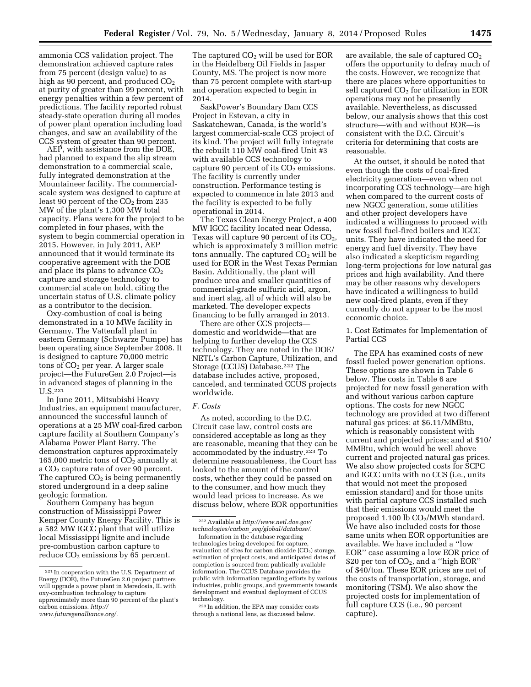ammonia CCS validation project. The demonstration achieved capture rates from 75 percent (design value) to as high as 90 percent, and produced  $CO<sub>2</sub>$ at purity of greater than 99 percent, with energy penalties within a few percent of predictions. The facility reported robust steady-state operation during all modes of power plant operation including load changes, and saw an availability of the CCS system of greater than 90 percent.

AEP, with assistance from the DOE, had planned to expand the slip stream demonstration to a commercial scale, fully integrated demonstration at the Mountaineer facility. The commercialscale system was designed to capture at least 90 percent of the  $CO<sub>2</sub>$  from 235 MW of the plant's 1,300 MW total capacity. Plans were for the project to be completed in four phases, with the system to begin commercial operation in 2015. However, in July 2011, AEP announced that it would terminate its cooperative agreement with the DOE and place its plans to advance  $CO<sub>2</sub>$ capture and storage technology to commercial scale on hold, citing the uncertain status of U.S. climate policy as a contributor to the decision.

Oxy-combustion of coal is being demonstrated in a 10 MWe facility in Germany. The Vattenfall plant in eastern Germany (Schwarze Pumpe) has been operating since September 2008. It is designed to capture 70,000 metric tons of  $CO<sub>2</sub>$  per year. A larger scale project—the FutureGen 2.0 Project—is in advanced stages of planning in the U.S.221

In June 2011, Mitsubishi Heavy Industries, an equipment manufacturer, announced the successful launch of operations at a 25 MW coal-fired carbon capture facility at Southern Company's Alabama Power Plant Barry. The demonstration captures approximately 165,000 metric tons of  $CO<sub>2</sub>$  annually at a CO2 capture rate of over 90 percent. The captured  $CO<sub>2</sub>$  is being permanently stored underground in a deep saline geologic formation.

Southern Company has begun construction of Mississippi Power Kemper County Energy Facility. This is a 582 MW IGCC plant that will utilize local Mississippi lignite and include pre-combustion carbon capture to reduce  $CO<sub>2</sub>$  emissions by 65 percent.

The captured  $CO<sub>2</sub>$  will be used for EOR in the Heidelberg Oil Fields in Jasper County, MS. The project is now more than 75 percent complete with start-up and operation expected to begin in 2014.

SaskPower's Boundary Dam CCS Project in Estevan, a city in Saskatchewan, Canada, is the world's largest commercial-scale CCS project of its kind. The project will fully integrate the rebuilt 110 MW coal-fired Unit #3 with available CCS technology to capture 90 percent of its  $CO<sub>2</sub>$  emissions. The facility is currently under construction. Performance testing is expected to commence in late 2013 and the facility is expected to be fully operational in 2014.

The Texas Clean Energy Project, a 400 MW IGCC facility located near Odessa, Texas will capture 90 percent of its  $CO<sub>2</sub>$ , which is approximately 3 million metric tons annually. The captured  $CO<sub>2</sub>$  will be used for EOR in the West Texas Permian Basin. Additionally, the plant will produce urea and smaller quantities of commercial-grade sulfuric acid, argon, and inert slag, all of which will also be marketed. The developer expects financing to be fully arranged in 2013.

There are other CCS projects domestic and worldwide—that are helping to further develop the CCS technology. They are noted in the DOE/ NETL's Carbon Capture, Utilization, and Storage (CCUS) Database.222 The database includes active, proposed, canceled, and terminated CCUS projects worldwide.

### *F. Costs*

As noted, according to the D.C. Circuit case law, control costs are considered acceptable as long as they are reasonable, meaning that they can be accommodated by the industry.223 To determine reasonableness, the Court has looked to the amount of the control costs, whether they could be passed on to the consumer, and how much they would lead prices to increase. As we discuss below, where EOR opportunities

are available, the sale of captured  $CO<sub>2</sub>$ offers the opportunity to defray much of the costs. However, we recognize that there are places where opportunities to sell captured  $CO<sub>2</sub>$  for utilization in EOR operations may not be presently available. Nevertheless, as discussed below, our analysis shows that this cost structure—with and without EOR—is consistent with the D.C. Circuit's criteria for determining that costs are reasonable.

At the outset, it should be noted that even though the costs of coal-fired electricity generation—even when not incorporating CCS technology—are high when compared to the current costs of new NGCC generation, some utilities and other project developers have indicated a willingness to proceed with new fossil fuel-fired boilers and IGCC units. They have indicated the need for energy and fuel diversity. They have also indicated a skepticism regarding long-term projections for low natural gas prices and high availability. And there may be other reasons why developers have indicated a willingness to build new coal-fired plants, even if they currently do not appear to be the most economic choice.

1. Cost Estimates for Implementation of Partial CCS

The EPA has examined costs of new fossil fueled power generation options. These options are shown in Table 6 below. The costs in Table 6 are projected for new fossil generation with and without various carbon capture options. The costs for new NGCC technology are provided at two different natural gas prices: at \$6.11/MMBtu, which is reasonably consistent with current and projected prices; and at \$10/ MMBtu, which would be well above current and projected natural gas prices. We also show projected costs for SCPC and IGCC units with no CCS (i.e., units that would not meet the proposed emission standard) and for those units with partial capture CCS installed such that their emissions would meet the proposed  $1,100$  lb  $CO<sub>2</sub>/MWh$  standard. We have also included costs for those same units when EOR opportunities are available. We have included a ''low EOR'' case assuming a low EOR price of \$20 per ton of  $CO<sub>2</sub>$ , and a "high EOR" of \$40/ton. These EOR prices are net of the costs of transportation, storage, and monitoring (TSM). We also show the projected costs for implementation of full capture CCS (i.e., 90 percent capture).

<sup>221</sup> In cooperation with the U.S. Department of Energy (DOE), the FutureGen 2.0 project partners will upgrade a power plant in Meredosia, IL with oxy-combustion technology to capture approximately more than 90 percent of the plant's carbon emissions. *[http://](http://www.futuregenalliance.org/)* 

*[www.futuregenalliance.org/.](http://www.futuregenalliance.org/)* 

<sup>222</sup>Available at *[http://www.netl.doe.gov/](http://www.netl.doe.gov/technologies/carbon_seq/global/database/) technologies/carbon*\_*[seq/global/database/.](http://www.netl.doe.gov/technologies/carbon_seq/global/database/)* 

Information in the database regarding technologies being developed for capture, evaluation of sites for carbon dioxide  $(CO<sub>2</sub>)$  storage, estimation of project costs, and anticipated dates of completion is sourced from publically available information. The CCUS Database provides the public with information regarding efforts by various industries, public groups, and governments towards development and eventual deployment of CCUS technology.

<sup>&</sup>lt;sup>223</sup> In addition, the EPA may consider costs through a national lens, as discussed below.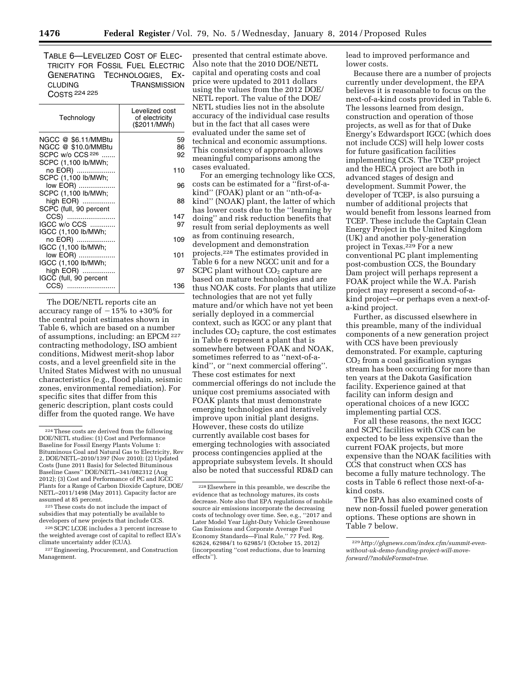TABLE 6—LEVELIZED COST OF ELEC-TRICITY FOR FOSSIL FUEL ELECTRIC GENERATING TECHNOLOGIES, EX-CLUDING TRANSMISSION COSTS 224 225

| Technology             | Levelized cost<br>of electricity<br>(\$2011/MWh) |
|------------------------|--------------------------------------------------|
| NGCC @ \$6.11/MMBtu    | 59                                               |
| NGCC @ \$10.0/MMBtu    | 86                                               |
| SCPC w/o CCS 226       | 92                                               |
| SCPC (1,100 lb/MWh;    |                                                  |
| no EOR)                | 110                                              |
| SCPC (1,100 lb/MWh;    |                                                  |
| low EOR)               | 96                                               |
| SCPC (1,100 lb/MWh;    |                                                  |
| high EOR)              | 88                                               |
| SCPC (full, 90 percent |                                                  |
| CCS)                   | 147                                              |
| IGCC w/o CCS           | 97                                               |
| IGCC (1,100 lb/MWh;    |                                                  |
| no EOR)                | 109                                              |
| IGCC (1,100 lb/MWh;    |                                                  |
| low EOR)               | 101                                              |
| IGCC (1,100 lb/MWh;    |                                                  |
| high EOR)              | 97                                               |
| IGCC (full, 90 percent |                                                  |
| CCS)                   | 136                                              |

The DOE/NETL reports cite an accuracy range of  $-15%$  to  $+30%$  for the central point estimates shown in Table 6, which are based on a number of assumptions, including: an EPCM 227 contracting methodology, ISO ambient conditions, Midwest merit-shop labor costs, and a level greenfield site in the United States Midwest with no unusual characteristics (e.g., flood plain, seismic zones, environmental remediation). For specific sites that differ from this generic description, plant costs could differ from the quoted range. We have

presented that central estimate above. Also note that the 2010 DOE/NETL capital and operating costs and coal price were updated to 2011 dollars using the values from the 2012 DOE/ NETL report. The value of the DOE/ NETL studies lies not in the absolute accuracy of the individual case results but in the fact that all cases were evaluated under the same set of technical and economic assumptions. This consistency of approach allows meaningful comparisons among the cases evaluated.

For an emerging technology like CCS, costs can be estimated for a ''first-of-akind'' (FOAK) plant or an ''nth-of-akind'' (NOAK) plant, the latter of which has lower costs due to the ''learning by doing'' and risk reduction benefits that result from serial deployments as well as from continuing research, development and demonstration projects.228 The estimates provided in Table 6 for a new NGCC unit and for a SCPC plant without  $CO<sub>2</sub>$  capture are based on mature technologies and are thus NOAK costs. For plants that utilize technologies that are not yet fully mature and/or which have not yet been serially deployed in a commercial context, such as IGCC or any plant that includes  $CO<sub>2</sub>$  capture, the cost estimates in Table 6 represent a plant that is somewhere between FOAK and NOAK, sometimes referred to as ''next-of-akind'', or ''next commercial offering''. These cost estimates for next commercial offerings do not include the unique cost premiums associated with FOAK plants that must demonstrate emerging technologies and iteratively improve upon initial plant designs. However, these costs do utilize currently available cost bases for emerging technologies with associated process contingencies applied at the appropriate subsystem levels. It should also be noted that successful RD&D can

lead to improved performance and lower costs.

Because there are a number of projects currently under development, the EPA believes it is reasonable to focus on the next-of-a-kind costs provided in Table 6. The lessons learned from design, construction and operation of those projects, as well as for that of Duke Energy's Edwardsport IGCC (which does not include CCS) will help lower costs for future gasification facilities implementing CCS. The TCEP project and the HECA project are both in advanced stages of design and development. Summit Power, the developer of TCEP, is also pursuing a number of additional projects that would benefit from lessons learned from TCEP. These include the Captain Clean Energy Project in the United Kingdom (UK) and another poly-generation project in Texas.229 For a new conventional PC plant implementing post-combustion CCS, the Boundary Dam project will perhaps represent a FOAK project while the W.A. Parish project may represent a second-of-akind project—or perhaps even a next-ofa-kind project.

Further, as discussed elsewhere in this preamble, many of the individual components of a new generation project with CCS have been previously demonstrated. For example, capturing  $CO<sub>2</sub>$  from a coal gasification syngas stream has been occurring for more than ten years at the Dakota Gasification facility. Experience gained at that facility can inform design and operational choices of a new IGCC implementing partial CCS.

For all these reasons, the next IGCC and SCPC facilities with CCS can be expected to be less expensive than the current FOAK projects, but more expensive than the NOAK facilities with CCS that construct when CCS has become a fully mature technology. The costs in Table 6 reflect those next-of-akind costs.

The EPA has also examined costs of new non-fossil fueled power generation options. These options are shown in Table 7 below.

<sup>224</sup>These costs are derived from the following DOE/NETL studies: (1) Cost and Performance Baseline for Fossil Energy Plants Volume 1: Bituminous Coal and Natural Gas to Electricity, Rev 2, DOE/NETL–2010/1397 (Nov 2010); (2) Updated Costs (June 2011 Basis) for Selected Bituminous Baseline Cases'' DOE/NETL–341/082312 (Aug 2012); (3) Cost and Performance of PC and IGCC Plants for a Range of Carbon Dioxide Capture, DOE/ NETL–2011/1498 (May 2011). Capacity factor are assumed at 85 percent.

<sup>225</sup>These costs do not include the impact of subsidies that may potentially be available to developers of new projects that include CCS.

<sup>226</sup>SCPC LCOE includes a 3 percent increase to the weighted average cost of capital to reflect EIA's climate uncertainty adder (CUA).

<sup>227</sup>Engineering, Procurement, and Construction Management.

<sup>228</sup>Elsewhere in this preamble, we describe the evidence that as technology matures, its costs decrease. Note also that EPA regulations of mobile source air emissions incorporate the decreasing costs of technology over time. See, e.g., ''2017 and Later Model Year Light-Duty Vehicle Greenhouse Gas Emissions and Corporate Average Fuel Economy Standards—Final Rule,'' 77 Fed. Reg. 62624, 62984/1 to 62985/1 (October 15, 2012) (incorporating ''cost reductions, due to learning effects'').

<sup>229</sup>*[http://ghgnews.com/index.cfm/summit-even](http://ghgnews.com/index.cfm/summit-even-without-uk-demo-funding-project-will-move-forward/?mobileFormat=true)[without-uk-demo-funding-project-will-move](http://ghgnews.com/index.cfm/summit-even-without-uk-demo-funding-project-will-move-forward/?mobileFormat=true)[forward/?mobileFormat=true.](http://ghgnews.com/index.cfm/summit-even-without-uk-demo-funding-project-will-move-forward/?mobileFormat=true)*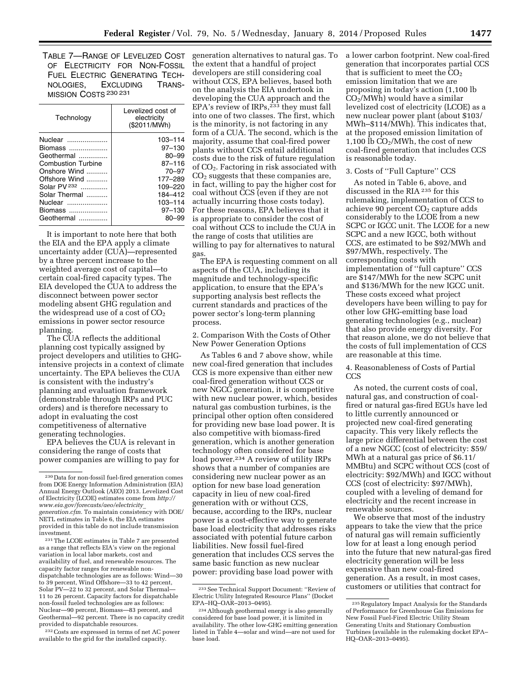TABLE 7—RANGE OF LEVELIZED COST OF ELECTRICITY FOR NON-FOSSIL FUEL ELECTRIC GENERATING TECH-NOLOGIES, EXCLUDING TRANS-MISSION COSTS 230 231

| Technology                                                                                                                                                                     | Levelized cost of<br>electricity<br>(\$2011/MWh)                                                                             |
|--------------------------------------------------------------------------------------------------------------------------------------------------------------------------------|------------------------------------------------------------------------------------------------------------------------------|
| Nuclear<br>Biomass<br>Geothermal<br><b>Combustion Turbine</b><br>Onshore Wind<br>Offshore Wind<br>Solar PV <sup>232</sup><br>Solar Thermal<br>Nuclear<br>Biomass<br>Geothermal | 103-114<br>$97 - 130$<br>$80 - 99$<br>87-116<br>$70 - 97$<br>177-289<br>109-220<br>184-412<br>103-114<br>$97 - 130$<br>80–99 |
|                                                                                                                                                                                |                                                                                                                              |

It is important to note here that both the EIA and the EPA apply a climate uncertainty adder (CUA)—represented by a three percent increase to the weighted average cost of capital—to certain coal-fired capacity types. The EIA developed the CUA to address the disconnect between power sector modeling absent GHG regulation and the widespread use of a cost of  $CO<sub>2</sub>$ emissions in power sector resource planning.

The CUA reflects the additional planning cost typically assigned by project developers and utilities to GHGintensive projects in a context of climate uncertainty. The EPA believes the CUA is consistent with the industry's planning and evaluation framework (demonstrable through IRPs and PUC orders) and is therefore necessary to adopt in evaluating the cost competitiveness of alternative generating technologies.

EPA believes the CUA is relevant in considering the range of costs that power companies are willing to pay for

231The LCOE estimates in Table 7 are presented as a range that reflects EIA's view on the regional variation in local labor markets, cost and availability of fuel, and renewable resources. The capacity factor ranges for renewable nondispatchable technologies are as follows: Wind—30 to 39 percent, Wind Offshore—33 to 42 percent, Solar PV—22 to 32 percent, and Solar Thermal— 11 to 26 percent. Capacity factors for dispatchable non-fossil fueled technologies are as follows: Nuclear—90 percent, Biomass—83 percent, and Geothermal—92 percent. There is no capacity credit provided to dispatchable resources.

232Costs are expressed in terms of net AC power available to the grid for the installed capacity.

generation alternatives to natural gas. To the extent that a handful of project developers are still considering coal without CCS, EPA believes, based both on the analysis the EIA undertook in developing the CUA approach and the EPA's review of IRPs,<sup>233</sup> they must fall into one of two classes. The first, which is the minority, is not factoring in any form of a CUA. The second, which is the majority, assume that coal-fired power plants without CCS entail additional costs due to the risk of future regulation of CO2. Factoring in risk associated with  $CO<sub>2</sub>$  suggests that these companies are, in fact, willing to pay the higher cost for coal without CCS (even if they are not actually incurring those costs today). For these reasons, EPA believes that it is appropriate to consider the cost of coal without CCS to include the CUA in the range of costs that utilities are willing to pay for alternatives to natural gas.

The EPA is requesting comment on all aspects of the CUA, including its magnitude and technology-specific application, to ensure that the EPA's supporting analysis best reflects the current standards and practices of the power sector's long-term planning process.

2. Comparison With the Costs of Other New Power Generation Options

As Tables 6 and 7 above show, while new coal-fired generation that includes CCS is more expensive than either new coal-fired generation without CCS or new NGCC generation, it is competitive with new nuclear power, which, besides natural gas combustion turbines, is the principal other option often considered for providing new base load power. It is also competitive with biomass-fired generation, which is another generation technology often considered for base load power.234 A review of utility IRPs shows that a number of companies are considering new nuclear power as an option for new base load generation capacity in lieu of new coal-fired generation with or without CCS, because, according to the IRPs, nuclear power is a cost-effective way to generate base load electricity that addresses risks associated with potential future carbon liabilities. New fossil fuel-fired generation that includes CCS serves the same basic function as new nuclear power: providing base load power with

a lower carbon footprint. New coal-fired generation that incorporates partial CCS that is sufficient to meet the  $CO<sub>2</sub>$ emission limitation that we are proposing in today's action (1,100 lb CO2/MWh) would have a similar levelized cost of electricity (LCOE) as a new nuclear power plant (about \$103/ MWh–\$114/MWh). This indicates that, at the proposed emission limitation of 1,100 lb CO2/MWh, the cost of new coal-fired generation that includes CCS is reasonable today.

# 3. Costs of ''Full Capture'' CCS

As noted in Table 6, above, and discussed in the RIA 235 for this rulemaking, implementation of CCS to achieve 90 percent  $CO<sub>2</sub>$  capture adds considerably to the LCOE from a new SCPC or IGCC unit. The LCOE for a new SCPC and a new IGCC, both without CCS, are estimated to be \$92/MWh and \$97/MWh, respectively. The corresponding costs with implementation of ''full capture'' CCS are \$147/MWh for the new SCPC unit and \$136/MWh for the new IGCC unit. These costs exceed what project developers have been willing to pay for other low GHG-emitting base load generating technologies (e.g., nuclear) that also provide energy diversity. For that reason alone, we do not believe that the costs of full implementation of CCS are reasonable at this time.

4. Reasonableness of Costs of Partial CCS

As noted, the current costs of coal, natural gas, and construction of coalfired or natural gas-fired EGUs have led to little currently announced or projected new coal-fired generating capacity. This very likely reflects the large price differential between the cost of a new NGCC (cost of electricity: \$59/ MWh at a natural gas price of \$6.11/ MMBtu) and SCPC without CCS (cost of electricity: \$92/MWh) and IGCC without CCS (cost of electricity: \$97/MWh), coupled with a leveling of demand for electricity and the recent increase in renewable sources.

We observe that most of the industry appears to take the view that the price of natural gas will remain sufficiently low for at least a long enough period into the future that new natural-gas fired electricity generation will be less expensive than new coal-fired generation. As a result, in most cases, customers or utilities that contract for

<sup>230</sup> Data for non-fossil fuel-fired generation comes from DOE Energy Information Administration (EIA) Annual Energy Outlook (AEO) 2013. Levelized Cost of Electricity (LCOE) estimates come from *[http://](http://www.eia.gov/forecasts/aeo/electricity_generation.cfm) [www.eia.gov/forecasts/aeo/electricity](http://www.eia.gov/forecasts/aeo/electricity_generation.cfm)*\_ *[generation.cfm.](http://www.eia.gov/forecasts/aeo/electricity_generation.cfm)* To maintain consistency with DOE/ NETL estimates in Table 6, the EIA estimates provided in this table do not include transmission investment.

<sup>233</sup>See Technical Support Document: ''Review of Electric Utility Integrated Resource Plans'' (Docket EPA–HQ–OAR–2013–0495).

<sup>234</sup>Although geothermal energy is also generally considered for base load power, it is limited in availability. The other low-GHG emitting generation listed in Table 4—solar and wind—are not used for base load.

<sup>235</sup>Regulatory Impact Analysis for the Standards of Performance for Greenhouse Gas Emissions for New Fossil Fuel-Fired Electric Utility Steam Generating Units and Stationary Combustion Turbines (available in the rulemaking docket EPA– HQ–OAR–2013–0495).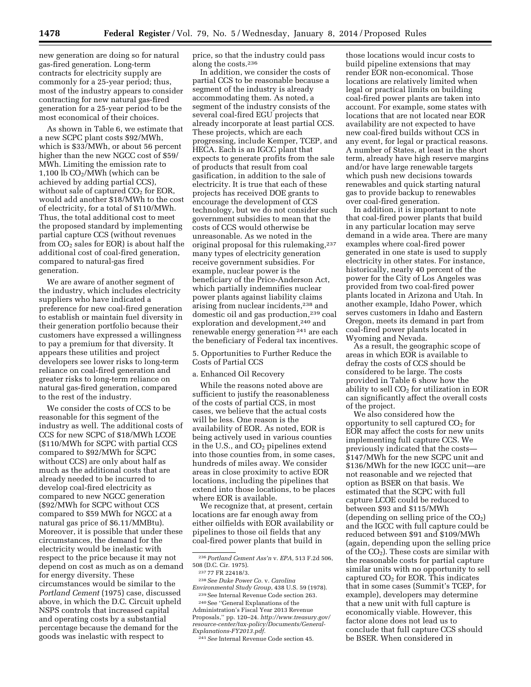new generation are doing so for natural gas-fired generation. Long-term contracts for electricity supply are commonly for a 25-year period; thus, most of the industry appears to consider contracting for new natural gas-fired generation for a 25-year period to be the most economical of their choices.

As shown in Table 6, we estimate that a new SCPC plant costs \$92/MWh, which is \$33/MWh, or about 56 percent higher than the new NGCC cost of \$59/ MWh. Limiting the emission rate to 1,100 lb  $CO<sub>2</sub>/MWh$  (which can be achieved by adding partial CCS), without sale of captured CO<sub>2</sub> for EOR, would add another \$18/MWh to the cost of electricity, for a total of \$110/MWh. Thus, the total additional cost to meet the proposed standard by implementing partial capture CCS (without revenues from  $CO<sub>2</sub>$  sales for EOR) is about half the additional cost of coal-fired generation, compared to natural-gas fired generation.

We are aware of another segment of the industry, which includes electricity suppliers who have indicated a preference for new coal-fired generation to establish or maintain fuel diversity in their generation portfolio because their customers have expressed a willingness to pay a premium for that diversity. It appears these utilities and project developers see lower risks to long-term reliance on coal-fired generation and greater risks to long-term reliance on natural gas-fired generation, compared to the rest of the industry.

We consider the costs of CCS to be reasonable for this segment of the industry as well. The additional costs of CCS for new SCPC of \$18/MWh LCOE (\$110/MWh for SCPC with partial CCS compared to \$92/MWh for SCPC without CCS) are only about half as much as the additional costs that are already needed to be incurred to develop coal-fired electricity as compared to new NGCC generation (\$92/MWh for SCPC without CCS compared to \$59 MWh for NGCC at a natural gas price of \$6.11/MMBtu). Moreover, it is possible that under these circumstances, the demand for the electricity would be inelastic with respect to the price because it may not depend on cost as much as on a demand for energy diversity. These circumstances would be similar to the *Portland Cement* (1975) case, discussed above, in which the D.C. Circuit upheld NSPS controls that increased capital and operating costs by a substantial percentage because the demand for the goods was inelastic with respect to

price, so that the industry could pass along the costs.236

In addition, we consider the costs of partial CCS to be reasonable because a segment of the industry is already accommodating them. As noted, a segment of the industry consists of the several coal-fired EGU projects that already incorporate at least partial CCS. These projects, which are each progressing, include Kemper, TCEP, and HECA. Each is an IGCC plant that expects to generate profits from the sale of products that result from coal gasification, in addition to the sale of electricity. It is true that each of these projects has received DOE grants to encourage the development of CCS technology, but we do not consider such government subsidies to mean that the costs of CCS would otherwise be unreasonable. As we noted in the original proposal for this rulemaking,237 many types of electricity generation receive government subsidies. For example, nuclear power is the beneficiary of the Price-Anderson Act, which partially indemnifies nuclear power plants against liability claims arising from nuclear incidents,238 and domestic oil and gas production,<sup>239</sup> coal exploration and development,<sup>240</sup> and renewable energy generation 241 are each the beneficiary of Federal tax incentives.

5. Opportunities to Further Reduce the Costs of Partial CCS

a. Enhanced Oil Recovery

While the reasons noted above are sufficient to justify the reasonableness of the costs of partial CCS, in most cases, we believe that the actual costs will be less. One reason is the availability of EOR. As noted, EOR is being actively used in various counties in the U.S., and  $CO<sub>2</sub>$  pipelines extend into those counties from, in some cases, hundreds of miles away. We consider areas in close proximity to active EOR locations, including the pipelines that extend into those locations, to be places where EOR is available.

We recognize that, at present, certain locations are far enough away from either oilfields with EOR availability or pipelines to those oil fields that any coal-fired power plants that build in

*Environmental Study Group,* 438 U.S. 59 (1978). 239See Internal Revenue Code section 263.

240See ''General Explanations of the Administration's Fiscal Year 2013 Revenue Proposals,'' pp. 120–24. *[http://www.treasury.gov/](http://www.treasury.gov/resource-center/tax-policy/Documents/General-Explanations-FY2013.pdf) [resource-center/tax-policy/Documents/General-](http://www.treasury.gov/resource-center/tax-policy/Documents/General-Explanations-FY2013.pdf)[Explanations-FY2013.pdf.](http://www.treasury.gov/resource-center/tax-policy/Documents/General-Explanations-FY2013.pdf)* 

241*See* Internal Revenue Code section 45.

those locations would incur costs to build pipeline extensions that may render EOR non-economical. Those locations are relatively limited when legal or practical limits on building coal-fired power plants are taken into account. For example, some states with locations that are not located near EOR availability are not expected to have new coal-fired builds without CCS in any event, for legal or practical reasons. A number of States, at least in the short term, already have high reserve margins and/or have large renewable targets which push new decisions towards renewables and quick starting natural gas to provide backup to renewables over coal-fired generation.

In addition, it is important to note that coal-fired power plants that build in any particular location may serve demand in a wide area. There are many examples where coal-fired power generated in one state is used to supply electricity in other states. For instance, historically, nearly 40 percent of the power for the City of Los Angeles was provided from two coal-fired power plants located in Arizona and Utah. In another example, Idaho Power, which serves customers in Idaho and Eastern Oregon, meets its demand in part from coal-fired power plants located in Wyoming and Nevada.

As a result, the geographic scope of areas in which EOR is available to defray the costs of CCS should be considered to be large. The costs provided in Table 6 show how the ability to sell  $CO<sub>2</sub>$  for utilization in EOR can significantly affect the overall costs of the project.

We also considered how the opportunity to sell captured  $CO<sub>2</sub>$  for EOR may affect the costs for new units implementing full capture CCS. We previously indicated that the costs— \$147/MWh for the new SCPC unit and \$136/MWh for the new IGCC unit—are not reasonable and we rejected that option as BSER on that basis. We estimated that the SCPC with full capture LCOE could be reduced to between \$93 and \$115/MWh (depending on selling price of the  $CO<sub>2</sub>$ ) and the IGCC with full capture could be reduced between \$91 and \$109/MWh (again, depending upon the selling price of the  $CO<sub>2</sub>$ ). These costs are similar with the reasonable costs for partial capture similar units with no opportunity to sell captured  $CO<sub>2</sub>$  for EOR. This indicates that in some cases (Summit's TCEP, for example), developers may determine that a new unit with full capture is economically viable. However, this factor alone does not lead us to conclude that full capture CCS should be BSER. When considered in

<sup>236</sup>*Portland Cement Ass'n* v. *EPA,* 513 F.2d 506, 508 (D.C. Cir. 1975).

<sup>237</sup> 77 FR 22418/3.

<sup>238</sup>*See Duke Power Co.* v. *Carolina*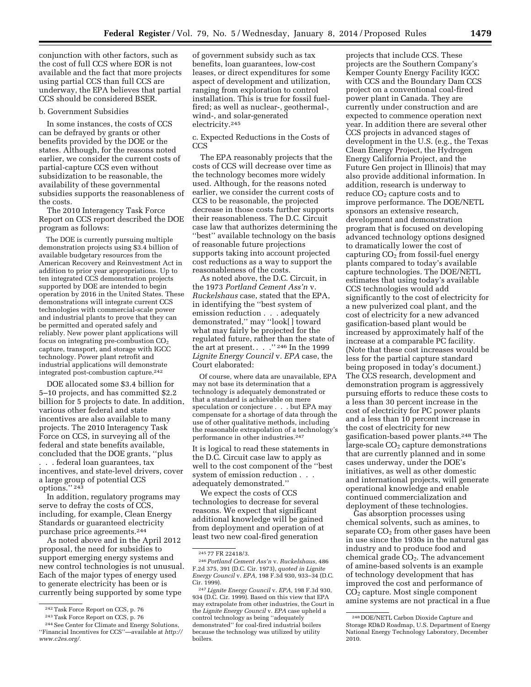conjunction with other factors, such as the cost of full CCS where EOR is not available and the fact that more projects using partial CCS than full CCS are underway, the EPA believes that partial CCS should be considered BSER.

#### b. Government Subsidies

In some instances, the costs of CCS can be defrayed by grants or other benefits provided by the DOE or the states. Although, for the reasons noted earlier, we consider the current costs of partial-capture CCS even without subsidization to be reasonable, the availability of these governmental subsidies supports the reasonableness of the costs.

The 2010 Interagency Task Force Report on CCS report described the DOE program as follows:

The DOE is currently pursuing multiple demonstration projects using \$3.4 billion of available budgetary resources from the American Recovery and Reinvestment Act in addition to prior year appropriations. Up to ten integrated CCS demonstration projects supported by DOE are intended to begin operation by 2016 in the United States. These demonstrations will integrate current CCS technologies with commercial-scale power and industrial plants to prove that they can be permitted and operated safely and reliably. New power plant applications will focus on integrating pre-combustion  $CO<sub>2</sub>$ capture, transport, and storage with IGCC technology. Power plant retrofit and industrial applications will demonstrate integrated post-combustion capture.242

DOE allocated some \$3.4 billion for 5–10 projects, and has committed \$2.2 billion for 5 projects to date. In addition, various other federal and state incentives are also available to many projects. The 2010 Interagency Task Force on CCS, in surveying all of the federal and state benefits available, concluded that the DOE grants, ''plus . . . federal loan guarantees, tax incentives, and state-level drivers, cover a large group of potential CCS options.'' 243

In addition, regulatory programs may serve to defray the costs of CCS, including, for example, Clean Energy Standards or guaranteed electricity purchase price agreements.244

As noted above and in the April 2012 proposal, the need for subsidies to support emerging energy systems and new control technologies is not unusual. Each of the major types of energy used to generate electricity has been or is currently being supported by some type

of government subsidy such as tax benefits, loan guarantees, low-cost leases, or direct expenditures for some aspect of development and utilization, ranging from exploration to control installation. This is true for fossil fuelfired; as well as nuclear-, geothermal-, wind-, and solar-generated electricity.245

c. Expected Reductions in the Costs of CCS

The EPA reasonably projects that the costs of CCS will decrease over time as the technology becomes more widely used. Although, for the reasons noted earlier, we consider the current costs of CCS to be reasonable, the projected decrease in those costs further supports their reasonableness. The D.C. Circuit case law that authorizes determining the ''best'' available technology on the basis of reasonable future projections supports taking into account projected cost reductions as a way to support the reasonableness of the costs.

As noted above, the D.C. Circuit, in the 1973 *Portland Cement Ass'n* v. *Ruckelshaus* case, stated that the EPA, in identifying the ''best system of emission reduction . . . adequately demonstrated,'' may ''look[ ] toward what may fairly be projected for the regulated future, rather than the state of the art at present.  $\ldots$  ." <sup>246</sup> In the 1999 *Lignite Energy Council* v. *EPA* case, the Court elaborated:

Of course, where data are unavailable, EPA may not base its determination that a technology is adequately demonstrated or that a standard is achievable on mere speculation or conjecture . . . but EPA may compensate for a shortage of data through the use of other qualitative methods, including the reasonable extrapolation of a technology's performance in other industries.247

It is logical to read these statements in the D.C. Circuit case law to apply as well to the cost component of the ''best system of emission reduction . . . adequately demonstrated.''

We expect the costs of CCS technologies to decrease for several reasons. We expect that significant additional knowledge will be gained from deployment and operation of at least two new coal-fired generation

projects that include CCS. These projects are the Southern Company's Kemper County Energy Facility IGCC with CCS and the Boundary Dam CCS project on a conventional coal-fired power plant in Canada. They are currently under construction and are expected to commence operation next year. In addition there are several other CCS projects in advanced stages of development in the U.S. (e.g., the Texas Clean Energy Project, the Hydrogen Energy California Project, and the Future Gen project in Illinois) that may also provide additional information. In addition, research is underway to reduce CO<sub>2</sub> capture costs and to improve performance. The DOE/NETL sponsors an extensive research, development and demonstration program that is focused on developing advanced technology options designed to dramatically lower the cost of capturing  $CO<sub>2</sub>$  from fossil-fuel energy plants compared to today's available capture technologies. The DOE/NETL estimates that using today's available CCS technologies would add significantly to the cost of electricity for a new pulverized coal plant, and the cost of electricity for a new advanced gasification-based plant would be increased by approximately half of the increase at a comparable PC facility. (Note that these cost increases would be less for the partial capture standard being proposed in today's document.) The CCS research, development and demonstration program is aggressively pursuing efforts to reduce these costs to a less than 30 percent increase in the cost of electricity for PC power plants and a less than 10 percent increase in the cost of electricity for new gasification-based power plants.248 The large-scale  $CO<sub>2</sub>$  capture demonstrations that are currently planned and in some cases underway, under the DOE's initiatives, as well as other domestic and international projects, will generate operational knowledge and enable continued commercialization and deployment of these technologies.

Gas absorption processes using chemical solvents, such as amines, to separate  $CO<sub>2</sub>$  from other gases have been in use since the 1930s in the natural gas industry and to produce food and chemical grade  $CO<sub>2</sub>$ . The advancement of amine-based solvents is an example of technology development that has improved the cost and performance of CO2 capture. Most single component amine systems are not practical in a flue

<sup>242</sup>Task Force Report on CCS, p. 76

<sup>243</sup>Task Force Report on CCS, p. 76 244See Center for Climate and Energy Solutions,

<sup>&#</sup>x27;'Financial Incentives for CCS''—available at *[http://](http://www.c2es.org/)  [www.c2es.org/.](http://www.c2es.org/)* 

<sup>245</sup> 77 FR 22418/3.

<sup>246</sup>*Portland Cement Ass'n* v. *Ruckelshaus,* 486 F.2d 375, 391 (D.C. Cir. 1973), *quoted in Lignite Energy Council* v. *EPA,* 198 F.3d 930, 933–34 (D.C. Cir. 1999).

<sup>247</sup> *Lignite Energy Council* v. *EPA,* 198 F.3d 930, 934 (D.C. Cir. 1999). Based on this view that EPA may extrapolate from other industries, the Court in the *Lignite Energy Council* v. *EPA* case upheld a control technology as being ''adequately demonstrated'' for coal-fired industrial boilers because the technology was utilized by utility boilers.

<sup>248</sup> DOE/NETL Carbon Dioxide Capture and Storage RD&D Roadmap, U.S. Department of Energy National Energy Technology Laboratory, December 2010.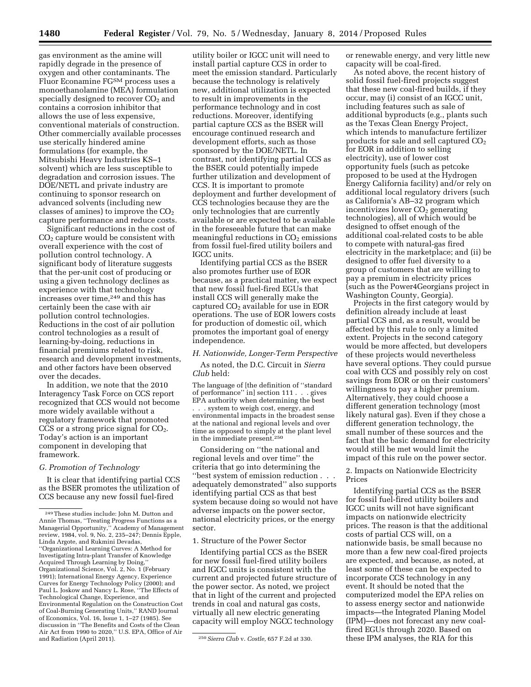gas environment as the amine will rapidly degrade in the presence of oxygen and other contaminants. The Fluor Econamine FGSM process uses a monoethanolamine (MEA) formulation specially designed to recover CO<sub>2</sub> and contains a corrosion inhibitor that allows the use of less expensive, conventional materials of construction. Other commercially available processes use sterically hindered amine formulations (for example, the Mitsubishi Heavy Industries KS–1 solvent) which are less susceptible to degradation and corrosion issues. The DOE/NETL and private industry are continuing to sponsor research on advanced solvents (including new classes of amines) to improve the  $CO<sub>2</sub>$ capture performance and reduce costs.

Significant reductions in the cost of CO2 capture would be consistent with overall experience with the cost of pollution control technology. A significant body of literature suggests that the per-unit cost of producing or using a given technology declines as experience with that technology increases over time,<sup>249</sup> and this has certainly been the case with air pollution control technologies. Reductions in the cost of air pollution control technologies as a result of learning-by-doing, reductions in financial premiums related to risk, research and development investments, and other factors have been observed over the decades.

In addition, we note that the 2010 Interagency Task Force on CCS report recognized that CCS would not become more widely available without a regulatory framework that promoted CCS or a strong price signal for  $CO<sub>2</sub>$ . Today's action is an important component in developing that framework.

# *G. Promotion of Technology*

It is clear that identifying partial CCS as the BSER promotes the utilization of CCS because any new fossil fuel-fired

utility boiler or IGCC unit will need to install partial capture CCS in order to meet the emission standard. Particularly because the technology is relatively new, additional utilization is expected to result in improvements in the performance technology and in cost reductions. Moreover, identifying partial capture CCS as the BSER will encourage continued research and development efforts, such as those sponsored by the DOE/NETL. In contrast, not identifying partial CCS as the BSER could potentially impede further utilization and development of CCS. It is important to promote deployment and further development of CCS technologies because they are the only technologies that are currently available or are expected to be available in the foreseeable future that can make meaningful reductions in  $CO<sub>2</sub>$  emissions from fossil fuel-fired utility boilers and IGCC units.

Identifying partial CCS as the BSER also promotes further use of EOR because, as a practical matter, we expect that new fossil fuel-fired EGUs that install CCS will generally make the captured  $CO<sub>2</sub>$  available for use in EOR operations. The use of EOR lowers costs for production of domestic oil, which promotes the important goal of energy independence.

#### *H. Nationwide, Longer-Term Perspective*

As noted, the D.C. Circuit in *Sierra Club* held:

The language of [the definition of ''standard of performance'' in] section 111 . . . gives EPA authority when determining the best . . . system to weigh cost, energy, and environmental impacts in the broadest sense at the national and regional levels and over time as opposed to simply at the plant level in the immediate present.250

Considering on ''the national and regional levels and over time'' the criteria that go into determining the ''best system of emission reduction . . . adequately demonstrated'' also supports identifying partial CCS as that best system because doing so would not have adverse impacts on the power sector, national electricity prices, or the energy sector.

#### 1. Structure of the Power Sector

Identifying partial CCS as the BSER for new fossil fuel-fired utility boilers and IGCC units is consistent with the current and projected future structure of the power sector. As noted, we project that in light of the current and projected trends in coal and natural gas costs, virtually all new electric generating capacity will employ NGCC technology

or renewable energy, and very little new capacity will be coal-fired.

As noted above, the recent history of solid fossil fuel-fired projects suggest that these new coal-fired builds, if they occur, may (i) consist of an IGCC unit, including features such as sale of additional byproducts (e.g., plants such as the Texas Clean Energy Project, which intends to manufacture fertilizer products for sale and sell captured  $CO<sub>2</sub>$ for EOR in addition to selling electricity), use of lower cost opportunity fuels (such as petcoke proposed to be used at the Hydrogen Energy California facility) and/or rely on additional local regulatory drivers (such as California's AB–32 program which incentivizes lower  $CO<sub>2</sub>$  generating technologies), all of which would be designed to offset enough of the additional coal-related costs to be able to compete with natural-gas fired electricity in the marketplace; and (ii) be designed to offer fuel diversity to a group of customers that are willing to pay a premium in electricity prices (such as the Power4Georgians project in Washington County, Georgia).

Projects in the first category would by definition already include at least partial CCS and, as a result, would be affected by this rule to only a limited extent. Projects in the second category would be more affected, but developers of these projects would nevertheless have several options. They could pursue coal with CCS and possibly rely on cost savings from EOR or on their customers' willingness to pay a higher premium. Alternatively, they could choose a different generation technology (most likely natural gas). Even if they chose a different generation technology, the small number of these sources and the fact that the basic demand for electricity would still be met would limit the impact of this rule on the power sector.

2. Impacts on Nationwide Electricity Prices

Identifying partial CCS as the BSER for fossil fuel-fired utility boilers and IGCC units will not have significant impacts on nationwide electricity prices. The reason is that the additional costs of partial CCS will, on a nationwide basis, be small because no more than a few new coal-fired projects are expected, and because, as noted, at least some of these can be expected to incorporate CCS technology in any event. It should be noted that the computerized model the EPA relies on to assess energy sector and nationwide impacts—the Integrated Planing Model (IPM)—does not forecast any new coalfired EGUs through 2020. Based on these IPM analyses, the RIA for this

<sup>249</sup>These studies include: John M. Dutton and Annie Thomas, ''Treating Progress Functions as a Managerial Opportunity,'' Academy of Management review, 1984, vol. 9, No. 2, 235–247; Dennis Epple, Linda Argote, and Rukmini Devadas, ''Organizational Learning Curves: A Method for Investigating Intra-plant Transfer of Knowledge Acquired Through Learning by Doing,'' Organizational Science, Vol. 2, No. 1 (February 1991); International Energy Agency, Experience Curves for Energy Technology Policy (2000); and Paul L. Joskow and Nancy L. Rose, ''The Effects of Technological Change, Experience, and Environmental Regulation on the Construction Cost of Coal-Burning Generating Units,'' RAND Journal of Economics, Vol. 16, Issue 1, 1–27 (1985). See discussion in ''The Benefits and Costs of the Clean Air Act from 1990 to 2020," U.S. EPA, Office of Air<br>and Radiation (April 2011).

<sup>&</sup>lt;sup>250</sup> Sierra Club v. *Costle*, 657 F.2d at 330.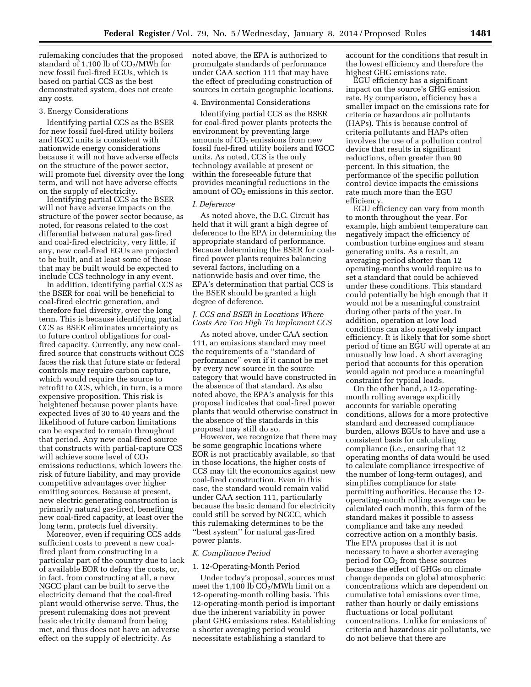rulemaking concludes that the proposed standard of 1,100 lb of  $CO<sub>2</sub>/MWh$  for new fossil fuel-fired EGUs, which is based on partial CCS as the best demonstrated system, does not create any costs.

#### 3. Energy Considerations

Identifying partial CCS as the BSER for new fossil fuel-fired utility boilers and IGCC units is consistent with nationwide energy considerations because it will not have adverse effects on the structure of the power sector, will promote fuel diversity over the long term, and will not have adverse effects on the supply of electricity.

Identifying partial CCS as the BSER will not have adverse impacts on the structure of the power sector because, as noted, for reasons related to the cost differential between natural gas-fired and coal-fired electricity, very little, if any, new coal-fired EGUs are projected to be built, and at least some of those that may be built would be expected to include CCS technology in any event.

In addition, identifying partial CCS as the BSER for coal will be beneficial to coal-fired electric generation, and therefore fuel diversity, over the long term. This is because identifying partial CCS as BSER eliminates uncertainty as to future control obligations for coalfired capacity. Currently, any new coalfired source that constructs without CCS faces the risk that future state or federal controls may require carbon capture, which would require the source to retrofit to CCS, which, in turn, is a more expensive proposition. This risk is heightened because power plants have expected lives of 30 to 40 years and the likelihood of future carbon limitations can be expected to remain throughout that period. Any new coal-fired source that constructs with partial-capture CCS will achieve some level of  $CO<sub>2</sub>$ emissions reductions, which lowers the risk of future liability, and may provide competitive advantages over higher emitting sources. Because at present, new electric generating construction is primarily natural gas-fired, benefiting new coal-fired capacity, at least over the long term, protects fuel diversity.

Moreover, even if requiring CCS adds sufficient costs to prevent a new coalfired plant from constructing in a particular part of the country due to lack of available EOR to defray the costs, or, in fact, from constructing at all, a new NGCC plant can be built to serve the electricity demand that the coal-fired plant would otherwise serve. Thus, the present rulemaking does not prevent basic electricity demand from being met, and thus does not have an adverse effect on the supply of electricity. As

noted above, the EPA is authorized to promulgate standards of performance under CAA section 111 that may have the effect of precluding construction of sources in certain geographic locations.

#### 4. Environmental Considerations

Identifying partial CCS as the BSER for coal-fired power plants protects the environment by preventing large amounts of  $CO<sub>2</sub>$  emissions from new fossil fuel-fired utility boilers and IGCC units. As noted, CCS is the only technology available at present or within the foreseeable future that provides meaningful reductions in the amount of  $CO<sub>2</sub>$  emissions in this sector.

#### *I. Deference*

As noted above, the D.C. Circuit has held that it will grant a high degree of deference to the EPA in determining the appropriate standard of performance. Because determining the BSER for coalfired power plants requires balancing several factors, including on a nationwide basis and over time, the EPA's determination that partial CCS is the BSER should be granted a high degree of deference.

# *J. CCS and BSER in Locations Where Costs Are Too High To Implement CCS*

As noted above, under CAA section 111, an emissions standard may meet the requirements of a ''standard of performance'' even if it cannot be met by every new source in the source category that would have constructed in the absence of that standard. As also noted above, the EPA's analysis for this proposal indicates that coal-fired power plants that would otherwise construct in the absence of the standards in this proposal may still do so.

However, we recognize that there may be some geographic locations where EOR is not practicably available, so that in those locations, the higher costs of CCS may tilt the economics against new coal-fired construction. Even in this case, the standard would remain valid under CAA section 111, particularly because the basic demand for electricity could still be served by NGCC, which this rulemaking determines to be the ''best system'' for natural gas-fired power plants.

## *K. Compliance Period*

# 1. 12-Operating-Month Period

Under today's proposal, sources must meet the 1,100 lb  $CO<sub>2</sub>/MWh$  limit on a 12-operating-month rolling basis. This 12-operating-month period is important due the inherent variability in power plant GHG emissions rates. Establishing a shorter averaging period would necessitate establishing a standard to

account for the conditions that result in the lowest efficiency and therefore the highest GHG emissions rate.

EGU efficiency has a significant impact on the source's GHG emission rate. By comparison, efficiency has a smaller impact on the emissions rate for criteria or hazardous air pollutants (HAPs). This is because control of criteria pollutants and HAPs often involves the use of a pollution control device that results in significant reductions, often greater than 90 percent. In this situation, the performance of the specific pollution control device impacts the emissions rate much more than the EGU efficiency.

EGU efficiency can vary from month to month throughout the year. For example, high ambient temperature can negatively impact the efficiency of combustion turbine engines and steam generating units. As a result, an averaging period shorter than 12 operating-months would require us to set a standard that could be achieved under these conditions. This standard could potentially be high enough that it would not be a meaningful constraint during other parts of the year. In addition, operation at low load conditions can also negatively impact efficiency. It is likely that for some short period of time an EGU will operate at an unusually low load. A short averaging period that accounts for this operation would again not produce a meaningful constraint for typical loads.

On the other hand, a 12-operatingmonth rolling average explicitly accounts for variable operating conditions, allows for a more protective standard and decreased compliance burden, allows EGUs to have and use a consistent basis for calculating compliance (i.e., ensuring that 12 operating months of data would be used to calculate compliance irrespective of the number of long-term outages), and simplifies compliance for state permitting authorities. Because the 12 operating-month rolling average can be calculated each month, this form of the standard makes it possible to assess compliance and take any needed corrective action on a monthly basis. The EPA proposes that it is not necessary to have a shorter averaging period for  $CO<sub>2</sub>$  from these sources because the effect of GHGs on climate change depends on global atmospheric concentrations which are dependent on cumulative total emissions over time, rather than hourly or daily emissions fluctuations or local pollutant concentrations. Unlike for emissions of criteria and hazardous air pollutants, we do not believe that there are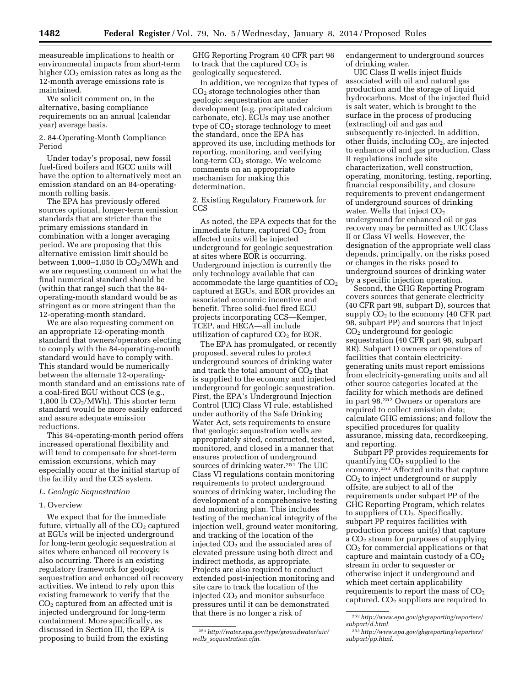measureable implications to health or environmental impacts from short-term higher  $CO<sub>2</sub>$  emission rates as long as the 12-month average emissions rate is maintained.

We solicit comment on, in the alternative, basing compliance requirements on an annual (calendar year) average basis.

# 2. 84-Operating-Month Compliance Period

Under today's proposal, new fossil fuel-fired boilers and IGCC units will have the option to alternatively meet an emission standard on an 84-operatingmonth rolling basis.

The EPA has previously offered sources optional, longer-term emission standards that are stricter than the primary emissions standard in combination with a longer averaging period. We are proposing that this alternative emission limit should be between  $1,000-1,050$  lb  $CO<sub>2</sub>/MWh$  and we are requesting comment on what the final numerical standard should be (within that range) such that the 84 operating-month standard would be as stringent as or more stringent than the 12-operating-month standard.

We are also requesting comment on an appropriate 12-operating-month standard that owners/operators electing to comply with the 84-operating-month standard would have to comply with. This standard would be numerically between the alternate 12-operatingmonth standard and an emissions rate of a coal-fired EGU without CCS (e.g., 1,800 lb  $CO<sub>2</sub>/MWh$ ). This shorter term standard would be more easily enforced and assure adequate emission reductions.

This 84-operating-month period offers increased operational flexibility and will tend to compensate for short-term emission excursions, which may especially occur at the initial startup of the facility and the CCS system.

## *L. Geologic Sequestration*

#### 1. Overview

We expect that for the immediate future, virtually all of the  $CO<sub>2</sub>$  captured at EGUs will be injected underground for long-term geologic sequestration at sites where enhanced oil recovery is also occurring. There is an existing regulatory framework for geologic sequestration and enhanced oil recovery activities. We intend to rely upon this existing framework to verify that the  $CO<sub>2</sub>$  captured from an affected unit is injected underground for long-term containment. More specifically, as discussed in Section III, the EPA is proposing to build from the existing

GHG Reporting Program 40 CFR part 98 to track that the captured  $CO<sub>2</sub>$  is geologically sequestered.

In addition, we recognize that types of  $CO<sub>2</sub>$  storage technologies other than geologic sequestration are under development (e.g. precipitated calcium carbonate, etc). EGUs may use another type of  $CO<sub>2</sub>$  storage technology to meet the standard, once the EPA has approved its use, including methods for reporting, monitoring, and verifying long-term CO<sub>2</sub> storage. We welcome comments on an appropriate mechanism for making this determination.

2. Existing Regulatory Framework for CCS

As noted, the EPA expects that for the immediate future, captured  $CO<sub>2</sub>$  from affected units will be injected underground for geologic sequestration at sites where EOR is occurring. Underground injection is currently the only technology available that can accommodate the large quantities of  $CO<sub>2</sub>$ captured at EGUs, and EOR provides an associated economic incentive and benefit. Three solid-fuel fired EGU projects incorporating CCS—Kemper, TCEP, and HECA—all include utilization of captured  $CO<sub>2</sub>$  for EOR.

The EPA has promulgated, or recently proposed, several rules to protect underground sources of drinking water and track the total amount of  $CO<sub>2</sub>$  that is supplied to the economy and injected underground for geologic sequestration. First, the EPA's Underground Injection Control (UIC) Class VI rule, established under authority of the Safe Drinking Water Act, sets requirements to ensure that geologic sequestration wells are appropriately sited, constructed, tested, monitored, and closed in a manner that ensures protection of underground sources of drinking water.251 The UIC Class VI regulations contain monitoring requirements to protect underground sources of drinking water, including the development of a comprehensive testing and monitoring plan. This includes testing of the mechanical integrity of the injection well, ground water monitoring, and tracking of the location of the injected  $CO<sub>2</sub>$  and the associated area of elevated pressure using both direct and indirect methods, as appropriate. Projects are also required to conduct extended post-injection monitoring and site care to track the location of the injected  $CO<sub>2</sub>$  and monitor subsurface pressures until it can be demonstrated that there is no longer a risk of

endangerment to underground sources of drinking water.

UIC Class II wells inject fluids associated with oil and natural gas production and the storage of liquid hydrocarbons. Most of the injected fluid is salt water, which is brought to the surface in the process of producing (extracting) oil and gas and subsequently re-injected. In addition, other fluids, including  $CO<sub>2</sub>$ , are injected to enhance oil and gas production. Class II regulations include site characterization, well construction, operating, monitoring, testing, reporting, financial responsibility, and closure requirements to prevent endangerment of underground sources of drinking water. Wells that inject  $CO<sub>2</sub>$ underground for enhanced oil or gas recovery may be permitted as UIC Class II or Class VI wells. However, the designation of the appropriate well class depends, principally, on the risks posed or changes in the risks posed to underground sources of drinking water by a specific injection operation.

Second, the GHG Reporting Program covers sources that generate electricity (40 CFR part 98, subpart D), sources that supply  $CO<sub>2</sub>$  to the economy (40 CFR part 98, subpart PP) and sources that inject  $CO<sub>2</sub>$  underground for geologic sequestration (40 CFR part 98, subpart RR). Subpart D owners or operators of facilities that contain electricitygenerating units must report emissions from electricity-generating units and all other source categories located at the facility for which methods are defined in part 98.252 Owners or operators are required to collect emission data; calculate GHG emissions; and follow the specified procedures for quality assurance, missing data, recordkeeping, and reporting.

Subpart PP provides requirements for quantifying  $CO<sub>2</sub>$  supplied to the economy.253 Affected units that capture CO2 to inject underground or supply offsite, are subject to all of the requirements under subpart PP of the GHG Reporting Program, which relates to suppliers of  $CO<sub>2</sub>$ . Specifically, subpart PP requires facilities with production process unit(s) that capture a CO2 stream for purposes of supplying CO2 for commercial applications or that capture and maintain custody of a  $CO<sub>2</sub>$ stream in order to sequester or otherwise inject it underground and which meet certain applicability requirements to report the mass of  $CO<sub>2</sub>$ captured.  $CO<sub>2</sub>$  suppliers are required to

<sup>251</sup>*[http://water.epa.gov/type/groundwater/uic/](http://water.epa.gov/type/groundwater/uic/wells_sequestration.cfm) wells*\_*[sequestration.cfm.](http://water.epa.gov/type/groundwater/uic/wells_sequestration.cfm)* 

<sup>252</sup>*[http://www.epa.gov/ghgreporting/reporters/](http://www.epa.gov/ghgreporting/reporters/subpart/d.html) [subpart/d.html.](http://www.epa.gov/ghgreporting/reporters/subpart/d.html)* 

<sup>253</sup>*[http://www.epa.gov/ghgreporting/reporters/](http://www.epa.gov/ghgreporting/reporters/subpart/pp.html) [subpart/pp.html.](http://www.epa.gov/ghgreporting/reporters/subpart/pp.html)*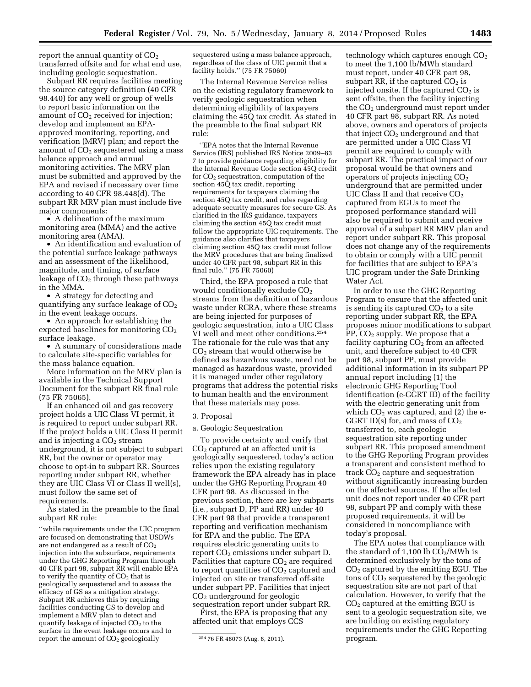report the annual quantity of  $CO<sub>2</sub>$ transferred offsite and for what end use, including geologic sequestration.

Subpart RR requires facilities meeting the source category definition (40 CFR 98.440) for any well or group of wells to report basic information on the amount of  $CO<sub>2</sub>$  received for injection; develop and implement an EPAapproved monitoring, reporting, and verification (MRV) plan; and report the amount of  $CO<sub>2</sub>$  sequestered using a mass balance approach and annual monitoring activities. The MRV plan must be submitted and approved by the EPA and revised if necessary over time according to 40 CFR 98.448(d). The subpart RR MRV plan must include five major components:

• A delineation of the maximum monitoring area (MMA) and the active monitoring area (AMA).

• An identification and evaluation of the potential surface leakage pathways and an assessment of the likelihood, magnitude, and timing, of surface leakage of  $CO<sub>2</sub>$  through these pathways in the MMA.

• A strategy for detecting and quantifying any surface leakage of  $CO<sub>2</sub>$ in the event leakage occurs.

• An approach for establishing the expected baselines for monitoring  $CO<sub>2</sub>$ surface leakage.

• A summary of considerations made to calculate site-specific variables for the mass balance equation.

More information on the MRV plan is available in the Technical Support Document for the subpart RR final rule (75 FR 75065).

If an enhanced oil and gas recovery project holds a UIC Class VI permit, it is required to report under subpart RR. If the project holds a UIC Class II permit and is injecting a  $CO<sub>2</sub>$  stream underground, it is not subject to subpart RR, but the owner or operator may choose to opt-in to subpart RR. Sources reporting under subpart RR, whether they are UIC Class VI or Class II well(s), must follow the same set of requirements.

As stated in the preamble to the final subpart RR rule:

''while requirements under the UIC program are focused on demonstrating that USDWs are not endangered as a result of  $CO<sub>2</sub>$ injection into the subsurface, requirements under the GHG Reporting Program through 40 CFR part 98, subpart RR will enable EPA to verify the quantity of  $CO<sub>2</sub>$  that is geologically sequestered and to assess the efficacy of GS as a mitigation strategy. Subpart RR achieves this by requiring facilities conducting GS to develop and implement a MRV plan to detect and quantify leakage of injected  $CO<sub>2</sub>$  to the surface in the event leakage occurs and to report the amount of  $CO<sub>2</sub>$  geologically

sequestered using a mass balance approach, regardless of the class of UIC permit that a facility holds.'' (75 FR 75060)

The Internal Revenue Service relies on the existing regulatory framework to verify geologic sequestration when determining eligibility of taxpayers claiming the 45Q tax credit. As stated in the preamble to the final subpart RR rule:

''EPA notes that the Internal Revenue Service (IRS) published IRS Notice 2009–83 7 to provide guidance regarding eligibility for the Internal Revenue Code section 45Q credit for  $CO<sub>2</sub>$  sequestration, computation of the section 45Q tax credit, reporting requirements for taxpayers claiming the section 45Q tax credit, and rules regarding adequate security measures for secure GS. As clarified in the IRS guidance, taxpayers claiming the section 45Q tax credit must follow the appropriate UIC requirements. The guidance also clarifies that taxpayers claiming section 45Q tax credit must follow the MRV procedures that are being finalized under 40 CFR part 98, subpart RR in this final rule.'' (75 FR 75060)

Third, the EPA proposed a rule that would conditionally exclude CO<sub>2</sub> streams from the definition of hazardous waste under RCRA, where these streams are being injected for purposes of geologic sequestration, into a UIC Class VI well and meet other conditions.254 The rationale for the rule was that any  $CO<sub>2</sub>$  stream that would otherwise be defined as hazardous waste, need not be managed as hazardous waste, provided it is managed under other regulatory programs that address the potential risks to human health and the environment that these materials may pose.

#### 3. Proposal

### a. Geologic Sequestration

To provide certainty and verify that CO2 captured at an affected unit is geologically sequestered, today's action relies upon the existing regulatory framework the EPA already has in place under the GHG Reporting Program 40 CFR part 98. As discussed in the previous section, there are key subparts (i.e., subpart D, PP and RR) under 40 CFR part 98 that provide a transparent reporting and verification mechanism for EPA and the public. The EPA requires electric generating units to report CO<sub>2</sub> emissions under subpart D. Facilities that capture  $CO<sub>2</sub>$  are required to report quantities of  $CO<sub>2</sub>$  captured and injected on site or transferred off-site under subpart PP. Facilities that inject CO2 underground for geologic sequestration report under subpart RR.

First, the EPA is proposing that any affected unit that employs CCS

technology which captures enough CO<sub>2</sub> to meet the 1,100 lb/MWh standard must report, under 40 CFR part 98, subpart RR, if the captured  $CO<sub>2</sub>$  is injected onsite. If the captured  $CO<sub>2</sub>$  is sent offsite, then the facility injecting the  $CO<sub>2</sub>$  underground must report under 40 CFR part 98, subpart RR. As noted above, owners and operators of projects that inject  $CO<sub>2</sub>$  underground and that are permitted under a UIC Class VI permit are required to comply with subpart RR. The practical impact of our proposal would be that owners and operators of projects injecting CO2 underground that are permitted under UIC Class II and that receive  $CO<sub>2</sub>$ captured from EGUs to meet the proposed performance standard will also be required to submit and receive approval of a subpart RR MRV plan and report under subpart RR. This proposal does not change any of the requirements to obtain or comply with a UIC permit for facilities that are subject to EPA's UIC program under the Safe Drinking Water Act.

In order to use the GHG Reporting Program to ensure that the affected unit is sending its captured  $CO<sub>2</sub>$  to a site reporting under subpart RR, the EPA proposes minor modifications to subpart PP, CO2 supply. We propose that a facility capturing  $CO<sub>2</sub>$  from an affected unit, and therefore subject to 40 CFR part 98, subpart PP, must provide additional information in its subpart PP annual report including (1) the electronic GHG Reporting Tool identification (e-GGRT ID) of the facility with the electric generating unit from which  $CO<sub>2</sub>$  was captured, and (2) the e-GGRT ID(s) for, and mass of  $CO<sub>2</sub>$ transferred to, each geologic sequestration site reporting under subpart RR. This proposed amendment to the GHG Reporting Program provides a transparent and consistent method to track  $CO<sub>2</sub>$  capture and sequestration without significantly increasing burden on the affected sources. If the affected unit does not report under 40 CFR part 98, subpart PP and comply with these proposed requirements, it will be considered in noncompliance with today's proposal.

The EPA notes that compliance with the standard of 1,100 lb  $CO<sub>2</sub>/MWh$  is determined exclusively by the tons of  $CO<sub>2</sub>$  captured by the emitting EGU. The tons of  $CO<sub>2</sub>$  sequestered by the geologic sequestration site are not part of that calculation. However, to verify that the CO2 captured at the emitting EGU is sent to a geologic sequestration site, we are building on existing regulatory requirements under the GHG Reporting program.

<sup>254</sup> 76 FR 48073 (Aug. 8, 2011).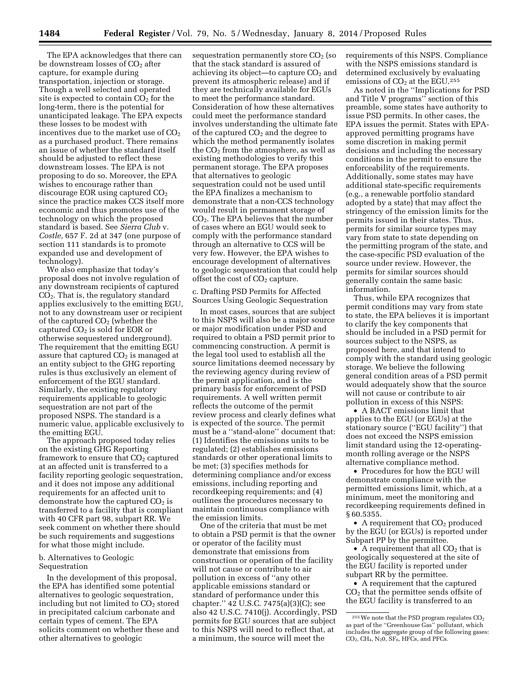The EPA acknowledges that there can be downstream losses of  $CO<sub>2</sub>$  after capture, for example during transportation, injection or storage. Though a well selected and operated site is expected to contain  $CO<sub>2</sub>$  for the long-term, there is the potential for unanticipated leakage. The EPA expects these losses to be modest with incentives due to the market use of  $CO<sub>2</sub>$ as a purchased product. There remains an issue of whether the standard itself should be adjusted to reflect these downstream losses. The EPA is not proposing to do so. Moreover, the EPA wishes to encourage rather than discourage EOR using captured  $CO<sub>2</sub>$ since the practice makes CCS itself more economic and thus promotes use of the technology on which the proposed standard is based. See *Sierra Club* v. *Costle,* 657 F. 2d at 347 (one purpose of section 111 standards is to promote expanded use and development of technology).

We also emphasize that today's proposal does not involve regulation of any downstream recipients of captured  $CO<sub>2</sub>$ . That is, the regulatory standard applies exclusively to the emitting EGU, not to any downstream user or recipient of the captured  $CO<sub>2</sub>$  (whether the captured CO2 is sold for EOR or otherwise sequestered underground). The requirement that the emitting EGU assure that captured  $CO<sub>2</sub>$  is managed at an entity subject to the GHG reporting rules is thus exclusively an element of enforcement of the EGU standard. Similarly, the existing regulatory requirements applicable to geologic sequestration are not part of the proposed NSPS. The standard is a numeric value, applicable exclusively to the emitting EGU.

The approach proposed today relies on the existing GHG Reporting framework to ensure that  $CO<sub>2</sub>$  captured at an affected unit is transferred to a facility reporting geologic sequestration, and it does not impose any additional requirements for an affected unit to demonstrate how the captured  $CO<sub>2</sub>$  is transferred to a facility that is compliant with 40 CFR part 98, subpart RR. We seek comment on whether there should be such requirements and suggestions for what those might include.

## b. Alternatives to Geologic Sequestration

In the development of this proposal, the EPA has identified some potential alternatives to geologic sequestration, including but not limited to  $CO<sub>2</sub>$  stored in precipitated calcium carbonate and certain types of cement. The EPA solicits comment on whether these and other alternatives to geologic

sequestration permanently store CO<sub>2</sub> (so that the stack standard is assured of achieving its object—to capture  $CO<sub>2</sub>$  and prevent its atmospheric release) and if they are technically available for EGUs to meet the performance standard. Consideration of how these alternatives could meet the performance standard involves understanding the ultimate fate of the captured  $CO<sub>2</sub>$  and the degree to which the method permanently isolates the  $CO<sub>2</sub>$  from the atmosphere, as well as existing methodologies to verify this permanent storage. The EPA proposes that alternatives to geologic sequestration could not be used until the EPA finalizes a mechanism to demonstrate that a non-CCS technology would result in permanent storage of CO2. The EPA believes that the number of cases where an EGU would seek to comply with the performance standard through an alternative to CCS will be very few. However, the EPA wishes to encourage development of alternatives to geologic sequestration that could help offset the cost of  $CO<sub>2</sub>$  capture.

c. Drafting PSD Permits for Affected Sources Using Geologic Sequestration

In most cases, sources that are subject to this NSPS will also be a major source or major modification under PSD and required to obtain a PSD permit prior to commencing construction. A permit is the legal tool used to establish all the source limitations deemed necessary by the reviewing agency during review of the permit application, and is the primary basis for enforcement of PSD requirements. A well written permit reflects the outcome of the permit review process and clearly defines what is expected of the source. The permit must be a ''stand-alone'' document that: (1) Identifies the emissions units to be regulated; (2) establishes emissions standards or other operational limits to be met; (3) specifies methods for determining compliance and/or excess emissions, including reporting and recordkeeping requirements; and (4) outlines the procedures necessary to maintain continuous compliance with the emission limits.

One of the criteria that must be met to obtain a PSD permit is that the owner or operator of the facility must demonstrate that emissions from construction or operation of the facility will not cause or contribute to air pollution in excess of ''any other applicable emissions standard or standard of performance under this chapter.'' 42 U.S.C. 7475(a)(3)(C); see also 42 U.S.C. 7410(j). Accordingly, PSD permits for EGU sources that are subject to this NSPS will need to reflect that, at a minimum, the source will meet the

requirements of this NSPS. Compliance with the NSPS emissions standard is determined exclusively by evaluating emissions of  $CO<sub>2</sub>$  at the EGU.<sup>255</sup>

As noted in the ''Implications for PSD and Title V programs'' section of this preamble, some states have authority to issue PSD permits. In other cases, the EPA issues the permit. States with EPAapproved permitting programs have some discretion in making permit decisions and including the necessary conditions in the permit to ensure the enforceability of the requirements. Additionally, some states may have additional state-specific requirements (e.g., a renewable portfolio standard adopted by a state) that may affect the stringency of the emission limits for the permits issued in their states. Thus, permits for similar source types may vary from state to state depending on the permitting program of the state, and the case-specific PSD evaluation of the source under review. However, the permits for similar sources should generally contain the same basic information.

Thus, while EPA recognizes that permit conditions may vary from state to state, the EPA believes it is important to clarify the key components that should be included in a PSD permit for sources subject to the NSPS, as proposed here, and that intend to comply with the standard using geologic storage. We believe the following general condition areas of a PSD permit would adequately show that the source will not cause or contribute to air pollution in excess of this NSPS:

• A BACT emissions limit that applies to the EGU (or EGUs) at the stationary source (''EGU facility'') that does not exceed the NSPS emission limit standard using the 12-operatingmonth rolling average or the NSPS alternative compliance method.

• Procedures for how the EGU will demonstrate compliance with the permitted emissions limit, which, at a minimum, meet the monitoring and recordkeeping requirements defined in § 60.5355.

• A requirement that  $CO<sub>2</sub>$  produced by the EGU (or EGUs) is reported under Subpart PP by the permittee.

• A requirement that all  $CO<sub>2</sub>$  that is geologically sequestered at the site of the EGU facility is reported under subpart RR by the permittee.

• A requirement that the captured CO2 that the permittee sends offsite of the EGU facility is transferred to an

 $255$  We note that the PSD program regulates  $CO<sub>2</sub>$ as part of the ''Greenhouse Gas'' pollutant, which includes the aggregate group of the following gases:  $CO<sub>2</sub>$ ,  $CH<sub>4</sub>$ ,  $N<sub>2</sub>0$ ,  $SF<sub>6</sub>$ , HFCs, and PFCs.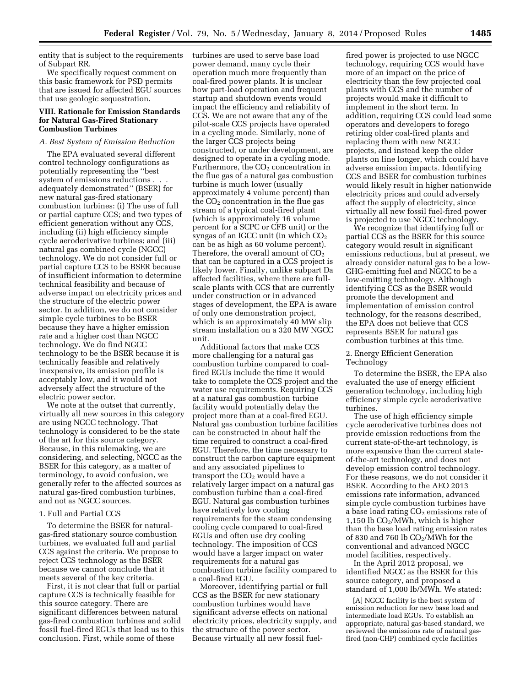entity that is subject to the requirements of Subpart RR.

We specifically request comment on this basic framework for PSD permits that are issued for affected EGU sources that use geologic sequestration.

# **VIII. Rationale for Emission Standards for Natural Gas-Fired Stationary Combustion Turbines**

### *A. Best System of Emission Reduction*

The EPA evaluated several different control technology configurations as potentially representing the ''best system of emissions reductions . . . adequately demonstrated'' (BSER) for new natural gas-fired stationary combustion turbines: (i) The use of full or partial capture CCS; and two types of efficient generation without any CCS, including (ii) high efficiency simple cycle aeroderivative turbines; and (iii) natural gas combined cycle (NGCC) technology. We do not consider full or partial capture CCS to be BSER because of insufficient information to determine technical feasibility and because of adverse impact on electricity prices and the structure of the electric power sector. In addition, we do not consider simple cycle turbines to be BSER because they have a higher emission rate and a higher cost than NGCC technology. We do find NGCC technology to be the BSER because it is technically feasible and relatively inexpensive, its emission profile is acceptably low, and it would not adversely affect the structure of the electric power sector.

We note at the outset that currently, virtually all new sources in this category are using NGCC technology. That technology is considered to be the state of the art for this source category. Because, in this rulemaking, we are considering, and selecting, NGCC as the BSER for this category, as a matter of terminology, to avoid confusion, we generally refer to the affected sources as natural gas-fired combustion turbines, and not as NGCC sources.

## 1. Full and Partial CCS

To determine the BSER for naturalgas-fired stationary source combustion turbines, we evaluated full and partial CCS against the criteria. We propose to reject CCS technology as the BSER because we cannot conclude that it meets several of the key criteria.

First, it is not clear that full or partial capture CCS is technically feasible for this source category. There are significant differences between natural gas-fired combustion turbines and solid fossil fuel-fired EGUs that lead us to this conclusion. First, while some of these

turbines are used to serve base load power demand, many cycle their operation much more frequently than coal-fired power plants. It is unclear how part-load operation and frequent startup and shutdown events would impact the efficiency and reliability of CCS. We are not aware that any of the pilot-scale CCS projects have operated in a cycling mode. Similarly, none of the larger CCS projects being constructed, or under development, are designed to operate in a cycling mode. Furthermore, the  $CO<sub>2</sub>$  concentration in the flue gas of a natural gas combustion turbine is much lower (usually approximately 4 volume percent) than the  $CO<sub>2</sub>$  concentration in the flue gas stream of a typical coal-fired plant (which is approximately 16 volume percent for a SCPC or CFB unit) or the syngas of an IGCC unit (in which  $CO<sub>2</sub>$ can be as high as 60 volume percent). Therefore, the overall amount of  $CO<sub>2</sub>$ that can be captured in a CCS project is likely lower. Finally, unlike subpart Da affected facilities, where there are fullscale plants with CCS that are currently under construction or in advanced stages of development, the EPA is aware of only one demonstration project, which is an approximately 40 MW slip stream installation on a 320 MW NGCC unit.

Additional factors that make CCS more challenging for a natural gas combustion turbine compared to coalfired EGUs include the time it would take to complete the CCS project and the water use requirements. Requiring CCS at a natural gas combustion turbine facility would potentially delay the project more than at a coal-fired EGU. Natural gas combustion turbine facilities can be constructed in about half the time required to construct a coal-fired EGU. Therefore, the time necessary to construct the carbon capture equipment and any associated pipelines to transport the  $CO<sub>2</sub>$  would have a relatively larger impact on a natural gas combustion turbine than a coal-fired EGU. Natural gas combustion turbines have relatively low cooling requirements for the steam condensing cooling cycle compared to coal-fired EGUs and often use dry cooling technology. The imposition of CCS would have a larger impact on water requirements for a natural gas combustion turbine facility compared to a coal-fired EGU.

Moreover, identifying partial or full CCS as the BSER for new stationary combustion turbines would have significant adverse effects on national electricity prices, electricity supply, and the structure of the power sector. Because virtually all new fossil fuel-

fired power is projected to use NGCC technology, requiring CCS would have more of an impact on the price of electricity than the few projected coal plants with CCS and the number of projects would make it difficult to implement in the short term. In addition, requiring CCS could lead some operators and developers to forego retiring older coal-fired plants and replacing them with new NGCC projects, and instead keep the older plants on line longer, which could have adverse emission impacts. Identifying CCS and BSER for combustion turbines would likely result in higher nationwide electricity prices and could adversely affect the supply of electricity, since virtually all new fossil fuel-fired power is projected to use NGCC technology.

We recognize that identifying full or partial CCS as the BSER for this source category would result in significant emissions reductions, but at present, we already consider natural gas to be a low-GHG-emitting fuel and NGCC to be a low-emitting technology. Although identifying CCS as the BSER would promote the development and implementation of emission control technology, for the reasons described, the EPA does not believe that CCS represents BSER for natural gas combustion turbines at this time.

# 2. Energy Efficient Generation Technology

To determine the BSER, the EPA also evaluated the use of energy efficient generation technology, including high efficiency simple cycle aeroderivative turbines.

The use of high efficiency simple cycle aeroderivative turbines does not provide emission reductions from the current state-of-the-art technology, is more expensive than the current stateof-the-art technology, and does not develop emission control technology. For these reasons, we do not consider it BSER. According to the AEO 2013 emissions rate information, advanced simple cycle combustion turbines have a base load rating  $CO<sub>2</sub>$  emissions rate of 1,150 lb  $CO<sub>2</sub>/M\bar{W}$ h, which is higher than the base load rating emission rates of 830 and 760 lb  $CO<sub>2</sub>/MWh$  for the conventional and advanced NGCC model facilities, respectively.

In the April 2012 proposal, we identified NGCC as the BSER for this source category, and proposed a standard of 1,000 lb/MWh. We stated:

[A] NGCC facility is the best system of emission reduction for new base load and intermediate load EGUs. To establish an appropriate, natural gas-based standard, we reviewed the emissions rate of natural gasfired (non-CHP) combined cycle facilities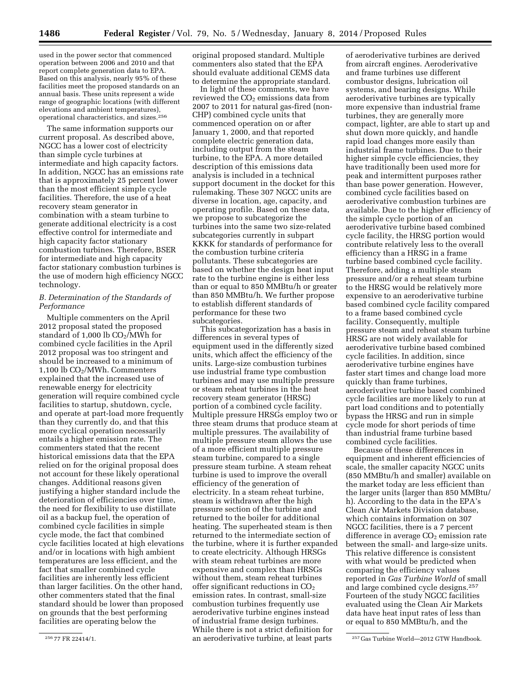used in the power sector that commenced operation between 2006 and 2010 and that report complete generation data to EPA. Based on this analysis, nearly 95% of these facilities meet the proposed standards on an annual basis. These units represent a wide range of geographic locations (with different elevations and ambient temperatures), operational characteristics, and sizes.256

The same information supports our current proposal. As described above, NGCC has a lower cost of electricity than simple cycle turbines at intermediate and high capacity factors. In addition, NGCC has an emissions rate that is approximately 25 percent lower than the most efficient simple cycle facilities. Therefore, the use of a heat recovery steam generator in combination with a steam turbine to generate additional electricity is a cost effective control for intermediate and high capacity factor stationary combustion turbines. Therefore, BSER for intermediate and high capacity factor stationary combustion turbines is the use of modern high efficiency NGCC technology.

# *B. Determination of the Standards of Performance*

Multiple commenters on the April 2012 proposal stated the proposed standard of 1,000 lb CO2/MWh for combined cycle facilities in the April 2012 proposal was too stringent and should be increased to a minimum of 1,100 lb  $CO<sub>2</sub>/MWh$ . Commenters explained that the increased use of renewable energy for electricity generation will require combined cycle facilities to startup, shutdown, cycle, and operate at part-load more frequently than they currently do, and that this more cyclical operation necessarily entails a higher emission rate. The commenters stated that the recent historical emissions data that the EPA relied on for the original proposal does not account for these likely operational changes. Additional reasons given justifying a higher standard include the deterioration of efficiencies over time, the need for flexibility to use distillate oil as a backup fuel, the operation of combined cycle facilities in simple cycle mode, the fact that combined cycle facilities located at high elevations and/or in locations with high ambient temperatures are less efficient, and the fact that smaller combined cycle facilities are inherently less efficient than larger facilities. On the other hand, other commenters stated that the final standard should be lower than proposed on grounds that the best performing facilities are operating below the

original proposed standard. Multiple commenters also stated that the EPA should evaluate additional CEMS data to determine the appropriate standard.

In light of these comments, we have reviewed the  $CO<sub>2</sub>$  emissions data from 2007 to 2011 for natural gas-fired (non-CHP) combined cycle units that commenced operation on or after January 1, 2000, and that reported complete electric generation data, including output from the steam turbine, to the EPA. A more detailed description of this emissions data analysis is included in a technical support document in the docket for this rulemaking. These 307 NGCC units are diverse in location, age, capacity, and operating profile. Based on these data, we propose to subcategorize the turbines into the same two size-related subcategories currently in subpart KKKK for standards of performance for the combustion turbine criteria pollutants. These subcategories are based on whether the design heat input rate to the turbine engine is either less than or equal to 850 MMBtu/h or greater than 850 MMBtu/h. We further propose to establish different standards of performance for these two subcategories.

This subcategorization has a basis in differences in several types of equipment used in the differently sized units, which affect the efficiency of the units. Large-size combustion turbines use industrial frame type combustion turbines and may use multiple pressure or steam reheat turbines in the heat recovery steam generator (HRSG) portion of a combined cycle facility. Multiple pressure HRSGs employ two or three steam drums that produce steam at multiple pressures. The availability of multiple pressure steam allows the use of a more efficient multiple pressure steam turbine, compared to a single pressure steam turbine. A steam reheat turbine is used to improve the overall efficiency of the generation of electricity. In a steam reheat turbine, steam is withdrawn after the high pressure section of the turbine and returned to the boiler for additional heating. The superheated steam is then returned to the intermediate section of the turbine, where it is further expanded to create electricity. Although HRSGs with steam reheat turbines are more expensive and complex than HRSGs without them, steam reheat turbines offer significant reductions in  $CO<sub>2</sub>$ emission rates. In contrast, small-size combustion turbines frequently use aeroderivative turbine engines instead of industrial frame design turbines. While there is not a strict definition for

of aeroderivative turbines are derived from aircraft engines. Aeroderivative and frame turbines use different combustor designs, lubrication oil systems, and bearing designs. While aeroderivative turbines are typically more expensive than industrial frame turbines, they are generally more compact, lighter, are able to start up and shut down more quickly, and handle rapid load changes more easily than industrial frame turbines. Due to their higher simple cycle efficiencies, they have traditionally been used more for peak and intermittent purposes rather than base power generation. However, combined cycle facilities based on aeroderivative combustion turbines are available. Due to the higher efficiency of the simple cycle portion of an aeroderivative turbine based combined cycle facility, the HRSG portion would contribute relatively less to the overall efficiency than a HRSG in a frame turbine based combined cycle facility. Therefore, adding a multiple steam pressure and/or a reheat steam turbine to the HRSG would be relatively more expensive to an aeroderivative turbine based combined cycle facility compared to a frame based combined cycle facility. Consequently, multiple pressure steam and reheat steam turbine HRSG are not widely available for aeroderivative turbine based combined cycle facilities. In addition, since aeroderivative turbine engines have faster start times and change load more quickly than frame turbines, aeroderivative turbine based combined cycle facilities are more likely to run at part load conditions and to potentially bypass the HRSG and run in simple cycle mode for short periods of time than industrial frame turbine based combined cycle facilities.

Because of these differences in equipment and inherent efficiencies of scale, the smaller capacity NGCC units (850 MMBtu/h and smaller) available on the market today are less efficient than the larger units (larger than 850 MMBtu/ h). According to the data in the EPA's Clean Air Markets Division database, which contains information on 307 NGCC facilities, there is a 7 percent difference in average  $CO<sub>2</sub>$  emission rate between the small- and large-size units. This relative difference is consistent with what would be predicted when comparing the efficiency values reported in *Gas Turbine World* of small and large combined cycle designs.257 Fourteen of the study NGCC facilities evaluated using the Clean Air Markets data have heat input rates of less than or equal to 850 MMBtu/h, and the

<sup>256</sup> 77 FR 22414/1. 257 Gas Turbine World—2012 GTW Handbook. an aeroderivative turbine, at least parts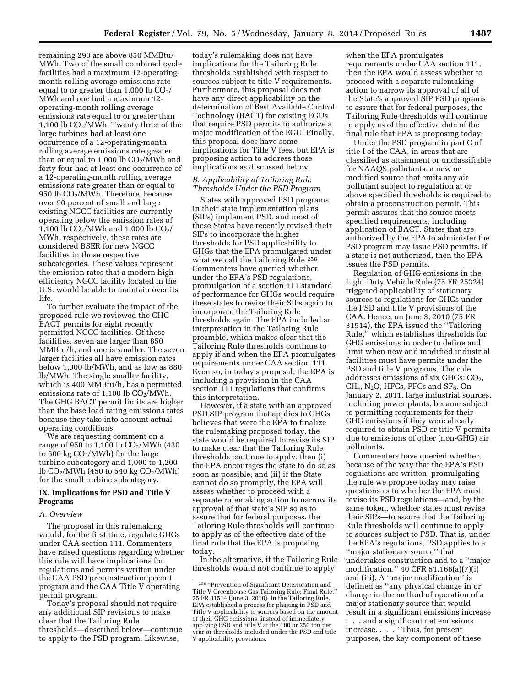remaining 293 are above 850 MMBtu/ MWh. Two of the small combined cycle facilities had a maximum 12-operatingmonth rolling average emissions rate equal to or greater than 1,000 lb  $CO<sub>2</sub>/$ MWh and one had a maximum 12 operating-month rolling average emissions rate equal to or greater than 1,100 lb  $CO<sub>2</sub>/MWh$ . Twenty three of the large turbines had at least one occurrence of a 12-operating-month rolling average emissions rate greater than or equal to  $1,000$  lb  $CO<sub>2</sub>/MWh$  and forty four had at least one occurrence of a 12-operating-month rolling average emissions rate greater than or equal to 950 lb  $CO<sub>2</sub>/MWh$ . Therefore, because over 90 percent of small and large existing NGCC facilities are currently operating below the emission rates of 1,100 lb  $CO_2/MWh$  and 1,000 lb  $CO_2/$ MWh, respectively, these rates are considered BSER for new NGCC facilities in those respective subcategories. These values represent the emission rates that a modern high efficiency NGCC facility located in the U.S. would be able to maintain over its life.

To further evaluate the impact of the proposed rule we reviewed the GHG BACT permits for eight recently permitted NGCC facilities. Of these facilities, seven are larger than 850 MMBtu/h, and one is smaller. The seven larger facilities all have emission rates below 1,000 lb/MWh, and as low as 880 lb/MWh. The single smaller facility, which is 400 MMBtu/h, has a permitted emissions rate of  $1,100$  lb  $CO<sub>2</sub>/MWh$ . The GHG BACT permit limits are higher than the base load rating emissions rates because they take into account actual operating conditions.

We are requesting comment on a range of 950 to 1,100 lb  $CO<sub>2</sub>/MWh$  (430 to 500 kg  $CO<sub>2</sub>/MWh$ ) for the large turbine subcategory and 1,000 to 1,200 lb  $CO<sub>2</sub>/MWh$  (450 to 540 kg  $CO<sub>2</sub>/MWh$ ) for the small turbine subcategory.

# **IX. Implications for PSD and Title V Programs**

### *A. Overview*

The proposal in this rulemaking would, for the first time, regulate GHGs under CAA section 111. Commenters have raised questions regarding whether this rule will have implications for regulations and permits written under the CAA PSD preconstruction permit program and the CAA Title V operating permit program.

Today's proposal should not require any additional SIP revisions to make clear that the Tailoring Rule thresholds—described below—continue to apply to the PSD program. Likewise,

today's rulemaking does not have implications for the Tailoring Rule thresholds established with respect to sources subject to title V requirements. Furthermore, this proposal does not have any direct applicability on the determination of Best Available Control Technology (BACT) for existing EGUs that require PSD permits to authorize a major modification of the EGU. Finally, this proposal does have some implications for Title V fees, but EPA is proposing action to address those implications as discussed below.

# *B. Applicability of Tailoring Rule Thresholds Under the PSD Program*

States with approved PSD programs in their state implementation plans (SIPs) implement PSD, and most of these States have recently revised their SIPs to incorporate the higher thresholds for PSD applicability to GHGs that the EPA promulgated under what we call the Tailoring Rule.<sup>258</sup> Commenters have queried whether under the EPA's PSD regulations, promulgation of a section 111 standard of performance for GHGs would require these states to revise their SIPs again to incorporate the Tailoring Rule thresholds again. The EPA included an interpretation in the Tailoring Rule preamble, which makes clear that the Tailoring Rule thresholds continue to apply if and when the EPA promulgates requirements under CAA section 111. Even so, in today's proposal, the EPA is including a provision in the CAA section 111 regulations that confirms this interpretation.

However, if a state with an approved PSD SIP program that applies to GHGs believes that were the EPA to finalize the rulemaking proposed today, the state would be required to revise its SIP to make clear that the Tailoring Rule thresholds continue to apply, then (i) the EPA encourages the state to do so as soon as possible, and (ii) if the State cannot do so promptly, the EPA will assess whether to proceed with a separate rulemaking action to narrow its approval of that state's SIP so as to assure that for federal purposes, the Tailoring Rule thresholds will continue to apply as of the effective date of the final rule that the EPA is proposing today.

In the alternative, if the Tailoring Rule thresholds would not continue to apply

when the EPA promulgates requirements under CAA section 111, then the EPA would assess whether to proceed with a separate rulemaking action to narrow its approval of all of the State's approved SIP PSD programs to assure that for federal purposes, the Tailoring Rule thresholds will continue to apply as of the effective date of the final rule that EPA is proposing today.

Under the PSD program in part C of title I of the CAA, in areas that are classified as attainment or unclassifiable for NAAQS pollutants, a new or modified source that emits any air pollutant subject to regulation at or above specified thresholds is required to obtain a preconstruction permit. This permit assures that the source meets specified requirements, including application of BACT. States that are authorized by the EPA to administer the PSD program may issue PSD permits. If a state is not authorized, then the EPA issues the PSD permits.

Regulation of GHG emissions in the Light Duty Vehicle Rule (75 FR 25324) triggered applicability of stationary sources to regulations for GHGs under the PSD and title V provisions of the CAA. Hence, on June 3, 2010 (75 FR 31514), the EPA issued the ''Tailoring Rule,'' which establishes thresholds for GHG emissions in order to define and limit when new and modified industrial facilities must have permits under the PSD and title V programs. The rule addresses emissions of six GHGs: CO2,  $CH<sub>4</sub>, N<sub>2</sub>O$ , HFCs, PFCs and SF<sub>6</sub>. On January 2, 2011, large industrial sources, including power plants, became subject to permitting requirements for their GHG emissions if they were already required to obtain PSD or title V permits due to emissions of other (non-GHG) air pollutants.

Commenters have queried whether, because of the way that the EPA's PSD regulations are written, promulgating the rule we propose today may raise questions as to whether the EPA must revise its PSD regulations—and, by the same token, whether states must revise their SIPs—to assure that the Tailoring Rule thresholds will continue to apply to sources subject to PSD. That is, under the EPA's regulations, PSD applies to a ''major stationary source'' that undertakes construction and to a ''major modification.'' 40 CFR 51.166(a)(7)(i) and (iii). A ''major modification'' is defined as ''any physical change in or change in the method of operation of a major stationary source that would result in a significant emissions increase

. . . and a significant net emissions increase. . . .'' Thus, for present purposes, the key component of these

<sup>258</sup> ''Prevention of Significant Deterioration and Title V Greenhouse Gas Tailoring Rule; Final Rule,'' 75 FR 31514 (June 3, 2010). In the Tailoring Rule, EPA established a process for phasing in PSD and Title V applicability to sources based on the amount of their GHG emissions, instead of immediately applying PSD and title V at the 100 or 250 ton per year or thresholds included under the PSD and title V applicability provisions.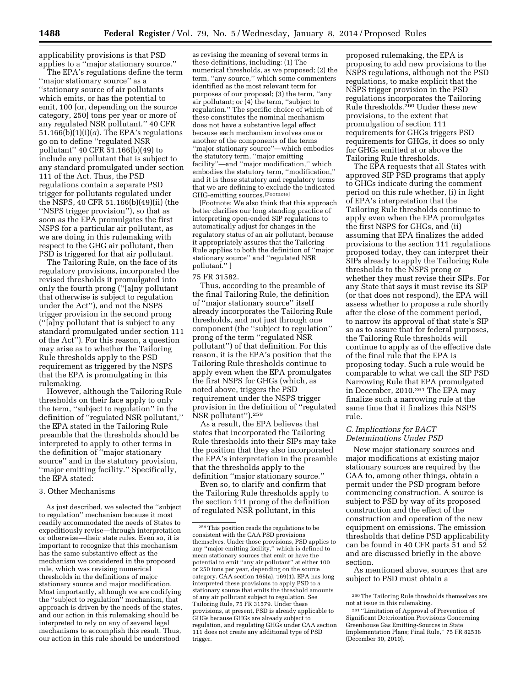applicability provisions is that PSD applies to a ''major stationary source.''

The EPA's regulations define the term ''major stationary source'' as a ''stationary source of air pollutants which emits, or has the potential to emit, 100 [or, depending on the source category, 250] tons per year or more of any regulated NSR pollutant.'' 40 CFR 51.166(b)(1)(i)(a). The EPA's regulations go on to define ''regulated NSR pollutant'' 40 CFR 51.166(b)(49) to include any pollutant that is subject to any standard promulgated under section 111 of the Act. Thus, the PSD regulations contain a separate PSD trigger for pollutants regulated under the NSPS, 40 CFR 51.166(b)(49)(ii) (the ''NSPS trigger provision''), so that as soon as the EPA promulgates the first NSPS for a particular air pollutant, as we are doing in this rulemaking with respect to the GHG air pollutant, then PSD is triggered for that air pollutant.

The Tailoring Rule, on the face of its regulatory provisions, incorporated the revised thresholds it promulgated into only the fourth prong (''[a]ny pollutant that otherwise is subject to regulation under the Act''), and not the NSPS trigger provision in the second prong (''[a]ny pollutant that is subject to any standard promulgated under section 111 of the Act''). For this reason, a question may arise as to whether the Tailoring Rule thresholds apply to the PSD requirement as triggered by the NSPS that the EPA is promulgating in this rulemaking.

However, although the Tailoring Rule thresholds on their face apply to only the term, ''subject to regulation'' in the definition of ''regulated NSR pollutant,'' the EPA stated in the Tailoring Rule preamble that the thresholds should be interpreted to apply to other terms in the definition of ''major stationary source'' and in the statutory provision, ''major emitting facility.'' Specifically, the EPA stated:

### 3. Other Mechanisms

As just described, we selected the ''subject to regulation'' mechanism because it most readily accommodated the needs of States to expeditiously revise—through interpretation or otherwise—their state rules. Even so, it is important to recognize that this mechanism has the same substantive effect as the mechanism we considered in the proposed rule, which was revising numerical thresholds in the definitions of major stationary source and major modification. Most importantly, although we are codifying the ''subject to regulation'' mechanism, that approach is driven by the needs of the states, and our action in this rulemaking should be interpreted to rely on any of several legal mechanisms to accomplish this result. Thus, our action in this rule should be understood

as revising the meaning of several terms in these definitions, including: (1) The numerical thresholds, as we proposed; (2) the term, ''any source,'' which some commenters identified as the most relevant term for purposes of our proposal; (3) the term, ''any air pollutant; or (4) the term, ''subject to regulation.'' The specific choice of which of these constitutes the nominal mechanism does not have a substantive legal effect because each mechanism involves one or another of the components of the terms ''major stationary source''—which embodies the statutory term, ''major emitting facility''—and ''major modification,'' which embodies the statutory term, ''modification,'' and it is those statutory and regulatory terms that we are defining to exclude the indicated GHG-emitting sources.<sup>[Footnote]</sup>

[Footnote: We also think that this approach better clarifies our long standing practice of interpreting open-ended SIP regulations to automatically adjust for changes in the regulatory status of an air pollutant, because it appropriately assures that the Tailoring Rule applies to both the definition of ''major stationary source'' and ''regulated NSR pollutant.'' ]

#### 75 FR 31582.

Thus, according to the preamble of the final Tailoring Rule, the definition of ''major stationary source'' itself already incorporates the Tailoring Rule thresholds, and not just through one component (the ''subject to regulation'' prong of the term ''regulated NSR pollutant'') of that definition. For this reason, it is the EPA's position that the Tailoring Rule thresholds continue to apply even when the EPA promulgates the first NSPS for GHGs (which, as noted above, triggers the PSD requirement under the NSPS trigger provision in the definition of ''regulated NSR pollutant'').259

As a result, the EPA believes that states that incorporated the Tailoring Rule thresholds into their SIPs may take the position that they also incorporated the EPA's interpretation in the preamble that the thresholds apply to the definition ''major stationary source.''

Even so, to clarify and confirm that the Tailoring Rule thresholds apply to the section 111 prong of the definition of regulated NSR pollutant, in this

proposed rulemaking, the EPA is proposing to add new provisions to the NSPS regulations, although not the PSD regulations, to make explicit that the NSPS trigger provision in the PSD regulations incorporates the Tailoring Rule thresholds.260 Under these new provisions, to the extent that promulgation of section 111 requirements for GHGs triggers PSD requirements for GHGs, it does so only for GHGs emitted at or above the Tailoring Rule thresholds.

The EPA requests that all States with approved SIP PSD programs that apply to GHGs indicate during the comment period on this rule whether, (i) in light of EPA's interpretation that the Tailoring Rule thresholds continue to apply even when the EPA promulgates the first NSPS for GHGs, and (ii) assuming that EPA finalizes the added provisions to the section 111 regulations proposed today, they can interpret their SIPs already to apply the Tailoring Rule thresholds to the NSPS prong or whether they must revise their SIPs. For any State that says it must revise its SIP (or that does not respond), the EPA will assess whether to propose a rule shortly after the close of the comment period, to narrow its approval of that state's SIP so as to assure that for federal purposes, the Tailoring Rule thresholds will continue to apply as of the effective date of the final rule that the EPA is proposing today. Such a rule would be comparable to what we call the SIP PSD Narrowing Rule that EPA promulgated in December, 2010.261 The EPA may finalize such a narrowing rule at the same time that it finalizes this NSPS rule.

## *C. Implications for BACT Determinations Under PSD*

New major stationary sources and major modifications at existing major stationary sources are required by the CAA to, among other things, obtain a permit under the PSD program before commencing construction. A source is subject to PSD by way of its proposed construction and the effect of the construction and operation of the new equipment on emissions. The emission thresholds that define PSD applicability can be found in 40 CFR parts 51 and 52 and are discussed briefly in the above section.

As mentioned above, sources that are subject to PSD must obtain a

<sup>259</sup>This position reads the regulations to be consistent with the CAA PSD provisions themselves. Under those provisions, PSD applies to any ''major emitting facility,'' which is defined to mean stationary sources that emit or have the potential to emit ''any air pollutant'' at either 100 or 250 tons per year, depending on the source category. CAA section 165(a), 169(1). EPA has long interpreted these provisions to apply PSD to a stationary source that emits the threshold amounts of any air pollutant subject to regulation. See Tailoring Rule, 75 FR 31579. Under these provisions, at present, PSD is already applicable to GHGs because GHGs are already subject to regulation, and regulating GHGs under CAA section 111 does not create any additional type of PSD trigger.

 $^{\rm 260}\rm{The\ Tailoring\ Rule\ thresholds\ themselves\ are}$ not at issue in this rulemaking.

<sup>261</sup> ''Limitation of Approval of Prevention of Significant Deterioration Provisions Concerning Greenhouse Gas Emitting-Sources in State Implementation Plans; Final Rule,'' 75 FR 82536 (December 30, 2010).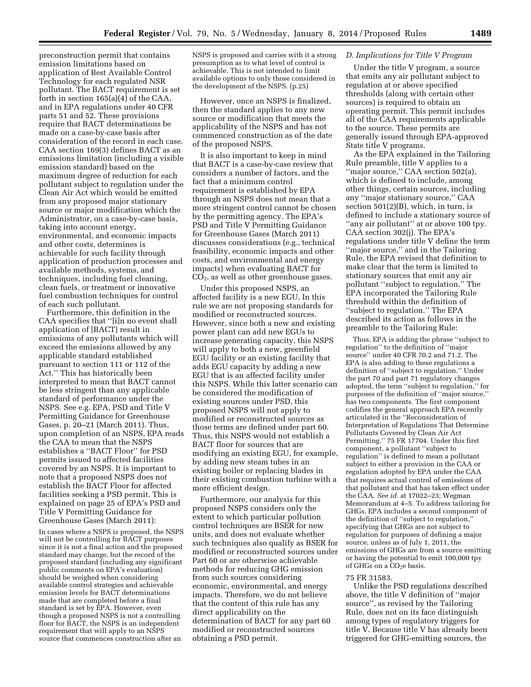preconstruction permit that contains emission limitations based on application of Best Available Control Technology for each regulated NSR pollutant. The BACT requirement is set forth in section 165(a)(4) of the CAA, and in EPA regulations under 40 CFR parts 51 and 52. These provisions require that BACT determinations be made on a case-by-case basis after consideration of the record in each case. CAA section 169(3) defines BACT as an emissions limitation (including a visible emission standard) based on the maximum degree of reduction for each pollutant subject to regulation under the Clean Air Act which would be emitted from any proposed major stationary source or major modification which the Administrator, on a case-by-case basis, taking into account energy, environmental, and economic impacts and other costs, determines is achievable for such facility through application of production processes and available methods, systems, and techniques, including fuel cleaning, clean fuels, or treatment or innovative fuel combustion techniques for control of each such pollutant.

Furthermore, this definition in the CAA specifies that ''[i]n no event shall application of [BACT] result in emissions of any pollutants which will exceed the emissions allowed by any applicable standard established pursuant to section 111 or 112 of the Act.'' This has historically been interpreted to mean that BACT cannot be less stringent than any applicable standard of performance under the NSPS. See e.g. EPA, PSD and Title V Permitting Guidance for Greenhouse Gases, p. 20–21 (March 2011). Thus, upon completion of an NSPS, EPA reads the CAA to mean that the NSPS establishes a ''BACT Floor'' for PSD permits issued to affected facilities covered by an NSPS. It is important to note that a proposed NSPS does not establish the BACT Floor for affected facilities seeking a PSD permit. This is explained on page 25 of EPA's PSD and Title V Permitting Guidance for Greenhouse Gases (March 2011):

In cases where a NSPS is proposed, the NSPS will not be controlling for BACT purposes since it is not a final action and the proposed standard may change, but the record of the proposed standard (including any significant public comments on EPA's evaluation) should be weighed when considering available control strategies and achievable emission levels for BACT determinations made that are completed before a final standard is set by EPA. However, even though a proposed NSPS is not a controlling floor for BACT, the NSPS is an independent requirement that will apply to an NSPS source that commences construction after an

NSPS is proposed and carries with it a strong presumption as to what level of control is achievable. This is not intended to limit available options to only those considered in the development of the NSPS. (p.25)

However, once an NSPS is finalized, then the standard applies to any new source or modification that meets the applicability of the NSPS and has not commenced construction as of the date of the proposed NSPS.

It is also important to keep in mind that BACT is a case-by-case review that considers a number of factors, and the fact that a minimum control requirement is established by EPA through an NSPS does not mean that a more stringent control cannot be chosen by the permitting agency. The EPA's PSD and Title V Permitting Guidance for Greenhouse Gases (March 2011) discusses considerations (e.g., technical feasibility, economic impacts and other costs, and environmental and energy impacts) when evaluating BACT for CO2, as well as other greenhouse gases.

Under this proposed NSPS, an affected facility is a new EGU. In this rule we are not proposing standards for modified or reconstructed sources. However, since both a new and existing power plant can add new EGUs to increase generating capacity, this NSPS will apply to both a new, greenfield EGU facility or an existing facility that adds EGU capacity by adding a new EGU that is an affected facility under this NSPS. While this latter scenario can be considered the modification of existing sources under PSD, this proposed NSPS will not apply to modified or reconstructed sources as those terms are defined under part 60. Thus, this NSPS would not establish a BACT floor for sources that are modifying an existing EGU, for example, by adding new steam tubes in an existing boiler or replacing blades in their existing combustion turbine with a more efficient design.

Furthermore, our analysis for this proposed NSPS considers only the extent to which particular pollution control techniques are BSER for new units, and does not evaluate whether such techniques also qualify as BSER for modified or reconstructed sources under Part 60 or are otherwise achievable methods for reducing GHG emission from such sources considering economic, environmental, and energy impacts. Therefore, we do not believe that the content of this rule has any direct applicability on the determination of BACT for any part 60 modified or reconstructed sources obtaining a PSD permit.

## *D. Implications for Title V Program*

Under the title V program, a source that emits any air pollutant subject to regulation at or above specified thresholds (along with certain other sources) is required to obtain an operating permit. This permit includes all of the CAA requirements applicable to the source. These permits are generally issued through EPA-approved State title V programs.

As the EPA explained in the Tailoring Rule preamble, title V applies to a "major source," CAA section 502(a), which is defined to include, among other things, certain sources, including any ''major stationary source,'' CAA section 501(2)(B), which, in turn, is defined to include a stationary source of ''any air pollutant'' at or above 100 tpy. CAA section 302(j). The EPA's regulations under title V define the term ''major source,'' and in the Tailoring Rule, the EPA revised that definition to make clear that the term is limited to stationary sources that emit any air pollutant ''subject to regulation.'' The EPA incorporated the Tailoring Rule threshold within the definition of ''subject to regulation.'' The EPA described its action as follows in the preamble to the Tailoring Rule:

Thus, EPA is adding the phrase ''subject to regulation'' to the definition of ''major source'' under 40 CFR 70.2 and 71.2. The EPA is also adding to these regulations a definition of ''subject to regulation.'' Under the part 70 and part 71 regulatory changes adopted, the term ''subject to regulation,'' for purposes of the definition of ''major source,'' has two components. The first component codifies the general approach EPA recently articulated in the ''Reconsideration of Interpretation of Regulations That Determine Pollutants Covered by Clean Air Act Permitting.'' 75 FR 17704. Under this first component, a pollutant ''subject to regulation'' is defined to mean a pollutant subject to either a provision in the CAA or regulation adopted by EPA under the CAA that requires actual control of emissions of that pollutant and that has taken effect under the CAA. *See id.* at 17022–23; Wegman Memorandum at 4–5. To address tailoring for GHGs, EPA includes a second component of the definition of ''subject to regulation,'' specifying that GHGs are not subject to regulation for purposes of defining a major source, unless as of July 1, 2011, the emissions of GHGs are from a source emitting or having the potential to emit 100,000 tpy of GHGs on a CO<sub>2</sub>e basis.

### 75 FR 31583.

Unlike the PSD regulations described above, the title V definition of ''major source'', as revised by the Tailoring Rule, does not on its face distinguish among types of regulatory triggers for title V. Because title V has already been triggered for GHG-emitting sources, the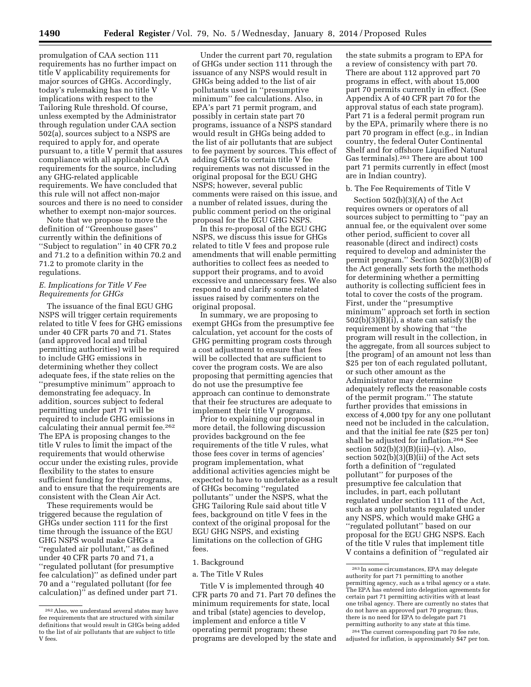promulgation of CAA section 111 requirements has no further impact on title V applicability requirements for major sources of GHGs. Accordingly, today's rulemaking has no title V implications with respect to the Tailoring Rule threshold. Of course, unless exempted by the Administrator through regulation under CAA section 502(a), sources subject to a NSPS are required to apply for, and operate pursuant to, a title V permit that assures compliance with all applicable CAA requirements for the source, including any GHG-related applicable requirements. We have concluded that this rule will not affect non-major sources and there is no need to consider whether to exempt non-major sources.

Note that we propose to move the definition of ''Greenhouse gases'' currently within the definitions of ''Subject to regulation'' in 40 CFR 70.2 and 71.2 to a definition within 70.2 and 71.2 to promote clarity in the regulations.

# *E. Implications for Title V Fee Requirements for GHGs*

The issuance of the final EGU GHG NSPS will trigger certain requirements related to title V fees for GHG emissions under 40 CFR parts 70 and 71. States (and approved local and tribal permitting authorities) will be required to include GHG emissions in determining whether they collect adequate fees, if the state relies on the ''presumptive minimum'' approach to demonstrating fee adequacy. In addition, sources subject to federal permitting under part 71 will be required to include GHG emissions in calculating their annual permit fee.262 The EPA is proposing changes to the title V rules to limit the impact of the requirements that would otherwise occur under the existing rules, provide flexibility to the states to ensure sufficient funding for their programs, and to ensure that the requirements are consistent with the Clean Air Act.

These requirements would be triggered because the regulation of GHGs under section 111 for the first time through the issuance of the EGU GHG NSPS would make GHGs a ''regulated air pollutant,'' as defined under 40 CFR parts 70 and 71, a ''regulated pollutant (for presumptive fee calculation)'' as defined under part 70 and a ''regulated pollutant (for fee calculation)'' as defined under part 71.

Under the current part 70, regulation of GHGs under section 111 through the issuance of any NSPS would result in GHGs being added to the list of air pollutants used in ''presumptive minimum'' fee calculations. Also, in EPA's part 71 permit program, and possibly in certain state part 70 programs, issuance of a NSPS standard would result in GHGs being added to the list of air pollutants that are subject to fee payment by sources. This effect of adding GHGs to certain title V fee requirements was not discussed in the original proposal for the EGU GHG NSPS; however, several public comments were raised on this issue, and a number of related issues, during the public comment period on the original proposal for the EGU GHG NSPS.

In this re-proposal of the EGU GHG NSPS, we discuss this issue for GHGs related to title V fees and propose rule amendments that will enable permitting authorities to collect fees as needed to support their programs, and to avoid excessive and unnecessary fees. We also respond to and clarify some related issues raised by commenters on the original proposal.

In summary, we are proposing to exempt GHGs from the presumptive fee calculation, yet account for the costs of GHG permitting program costs through a cost adjustment to ensure that fees will be collected that are sufficient to cover the program costs. We are also proposing that permitting agencies that do not use the presumptive fee approach can continue to demonstrate that their fee structures are adequate to implement their title V programs.

Prior to explaining our proposal in more detail, the following discussion provides background on the fee requirements of the title V rules, what those fees cover in terms of agencies' program implementation, what additional activities agencies might be expected to have to undertake as a result of GHGs becoming ''regulated pollutants'' under the NSPS, what the GHG Tailoring Rule said about title V fees, background on title V fees in the context of the original proposal for the EGU GHG NSPS, and existing limitations on the collection of GHG fees.

## 1. Background

#### a. The Title V Rules

Title V is implemented through 40 CFR parts 70 and 71. Part 70 defines the minimum requirements for state, local and tribal (state) agencies to develop, implement and enforce a title V operating permit program; these programs are developed by the state and

the state submits a program to EPA for a review of consistency with part 70. There are about 112 approved part 70 programs in effect, with about 15,000 part 70 permits currently in effect. (See Appendix A of 40 CFR part 70 for the approval status of each state program). Part 71 is a federal permit program run by the EPA, primarily where there is no part 70 program in effect (e.g., in Indian country, the federal Outer Continental Shelf and for offshore Liquified Natural Gas terminals).263 There are about 100 part 71 permits currently in effect (most are in Indian country).

# b. The Fee Requirements of Title V

Section 502(b)(3)(A) of the Act requires owners or operators of all sources subject to permitting to ''pay an annual fee, or the equivalent over some other period, sufficient to cover all reasonable (direct and indirect) costs required to develop and administer the permit program.'' Section 502(b)(3)(B) of the Act generally sets forth the methods for determining whether a permitting authority is collecting sufficient fees in total to cover the costs of the program. First, under the ''presumptive minimum'' approach set forth in section 502(b)(3)(B)(i), a state can satisfy the requirement by showing that ''the program will result in the collection, in the aggregate, from all sources subject to [the program] of an amount not less than \$25 per ton of each regulated pollutant, or such other amount as the Administrator may determine adequately reflects the reasonable costs of the permit program.'' The statute further provides that emissions in excess of 4,000 tpy for any one pollutant need not be included in the calculation, and that the initial fee rate (\$25 per ton) shall be adjusted for inflation.264 See section  $502(b)(3)(B)(iii)$ –(v). Also, section 502(b)(3)(B)(ii) of the Act sets forth a definition of ''regulated pollutant'' for purposes of the presumptive fee calculation that includes, in part, each pollutant regulated under section 111 of the Act, such as any pollutants regulated under any NSPS, which would make GHG a ''regulated pollutant'' based on our proposal for the EGU GHG NSPS. Each of the title V rules that implement title V contains a definition of ''regulated air

<sup>262</sup>Also, we understand several states may have fee requirements that are structured with similar definitions that would result in GHGs being added to the list of air pollutants that are subject to title V fees.

<sup>263</sup> In some circumstances, EPA may delegate authority for part 71 permitting to another permitting agency, such as a tribal agency or a state. The EPA has entered into delegation agreements for certain part 71 permitting activities with at least one tribal agency. There are currently no states that do not have an approved part 70 program; thus, there is no need for EPA to delegate part 71 permitting authority to any state at this time.

<sup>264</sup>The current corresponding part 70 fee rate, adjusted for inflation, is approximately \$47 per ton.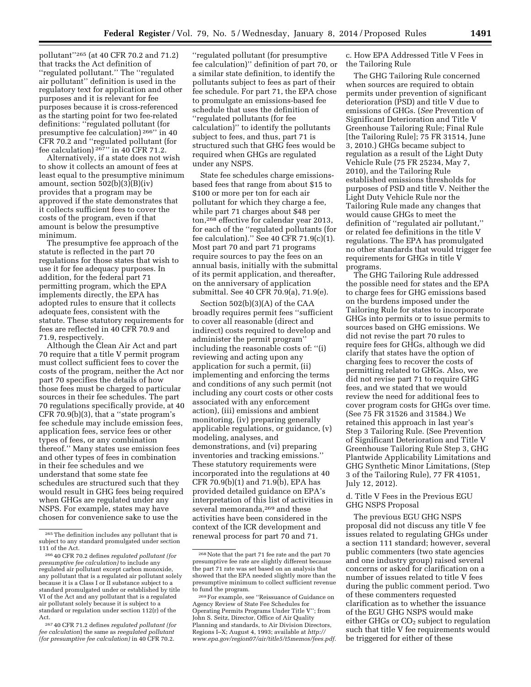pollutant''265 (at 40 CFR 70.2 and 71.2) that tracks the Act definition of ''regulated pollutant.'' The ''regulated air pollutant'' definition is used in the regulatory text for application and other purposes and it is relevant for fee purposes because it is cross-referenced as the starting point for two fee-related definitions: ''regulated pollutant (for presumptive fee calculation) 266'' in 40 CFR 70.2 and ''regulated pollutant (for fee calculation)  $^{267}$ " in 40 CFR 71.2.

Alternatively, if a state does not wish to show it collects an amount of fees at least equal to the presumptive minimum amount, section  $502(b)(3)(B)(iv)$ provides that a program may be approved if the state demonstrates that it collects sufficient fees to cover the costs of the program, even if that amount is below the presumptive minimum.

The presumptive fee approach of the statute is reflected in the part 70 regulations for those states that wish to use it for fee adequacy purposes. In addition, for the federal part 71 permitting program, which the EPA implements directly, the EPA has adopted rules to ensure that it collects adequate fees, consistent with the statute. These statutory requirements for fees are reflected in 40 CFR 70.9 and 71.9, respectively.

Although the Clean Air Act and part 70 require that a title V permit program must collect sufficient fees to cover the costs of the program, neither the Act nor part 70 specifies the details of how those fees must be charged to particular sources in their fee schedules. The part 70 regulations specifically provide, at 40  $CFR 70.9(b)(3)$ , that a "state program's fee schedule may include emission fees, application fees, service fees or other types of fees, or any combination thereof.'' Many states use emission fees and other types of fees in combination in their fee schedules and we understand that some state fee schedules are structured such that they would result in GHG fees being required when GHGs are regulated under any NSPS. For example, states may have chosen for convenience sake to use the

''regulated pollutant (for presumptive fee calculation)'' definition of part 70, or a similar state definition, to identify the pollutants subject to fees as part of their fee schedule. For part 71, the EPA chose to promulgate an emissions-based fee schedule that uses the definition of ''regulated pollutants (for fee calculation)'' to identify the pollutants subject to fees, and thus, part 71 is structured such that GHG fees would be required when GHGs are regulated under any NSPS.

State fee schedules charge emissionsbased fees that range from about \$15 to \$100 or more per ton for each air pollutant for which they charge a fee, while part 71 charges about \$48 per ton,268 effective for calendar year 2013, for each of the ''regulated pollutants (for fee calculation).'' See 40 CFR 71.9(c)(1). Most part 70 and part 71 programs require sources to pay the fees on an annual basis, initially with the submittal of its permit application, and thereafter, on the anniversary of application submittal. See 40 CFR 70.9(a), 71.9(e).

Section 502(b)(3)(A) of the CAA broadly requires permit fees ''sufficient to cover all reasonable (direct and indirect) costs required to develop and administer the permit program'' including the reasonable costs of: ''(i) reviewing and acting upon any application for such a permit, (ii) implementing and enforcing the terms and conditions of any such permit (not including any court costs or other costs associated with any enforcement action), (iii) emissions and ambient monitoring, (iv) preparing generally applicable regulations, or guidance, (v) modeling, analyses, and demonstrations, and (vi) preparing inventories and tracking emissions.'' These statutory requirements were incorporated into the regulations at 40 CFR 70.9(b)(1) and 71.9(b), EPA has provided detailed guidance on EPA's interpretation of this list of activities in several memoranda,269 and these activities have been considered in the context of the ICR development and renewal process for part 70 and 71.

c. How EPA Addressed Title V Fees in the Tailoring Rule

The GHG Tailoring Rule concerned when sources are required to obtain permits under prevention of significant deterioration (PSD) and title V due to emissions of GHGs. (*See* Prevention of Significant Deterioration and Title V Greenhouse Tailoring Rule; Final Rule [the Tailoring Rule]; 75 FR 31514, June 3, 2010.) GHGs became subject to regulation as a result of the Light Duty Vehicle Rule (75 FR 25234, May 7, 2010), and the Tailoring Rule established emissions thresholds for purposes of PSD and title V. Neither the Light Duty Vehicle Rule nor the Tailoring Rule made any changes that would cause GHGs to meet the definition of ''regulated air pollutant,'' or related fee definitions in the title V regulations. The EPA has promulgated no other standards that would trigger fee requirements for GHGs in title V programs.

The GHG Tailoring Rule addressed the possible need for states and the EPA to charge fees for GHG emissions based on the burdens imposed under the Tailoring Rule for states to incorporate GHGs into permits or to issue permits to sources based on GHG emissions. We did not revise the part 70 rules to require fees for GHGs, although we did clarify that states have the option of charging fees to recover the costs of permitting related to GHGs. Also, we did not revise part 71 to require GHG fees, and we stated that we would review the need for additional fees to cover program costs for GHGs over time. (See 75 FR 31526 and 31584.) We retained this approach in last year's Step 3 Tailoring Rule. (See Prevention of Significant Deterioration and Title V Greenhouse Tailoring Rule Step 3, GHG Plantwide Applicability Limitations and GHG Synthetic Minor Limitations, (Step 3 of the Tailoring Rule), 77 FR 41051, July 12, 2012).

# d. Title V Fees in the Previous EGU GHG NSPS Proposal

The previous EGU GHG NSPS proposal did not discuss any title V fee issues related to regulating GHGs under a section 111 standard; however, several public commenters (two state agencies and one industry group) raised several concerns or asked for clarification on a number of issues related to title V fees during the public comment period. Two of these commenters requested clarification as to whether the issuance of the EGU GHG NSPS would make either GHGs or  $CO<sub>2</sub>$  subject to regulation such that title V fee requirements would be triggered for either of these

<sup>265</sup>The definition includes any pollutant that is subject to any standard promulgated under section

<sup>111</sup> of the Act. 266 40 CFR 70.2 defines *regulated pollutant (for presumptive fee calculation)* to include any regulated air pollutant except carbon monoxide, any pollutant that is a regulated air pollutant solely because it is a Class I or II substance subject to a standard promulgated under or established by title VI of the Act and any pollutant that is a regulated air pollutant solely because it is subject to a standard or regulation under section 112(r) of the Act.

<sup>267</sup> 40 CFR 71.2 defines *regulated pollutant (for fee calculation*) the same as *reegulated pollutant (for presumptive fee calculation)* in 40 CFR 70.2.

<sup>268</sup>Note that the part 71 fee rate and the part 70 presumptive fee rate are slightly different because the part 71 rate was set based on an analysis that showed that the EPA needed slightly more than the presumptive minimum to collect sufficient revenue to fund the program.

<sup>269</sup>For example, see ''Reissuance of Guidance on Agency Review of State Fee Schedules for Operating Permits Programs Under Title V''; from John S. Seitz, Director, Office of Air Quality Planning and standards, to Air Division Directors, Regions I–X; August 4, 1993; available at *[http://](http://www.epa.gov/region07/air/title5/t5memos/fees.pdf) [www.epa.gov/region07/air/title5/t5memos/fees.pdf.](http://www.epa.gov/region07/air/title5/t5memos/fees.pdf)*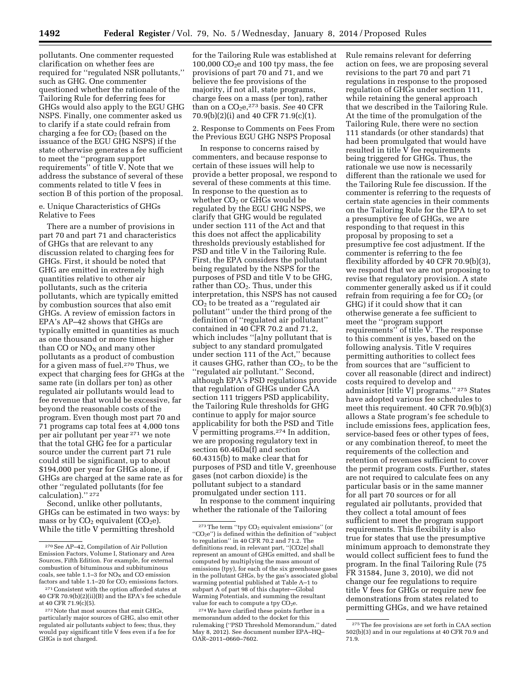pollutants. One commenter requested clarification on whether fees are required for ''regulated NSR pollutants,'' such as GHG. One commenter questioned whether the rationale of the Tailoring Rule for deferring fees for GHGs would also apply to the EGU GHG NSPS. Finally, one commenter asked us to clarify if a state could refrain from charging a fee for  $CO<sub>2</sub>$  (based on the issuance of the EGU GHG NSPS) if the state otherwise generates a fee sufficient to meet the ''program support requirements'' of title V. Note that we address the substance of several of these comments related to title V fees in section B of this portion of the proposal.

e. Unique Characteristics of GHGs Relative to Fees

There are a number of provisions in part 70 and part 71 and characteristics of GHGs that are relevant to any discussion related to charging fees for GHGs. First, it should be noted that GHG are emitted in extremely high quantities relative to other air pollutants, such as the criteria pollutants, which are typically emitted by combustion sources that also emit GHGs. A review of emission factors in EPA's AP–42 shows that GHGs are typically emitted in quantities as much as one thousand or more times higher than CO or  $NO<sub>x</sub>$  and many other pollutants as a product of combustion for a given mass of fuel.270 Thus, we expect that charging fees for GHGs at the same rate (in dollars per ton) as other regulated air pollutants would lead to fee revenue that would be excessive, far beyond the reasonable costs of the program. Even though most part 70 and 71 programs cap total fees at 4,000 tons per air pollutant per year 271 we note that the total GHG fee for a particular source under the current part 71 rule could still be significant, up to about \$194,000 per year for GHGs alone, if GHGs are charged at the same rate as for other ''regulated pollutants (for fee calculation).'' 272

Second, unlike other pollutants, GHGs can be estimated in two ways: by mass or by  $CO<sub>2</sub>$  equivalent ( $CO<sub>2</sub>e$ ). While the title V permitting threshold

for the Tailoring Rule was established at 100,000  $CO<sub>2</sub>e$  and 100 tpy mass, the fee provisions of part 70 and 71, and we believe the fee provisions of the majority, if not all, state programs, charge fees on a mass (per ton), rather than on a CO<sub>2</sub>e,<sup>273</sup> basis. *See* 40 CFR 70.9(b)(2)(i) and 40 CFR 71.9(c)(1).

2. Response to Comments on Fees From the Previous EGU GHG NSPS Proposal

In response to concerns raised by commenters, and because response to certain of these issues will help to provide a better proposal, we respond to several of these comments at this time. In response to the question as to whether  $CO<sub>2</sub>$  or GHGs would be regulated by the EGU GHG NSPS, we clarify that GHG would be regulated under section 111 of the Act and that this does not affect the applicability thresholds previously established for PSD and title V in the Tailoring Rule. First, the EPA considers the pollutant being regulated by the NSPS for the purposes of PSD and title V to be GHG, rather than  $CO<sub>2</sub>$ . Thus, under this interpretation, this NSPS has not caused  $CO<sub>2</sub>$  to be treated as a "regulated air pollutant'' under the third prong of the definition of ''regulated air pollutant'' contained in 40 CFR 70.2 and 71.2, which includes ''[a]ny pollutant that is subject to any standard promulgated under section 111 of the Act,'' because it causes GHG, rather than  $CO<sub>2</sub>$ , to be the ''regulated air pollutant.'' Second, although EPA's PSD regulations provide that regulation of GHGs under CAA section 111 triggers PSD applicability, the Tailoring Rule thresholds for GHG continue to apply for major source applicability for both the PSD and Title V permitting programs.274 In addition, we are proposing regulatory text in section 60.46Da(f) and section 60.4315(b) to make clear that for purposes of PSD and title V, greenhouse gases (not carbon dioxide) is the pollutant subject to a standard promulgated under section 111.

In response to the comment inquiring whether the rationale of the Tailoring

Rule remains relevant for deferring action on fees, we are proposing several revisions to the part 70 and part 71 regulations in response to the proposed regulation of GHGs under section 111, while retaining the general approach that we described in the Tailoring Rule. At the time of the promulgation of the Tailoring Rule, there were no section 111 standards (or other standards) that had been promulgated that would have resulted in title V fee requirements being triggered for GHGs. Thus, the rationale we use now is necessarily different than the rationale we used for the Tailoring Rule fee discussion. If the commenter is referring to the requests of certain state agencies in their comments on the Tailoring Rule for the EPA to set a presumptive fee of GHGs, we are responding to that request in this proposal by proposing to set a presumptive fee cost adjustment. If the commenter is referring to the fee flexibility afforded by 40 CFR 70.9(b)(3), we respond that we are not proposing to revise that regulatory provision. A state commenter generally asked us if it could refrain from requiring a fee for  $CO<sub>2</sub>$  (or GHG) if it could show that it can otherwise generate a fee sufficient to meet the ''program support requirements'' of title V. The response to this comment is yes, based on the following analysis. Title V requires permitting authorities to collect fees from sources that are ''sufficient to cover all reasonable (direct and indirect) costs required to develop and administer [title V] programs.'' 275 States have adopted various fee schedules to meet this requirement. 40 CFR 70.9(b)(3) allows a State program's fee schedule to include emissions fees, application fees, service-based fees or other types of fees, or any combination thereof, to meet the requirements of the collection and retention of revenues sufficient to cover the permit program costs. Further, states are not required to calculate fees on any particular basis or in the same manner for all part 70 sources or for all regulated air pollutants, provided that they collect a total amount of fees sufficient to meet the program support requirements. This flexibility is also true for states that use the presumptive minimum approach to demonstrate they would collect sufficient fees to fund the program. In the final Tailoring Rule (75 FR 31584, June 3, 2010), we did not change our fee regulations to require title V fees for GHGs or require new fee demonstrations from states related to permitting GHGs, and we have retained

<sup>270</sup>See AP–42, Compilation of Air Pollution Emission Factors, Volume I, Stationary and Area Sources, Fifth Edition. For example, for external combustion of bituminous and subbituminous coals, see table 1.1–3 for  $NO<sub>X</sub>$  and CO emission factors and table  $1.1-20$  for  $CO<sub>2</sub>$  emissions factors.

<sup>271</sup>Consistent with the option afforded states at 40 CFR 70.9(b)(2)(ii)(B) and the EPA's fee schedule at 40 CFR 71.9(c)(5).

<sup>272</sup>Note that most sources that emit GHGs, particularly major sources of GHG, also emit other regulated air pollutants subject to fees; thus, they would pay significant title V fees even if a fee for GHGs is not charged.

 $273$  The term "tpy  $CO<sub>2</sub>$  equivalent emissions" (or  $"CO<sub>2</sub>e"$ ) is defined within the definition of "subject" to regulation'' in 40 CFR 70.2 and 71.2. The definitions read, in relevant part, ''[CO2e] shall represent an amount of GHGs emitted, and shall be computed by multiplying the mass amount of emissions (tpy), for each of the six greenhouse gases in the pollutant GHGs, by the gas's associated global warming potential published at Table A–1 to subpart A of part 98 of this chapter-Global Warming Potentials, and summing the resultant value for each to compute a tpy  $CO<sub>2</sub>e$ .

<sup>274</sup>We have clarified these points further in a memorandum added to the docket for this rulemaking (''PSD Threshold Memorandum,'' dated May 8, 2012). See document number EPA–HQ– OAR–2011–0660–7602.

<sup>275</sup>The fee provisions are set forth in CAA section 502(b)(3) and in our regulations at 40 CFR 70.9 and 71.9.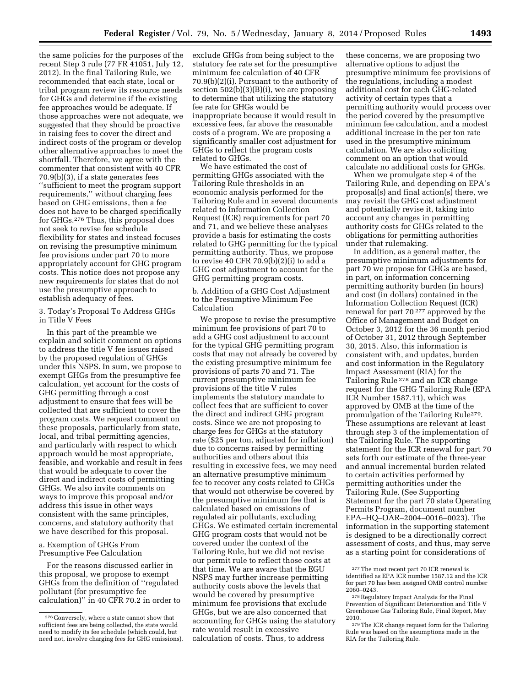the same policies for the purposes of the recent Step 3 rule (77 FR 41051, July 12, 2012). In the final Tailoring Rule, we recommended that each state, local or tribal program review its resource needs for GHGs and determine if the existing fee approaches would be adequate. If those approaches were not adequate, we suggested that they should be proactive in raising fees to cover the direct and indirect costs of the program or develop other alternative approaches to meet the shortfall. Therefore, we agree with the commenter that consistent with 40 CFR 70.9(b)(3), if a state generates fees ''sufficient to meet the program support requirements,'' without charging fees based on GHG emissions, then a fee does not have to be charged specifically for GHGs.276 Thus, this proposal does not seek to revise fee schedule flexibility for states and instead focuses on revising the presumptive minimum fee provisions under part 70 to more appropriately account for GHG program costs. This notice does not propose any new requirements for states that do not use the presumptive approach to establish adequacy of fees.

3. Today's Proposal To Address GHGs in Title V Fees

In this part of the preamble we explain and solicit comment on options to address the title V fee issues raised by the proposed regulation of GHGs under this NSPS. In sum, we propose to exempt GHGs from the presumptive fee calculation, yet account for the costs of GHG permitting through a cost adjustment to ensure that fees will be collected that are sufficient to cover the program costs. We request comment on these proposals, particularly from state, local, and tribal permitting agencies, and particularly with respect to which approach would be most appropriate, feasible, and workable and result in fees that would be adequate to cover the direct and indirect costs of permitting GHGs. We also invite comments on ways to improve this proposal and/or address this issue in other ways consistent with the same principles, concerns, and statutory authority that we have described for this proposal.

a. Exemption of GHGs From Presumptive Fee Calculation

For the reasons discussed earlier in this proposal, we propose to exempt GHGs from the definition of ''regulated pollutant (for presumptive fee calculation)'' in 40 CFR 70.2 in order to exclude GHGs from being subject to the statutory fee rate set for the presumptive minimum fee calculation of 40 CFR 70.9(b)(2)(i). Pursuant to the authority of section 502(b)(3)(B)(i), we are proposing to determine that utilizing the statutory fee rate for GHGs would be inappropriate because it would result in excessive fees, far above the reasonable costs of a program. We are proposing a significantly smaller cost adjustment for GHGs to reflect the program costs related to GHGs.

We have estimated the cost of permitting GHGs associated with the Tailoring Rule thresholds in an economic analysis performed for the Tailoring Rule and in several documents related to Information Collection Request (ICR) requirements for part 70 and 71, and we believe these analyses provide a basis for estimating the costs related to GHG permitting for the typical permitting authority. Thus, we propose to revise 40 CFR  $70.9(b)(2)(i)$  to add a GHG cost adjustment to account for the GHG permitting program costs.

b. Addition of a GHG Cost Adjustment to the Presumptive Minimum Fee Calculation

We propose to revise the presumptive minimum fee provisions of part 70 to add a GHG cost adjustment to account for the typical GHG permitting program costs that may not already be covered by the existing presumptive minimum fee provisions of parts 70 and 71. The current presumptive minimum fee provisions of the title V rules implements the statutory mandate to collect fees that are sufficient to cover the direct and indirect GHG program costs. Since we are not proposing to charge fees for GHGs at the statutory rate (\$25 per ton, adjusted for inflation) due to concerns raised by permitting authorities and others about this resulting in excessive fees, we may need an alternative presumptive minimum fee to recover any costs related to GHGs that would not otherwise be covered by the presumptive minimum fee that is calculated based on emissions of regulated air pollutants, excluding GHGs. We estimated certain incremental GHG program costs that would not be covered under the context of the Tailoring Rule, but we did not revise our permit rule to reflect those costs at that time. We are aware that the EGU NSPS may further increase permitting authority costs above the levels that would be covered by presumptive minimum fee provisions that exclude GHGs, but we are also concerned that accounting for GHGs using the statutory rate would result in excessive calculation of costs. Thus, to address

these concerns, we are proposing two alternative options to adjust the presumptive minimum fee provisions of the regulations, including a modest additional cost for each GHG-related activity of certain types that a permitting authority would process over the period covered by the presumptive minimum fee calculation, and a modest additional increase in the per ton rate used in the presumptive minimum calculation. We are also soliciting comment on an option that would calculate no additional costs for GHGs.

When we promulgate step 4 of the Tailoring Rule, and depending on EPA's proposal(s) and final action(s) there, we may revisit the GHG cost adjustment and potentially revise it, taking into account any changes in permitting authority costs for GHGs related to the obligations for permitting authorities under that rulemaking.

In addition, as a general matter, the presumptive minimum adjustments for part 70 we propose for GHGs are based, in part, on information concerning permitting authority burden (in hours) and cost (in dollars) contained in the Information Collection Request (ICR) renewal for part 70 277 approved by the Office of Management and Budget on October 3, 2012 for the 36 month period of October 31, 2012 through September 30, 2015. Also, this information is consistent with, and updates, burden and cost information in the Regulatory Impact Assessment (RIA) for the Tailoring Rule 278 and an ICR change request for the GHG Tailoring Rule (EPA ICR Number 1587.11), which was approved by OMB at the time of the promulgation of the Tailoring Rule279. These assumptions are relevant at least through step 3 of the implementation of the Tailoring Rule. The supporting statement for the ICR renewal for part 70 sets forth our estimate of the three-year and annual incremental burden related to certain activities performed by permitting authorities under the Tailoring Rule. (See Supporting Statement for the part 70 state Operating Permits Program, document number EPA–HQ–OAR–2004–0016–0023). The information in the supporting statement is designed to be a directionally correct assessment of costs, and thus, may serve as a starting point for considerations of

<sup>276</sup>Conversely, where a state cannot show that sufficient fees are being collected, the state would need to modify its fee schedule (which could, but need not, involve charging fees for GHG emissions).

<sup>277</sup>The most recent part 70 ICR renewal is identified as EPA ICR number 1587.12 and the ICR for part 70 has been assigned OMB control number

<sup>&</sup>lt;sup>278</sup> Regulatory Impact Analysis for the Final Prevention of Significant Deterioration and Title V Greenhouse Gas Tailoring Rule, Final Report, May

<sup>&</sup>lt;sup>279</sup>The ICR change request form for the Tailoring Rule was based on the assumptions made in the RIA for the Tailoring Rule.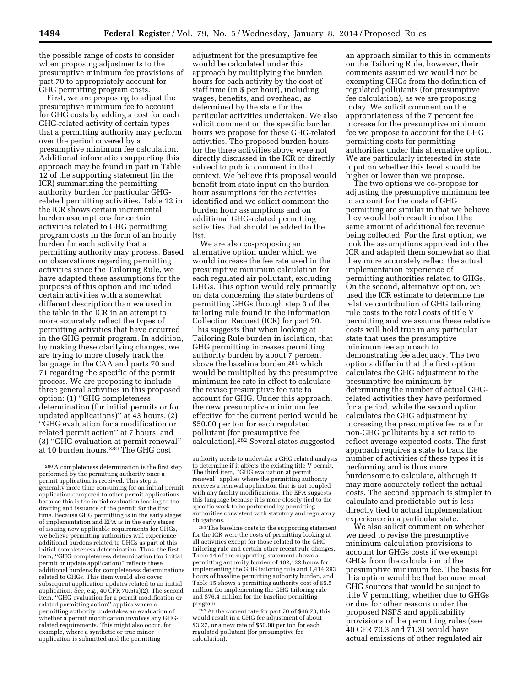the possible range of costs to consider when proposing adjustments to the presumptive minimum fee provisions of part 70 to appropriately account for GHG permitting program costs.

First, we are proposing to adjust the presumptive minimum fee to account for GHG costs by adding a cost for each GHG-related activity of certain types that a permitting authority may perform over the period covered by a presumptive minimum fee calculation. Additional information supporting this approach may be found in part in Table 12 of the supporting statement (in the ICR) summarizing the permitting authority burden for particular GHGrelated permitting activities. Table 12 in the ICR shows certain incremental burden assumptions for certain activities related to GHG permitting program costs in the form of an hourly burden for each activity that a permitting authority may process. Based on observations regarding permitting activities since the Tailoring Rule, we have adapted these assumptions for the purposes of this option and included certain activities with a somewhat different description than we used in the table in the ICR in an attempt to more accurately reflect the types of permitting activities that have occurred in the GHG permit program. In addition, by making these clarifying changes, we are trying to more closely track the language in the CAA and parts 70 and 71 regarding the specific of the permit process. We are proposing to include three general activities in this proposed option: (1) ''GHG completeness determination (for initial permits or for updated applications)'' at 43 hours, (2) ''GHG evaluation for a modification or related permit action'' at 7 hours, and (3) ''GHG evaluation at permit renewal'' at 10 burden hours.280 The GHG cost

adjustment for the presumptive fee would be calculated under this approach by multiplying the burden hours for each activity by the cost of staff time (in \$ per hour), including wages, benefits, and overhead, as determined by the state for the particular activities undertaken. We also solicit comment on the specific burden hours we propose for these GHG-related activities. The proposed burden hours for the three activities above were not directly discussed in the ICR or directly subject to public comment in that context. We believe this proposal would benefit from state input on the burden hour assumptions for the activities identified and we solicit comment the burden hour assumptions and on additional GHG-related permitting activities that should be added to the list.

We are also co-proposing an alternative option under which we would increase the fee rate used in the presumptive minimum calculation for each regulated air pollutant, excluding GHGs. This option would rely primarily on data concerning the state burdens of permitting GHGs through step 3 of the tailoring rule found in the Information Collection Request (ICR) for part 70. This suggests that when looking at Tailoring Rule burden in isolation, that GHG permitting increases permitting authority burden by about 7 percent above the baseline burden,281 which would be multiplied by the presumptive minimum fee rate in effect to calculate the revise presumptive fee rate to account for GHG. Under this approach, the new presumptive minimum fee effective for the current period would be \$50.00 per ton for each regulated pollutant (for presumptive fee calculation).282 Several states suggested

281The baseline costs in the supporting statement for the ICR were the costs of permitting looking at all activities except for those related to the GHG tailoring rule and certain other recent rule changes. Table 14 of the supporting statement shows a permitting authority burden of 102,122 hours for implementing the GHG tailoring rule and 1,414,293 hours of baseline permitting authority burden, and Table 15 shows a permitting authority cost of \$5.5 million for implementing the GHG tailoring rule and \$76.4 million for the baseline permitting program.

282At the current rate for part 70 of \$46.73, this would result in a GHG fee adjustment of about \$3.27, or a new rate of \$50.00 per ton for each regulated pollutant (for presumptive fee calculation).

an approach similar to this in comments on the Tailoring Rule, however, their comments assumed we would not be exempting GHGs from the definition of regulated pollutants (for presumptive fee calculation), as we are proposing today. We solicit comment on the appropriateness of the 7 percent fee increase for the presumptive minimum fee we propose to account for the GHG permitting costs for permitting authorities under this alternative option. We are particularly interested in state input on whether this level should be higher or lower than we propose.

The two options we co-propose for adjusting the presumptive minimum fee to account for the costs of GHG permitting are similar in that we believe they would both result in about the same amount of additional fee revenue being collected. For the first option, we took the assumptions approved into the ICR and adapted them somewhat so that they more accurately reflect the actual implementation experience of permitting authorities related to GHGs. On the second, alternative option, we used the ICR estimate to determine the relative contribution of GHG tailoring rule costs to the total costs of title V permitting and we assume these relative costs will hold true in any particular state that uses the presumptive minimum fee approach to demonstrating fee adequacy. The two options differ in that the first option calculates the GHG adjustment to the presumptive fee minimum by determining the number of actual GHGrelated activities they have performed for a period, while the second option calculates the GHG adjustment by increasing the presumptive fee rate for non-GHG pollutants by a set ratio to reflect average expected costs. The first approach requires a state to track the number of activities of these types it is performing and is thus more burdensome to calculate, although it may more accurately reflect the actual costs. The second approach is simpler to calculate and predictable but is less directly tied to actual implementation experience in a particular state.

We also solicit comment on whether we need to revise the presumptive minimum calculation provisions to account for GHGs costs if we exempt GHGs from the calculation of the presumptive minimum fee. The basis for this option would be that because most GHG sources that would be subject to title V permitting, whether due to GHGs or due for other reasons under the proposed NSPS and applicability provisions of the permitting rules (see 40 CFR 70.3 and 71.3) would have actual emissions of other regulated air

<sup>280</sup>A completeness determination is the first step performed by the permitting authority once a permit application is received. This step is generally more time consuming for an initial permit application compared to other permit applications because this is the initial evaluation leading to the drafting and issuance of the permit for the first time. Because GHG permitting is in the early stages of implementation and EPA is in the early stages of issuing new applicable requirements for GHGs, we believe permitting authorities will experience additional burdens related to GHGs as part of this initial completeness determination. Thus, the first item, ''GHG completeness determination (for initial permit or update application)'' reflects these additional burdens for completeness determinations related to GHGs. This item would also cover subsequent application updates related to an initial application. See, e.g., 40 CFR 70.5(a)(2). The second item, ''GHG evaluation for a permit modification or related permitting action'' applies where a permitting authority undertakes an evaluation of whether a permit modification involves any GHGrelated requirements. This might also occur, for example, where a synthetic or true minor application is submitted and the permitting

authority needs to undertake a GHG related analysis to determine if it affects the existing title V permit. The third item, ''GHG evaluation at permit renewal'' applies where the permitting authority receives a renewal application that is not coupled with any facility modifications. The EPA suggests this language because it is more closely tied to the specific work to be performed by permitting authorities consistent with statutory and regulatory obligations.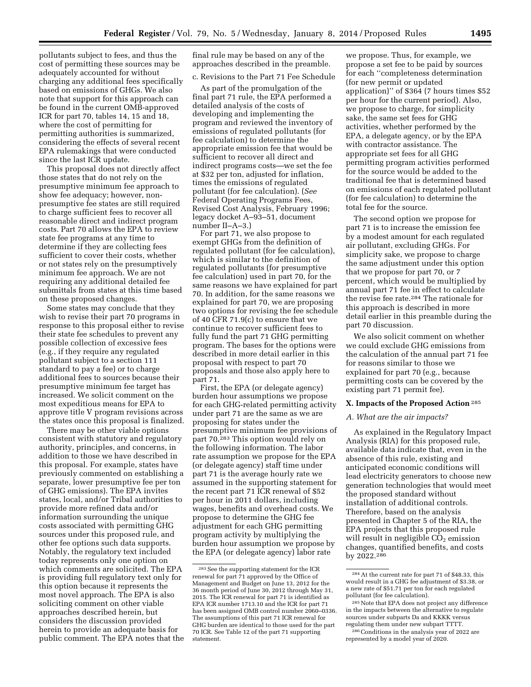pollutants subject to fees, and thus the cost of permitting these sources may be adequately accounted for without charging any additional fees specifically based on emissions of GHGs. We also note that support for this approach can be found in the current OMB-approved ICR for part 70, tables 14, 15 and 18, where the cost of permitting for permitting authorities is summarized, considering the effects of several recent EPA rulemakings that were conducted since the last ICR update.

This proposal does not directly affect those states that do not rely on the presumptive minimum fee approach to show fee adequacy; however, nonpresumptive fee states are still required to charge sufficient fees to recover all reasonable direct and indirect program costs. Part 70 allows the EPA to review state fee programs at any time to determine if they are collecting fees sufficient to cover their costs, whether or not states rely on the presumptively minimum fee approach. We are not requiring any additional detailed fee submittals from states at this time based on these proposed changes.

Some states may conclude that they wish to revise their part 70 programs in response to this proposal either to revise their state fee schedules to prevent any possible collection of excessive fees (e.g., if they require any regulated pollutant subject to a section 111 standard to pay a fee) or to charge additional fees to sources because their presumptive minimum fee target has increased. We solicit comment on the most expeditious means for EPA to approve title V program revisions across the states once this proposal is finalized.

There may be other viable options consistent with statutory and regulatory authority, principles, and concerns, in addition to those we have described in this proposal. For example, states have previously commented on establishing a separate, lower presumptive fee per ton of GHG emissions). The EPA invites states, local, and/or Tribal authorities to provide more refined data and/or information surrounding the unique costs associated with permitting GHG sources under this proposed rule, and other fee options such data supports. Notably, the regulatory text included today represents only one option on which comments are solicited. The EPA is providing full regulatory text only for this option because it represents the most novel approach. The EPA is also soliciting comment on other viable approaches described herein, but considers the discussion provided herein to provide an adequate basis for public comment. The EPA notes that the final rule may be based on any of the approaches described in the preamble.

# c. Revisions to the Part 71 Fee Schedule

As part of the promulgation of the final part 71 rule, the EPA performed a detailed analysis of the costs of developing and implementing the program and reviewed the inventory of emissions of regulated pollutants (for fee calculation) to determine the appropriate emission fee that would be sufficient to recover all direct and indirect programs costs—we set the fee at \$32 per ton, adjusted for inflation, times the emissions of regulated pollutant (for fee calculation). (*See*  Federal Operating Programs Fees, Revised Cost Analysis, February 1996; legacy docket A–93–51, document number II–A–3.)

For part 71, we also propose to exempt GHGs from the definition of regulated pollutant (for fee calculation), which is similar to the definition of regulated pollutants (for presumptive fee calculation) used in part 70, for the same reasons we have explained for part 70. In addition, for the same reasons we explained for part 70, we are proposing two options for revising the fee schedule of 40 CFR 71.9(c) to ensure that we continue to recover sufficient fees to fully fund the part 71 GHG permitting program. The bases for the options were described in more detail earlier in this proposal with respect to part 70 proposals and those also apply here to part 71.

First, the EPA (or delegate agency) burden hour assumptions we propose for each GHG-related permitting activity under part 71 are the same as we are proposing for states under the presumptive minimum fee provisions of part 70.283 This option would rely on the following information. The labor rate assumption we propose for the EPA (or delegate agency) staff time under part 71 is the average hourly rate we assumed in the supporting statement for the recent part 71 ICR renewal of \$52 per hour in 2011 dollars, including wages, benefits and overhead costs. We propose to determine the GHG fee adjustment for each GHG permitting program activity by multiplying the burden hour assumption we propose by the EPA (or delegate agency) labor rate

we propose. Thus, for example, we propose a set fee to be paid by sources for each ''completeness determination (for new permit or updated application)'' of \$364 (7 hours times \$52 per hour for the current period). Also, we propose to charge, for simplicity sake, the same set fees for GHG activities, whether performed by the EPA, a delegate agency, or by the EPA with contractor assistance. The appropriate set fees for all GHG permitting program activities performed for the source would be added to the traditional fee that is determined based on emissions of each regulated pollutant (for fee calculation) to determine the total fee for the source.

The second option we propose for part 71 is to increase the emission fee by a modest amount for each regulated air pollutant, excluding GHGs. For simplicity sake, we propose to charge the same adjustment under this option that we propose for part 70, or 7 percent, which would be multiplied by annual part 71 fee in effect to calculate the revise fee rate.284 The rationale for this approach is described in more detail earlier in this preamble during the part 70 discussion.

We also solicit comment on whether we could exclude GHG emissions from the calculation of the annual part 71 fee for reasons similar to those we explained for part 70 (e.g., because permitting costs can be covered by the existing part 71 permit fee).

#### **X. Impacts of the Proposed Action** 285

### *A. What are the air impacts?*

As explained in the Regulatory Impact Analysis (RIA) for this proposed rule, available data indicate that, even in the absence of this rule, existing and anticipated economic conditions will lead electricity generators to choose new generation technologies that would meet the proposed standard without installation of additional controls. Therefore, based on the analysis presented in Chapter 5 of the RIA, the EPA projects that this proposed rule will result in negligible  $CO<sub>2</sub>$  emission changes, quantified benefits, and costs by 2022.286

<sup>283</sup>See the supporting statement for the ICR renewal for part 71 approved by the Office of Management and Budget on June 13, 2012 for the 36 month period of June 30, 2012 through May 31, 2015. The ICR renewal for part 71 is identified as EPA ICR number 1713.10 and the ICR for part 71 has been assigned OMB control number 2060-0336. The assumptions of this part 71 ICR renewal for GHG burden are identical to those used for the part 70 ICR. See Table 12 of the part 71 supporting statement.

<sup>284</sup>At the current rate for part 71 of \$48.33, this would result in a GHG fee adjustment of \$3.38, or a new rate of \$51.71 per ton for each regulated pollutant (for fee calculation).

<sup>285</sup>Note that EPA does not project any difference in the impacts between the alternative to regulate sources under subparts Da and KKKK versus regulating them under new subpart TTTT.

<sup>286</sup>Conditions in the analysis year of 2022 are represented by a model year of 2020.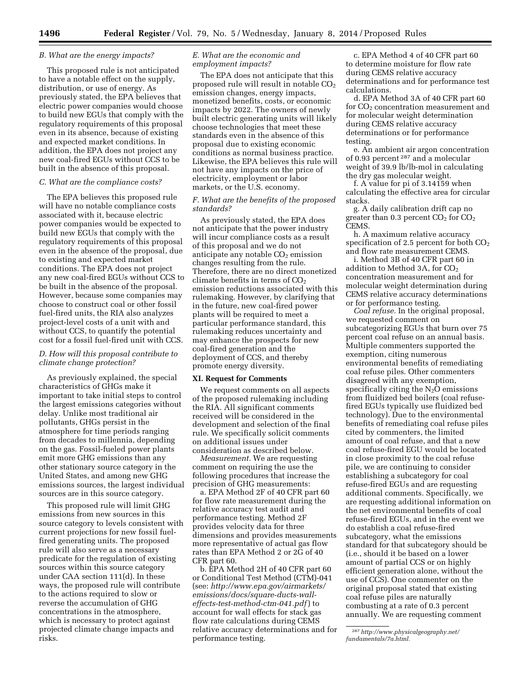### *B. What are the energy impacts?*

This proposed rule is not anticipated to have a notable effect on the supply, distribution, or use of energy. As previously stated, the EPA believes that electric power companies would choose to build new EGUs that comply with the regulatory requirements of this proposal even in its absence, because of existing and expected market conditions. In addition, the EPA does not project any new coal-fired EGUs without CCS to be built in the absence of this proposal.

#### *C. What are the compliance costs?*

The EPA believes this proposed rule will have no notable compliance costs associated with it, because electric power companies would be expected to build new EGUs that comply with the regulatory requirements of this proposal even in the absence of the proposal, due to existing and expected market conditions. The EPA does not project any new coal-fired EGUs without CCS to be built in the absence of the proposal. However, because some companies may choose to construct coal or other fossil fuel-fired units, the RIA also analyzes project-level costs of a unit with and without CCS, to quantify the potential cost for a fossil fuel-fired unit with CCS.

# *D. How will this proposal contribute to climate change protection?*

As previously explained, the special characteristics of GHGs make it important to take initial steps to control the largest emissions categories without delay. Unlike most traditional air pollutants, GHGs persist in the atmosphere for time periods ranging from decades to millennia, depending on the gas. Fossil-fueled power plants emit more GHG emissions than any other stationary source category in the United States, and among new GHG emissions sources, the largest individual sources are in this source category.

This proposed rule will limit GHG emissions from new sources in this source category to levels consistent with current projections for new fossil fuelfired generating units. The proposed rule will also serve as a necessary predicate for the regulation of existing sources within this source category under CAA section 111(d). In these ways, the proposed rule will contribute to the actions required to slow or reverse the accumulation of GHG concentrations in the atmosphere, which is necessary to protect against projected climate change impacts and risks.

### *E. What are the economic and employment impacts?*

The EPA does not anticipate that this proposed rule will result in notable  $CO<sub>2</sub>$ emission changes, energy impacts, monetized benefits, costs, or economic impacts by 2022. The owners of newly built electric generating units will likely choose technologies that meet these standards even in the absence of this proposal due to existing economic conditions as normal business practice. Likewise, the EPA believes this rule will not have any impacts on the price of electricity, employment or labor markets, or the U.S. economy.

# *F. What are the benefits of the proposed standards?*

As previously stated, the EPA does not anticipate that the power industry will incur compliance costs as a result of this proposal and we do not anticipate any notable  $CO<sub>2</sub>$  emission changes resulting from the rule. Therefore, there are no direct monetized climate benefits in terms of  $CO<sub>2</sub>$ emission reductions associated with this rulemaking. However, by clarifying that in the future, new coal-fired power plants will be required to meet a particular performance standard, this rulemaking reduces uncertainty and may enhance the prospects for new coal-fired generation and the deployment of CCS, and thereby promote energy diversity.

### **XI. Request for Comments**

We request comments on all aspects of the proposed rulemaking including the RIA. All significant comments received will be considered in the development and selection of the final rule. We specifically solicit comments on additional issues under consideration as described below.

*Measurement.* We are requesting comment on requiring the use the following procedures that increase the precision of GHG measurements:

a. EPA Method 2F of 40 CFR part 60 for flow rate measurement during the relative accuracy test audit and performance testing. Method 2F provides velocity data for three dimensions and provides measurements more representative of actual gas flow rates than EPA Method 2 or 2G of 40 CFR part 60.

b. EPA Method 2H of 40 CFR part 60 or Conditional Test Method (CTM)-041 (see: *[http://www.epa.gov/airmarkets/](http://www.epa.gov/airmarkets/emissions/docs/square-ducts-wall-effects-test-method-ctm-041.pdf) [emissions/docs/square-ducts-wall](http://www.epa.gov/airmarkets/emissions/docs/square-ducts-wall-effects-test-method-ctm-041.pdf)[effects-test-method-ctm-041.pdf](http://www.epa.gov/airmarkets/emissions/docs/square-ducts-wall-effects-test-method-ctm-041.pdf)* ) to account for wall effects for stack gas flow rate calculations during CEMS relative accuracy determinations and for performance testing.

c. EPA Method 4 of 40 CFR part 60 to determine moisture for flow rate during CEMS relative accuracy determinations and for performance test calculations.

d. EPA Method 3A of 40 CFR part 60 for  $CO<sub>2</sub>$  concentration measurement and for molecular weight determination during CEMS relative accuracy determinations or for performance testing.

e. An ambient air argon concentration of 0.93 percent 287 and a molecular weight of 39.9 lb/lb-mol in calculating the dry gas molecular weight.

f. A value for pi of 3.14159 when calculating the effective area for circular stacks.

g. A daily calibration drift cap no greater than 0.3 percent  $CO<sub>2</sub>$  for  $CO<sub>2</sub>$ CEMS.

h. A maximum relative accuracy specification of 2.5 percent for both  $CO<sub>2</sub>$ and flow rate measurement CEMS.

i. Method 3B of 40 CFR part 60 in addition to Method 3A, for CO<sub>2</sub> concentration measurement and for molecular weight determination during CEMS relative accuracy determinations or for performance testing.

*Coal refuse.* In the original proposal, we requested comment on subcategorizing EGUs that burn over 75 percent coal refuse on an annual basis. Multiple commenters supported the exemption, citing numerous environmental benefits of remediating coal refuse piles. Other commenters disagreed with any exemption, specifically citing the  $N_2O$  emissions from fluidized bed boilers (coal refusefired EGUs typically use fluidized bed technology). Due to the environmental benefits of remediating coal refuse piles cited by commenters, the limited amount of coal refuse, and that a new coal refuse-fired EGU would be located in close proximity to the coal refuse pile, we are continuing to consider establishing a subcategory for coal refuse-fired EGUs and are requesting additional comments. Specifically, we are requesting additional information on the net environmental benefits of coal refuse-fired EGUs, and in the event we do establish a coal refuse-fired subcategory, what the emissions standard for that subcategory should be (i.e., should it be based on a lower amount of partial CCS or on highly efficient generation alone, without the use of CCS). One commenter on the original proposal stated that existing coal refuse piles are naturally combusting at a rate of 0.3 percent annually. We are requesting comment

<sup>287</sup>*[http://www.physicalgeography.net/](http://www.physicalgeography.net/fundamentals/7a.html) [fundamentals/7a.html.](http://www.physicalgeography.net/fundamentals/7a.html)*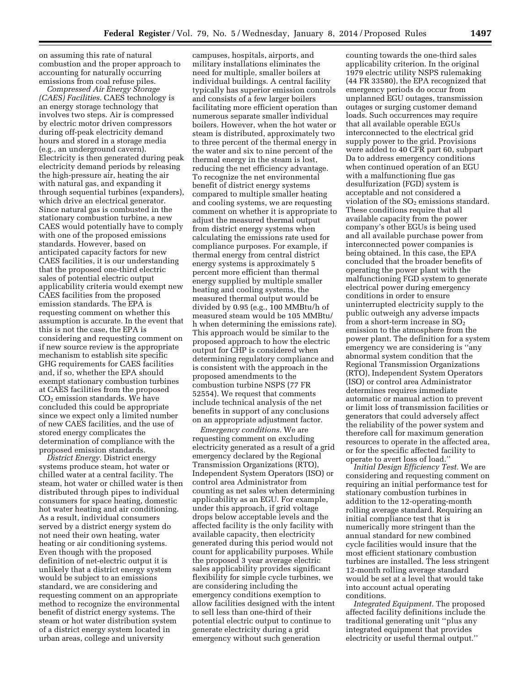on assuming this rate of natural combustion and the proper approach to accounting for naturally occurring emissions from coal refuse piles.

*Compressed Air Energy Storage (CAES) Facilities.* CAES technology is an energy storage technology that involves two steps. Air is compressed by electric motor driven compressors during off-peak electricity demand hours and stored in a storage media (e.g., an underground cavern). Electricity is then generated during peak electricity demand periods by releasing the high-pressure air, heating the air with natural gas, and expanding it through sequential turbines (expanders), which drive an electrical generator. Since natural gas is combusted in the stationary combustion turbine, a new CAES would potentially have to comply with one of the proposed emissions standards. However, based on anticipated capacity factors for new CAES facilities, it is our understanding that the proposed one-third electric sales of potential electric output applicability criteria would exempt new CAES facilities from the proposed emission standards. The EPA is requesting comment on whether this assumption is accurate. In the event that this is not the case, the EPA is considering and requesting comment on if new source review is the appropriate mechanism to establish site specific GHG requirements for CAES facilities and, if so, whether the EPA should exempt stationary combustion turbines at CAES facilities from the proposed  $CO<sub>2</sub>$  emission standards. We have concluded this could be appropriate since we expect only a limited number of new CAES facilities, and the use of stored energy complicates the determination of compliance with the proposed emission standards.

*District Energy.* District energy systems produce steam, hot water or chilled water at a central facility. The steam, hot water or chilled water is then distributed through pipes to individual consumers for space heating, domestic hot water heating and air conditioning. As a result, individual consumers served by a district energy system do not need their own heating, water heating or air conditioning systems. Even though with the proposed definition of net-electric output it is unlikely that a district energy system would be subject to an emissions standard, we are considering and requesting comment on an appropriate method to recognize the environmental benefit of district energy systems. The steam or hot water distribution system of a district energy system located in urban areas, college and university

campuses, hospitals, airports, and military installations eliminates the need for multiple, smaller boilers at individual buildings. A central facility typically has superior emission controls and consists of a few larger boilers facilitating more efficient operation than numerous separate smaller individual boilers. However, when the hot water or steam is distributed, approximately two to three percent of the thermal energy in the water and six to nine percent of the thermal energy in the steam is lost, reducing the net efficiency advantage. To recognize the net environmental benefit of district energy systems compared to multiple smaller heating and cooling systems, we are requesting comment on whether it is appropriate to adjust the measured thermal output from district energy systems when calculating the emissions rate used for compliance purposes. For example, if thermal energy from central district energy systems is approximately 5 percent more efficient than thermal energy supplied by multiple smaller heating and cooling systems, the measured thermal output would be divided by 0.95 (e.g., 100 MMBtu/h of measured steam would be 105 MMBtu/ h when determining the emissions rate). This approach would be similar to the proposed approach to how the electric output for CHP is considered when determining regulatory compliance and is consistent with the approach in the proposed amendments to the combustion turbine NSPS (77 FR 52554). We request that comments include technical analysis of the net benefits in support of any conclusions on an appropriate adjustment factor.

*Emergency conditions.* We are requesting comment on excluding electricity generated as a result of a grid emergency declared by the Regional Transmission Organizations (RTO), Independent System Operators (ISO) or control area Administrator from counting as net sales when determining applicability as an EGU. For example, under this approach, if grid voltage drops below acceptable levels and the affected facility is the only facility with available capacity, then electricity generated during this period would not count for applicability purposes. While the proposed 3 year average electric sales applicability provides significant flexibility for simple cycle turbines, we are considering including the emergency conditions exemption to allow facilities designed with the intent to sell less than one-third of their potential electric output to continue to generate electricity during a grid emergency without such generation

counting towards the one-third sales applicability criterion. In the original 1979 electric utility NSPS rulemaking (44 FR 33580), the EPA recognized that emergency periods do occur from unplanned EGU outages, transmission outages or surging customer demand loads. Such occurrences may require that all available operable EGUs interconnected to the electrical grid supply power to the grid. Provisions were added to 40 CFR part 60, subpart Da to address emergency conditions when continued operation of an EGU with a malfunctioning flue gas desulfurization (FGD) system is acceptable and not considered a violation of the  $SO<sub>2</sub>$  emissions standard. These conditions require that all available capacity from the power company's other EGUs is being used and all available purchase power from interconnected power companies is being obtained. In this case, the EPA concluded that the broader benefits of operating the power plant with the malfunctioning FGD system to generate electrical power during emergency conditions in order to ensure uninterrupted electricity supply to the public outweigh any adverse impacts from a short-term increase in  $SO<sub>2</sub>$ emission to the atmosphere from the power plant. The definition for a system emergency we are considering is ''any abnormal system condition that the Regional Transmission Organizations (RTO), Independent System Operators (ISO) or control area Administrator determines requires immediate automatic or manual action to prevent or limit loss of transmission facilities or generators that could adversely affect the reliability of the power system and therefore call for maximum generation resources to operate in the affected area, or for the specific affected facility to operate to avert loss of load.''

*Initial Design Efficiency Test.* We are considering and requesting comment on requiring an initial performance test for stationary combustion turbines in addition to the 12-operating-month rolling average standard. Requiring an initial compliance test that is numerically more stringent than the annual standard for new combined cycle facilities would insure that the most efficient stationary combustion turbines are installed. The less stringent 12-month rolling average standard would be set at a level that would take into account actual operating conditions.

*Integrated Equipment.* The proposed affected facility definitions include the traditional generating unit ''plus any integrated equipment that provides electricity or useful thermal output.''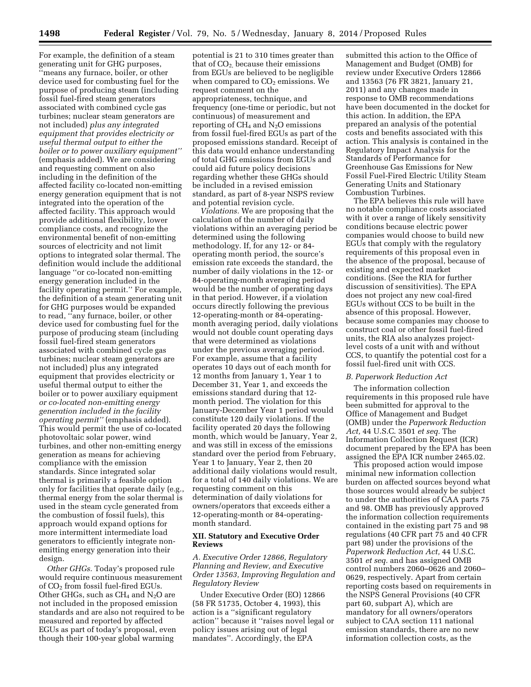For example, the definition of a steam generating unit for GHG purposes, ''means any furnace, boiler, or other device used for combusting fuel for the purpose of producing steam (including fossil fuel-fired steam generators associated with combined cycle gas turbines; nuclear steam generators are not included) *plus any integrated equipment that provides electricity or useful thermal output to either the boiler or to power auxiliary equipment''*  (emphasis added). We are considering and requesting comment on also including in the definition of the affected facility co-located non-emitting energy generation equipment that is not integrated into the operation of the affected facility. This approach would provide additional flexibility, lower compliance costs, and recognize the environmental benefit of non-emitting sources of electricity and not limit options to integrated solar thermal. The definition would include the additional language ''or co-located non-emitting energy generation included in the facility operating permit.'' For example, the definition of a steam generating unit for GHG purposes would be expanded to read, ''any furnace, boiler, or other device used for combusting fuel for the purpose of producing steam (including fossil fuel-fired steam generators associated with combined cycle gas turbines; nuclear steam generators are not included) plus any integrated equipment that provides electricity or useful thermal output to either the boiler or to power auxiliary equipment *or co-located non-emitting energy generation included in the facility operating permit''* (emphasis added). This would permit the use of co-located photovoltaic solar power, wind turbines, and other non-emitting energy generation as means for achieving compliance with the emission standards. Since integrated solar thermal is primarily a feasible option only for facilities that operate daily (e.g., thermal energy from the solar thermal is used in the steam cycle generated from the combustion of fossil fuels), this approach would expand options for more intermittent intermediate load generators to efficiently integrate nonemitting energy generation into their design.

*Other GHGs.* Today's proposed rule would require continuous measurement of CO2 from fossil fuel-fired EGUs. Other GHGs, such as  $CH_4$  and  $N_2O$  are not included in the proposed emission standards and are also not required to be measured and reported by affected EGUs as part of today's proposal, even though their 100-year global warming

potential is 21 to 310 times greater than that of  $CO<sub>2</sub>$  because their emissions from EGUs are believed to be negligible when compared to  $CO<sub>2</sub>$  emissions. We request comment on the appropriateness, technique, and frequency (one-time or periodic, but not continuous) of measurement and reporting of  $CH_4$  and  $N_2O$  emissions from fossil fuel-fired EGUs as part of the proposed emissions standard. Receipt of this data would enhance understanding of total GHG emissions from EGUs and could aid future policy decisions regarding whether these GHGs should be included in a revised emission standard, as part of 8-year NSPS review and potential revision cycle.

*Violations.* We are proposing that the calculation of the number of daily violations within an averaging period be determined using the following methodology. If, for any 12- or 84 operating month period, the source's emission rate exceeds the standard, the number of daily violations in the 12- or 84-operating-month averaging period would be the number of operating days in that period. However, if a violation occurs directly following the previous 12-operating-month or 84-operatingmonth averaging period, daily violations would not double count operating days that were determined as violations under the previous averaging period. For example, assume that a facility operates 10 days out of each month for 12 months from January 1, Year 1 to December 31, Year 1, and exceeds the emissions standard during that 12 month period. The violation for this January-December Year 1 period would constitute 120 daily violations. If the facility operated 20 days the following month, which would be January, Year 2, and was still in excess of the emissions standard over the period from February, Year 1 to January, Year 2, then 20 additional daily violations would result, for a total of 140 daily violations. We are requesting comment on this determination of daily violations for owners/operators that exceeds either a 12-operating-month or 84-operatingmonth standard.

# **XII. Statutory and Executive Order Reviews**

*A. Executive Order 12866, Regulatory Planning and Review, and Executive Order 13563, Improving Regulation and Regulatory Review* 

Under Executive Order (EO) 12866 (58 FR 51735, October 4, 1993), this action is a ''significant regulatory action'' because it ''raises novel legal or policy issues arising out of legal mandates''. Accordingly, the EPA

submitted this action to the Office of Management and Budget (OMB) for review under Executive Orders 12866 and 13563 (76 FR 3821, January 21, 2011) and any changes made in response to OMB recommendations have been documented in the docket for this action. In addition, the EPA prepared an analysis of the potential costs and benefits associated with this action. This analysis is contained in the Regulatory Impact Analysis for the Standards of Performance for Greenhouse Gas Emissions for New Fossil Fuel-Fired Electric Utility Steam Generating Units and Stationary Combustion Turbines.

The EPA believes this rule will have no notable compliance costs associated with it over a range of likely sensitivity conditions because electric power companies would choose to build new EGUs that comply with the regulatory requirements of this proposal even in the absence of the proposal, because of existing and expected market conditions. (See the RIA for further discussion of sensitivities). The EPA does not project any new coal-fired EGUs without CCS to be built in the absence of this proposal. However, because some companies may choose to construct coal or other fossil fuel-fired units, the RIA also analyzes projectlevel costs of a unit with and without CCS, to quantify the potential cost for a fossil fuel-fired unit with CCS.

## *B. Paperwork Reduction Act*

The information collection requirements in this proposed rule have been submitted for approval to the Office of Management and Budget (OMB) under the *Paperwork Reduction Act,* 44 U.S.C. 3501 *et seq.* The Information Collection Request (ICR) document prepared by the EPA has been assigned the EPA ICR number 2465.02.

This proposed action would impose minimal new information collection burden on affected sources beyond what those sources would already be subject to under the authorities of CAA parts 75 and 98. OMB has previously approved the information collection requirements contained in the existing part 75 and 98 regulations (40 CFR part 75 and 40 CFR part 98) under the provisions of the *Paperwork Reduction Act,* 44 U.S.C. 3501 *et seq.* and has assigned OMB control numbers 2060–0626 and 2060– 0629, respectively. Apart from certain reporting costs based on requirements in the NSPS General Provisions (40 CFR part 60, subpart A), which are mandatory for all owners/operators subject to CAA section 111 national emission standards, there are no new information collection costs, as the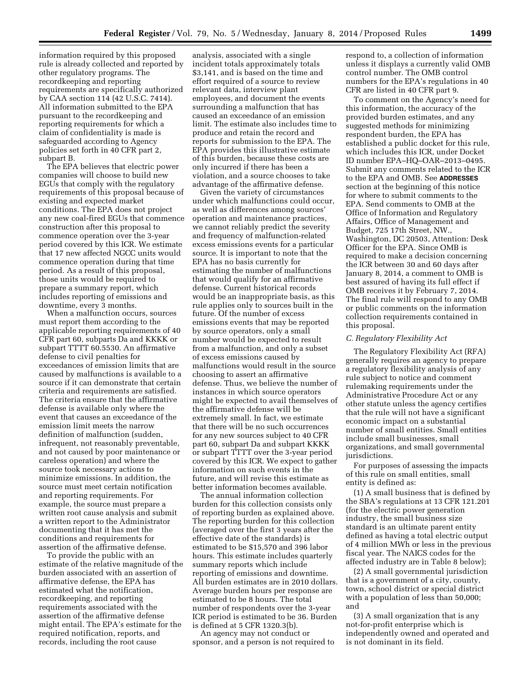information required by this proposed rule is already collected and reported by other regulatory programs. The recordkeeping and reporting requirements are specifically authorized by CAA section 114 (42 U.S.C. 7414). All information submitted to the EPA pursuant to the recordkeeping and reporting requirements for which a claim of confidentiality is made is safeguarded according to Agency policies set forth in 40 CFR part 2, subpart B.

The EPA believes that electric power companies will choose to build new EGUs that comply with the regulatory requirements of this proposal because of existing and expected market conditions. The EPA does not project any new coal-fired EGUs that commence construction after this proposal to commence operation over the 3-year period covered by this ICR. We estimate that 17 new affected NGCC units would commence operation during that time period. As a result of this proposal, those units would be required to prepare a summary report, which includes reporting of emissions and downtime, every 3 months.

When a malfunction occurs, sources must report them according to the applicable reporting requirements of 40 CFR part 60, subparts Da and KKKK or subpart TTTT 60.5530. An affirmative defense to civil penalties for exceedances of emission limits that are caused by malfunctions is available to a source if it can demonstrate that certain criteria and requirements are satisfied. The criteria ensure that the affirmative defense is available only where the event that causes an exceedance of the emission limit meets the narrow definition of malfunction (sudden, infrequent, not reasonably preventable, and not caused by poor maintenance or careless operation) and where the source took necessary actions to minimize emissions. In addition, the source must meet certain notification and reporting requirements. For example, the source must prepare a written root cause analysis and submit a written report to the Administrator documenting that it has met the conditions and requirements for assertion of the affirmative defense.

To provide the public with an estimate of the relative magnitude of the burden associated with an assertion of affirmative defense, the EPA has estimated what the notification, recordkeeping, and reporting requirements associated with the assertion of the affirmative defense might entail. The EPA's estimate for the required notification, reports, and records, including the root cause

analysis, associated with a single incident totals approximately totals \$3,141, and is based on the time and effort required of a source to review relevant data, interview plant employees, and document the events surrounding a malfunction that has caused an exceedance of an emission limit. The estimate also includes time to produce and retain the record and reports for submission to the EPA. The EPA provides this illustrative estimate of this burden, because these costs are only incurred if there has been a violation, and a source chooses to take advantage of the affirmative defense.

Given the variety of circumstances under which malfunctions could occur, as well as differences among sources' operation and maintenance practices, we cannot reliably predict the severity and frequency of malfunction-related excess emissions events for a particular source. It is important to note that the EPA has no basis currently for estimating the number of malfunctions that would qualify for an affirmative defense. Current historical records would be an inappropriate basis, as this rule applies only to sources built in the future. Of the number of excess emissions events that may be reported by source operators, only a small number would be expected to result from a malfunction, and only a subset of excess emissions caused by malfunctions would result in the source choosing to assert an affirmative defense. Thus, we believe the number of instances in which source operators might be expected to avail themselves of the affirmative defense will be extremely small. In fact, we estimate that there will be no such occurrences for any new sources subject to 40 CFR part 60, subpart Da and subpart KKKK or subpart TTTT over the 3-year period covered by this ICR. We expect to gather information on such events in the future, and will revise this estimate as better information becomes available.

The annual information collection burden for this collection consists only of reporting burden as explained above. The reporting burden for this collection (averaged over the first 3 years after the effective date of the standards) is estimated to be \$15,570 and 396 labor hours. This estimate includes quarterly summary reports which include reporting of emissions and downtime. All burden estimates are in 2010 dollars. Average burden hours per response are estimated to be 8 hours. The total number of respondents over the 3-year ICR period is estimated to be 36. Burden is defined at 5 CFR 1320.3(b).

An agency may not conduct or sponsor, and a person is not required to respond to, a collection of information unless it displays a currently valid OMB control number. The OMB control numbers for the EPA's regulations in 40 CFR are listed in 40 CFR part 9.

To comment on the Agency's need for this information, the accuracy of the provided burden estimates, and any suggested methods for minimizing respondent burden, the EPA has established a public docket for this rule, which includes this ICR, under Docket ID number EPA–HQ–OAR–2013–0495. Submit any comments related to the ICR to the EPA and OMB. See **ADDRESSES** section at the beginning of this notice for where to submit comments to the EPA. Send comments to OMB at the Office of Information and Regulatory Affairs, Office of Management and Budget, 725 17th Street, NW., Washington, DC 20503, Attention: Desk Officer for the EPA. Since OMB is required to make a decision concerning the ICR between 30 and 60 days after January 8, 2014, a comment to OMB is best assured of having its full effect if OMB receives it by February 7, 2014. The final rule will respond to any OMB or public comments on the information collection requirements contained in this proposal.

### *C. Regulatory Flexibility Act*

The Regulatory Flexibility Act (RFA) generally requires an agency to prepare a regulatory flexibility analysis of any rule subject to notice and comment rulemaking requirements under the Administrative Procedure Act or any other statute unless the agency certifies that the rule will not have a significant economic impact on a substantial number of small entities. Small entities include small businesses, small organizations, and small governmental jurisdictions.

For purposes of assessing the impacts of this rule on small entities, small entity is defined as:

(1) A small business that is defined by the SBA's regulations at 13 CFR 121.201 (for the electric power generation industry, the small business size standard is an ultimate parent entity defined as having a total electric output of 4 million MWh or less in the previous fiscal year. The NAICS codes for the affected industry are in Table 8 below);

(2) A small governmental jurisdiction that is a government of a city, county, town, school district or special district with a population of less than 50,000; and

(3) A small organization that is any not-for-profit enterprise which is independently owned and operated and is not dominant in its field.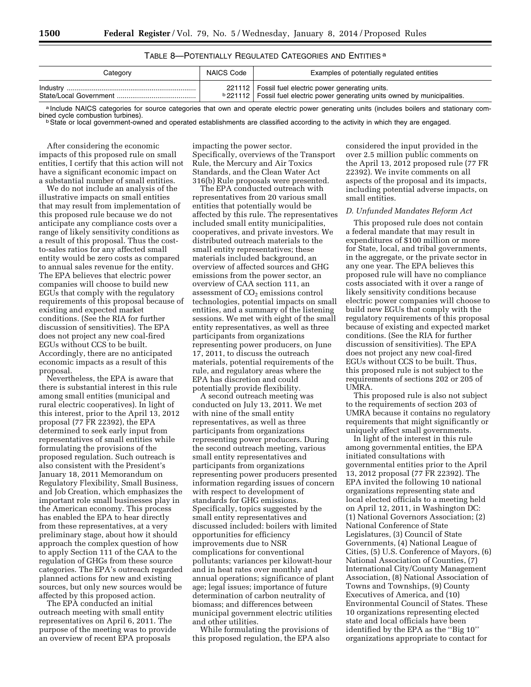# TABLE 8—POTENTIALLY REGULATED CATEGORIES AND ENTITIES a

| Category | NAICS Code | Examples of potentially regulated entities                                                                                                      |
|----------|------------|-------------------------------------------------------------------------------------------------------------------------------------------------|
|          |            | 221112   Fossil fuel electric power generating units.<br><b>b</b> 221112   Fossil fuel electric power generating units owned by municipalities. |

a Include NAICS categories for source categories that own and operate electric power generating units (includes boilers and stationary com-<br>bined cycle combustion turbines).

<sup>b</sup> State or local government-owned and operated establishments are classified according to the activity in which they are engaged.

After considering the economic impacts of this proposed rule on small entities, I certify that this action will not have a significant economic impact on a substantial number of small entities.

We do not include an analysis of the illustrative impacts on small entities that may result from implementation of this proposed rule because we do not anticipate any compliance costs over a range of likely sensitivity conditions as a result of this proposal. Thus the costto-sales ratios for any affected small entity would be zero costs as compared to annual sales revenue for the entity. The EPA believes that electric power companies will choose to build new EGUs that comply with the regulatory requirements of this proposal because of existing and expected market conditions. (See the RIA for further discussion of sensitivities). The EPA does not project any new coal-fired EGUs without CCS to be built. Accordingly, there are no anticipated economic impacts as a result of this proposal.

Nevertheless, the EPA is aware that there is substantial interest in this rule among small entities (municipal and rural electric cooperatives). In light of this interest, prior to the April 13, 2012 proposal (77 FR 22392), the EPA determined to seek early input from representatives of small entities while formulating the provisions of the proposed regulation. Such outreach is also consistent with the President's January 18, 2011 Memorandum on Regulatory Flexibility, Small Business, and Job Creation, which emphasizes the important role small businesses play in the American economy. This process has enabled the EPA to hear directly from these representatives, at a very preliminary stage, about how it should approach the complex question of how to apply Section 111 of the CAA to the regulation of GHGs from these source categories. The EPA's outreach regarded planned actions for new and existing sources, but only new sources would be affected by this proposed action.

The EPA conducted an initial outreach meeting with small entity representatives on April 6, 2011. The purpose of the meeting was to provide an overview of recent EPA proposals

impacting the power sector. Specifically, overviews of the Transport Rule, the Mercury and Air Toxics Standards, and the Clean Water Act 316(b) Rule proposals were presented.

The EPA conducted outreach with representatives from 20 various small entities that potentially would be affected by this rule. The representatives included small entity municipalities, cooperatives, and private investors. We distributed outreach materials to the small entity representatives; these materials included background, an overview of affected sources and GHG emissions from the power sector, an overview of CAA section 111, an assessment of  $CO<sub>2</sub>$  emissions control technologies, potential impacts on small entities, and a summary of the listening sessions. We met with eight of the small entity representatives, as well as three participants from organizations representing power producers, on June 17, 2011, to discuss the outreach materials, potential requirements of the rule, and regulatory areas where the EPA has discretion and could potentially provide flexibility.

A second outreach meeting was conducted on July 13, 2011. We met with nine of the small entity representatives, as well as three participants from organizations representing power producers. During the second outreach meeting, various small entity representatives and participants from organizations representing power producers presented information regarding issues of concern with respect to development of standards for GHG emissions. Specifically, topics suggested by the small entity representatives and discussed included: boilers with limited opportunities for efficiency improvements due to NSR complications for conventional pollutants; variances per kilowatt-hour and in heat rates over monthly and annual operations; significance of plant age; legal issues; importance of future determination of carbon neutrality of biomass; and differences between municipal government electric utilities and other utilities.

While formulating the provisions of this proposed regulation, the EPA also

considered the input provided in the over 2.5 million public comments on the April 13, 2012 proposed rule (77 FR 22392). We invite comments on all aspects of the proposal and its impacts, including potential adverse impacts, on small entities.

### *D. Unfunded Mandates Reform Act*

This proposed rule does not contain a federal mandate that may result in expenditures of \$100 million or more for State, local, and tribal governments, in the aggregate, or the private sector in any one year. The EPA believes this proposed rule will have no compliance costs associated with it over a range of likely sensitivity conditions because electric power companies will choose to build new EGUs that comply with the regulatory requirements of this proposal because of existing and expected market conditions. (See the RIA for further discussion of sensitivities). The EPA does not project any new coal-fired EGUs without CCS to be built. Thus, this proposed rule is not subject to the requirements of sections 202 or 205 of UMRA.

This proposed rule is also not subject to the requirements of section 203 of UMRA because it contains no regulatory requirements that might significantly or uniquely affect small governments.

In light of the interest in this rule among governmental entities, the EPA initiated consultations with governmental entities prior to the April 13, 2012 proposal (77 FR 22392). The EPA invited the following 10 national organizations representing state and local elected officials to a meeting held on April 12, 2011, in Washington DC: (1) National Governors Association; (2) National Conference of State Legislatures, (3) Council of State Governments, (4) National League of Cities, (5) U.S. Conference of Mayors, (6) National Association of Counties, (7) International City/County Management Association, (8) National Association of Towns and Townships, (9) County Executives of America, and (10) Environmental Council of States. These 10 organizations representing elected state and local officials have been identified by the EPA as the ''Big 10'' organizations appropriate to contact for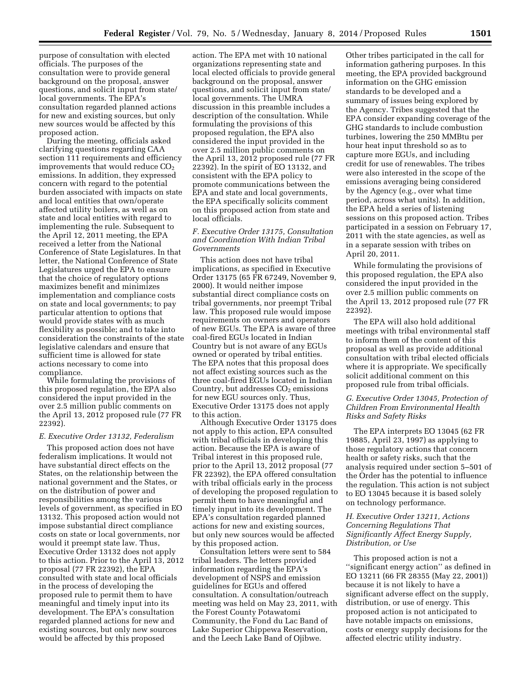purpose of consultation with elected officials. The purposes of the consultation were to provide general background on the proposal, answer questions, and solicit input from state/ local governments. The EPA's consultation regarded planned actions for new and existing sources, but only new sources would be affected by this proposed action.

During the meeting, officials asked clarifying questions regarding CAA section 111 requirements and efficiency improvements that would reduce  $CO<sub>2</sub>$ emissions. In addition, they expressed concern with regard to the potential burden associated with impacts on state and local entities that own/operate affected utility boilers, as well as on state and local entities with regard to implementing the rule. Subsequent to the April 12, 2011 meeting, the EPA received a letter from the National Conference of State Legislatures. In that letter, the National Conference of State Legislatures urged the EPA to ensure that the choice of regulatory options maximizes benefit and minimizes implementation and compliance costs on state and local governments; to pay particular attention to options that would provide states with as much flexibility as possible; and to take into consideration the constraints of the state legislative calendars and ensure that sufficient time is allowed for state actions necessary to come into compliance.

While formulating the provisions of this proposed regulation, the EPA also considered the input provided in the over 2.5 million public comments on the April 13, 2012 proposed rule (77 FR 22392).

#### *E. Executive Order 13132, Federalism*

This proposed action does not have federalism implications. It would not have substantial direct effects on the States, on the relationship between the national government and the States, or on the distribution of power and responsibilities among the various levels of government, as specified in EO 13132. This proposed action would not impose substantial direct compliance costs on state or local governments, nor would it preempt state law. Thus, Executive Order 13132 does not apply to this action. Prior to the April 13, 2012 proposal (77 FR 22392), the EPA consulted with state and local officials in the process of developing the proposed rule to permit them to have meaningful and timely input into its development. The EPA's consultation regarded planned actions for new and existing sources, but only new sources would be affected by this proposed

action. The EPA met with 10 national organizations representing state and local elected officials to provide general background on the proposal, answer questions, and solicit input from state/ local governments. The UMRA discussion in this preamble includes a description of the consultation. While formulating the provisions of this proposed regulation, the EPA also considered the input provided in the over 2.5 million public comments on the April 13, 2012 proposed rule (77 FR 22392). In the spirit of EO 13132, and consistent with the EPA policy to promote communications between the EPA and state and local governments, the EPA specifically solicits comment on this proposed action from state and local officials.

# *F. Executive Order 13175, Consultation and Coordination With Indian Tribal Governments*

This action does not have tribal implications, as specified in Executive Order 13175 (65 FR 67249, November 9, 2000). It would neither impose substantial direct compliance costs on tribal governments, nor preempt Tribal law. This proposed rule would impose requirements on owners and operators of new EGUs. The EPA is aware of three coal-fired EGUs located in Indian Country but is not aware of any EGUs owned or operated by tribal entities. The EPA notes that this proposal does not affect existing sources such as the three coal-fired EGUs located in Indian Country, but addresses  $CO<sub>2</sub>$  emissions for new EGU sources only. Thus, Executive Order 13175 does not apply to this action.

Although Executive Order 13175 does not apply to this action, EPA consulted with tribal officials in developing this action. Because the EPA is aware of Tribal interest in this proposed rule, prior to the April 13, 2012 proposal (77 FR 22392), the EPA offered consultation with tribal officials early in the process of developing the proposed regulation to permit them to have meaningful and timely input into its development. The EPA's consultation regarded planned actions for new and existing sources, but only new sources would be affected by this proposed action.

Consultation letters were sent to 584 tribal leaders. The letters provided information regarding the EPA's development of NSPS and emission guidelines for EGUs and offered consultation. A consultation/outreach meeting was held on May 23, 2011, with the Forest County Potawatomi Community, the Fond du Lac Band of Lake Superior Chippewa Reservation, and the Leech Lake Band of Ojibwe.

Other tribes participated in the call for information gathering purposes. In this meeting, the EPA provided background information on the GHG emission standards to be developed and a summary of issues being explored by the Agency. Tribes suggested that the EPA consider expanding coverage of the GHG standards to include combustion turbines, lowering the 250 MMBtu per hour heat input threshold so as to capture more EGUs, and including credit for use of renewables. The tribes were also interested in the scope of the emissions averaging being considered by the Agency (e.g., over what time period, across what units). In addition, the EPA held a series of listening sessions on this proposed action. Tribes participated in a session on February 17, 2011 with the state agencies, as well as in a separate session with tribes on April 20, 2011.

While formulating the provisions of this proposed regulation, the EPA also considered the input provided in the over 2.5 million public comments on the April 13, 2012 proposed rule (77 FR 22392).

The EPA will also hold additional meetings with tribal environmental staff to inform them of the content of this proposal as well as provide additional consultation with tribal elected officials where it is appropriate. We specifically solicit additional comment on this proposed rule from tribal officials.

# *G. Executive Order 13045, Protection of Children From Environmental Health Risks and Safety Risks*

The EPA interprets EO 13045 (62 FR 19885, April 23, 1997) as applying to those regulatory actions that concern health or safety risks, such that the analysis required under section 5–501 of the Order has the potential to influence the regulation. This action is not subject to EO 13045 because it is based solely on technology performance.

# *H. Executive Order 13211, Actions Concerning Regulations That Significantly Affect Energy Supply, Distribution, or Use*

This proposed action is not a ''significant energy action'' as defined in EO 13211 (66 FR 28355 (May 22, 2001)) because it is not likely to have a significant adverse effect on the supply, distribution, or use of energy. This proposed action is not anticipated to have notable impacts on emissions, costs or energy supply decisions for the affected electric utility industry.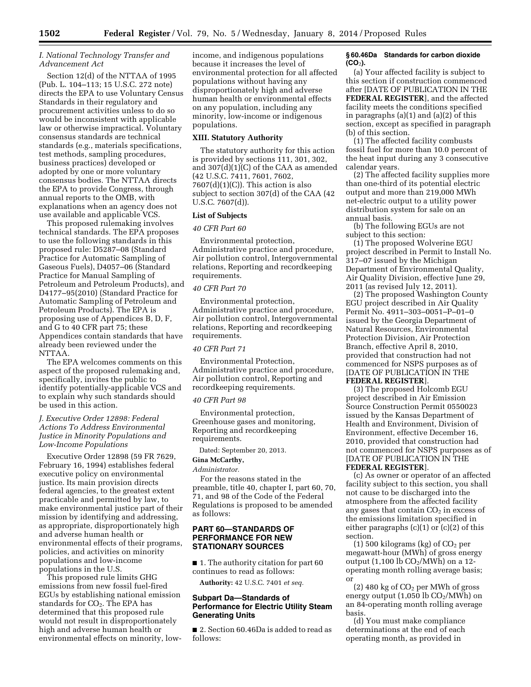# *I. National Technology Transfer and Advancement Act*

Section 12(d) of the NTTAA of 1995 (Pub. L. 104–113; 15 U.S.C. 272 note) directs the EPA to use Voluntary Census Standards in their regulatory and procurement activities unless to do so would be inconsistent with applicable law or otherwise impractical. Voluntary consensus standards are technical standards (e.g., materials specifications, test methods, sampling procedures, business practices) developed or adopted by one or more voluntary consensus bodies. The NTTAA directs the EPA to provide Congress, through annual reports to the OMB, with explanations when an agency does not use available and applicable VCS.

This proposed rulemaking involves technical standards. The EPA proposes to use the following standards in this proposed rule: D5287–08 (Standard Practice for Automatic Sampling of Gaseous Fuels), D4057–06 (Standard Practice for Manual Sampling of Petroleum and Petroleum Products), and D4177–95(2010) (Standard Practice for Automatic Sampling of Petroleum and Petroleum Products). The EPA is proposing use of Appendices B, D, F, and G to 40 CFR part 75; these Appendices contain standards that have already been reviewed under the NTTAA.

The EPA welcomes comments on this aspect of the proposed rulemaking and, specifically, invites the public to identify potentially-applicable VCS and to explain why such standards should be used in this action.

# *J. Executive Order 12898: Federal Actions To Address Environmental Justice in Minority Populations and Low-Income Populations*

Executive Order 12898 (59 FR 7629, February 16, 1994) establishes federal executive policy on environmental justice. Its main provision directs federal agencies, to the greatest extent practicable and permitted by law, to make environmental justice part of their mission by identifying and addressing, as appropriate, disproportionately high and adverse human health or environmental effects of their programs, policies, and activities on minority populations and low-income populations in the U.S.

This proposed rule limits GHG emissions from new fossil fuel-fired EGUs by establishing national emission standards for  $CO<sub>2</sub>$ . The EPA has determined that this proposed rule would not result in disproportionately high and adverse human health or environmental effects on minority, low-

income, and indigenous populations because it increases the level of environmental protection for all affected populations without having any disproportionately high and adverse human health or environmental effects on any population, including any minority, low-income or indigenous populations.

### **XIII. Statutory Authority**

The statutory authority for this action is provided by sections 111, 301, 302, and 307(d)(1)(C) of the CAA as amended (42 U.S.C. 7411, 7601, 7602,  $7607(d)(1)(C)$ . This action is also subject to section 307(d) of the CAA (42 U.S.C. 7607(d)).

# **List of Subjects**

#### *40 CFR Part 60*

Environmental protection, Administrative practice and procedure, Air pollution control, Intergovernmental relations, Reporting and recordkeeping requirements.

### *40 CFR Part 70*

Environmental protection, Administrative practice and procedure, Air pollution control, Intergovernmental relations, Reporting and recordkeeping requirements.

### *40 CFR Part 71*

Environmental Protection, Administrative practice and procedure, Air pollution control, Reporting and recordkeeping requirements.

#### *40 CFR Part 98*

Environmental protection, Greenhouse gases and monitoring, Reporting and recordkeeping requirements.

Dated: September 20, 2013.

#### **Gina McCarthy,**

#### *Administrator.*

For the reasons stated in the preamble, title 40, chapter I, part 60, 70, 71, and 98 of the Code of the Federal Regulations is proposed to be amended as follows:

# **PART 60—STANDARDS OF PERFORMANCE FOR NEW STATIONARY SOURCES**

■ 1. The authority citation for part 60 continues to read as follows:

**Authority:** 42 U.S.C. 7401 *et seq.* 

# **Subpart Da—Standards of Performance for Electric Utility Steam Generating Units**

■ 2. Section 60.46Da is added to read as follows:

### **§ 60.46Da Standards for carbon dioxide (CO**2**).**

(a) Your affected facility is subject to this section if construction commenced after [DATE OF PUBLICATION IN THE **FEDERAL REGISTER**], and the affected facility meets the conditions specified in paragraphs (a)(1) and (a)(2) of this section, except as specified in paragraph (b) of this section.

(1) The affected facility combusts fossil fuel for more than 10.0 percent of the heat input during any 3 consecutive calendar years.

(2) The affected facility supplies more than one-third of its potential electric output and more than 219,000 MWh net-electric output to a utility power distribution system for sale on an annual basis.

(b) The following EGUs are not subject to this section:

(1) The proposed Wolverine EGU project described in Permit to Install No. 317–07 issued by the Michigan Department of Environmental Quality, Air Quality Division, effective June 29, 2011 (as revised July 12, 2011).

(2) The proposed Washington County EGU project described in Air Quality Permit No. 4911–303–0051–P–01–0 issued by the Georgia Department of Natural Resources, Environmental Protection Division, Air Protection Branch, effective April 8, 2010, provided that construction had not commenced for NSPS purposes as of [DATE OF PUBLICATION IN THE **FEDERAL REGISTER**].

(3) The proposed Holcomb EGU project described in Air Emission Source Construction Permit 0550023 issued by the Kansas Department of Health and Environment, Division of Environment, effective December 16, 2010, provided that construction had not commenced for NSPS purposes as of [DATE OF PUBLICATION IN THE **FEDERAL REGISTER**].

(c) As owner or operator of an affected facility subject to this section, you shall not cause to be discharged into the atmosphere from the affected facility any gases that contain  $CO<sub>2</sub>$  in excess of the emissions limitation specified in either paragraphs  $(c)(1)$  or  $(c)(2)$  of this section.

(1) 500 kilograms (kg) of  $CO<sub>2</sub>$  per megawatt-hour (MWh) of gross energy output (1,100 lb  $CO<sub>2</sub>/MWh$ ) on a 12operating month rolling average basis; or

(2) 480 kg of CO2 per MWh of gross energy output  $(1,05\overline{0} \text{ lb CO}_2/\text{MW} \overline{h})$  on an 84-operating month rolling average basis.

(d) You must make compliance determinations at the end of each operating month, as provided in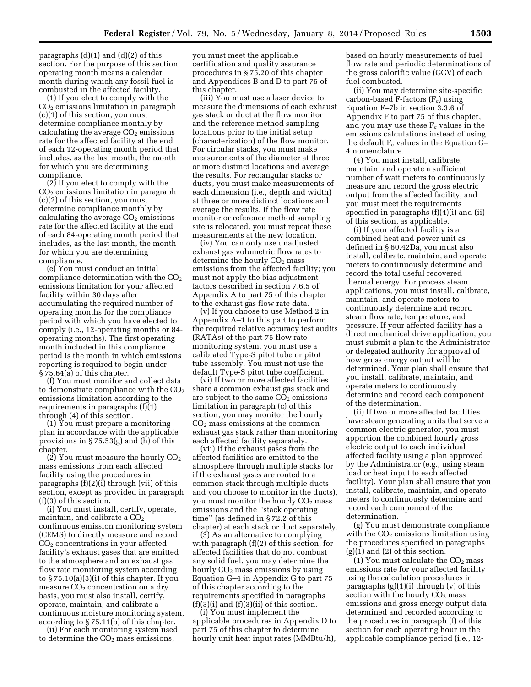paragraphs  $(d)(1)$  and  $(d)(2)$  of this section. For the purpose of this section, operating month means a calendar month during which any fossil fuel is combusted in the affected facility.

(1) If you elect to comply with the  $CO<sub>2</sub>$  emissions limitation in paragraph (c)(1) of this section, you must determine compliance monthly by calculating the average  $CO<sub>2</sub>$  emissions rate for the affected facility at the end of each 12-operating month period that includes, as the last month, the month for which you are determining compliance.

(2) If you elect to comply with the  $CO<sub>2</sub>$  emissions limitation in paragraph (c)(2) of this section, you must determine compliance monthly by calculating the average  $CO<sub>2</sub>$  emissions rate for the affected facility at the end of each 84-operating month period that includes, as the last month, the month for which you are determining compliance.

(e) You must conduct an initial compliance determination with the  $CO<sub>2</sub>$ emissions limitation for your affected facility within 30 days after accumulating the required number of operating months for the compliance period with which you have elected to comply (i.e., 12-operating months or 84 operating months). The first operating month included in this compliance period is the month in which emissions reporting is required to begin under § 75.64(a) of this chapter.

(f) You must monitor and collect data to demonstrate compliance with the  $CO<sub>2</sub>$ emissions limitation according to the requirements in paragraphs (f)(1) through (4) of this section.

(1) You must prepare a monitoring plan in accordance with the applicable provisions in § 75.53(g) and (h) of this chapter.

(2) You must measure the hourly  $CO<sub>2</sub>$ mass emissions from each affected facility using the procedures in paragraphs (f)(2)(i) through (vii) of this section, except as provided in paragraph (f)(3) of this section.

(i) You must install, certify, operate, maintain, and calibrate a  $CO<sub>2</sub>$ continuous emission monitoring system (CEMS) to directly measure and record CO2 concentrations in your affected facility's exhaust gases that are emitted to the atmosphere and an exhaust gas flow rate monitoring system according to § 75.10(a)(3)(i) of this chapter. If you measure  $CO<sub>2</sub>$  concentration on a dry basis, you must also install, certify, operate, maintain, and calibrate a continuous moisture monitoring system, according to § 75.11(b) of this chapter.

(ii) For each monitoring system used to determine the  $CO<sub>2</sub>$  mass emissions,

you must meet the applicable certification and quality assurance procedures in § 75.20 of this chapter and Appendices B and D to part 75 of this chapter.

(iii) You must use a laser device to measure the dimensions of each exhaust gas stack or duct at the flow monitor and the reference method sampling locations prior to the initial setup (characterization) of the flow monitor. For circular stacks, you must make measurements of the diameter at three or more distinct locations and average the results. For rectangular stacks or ducts, you must make measurements of each dimension (i.e., depth and width) at three or more distinct locations and average the results. If the flow rate monitor or reference method sampling site is relocated, you must repeat these measurements at the new location.

(iv) You can only use unadjusted exhaust gas volumetric flow rates to determine the hourly CO<sub>2</sub> mass emissions from the affected facility; you must not apply the bias adjustment factors described in section 7.6.5 of Appendix A to part 75 of this chapter to the exhaust gas flow rate data.

(v) If you choose to use Method 2 in Appendix A–1 to this part to perform the required relative accuracy test audits (RATAs) of the part 75 flow rate monitoring system, you must use a calibrated Type-S pitot tube or pitot tube assembly. You must not use the default Type-S pitot tube coefficient.

(vi) If two or more affected facilities share a common exhaust gas stack and are subject to the same  $CO<sub>2</sub>$  emissions limitation in paragraph (c) of this section, you may monitor the hourly CO2 mass emissions at the common exhaust gas stack rather than monitoring each affected facility separately.

(vii) If the exhaust gases from the affected facilities are emitted to the atmosphere through multiple stacks (or if the exhaust gases are routed to a common stack through multiple ducts and you choose to monitor in the ducts), you must monitor the hourly  $CO<sub>2</sub>$  mass emissions and the ''stack operating time'' (as defined in § 72.2 of this chapter) at each stack or duct separately.

(3) As an alternative to complying with paragraph (f)(2) of this section, for affected facilities that do not combust any solid fuel, you may determine the hourly  $CO<sub>2</sub>$  mass emissions by using Equation G–4 in Appendix G to part 75 of this chapter according to the requirements specified in paragraphs  $(f)(3)(i)$  and  $(f)(3)(ii)$  of this section.

(i) You must implement the applicable procedures in Appendix D to part 75 of this chapter to determine hourly unit heat input rates (MMBtu/h),

based on hourly measurements of fuel flow rate and periodic determinations of the gross calorific value (GCV) of each fuel combusted.

(ii) You may determine site-specific carbon-based F-factors  $(F_c)$  using Equation F–7b in section 3.3.6 of Appendix F to part 75 of this chapter, and you may use these  $F_c$  values in the emissions calculations instead of using the default  $F_c$  values in the Equation G-4 nomenclature.

(4) You must install, calibrate, maintain, and operate a sufficient number of watt meters to continuously measure and record the gross electric output from the affected facility, and you must meet the requirements specified in paragraphs (f)(4)(i) and (ii) of this section, as applicable.

(i) If your affected facility is a combined heat and power unit as defined in § 60.42Da, you must also install, calibrate, maintain, and operate meters to continuously determine and record the total useful recovered thermal energy. For process steam applications, you must install, calibrate, maintain, and operate meters to continuously determine and record steam flow rate, temperature, and pressure. If your affected facility has a direct mechanical drive application, you must submit a plan to the Administrator or delegated authority for approval of how gross energy output will be determined. Your plan shall ensure that you install, calibrate, maintain, and operate meters to continuously determine and record each component of the determination.

(ii) If two or more affected facilities have steam generating units that serve a common electric generator, you must apportion the combined hourly gross electric output to each individual affected facility using a plan approved by the Administrator (e.g., using steam load or heat input to each affected facility). Your plan shall ensure that you install, calibrate, maintain, and operate meters to continuously determine and record each component of the determination.

(g) You must demonstrate compliance with the  $CO<sub>2</sub>$  emissions limitation using the procedures specified in paragraphs  $(g)(1)$  and  $(2)$  of this section.

(1) You must calculate the  $CO<sub>2</sub>$  mass emissions rate for your affected facility using the calculation procedures in paragraphs  $(g)(1)(i)$  through  $(v)$  of this section with the hourly  $CO<sub>2</sub>$  mass emissions and gross energy output data determined and recorded according to the procedures in paragraph (f) of this section for each operating hour in the applicable compliance period (i.e., 12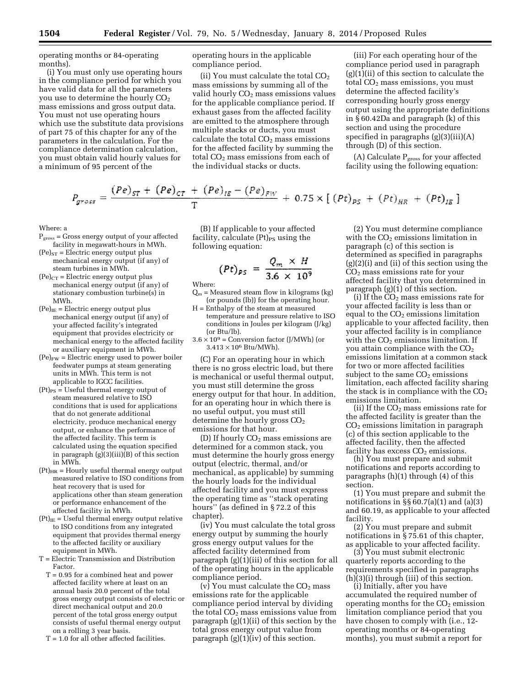operating months or 84-operating months).

(i) You must only use operating hours in the compliance period for which you have valid data for all the parameters you use to determine the hourly  $CO<sub>2</sub>$ mass emissions and gross output data. You must not use operating hours which use the substitute data provisions of part 75 of this chapter for any of the parameters in the calculation. For the compliance determination calculation, you must obtain valid hourly values for a minimum of 95 percent of the

operating hours in the applicable compliance period.

(ii) You must calculate the total  $CO<sub>2</sub>$ mass emissions by summing all of the valid hourly  $CO<sub>2</sub>$  mass emissions values for the applicable compliance period. If exhaust gases from the affected facility are emitted to the atmosphere through multiple stacks or ducts, you must calculate the total  $CO<sub>2</sub>$  mass emissions for the affected facility by summing the total  $CO<sub>2</sub>$  mass emissions from each of the individual stacks or ducts.

(iii) For each operating hour of the compliance period used in paragraph  $(g)(1)(ii)$  of this section to calculate the total  $CO<sub>2</sub>$  mass emissions, you must determine the affected facility's corresponding hourly gross energy output using the appropriate definitions in § 60.42Da and paragraph (k) of this section and using the procedure specified in paragraphs  $(g)(3)(iii)(A)$ through (D) of this section.

(A) Calculate  $P_{\text{gross}}$  for your affected facility using the following equation:

$$
P_{\text{gross}} = \frac{(Pe)_{ST} + (Pe)_{CT} + (Pe)_{IB} - (Pe)_{FW}}{T} + 0.75 \times [(Pt)_{PS} + (Pt)_{HR} + (Pt)_{IB}]
$$

Where: a

- $P<sub>gross</sub> = Gross energy output of your affected$ facility in megawatt-hours in MWh.
- $(Pe)_{ST} = Electric energy output plus$ mechanical energy output (if any) of steam turbines in MWh.
- $(Pe)_{CT}$  = Electric energy output plus mechanical energy output (if any) of stationary combustion turbine(s) in MWh.
- $(Pe)_{IE}$  = Electric energy output plus mechanical energy output (if any) of your affected facility's integrated equipment that provides electricity or mechanical energy to the affected facility or auxiliary equipment in MWh.
- $(Pe)_{FW}$  = Electric energy used to power boiler feedwater pumps at steam generating units in MWh. This term is not applicable to IGCC facilities.
- $(Pt)_{PS}$  = Useful thermal energy output of steam measured relative to ISO conditions that is used for applications that do not generate additional electricity, produce mechanical energy output, or enhance the performance of the affected facility. This term is calculated using the equation specified in paragraph  $(g)(3)(iii)(B)$  of this section in MWh.
- $(Pt)_{HR}$  = Hourly useful thermal energy output measured relative to ISO conditions from heat recovery that is used for applications other than steam generation or performance enhancement of the affected facility in MWh.
- $(Pt)_{IE}$  = Useful thermal energy output relative to ISO conditions from any integrated equipment that provides thermal energy to the affected facility or auxiliary equipment in MWh.
- T = Electric Transmission and Distribution Factor.
	- T = 0.95 for a combined heat and power affected facility where at least on an annual basis 20.0 percent of the total gross energy output consists of electric or direct mechanical output and 20.0 percent of the total gross energy output consists of useful thermal energy output on a rolling 3 year basis.
	- $T = 1.0$  for all other affected facilities.

(B) If applicable to your affected facility, calculate  $(Pt)_{PS}$  using the following equation:

$$
(Pt)_{PS} = \frac{Q_m \times H}{3.6 \times 10^9}
$$

Where:

- $Q_m$  = Measured steam flow in kilograms (kg) (or pounds (lb)) for the operating hour.
- H = Enthalpy of the steam at measured temperature and pressure relative to ISO conditions in Joules per kilogram (J/kg) (or Btu/lb).
- $3.6 \times 10^9$  = Conversion factor (J/MWh) (or  $3.413 \times 10^6$  Btu/MWh).

(C) For an operating hour in which there is no gross electric load, but there is mechanical or useful thermal output, you must still determine the gross energy output for that hour. In addition, for an operating hour in which there is no useful output, you must still determine the hourly gross  $CO<sub>2</sub>$ emissions for that hour.

(D) If hourly CO2 mass emissions are determined for a common stack, you must determine the hourly gross energy output (electric, thermal, and/or mechanical, as applicable) by summing the hourly loads for the individual affected facility and you must express the operating time as ''stack operating hours'' (as defined in § 72.2 of this chapter).

(iv) You must calculate the total gross energy output by summing the hourly gross energy output values for the affected facility determined from paragraph (g)(1)(iii) of this section for all of the operating hours in the applicable compliance period.

(v) You must calculate the  $CO<sub>2</sub>$  mass emissions rate for the applicable compliance period interval by dividing the total  $CO<sub>2</sub>$  mass emissions value from paragraph (g)(1)(ii) of this section by the total gross energy output value from paragraph  $(g)(1)(iv)$  of this section.

(2) You must determine compliance with the  $CO<sub>2</sub>$  emissions limitation in paragraph (c) of this section is determined as specified in paragraphs (g)(2)(i) and (ii) of this section using the CO2 mass emissions rate for your affected facility that you determined in paragraph (g)(1) of this section.

(i) If the  $CO<sub>2</sub>$  mass emissions rate for your affected facility is less than or equal to the  $CO<sub>2</sub>$  emissions limitation applicable to your affected facility, then your affected facility is in compliance with the  $CO<sub>2</sub>$  emissions limitation. If you attain compliance with the  $CO<sub>2</sub>$ emissions limitation at a common stack for two or more affected facilities subject to the same  $CO<sub>2</sub>$  emissions limitation, each affected facility sharing the stack is in compliance with the  $CO<sub>2</sub>$ emissions limitation.

(ii) If the CO2 mass emissions rate for the affected facility is greater than the  $CO<sub>2</sub>$  emissions limitation in paragraph (c) of this section applicable to the affected facility, then the affected facility has excess  $CO<sub>2</sub>$  emissions.

(h) You must prepare and submit notifications and reports according to paragraphs  $(h)(1)$  through  $(4)$  of this section.

(1) You must prepare and submit the notifications in  $\S$ § 60.7(a)(1) and (a)(3) and 60.19, as applicable to your affected facility.

 $(2)$  You must prepare and submit notifications in § 75.61 of this chapter, as applicable to your affected facility.

(3) You must submit electronic quarterly reports according to the requirements specified in paragraphs (h)(3)(i) through (iii) of this section.

(i) Initially, after you have accumulated the required number of operating months for the  $CO<sub>2</sub>$  emission limitation compliance period that you have chosen to comply with (i.e., 12 operating months or 84-operating months), you must submit a report for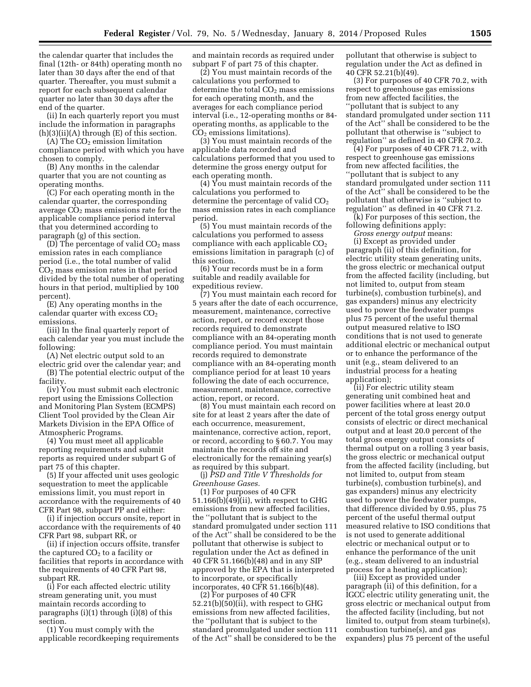the calendar quarter that includes the final (12th- or 84th) operating month no later than 30 days after the end of that quarter. Thereafter, you must submit a report for each subsequent calendar quarter no later than 30 days after the end of the quarter.

(ii) In each quarterly report you must include the information in paragraphs  $(h)(3)(ii)(A)$  through  $(E)$  of this section.

 $(A)$  The  $CO<sub>2</sub>$  emission limitation compliance period with which you have chosen to comply.

(B) Any months in the calendar quarter that you are not counting as operating months.

(C) For each operating month in the calendar quarter, the corresponding average  $CO<sub>2</sub>$  mass emissions rate for the applicable compliance period interval that you determined according to paragraph (g) of this section.

(D) The percentage of valid  $CO<sub>2</sub>$  mass emission rates in each compliance period (i.e., the total number of valid  $CO<sub>2</sub>$  mass emission rates in that period divided by the total number of operating hours in that period, multiplied by 100 percent).

(E) Any operating months in the calendar quarter with excess  $CO<sub>2</sub>$ emissions.

(iii) In the final quarterly report of each calendar year you must include the following:

(A) Net electric output sold to an

electric grid over the calendar year; and (B) The potential electric output of the facility.

(iv) You must submit each electronic report using the Emissions Collection and Monitoring Plan System (ECMPS) Client Tool provided by the Clean Air Markets Division in the EPA Office of Atmospheric Programs.

(4) You must meet all applicable reporting requirements and submit reports as required under subpart G of part 75 of this chapter.

(5) If your affected unit uses geologic sequestration to meet the applicable emissions limit, you must report in accordance with the requirements of 40 CFR Part 98, subpart PP and either:

(i) if injection occurs onsite, report in accordance with the requirements of 40 CFR Part 98, subpart RR, or

(ii) if injection occurs offsite, transfer the captured  $CO<sub>2</sub>$  to a facility or facilities that reports in accordance with the requirements of 40 CFR Part 98, subpart RR.

(i) For each affected electric utility stream generating unit, you must maintain records according to paragraphs (i)(1) through (i)(8) of this section.

(1) You must comply with the applicable recordkeeping requirements and maintain records as required under subpart F of part 75 of this chapter.

(2) You must maintain records of the calculations you performed to determine the total  $CO<sub>2</sub>$  mass emissions for each operating month, and the averages for each compliance period interval (i.e., 12-operating months or 84 operating months, as applicable to the CO2 emissions limitations).

(3) You must maintain records of the applicable data recorded and calculations performed that you used to determine the gross energy output for each operating month.

(4) You must maintain records of the calculations you performed to determine the percentage of valid  $CO<sub>2</sub>$ mass emission rates in each compliance period.

(5) You must maintain records of the calculations you performed to assess compliance with each applicable CO<sub>2</sub> emissions limitation in paragraph (c) of this section.

(6) Your records must be in a form suitable and readily available for expeditious review.

(7) You must maintain each record for 5 years after the date of each occurrence, measurement, maintenance, corrective action, report, or record except those records required to demonstrate compliance with an 84-operating month compliance period. You must maintain records required to demonstrate compliance with an 84-operating month compliance period for at least 10 years following the date of each occurrence, measurement, maintenance, corrective action, report, or record.

(8) You must maintain each record on site for at least 2 years after the date of each occurrence, measurement, maintenance, corrective action, report, or record, according to § 60.7. You may maintain the records off site and electronically for the remaining year(s) as required by this subpart.

(j) *PSD and Title V Thresholds for Greenhouse Gases.* 

(1) For purposes of 40 CFR 51.166(b)(49)(ii), with respect to GHG emissions from new affected facilities, the ''pollutant that is subject to the standard promulgated under section 111 of the Act'' shall be considered to be the pollutant that otherwise is subject to regulation under the Act as defined in 40 CFR 51.166(b)(48) and in any SIP approved by the EPA that is interpreted to incorporate, or specifically incorporates, 40 CFR 51.166(b)(48).

(2) For purposes of 40 CFR 52.21(b)(50)(ii), with respect to GHG emissions from new affected facilities, the ''pollutant that is subject to the standard promulgated under section 111 of the Act'' shall be considered to be the

pollutant that otherwise is subject to regulation under the Act as defined in 40 CFR 52.21(b)(49).

(3) For purposes of 40 CFR 70.2, with respect to greenhouse gas emissions from new affected facilities, the ''pollutant that is subject to any standard promulgated under section 111 of the Act'' shall be considered to be the pollutant that otherwise is ''subject to regulation'' as defined in 40 CFR 70.2.

(4) For purposes of 40 CFR 71.2, with respect to greenhouse gas emissions from new affected facilities, the ''pollutant that is subject to any standard promulgated under section 111 of the Act'' shall be considered to be the pollutant that otherwise is ''subject to regulation" as defined in 40 CFR 71.2.

(k) For purposes of this section, the following definitions apply:

*Gross energy output* means: (i) Except as provided under

paragraph (ii) of this definition, for electric utility steam generating units, the gross electric or mechanical output from the affected facility (including, but not limited to, output from steam turbine(s), combustion turbine(s), and gas expanders) minus any electricity used to power the feedwater pumps plus 75 percent of the useful thermal output measured relative to ISO conditions that is not used to generate additional electric or mechanical output or to enhance the performance of the unit (e.g., steam delivered to an industrial process for a heating application);

(ii) For electric utility steam generating unit combined heat and power facilities where at least 20.0 percent of the total gross energy output consists of electric or direct mechanical output and at least 20.0 percent of the total gross energy output consists of thermal output on a rolling 3 year basis, the gross electric or mechanical output from the affected facility (including, but not limited to, output from steam turbine(s), combustion turbine(s), and gas expanders) minus any electricity used to power the feedwater pumps, that difference divided by 0.95, plus 75 percent of the useful thermal output measured relative to ISO conditions that is not used to generate additional electric or mechanical output or to enhance the performance of the unit (e.g., steam delivered to an industrial process for a heating application);

(iii) Except as provided under paragraph (ii) of this definition, for a IGCC electric utility generating unit, the gross electric or mechanical output from the affected facility (including, but not limited to, output from steam turbine(s), combustion turbine(s), and gas expanders) plus 75 percent of the useful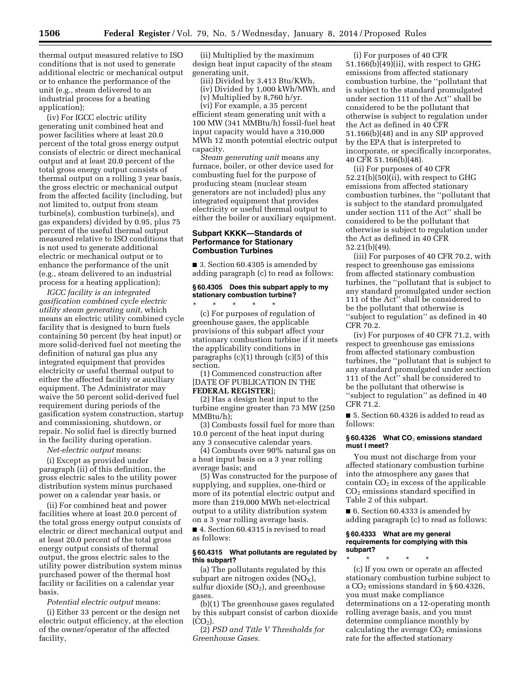thermal output measured relative to ISO conditions that is not used to generate additional electric or mechanical output or to enhance the performance of the unit (e.g., steam delivered to an industrial process for a heating application);

(iv) For IGCC electric utility generating unit combined heat and power facilities where at least 20.0 percent of the total gross energy output consists of electric or direct mechanical output and at least 20.0 percent of the total gross energy output consists of thermal output on a rolling 3 year basis, the gross electric or mechanical output from the affected facility (including, but not limited to, output from steam turbine(s), combustion turbine(s), and gas expanders) divided by 0.95, plus 75 percent of the useful thermal output measured relative to ISO conditions that is not used to generate additional electric or mechanical output or to enhance the performance of the unit (e.g., steam delivered to an industrial process for a heating application);

*IGCC facility is an integrated gasification combined cycle electric utility steam generating unit,* which means an electric utility combined cycle facility that is designed to burn fuels containing 50 percent (by heat input) or more solid-derived fuel not meeting the definition of natural gas plus any integrated equipment that provides electricity or useful thermal output to either the affected facility or auxiliary equipment. The Administrator may waive the 50 percent solid-derived fuel requirement during periods of the gasification system construction, startup and commissioning, shutdown, or repair. No solid fuel is directly burned in the facility during operation.

*Net-electric output* means:

(i) Except as provided under paragraph (ii) of this definition, the gross electric sales to the utility power distribution system minus purchased power on a calendar year basis, or

(ii) For combined heat and power facilities where at least 20.0 percent of the total gross energy output consists of electric or direct mechanical output and at least 20.0 percent of the total gross energy output consists of thermal output, the gross electric sales to the utility power distribution system minus purchased power of the thermal host facility or facilities on a calendar year basis.

*Potential electric output* means: (i) Either 33 percent or the design net electric output efficiency, at the election of the owner/operator of the affected facility,

(ii) Multiplied by the maximum design heat input capacity of the steam generating unit,

(iii) Divided by 3,413 Btu/KWh, (iv) Divided by 1,000 kWh/MWh, and

(v) Multiplied by 8,760 h/yr.

(vi) For example, a 35 percent efficient steam generating unit with a 100 MW (341 MMBtu/h) fossil-fuel heat input capacity would have a 310,000 MWh 12 month potential electric output capacity.

*Steam generating unit* means any furnace, boiler, or other device used for combusting fuel for the purpose of producing steam (nuclear steam generators are not included) plus any integrated equipment that provides electricity or useful thermal output to either the boiler or auxiliary equipment.

# **Subpart KKKK—Standards of Performance for Stationary Combustion Turbines**

■ 3. Section 60.4305 is amended by adding paragraph (c) to read as follows:

# **§ 60.4305 Does this subpart apply to my stationary combustion turbine?**

\* \* \* \* \* (c) For purposes of regulation of greenhouse gases, the applicable provisions of this subpart affect your stationary combustion turbine if it meets the applicability conditions in paragraphs (c)(1) through (c)(5) of this section.

(1) Commenced construction after [DATE OF PUBLICATION IN THE **FEDERAL REGISTER**];

(2) Has a design heat input to the turbine engine greater than 73 MW (250 MMBtu/h);

(3) Combusts fossil fuel for more than 10.0 percent of the heat input during any 3 consecutive calendar years.

(4) Combusts over 90% natural gas on a heat input basis on a 3 year rolling average basis; and

(5) Was constructed for the purpose of supplying, and supplies, one-third or more of its potential electric output and more than 219,000 MWh net-electrical output to a utility distribution system on a 3 year rolling average basis.

■ 4. Section 60.4315 is revised to read as follows:

# **§ 60.4315 What pollutants are regulated by this subpart?**

(a) The pollutants regulated by this subpart are nitrogen oxides  $(NO<sub>X</sub>)$ , sulfur dioxide  $(SO<sub>2</sub>)$ , and greenhouse gases.

(b)(1) The greenhouse gases regulated by this subpart consist of carbon dioxide  $(CO<sub>2</sub>)$ .

(2) *PSD and Title V Thresholds for Greenhouse Gases.* 

(i) For purposes of 40 CFR 51.166(b)(49)(ii), with respect to GHG emissions from affected stationary combustion turbine, the ''pollutant that is subject to the standard promulgated under section 111 of the Act'' shall be considered to be the pollutant that otherwise is subject to regulation under the Act as defined in 40 CFR 51.166(b)(48) and in any SIP approved by the EPA that is interpreted to incorporate, or specifically incorporates, 40 CFR 51.166(b)(48).

(ii) For purposes of 40 CFR 52.21(b)(50)(ii), with respect to GHG emissions from affected stationary combustion turbines, the ''pollutant that is subject to the standard promulgated under section 111 of the Act'' shall be considered to be the pollutant that otherwise is subject to regulation under the Act as defined in 40 CFR 52.21(b)(49).

(iii) For purposes of 40 CFR 70.2, with respect to greenhouse gas emissions from affected stationary combustion turbines, the ''pollutant that is subject to any standard promulgated under section 111 of the Act'' shall be considered to be the pollutant that otherwise is ''subject to regulation'' as defined in 40 CFR 70.2.

(iv) For purposes of 40 CFR 71.2, with respect to greenhouse gas emissions from affected stationary combustion turbines, the ''pollutant that is subject to any standard promulgated under section 111 of the Act'' shall be considered to be the pollutant that otherwise is ''subject to regulation'' as defined in 40 CFR 71.2.

■ 5. Section 60.4326 is added to read as follows:

# **§ 60.4326 What CO**2 **emissions standard must I meet?**

You must not discharge from your affected stationary combustion turbine into the atmosphere any gases that contain  $CO<sub>2</sub>$  in excess of the applicable CO2 emissions standard specified in Table 2 of this subpart.

■ 6. Section 60.4333 is amended by adding paragraph (c) to read as follows:

### **§ 60.4333 What are my general requirements for complying with this subpart?**

\* \* \* \* \* (c) If you own or operate an affected stationary combustion turbine subject to a CO2 emissions standard in § 60.4326, you must make compliance determinations on a 12-operating month rolling average basis, and you must determine compliance monthly by calculating the average  $CO<sub>2</sub>$  emissions rate for the affected stationary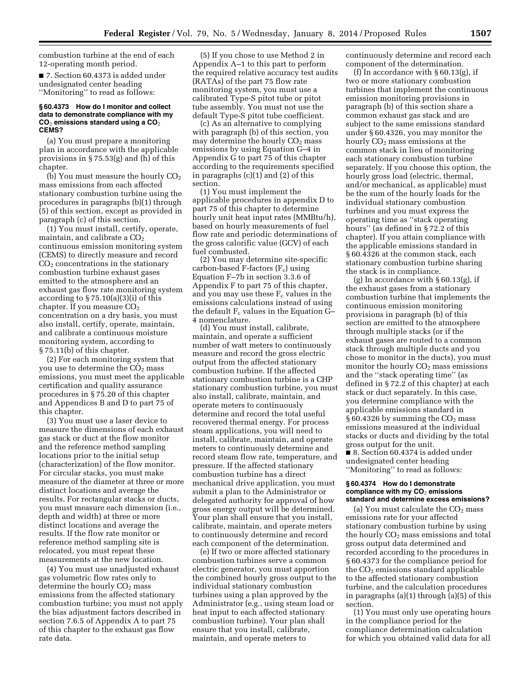combustion turbine at the end of each 12-operating month period.

■ 7. Section 60.4373 is added under undesignated center heading ''Monitoring'' to read as follows:

#### **§ 60.4373 How do I monitor and collect data to demonstrate compliance with my CO**2 **emissions standard using a CO**2 **CEMS?**

(a) You must prepare a monitoring plan in accordance with the applicable provisions in § 75.53(g) and (h) of this chapter.

(b) You must measure the hourly  $CO<sub>2</sub>$ mass emissions from each affected stationary combustion turbine using the procedures in paragraphs (b)(1) through (5) of this section, except as provided in paragraph (c) of this section.

(1) You must install, certify, operate, maintain, and calibrate a  $CO<sub>2</sub>$ continuous emission monitoring system (CEMS) to directly measure and record  $CO<sub>2</sub>$  concentrations in the stationary combustion turbine exhaust gases emitted to the atmosphere and an exhaust gas flow rate monitoring system according to  $\S 75.10(a)(3)(i)$  of this chapter. If you measure  $CO<sub>2</sub>$ concentration on a dry basis, you must also install, certify, operate, maintain, and calibrate a continuous moisture monitoring system, according to § 75.11(b) of this chapter.

(2) For each monitoring system that you use to determine the  $CO<sub>2</sub>$  mass emissions, you must meet the applicable certification and quality assurance procedures in § 75.20 of this chapter and Appendices B and D to part 75 of this chapter.

(3) You must use a laser device to measure the dimensions of each exhaust gas stack or duct at the flow monitor and the reference method sampling locations prior to the initial setup (characterization) of the flow monitor. For circular stacks, you must make measure of the diameter at three or more distinct locations and average the results. For rectangular stacks or ducts, you must measure each dimension (i.e., depth and width) at three or more distinct locations and average the results. If the flow rate monitor or reference method sampling site is relocated, you must repeat these measurements at the new location.

(4) You must use unadjusted exhaust gas volumetric flow rates only to determine the hourly CO<sub>2</sub> mass emissions from the affected stationary combustion turbine; you must not apply the bias adjustment factors described in section 7.6.5 of Appendix A to part 75 of this chapter to the exhaust gas flow rate data.

(5) If you chose to use Method 2 in Appendix A–1 to this part to perform the required relative accuracy test audits (RATAs) of the part 75 flow rate monitoring system, you must use a calibrated Type-S pitot tube or pitot tube assembly. You must not use the default Type-S pitot tube coefficient.

(c) As an alternative to complying with paragraph (b) of this section, you may determine the hourly  $CO<sub>2</sub>$  mass emissions by using Equation G–4 in Appendix G to part 75 of this chapter according to the requirements specified in paragraphs (c)(1) and (2) of this section.

(1) You must implement the applicable procedures in appendix D to part 75 of this chapter to determine hourly unit heat input rates (MMBtu/h), based on hourly measurements of fuel flow rate and periodic determinations of the gross calorific value (GCV) of each fuel combusted.

(2) You may determine site-specific carbon-based F-factors (Fc) using Equation F–7b in section 3.3.6 of Appendix F to part 75 of this chapter, and you may use these  $F_c$  values in the emissions calculations instead of using the default  $F_c$  values in the Equation G-4 nomenclature.

(d) You must install, calibrate, maintain, and operate a sufficient number of watt meters to continuously measure and record the gross electric output from the affected stationary combustion turbine. If the affected stationary combustion turbine is a CHP stationary combustion turbine, you must also install, calibrate, maintain, and operate meters to continuously determine and record the total useful recovered thermal energy. For process steam applications, you will need to install, calibrate, maintain, and operate meters to continuously determine and record steam flow rate, temperature, and pressure. If the affected stationary combustion turbine has a direct mechanical drive application, you must submit a plan to the Administrator or delegated authority for approval of how gross energy output will be determined. Your plan shall ensure that you install, calibrate, maintain, and operate meters to continuously determine and record each component of the determination.

(e) If two or more affected stationary combustion turbines serve a common electric generator, you must apportion the combined hourly gross output to the individual stationary combustion turbines using a plan approved by the Administrator (e.g., using steam load or heat input to each affected stationary combustion turbine). Your plan shall ensure that you install, calibrate, maintain, and operate meters to

continuously determine and record each component of the determination.

(f) In accordance with  $\S 60.13(g)$ , if two or more stationary combustion turbines that implement the continuous emission monitoring provisions in paragraph (b) of this section share a common exhaust gas stack and are subject to the same emissions standard under § 60.4326, you may monitor the hourly CO<sub>2</sub> mass emissions at the common stack in lieu of monitoring each stationary combustion turbine separately. If you choose this option, the hourly gross load (electric, thermal, and/or mechanical, as applicable) must be the sum of the hourly loads for the individual stationary combustion turbines and you must express the operating time as ''stack operating hours'' (as defined in § 72.2 of this chapter). If you attain compliance with the applicable emissions standard in § 60.4326 at the common stack, each stationary combustion turbine sharing the stack is in compliance.

(g) In accordance with  $\S 60.13$ (g), if the exhaust gases from a stationary combustion turbine that implements the continuous emission monitoring provisions in paragraph (b) of this section are emitted to the atmosphere through multiple stacks (or if the exhaust gases are routed to a common stack through multiple ducts and you chose to monitor in the ducts), you must monitor the hourly  $CO<sub>2</sub>$  mass emissions and the ''stack operating time'' (as defined in § 72.2 of this chapter) at each stack or duct separately. In this case, you determine compliance with the applicable emissions standard in  $§ 60.4326$  by summing the  $CO<sub>2</sub>$  mass emissions measured at the individual stacks or ducts and dividing by the total gross output for the unit.

■ 8. Section 60.4374 is added under undesignated center heading ''Monitoring'' to read as follows:

#### **§ 60.4374 How do I demonstrate compliance with my CO**2 **emissions standard and determine excess emissions?**

(a) You must calculate the  $CO<sub>2</sub>$  mass emissions rate for your affected stationary combustion turbine by using the hourly  $CO<sub>2</sub>$  mass emissions and total gross output data determined and recorded according to the procedures in § 60.4373 for the compliance period for the  $CO<sub>2</sub>$  emissions standard applicable to the affected stationary combustion turbine, and the calculation procedures in paragraphs (a)(1) through (a)(5) of this section.

(1) You must only use operating hours in the compliance period for the compliance determination calculation for which you obtained valid data for all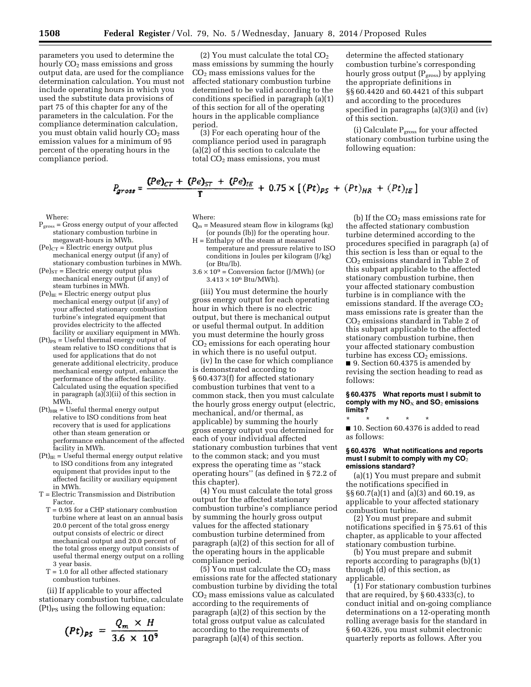parameters you used to determine the hourly  $CO<sub>2</sub>$  mass emissions and gross output data, are used for the compliance determination calculation. You must not include operating hours in which you used the substitute data provisions of part 75 of this chapter for any of the parameters in the calculation. For the compliance determination calculation, you must obtain valid hourly CO<sub>2</sub> mass emission values for a minimum of 95 percent of the operating hours in the compliance period.

(2) You must calculate the total  $CO<sub>2</sub>$ mass emissions by summing the hourly  $CO<sub>2</sub>$  mass emissions values for the affected stationary combustion turbine determined to be valid according to the conditions specified in paragraph (a)(1) of this section for all of the operating hours in the applicable compliance period.

(3) For each operating hour of the compliance period used in paragraph (a)(2) of this section to calculate the total  $CO<sub>2</sub>$  mass emissions, you must

determine the affected stationary combustion turbine's corresponding hourly gross output  $(P_{\text{gross}})$  by applying the appropriate definitions in §§ 60.4420 and 60.4421 of this subpart and according to the procedures specified in paragraphs (a)(3)(i) and (iv) of this section.

(i) Calculate  $P_{\text{gross}}$  for your affected stationary combustion turbine using the following equation:

$$
P_{gross} = \frac{(Pe)_{CT} + (Pe)_{ST} + (Pe)_{IE}}{T} + 0.75 \times [(Pt)_{PS} + (Pt)_{HR} + (Pt)_{IE}]
$$

Where:

- $P<sub>gross</sub> = Gross energy output of your affected$ stationary combustion turbine in megawatt-hours in MWh.
- $(Pe)_{CT}$  = Electric energy output plus mechanical energy output (if any) of stationary combustion turbines in MWh.
- $(Pe)_{ST}$  = Electric energy output plus mechanical energy output (if any) of steam turbines in MWh.
- $(Pe)_{IE}$  = Electric energy output plus mechanical energy output (if any) of your affected stationary combustion turbine's integrated equipment that provides electricity to the affected facility or auxiliary equipment in MWh.
- $(Pt)_{PS}$  = Useful thermal energy output of steam relative to ISO conditions that is used for applications that do not generate additional electricity, produce mechanical energy output, enhance the performance of the affected facility. Calculated using the equation specified in paragraph (a)(3)(ii) of this section in MWh.
- $(Pt)_{HR}$  = Useful thermal energy output relative to ISO conditions from heat recovery that is used for applications other than steam generation or performance enhancement of the affected facility in MWh.
- $(Pt)_{IE}$  = Useful thermal energy output relative to ISO conditions from any integrated equipment that provides input to the affected facility or auxiliary equipment in MWh.
- T = Electric Transmission and Distribution Factor.
- T = 0.95 for a CHP stationary combustion turbine where at least on an annual basis 20.0 percent of the total gross energy output consists of electric or direct mechanical output and 20.0 percent of the total gross energy output consists of useful thermal energy output on a rolling 3 year basis.
- $T = 1.0$  for all other affected stationary combustion turbines.

(ii) If applicable to your affected stationary combustion turbine, calculate  $(Pt)_{PS}$  using the following equation:

$$
(Pt)_{PS} = \frac{Q_m \times H}{3.6 \times 10^9}
$$

Where:

- $Q_m$  = Measured steam flow in kilograms (kg) (or pounds (lb)) for the operating hour.
- H = Enthalpy of the steam at measured temperature and pressure relative to ISO conditions in Joules per kilogram (J/kg) (or Btu/lb).
- $3.6 \times 10^9$  = Conversion factor (J/MWh) (or  $3.413 \times 10^6$  Btu/MWh).

(iii) You must determine the hourly gross energy output for each operating hour in which there is no electric output, but there is mechanical output or useful thermal output. In addition you must determine the hourly gross CO2 emissions for each operating hour in which there is no useful output.

(iv) In the case for which compliance is demonstrated according to § 60.4373(f) for affected stationary combustion turbines that vent to a common stack, then you must calculate the hourly gross energy output (electric, mechanical, and/or thermal, as applicable) by summing the hourly gross energy output you determined for each of your individual affected stationary combustion turbines that vent to the common stack; and you must express the operating time as ''stack operating hours'' (as defined in § 72.2 of this chapter).

(4) You must calculate the total gross output for the affected stationary combustion turbine's compliance period by summing the hourly gross output values for the affected stationary combustion turbine determined from paragraph (a)(2) of this section for all of the operating hours in the applicable compliance period.

(5) You must calculate the  $CO<sub>2</sub>$  mass emissions rate for the affected stationary combustion turbine by dividing the total CO2 mass emissions value as calculated according to the requirements of paragraph (a)(2) of this section by the total gross output value as calculated according to the requirements of paragraph (a)(4) of this section.

(b) If the  $CO<sub>2</sub>$  mass emissions rate for the affected stationary combustion turbine determined according to the procedures specified in paragraph (a) of this section is less than or equal to the CO2 emissions standard in Table 2 of this subpart applicable to the affected stationary combustion turbine, then your affected stationary combustion turbine is in compliance with the emissions standard. If the average  $CO<sub>2</sub>$ mass emissions rate is greater than the CO2 emissions standard in Table 2 of this subpart applicable to the affected stationary combustion turbine, then your affected stationary combustion turbine has excess  $CO<sub>2</sub>$  emissions.

■ 9. Section 60.4375 is amended by revising the section heading to read as follows:

**§ 60.4375 What reports must I submit to comply with my NO**X **and SO**2 **emissions limits?** 

\* \* \* \* \* ■ 10. Section 60.4376 is added to read as follows:

#### **§ 60.4376 What notifications and reports**  must I submit to comply with my CO<sub>2</sub> **emissions standard?**

(a)(1) You must prepare and submit the notifications specified in §§ 60.7(a)(1) and (a)(3) and 60.19, as applicable to your affected stationary combustion turbine.

(2) You must prepare and submit notifications specified in § 75.61 of this chapter, as applicable to your affected stationary combustion turbine.

(b) You must prepare and submit reports according to paragraphs  $(b)(1)$ through (d) of this section, as applicable.

(1) For stationary combustion turbines that are required, by  $\S 60.4333(c)$ , to conduct initial and on-going compliance determinations on a 12-operating month rolling average basis for the standard in § 60.4326, you must submit electronic quarterly reports as follows. After you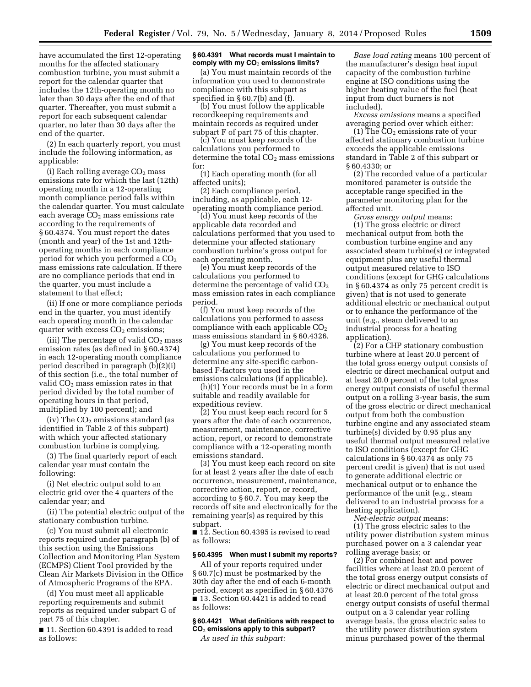have accumulated the first 12-operating months for the affected stationary combustion turbine, you must submit a report for the calendar quarter that includes the 12th-operating month no later than 30 days after the end of that quarter. Thereafter, you must submit a report for each subsequent calendar quarter, no later than 30 days after the end of the quarter.

(2) In each quarterly report, you must include the following information, as applicable:

(i) Each rolling average  $CO<sub>2</sub>$  mass emissions rate for which the last (12th) operating month in a 12-operating month compliance period falls within the calendar quarter. You must calculate each average  $CO<sub>2</sub>$  mass emissions rate according to the requirements of § 60.4374. You must report the dates (month and year) of the 1st and 12thoperating months in each compliance period for which you performed a  $CO<sub>2</sub>$ mass emissions rate calculation. If there are no compliance periods that end in the quarter, you must include a statement to that effect;

(ii) If one or more compliance periods end in the quarter, you must identify each operating month in the calendar quarter with excess  $CO<sub>2</sub>$  emissions;

(iii) The percentage of valid  $CO<sub>2</sub>$  mass emission rates (as defined in § 60.4374) in each 12-operating month compliance period described in paragraph (b)(2)(i) of this section (i.e., the total number of valid CO<sub>2</sub> mass emission rates in that period divided by the total number of operating hours in that period, multiplied by 100 percent); and

(iv) The  $CO<sub>2</sub>$  emissions standard (as identified in Table 2 of this subpart) with which your affected stationary combustion turbine is complying.

(3) The final quarterly report of each calendar year must contain the following:

(i) Net electric output sold to an electric grid over the 4 quarters of the calendar year; and

(ii) The potential electric output of the stationary combustion turbine.

(c) You must submit all electronic reports required under paragraph (b) of this section using the Emissions Collection and Monitoring Plan System (ECMPS) Client Tool provided by the Clean Air Markets Division in the Office of Atmospheric Programs of the EPA.

(d) You must meet all applicable reporting requirements and submit reports as required under subpart G of part 75 of this chapter.

■ 11. Section 60.4391 is added to read as follows:

### **§ 60.4391 What records must I maintain to comply with my CO**2 **emissions limits?**

(a) You must maintain records of the information you used to demonstrate compliance with this subpart as specified in § 60.7(b) and (f).

(b) You must follow the applicable recordkeeping requirements and maintain records as required under subpart F of part 75 of this chapter.

(c) You must keep records of the calculations you performed to determine the total  $CO<sub>2</sub>$  mass emissions for:

(1) Each operating month (for all affected units);

(2) Each compliance period, including, as applicable, each 12 operating month compliance period.

(d) You must keep records of the applicable data recorded and calculations performed that you used to determine your affected stationary combustion turbine's gross output for each operating month.

(e) You must keep records of the calculations you performed to determine the percentage of valid  $CO<sub>2</sub>$ mass emission rates in each compliance period.

(f) You must keep records of the calculations you performed to assess compliance with each applicable  $CO<sub>2</sub>$ mass emissions standard in § 60.4326.

(g) You must keep records of the calculations you performed to determine any site-specific carbonbased F-factors you used in the emissions calculations (if applicable).

(h)(1) Your records must be in a form suitable and readily available for expeditious review.

(2) You must keep each record for 5 years after the date of each occurrence, measurement, maintenance, corrective action, report, or record to demonstrate compliance with a 12-operating month emissions standard.

(3) You must keep each record on site for at least 2 years after the date of each occurrence, measurement, maintenance, corrective action, report, or record, according to § 60.7. You may keep the records off site and electronically for the remaining year(s) as required by this subpart.

■ 12. Section 60.4395 is revised to read as follows:

#### **§ 60.4395 When must I submit my reports?**

All of your reports required under § 60.7(c) must be postmarked by the 30th day after the end of each 6-month period, except as specified in § 60.4376 ■ 13. Section 60.4421 is added to read as follows:

# **§ 60.4421 What definitions with respect to CO**2 **emissions apply to this subpart?**

*As used in this subpart:* 

*Base load rating* means 100 percent of the manufacturer's design heat input capacity of the combustion turbine engine at ISO conditions using the higher heating value of the fuel (heat input from duct burners is not included).

*Excess emissions* means a specified averaging period over which either:

(1) The  $CO<sub>2</sub>$  emissions rate of your affected stationary combustion turbine exceeds the applicable emissions standard in Table 2 of this subpart or § 60.4330; or

(2) The recorded value of a particular monitored parameter is outside the acceptable range specified in the parameter monitoring plan for the affected unit.

*Gross energy output* means: (1) The gross electric or direct mechanical output from both the combustion turbine engine and any associated steam turbine(s) or integrated equipment plus any useful thermal output measured relative to ISO conditions (except for GHG calculations in § 60.4374 as only 75 percent credit is given) that is not used to generate additional electric or mechanical output or to enhance the performance of the unit (e.g., steam delivered to an industrial process for a heating application).

(2) For a CHP stationary combustion turbine where at least 20.0 percent of the total gross energy output consists of electric or direct mechanical output and at least 20.0 percent of the total gross energy output consists of useful thermal output on a rolling 3-year basis, the sum of the gross electric or direct mechanical output from both the combustion turbine engine and any associated steam turbine(s) divided by 0.95 plus any useful thermal output measured relative to ISO conditions (except for GHG calculations in § 60.4374 as only 75 percent credit is given) that is not used to generate additional electric or mechanical output or to enhance the performance of the unit (e.g., steam delivered to an industrial process for a heating application).

*Net-electric output* means: (1) The gross electric sales to the utility power distribution system minus purchased power on a 3 calendar year rolling average basis; or

(2) For combined heat and power facilities where at least 20.0 percent of the total gross energy output consists of electric or direct mechanical output and at least 20.0 percent of the total gross energy output consists of useful thermal output on a 3 calendar year rolling average basis, the gross electric sales to the utility power distribution system minus purchased power of the thermal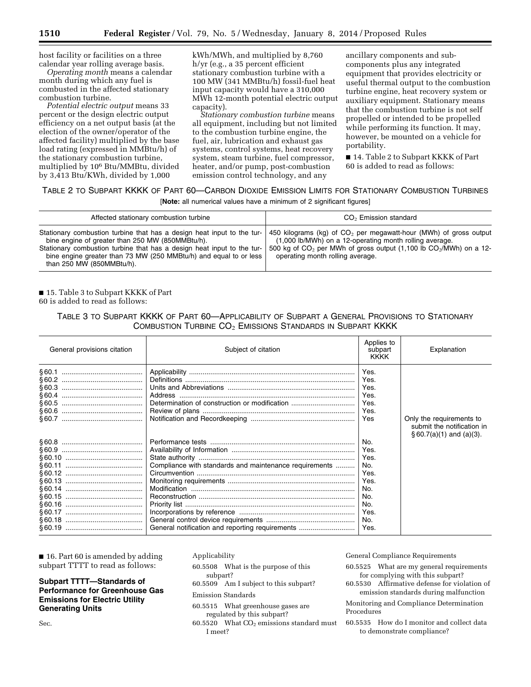host facility or facilities on a three calendar year rolling average basis.

*Operating month* means a calendar month during which any fuel is combusted in the affected stationary combustion turbine.

*Potential electric output* means 33 percent or the design electric output efficiency on a net output basis (at the election of the owner/operator of the affected facility) multiplied by the base load rating (expressed in MMBtu/h) of the stationary combustion turbine, multiplied by 106 Btu/MMBtu, divided by 3,413 Btu/KWh, divided by 1,000

kWh/MWh, and multiplied by 8,760 h/yr (e.g., a 35 percent efficient stationary combustion turbine with a 100 MW (341 MMBtu/h) fossil-fuel heat input capacity would have a 310,000 MWh 12-month potential electric output capacity).

*Stationary combustion turbine* means all equipment, including but not limited to the combustion turbine engine, the fuel, air, lubrication and exhaust gas systems, control systems, heat recovery system, steam turbine, fuel compressor, heater, and/or pump, post-combustion emission control technology, and any

ancillary components and subcomponents plus any integrated equipment that provides electricity or useful thermal output to the combustion turbine engine, heat recovery system or auxiliary equipment. Stationary means that the combustion turbine is not self propelled or intended to be propelled while performing its function. It may, however, be mounted on a vehicle for portability.

■ 14. Table 2 to Subpart KKKK of Part 60 is added to read as follows:

# TABLE 2 TO SUBPART KKKK OF PART 60—CARBON DIOXIDE EMISSION LIMITS FOR STATIONARY COMBUSTION TURBINES

[**Note:** all numerical values have a minimum of 2 significant figures]

| Affected stationary combustion turbine                                                                                                                                                                                                                                                                 | $CO2$ Emission standard                                                                                                                                                                                                                      |
|--------------------------------------------------------------------------------------------------------------------------------------------------------------------------------------------------------------------------------------------------------------------------------------------------------|----------------------------------------------------------------------------------------------------------------------------------------------------------------------------------------------------------------------------------------------|
| Stationary combustion turbine that has a design heat input to the tur-<br>bine engine of greater than 250 MW (850MMBtu/h).<br>Stationary combustion turbine that has a design heat input to the tur-<br>bine engine greater than 73 MW (250 MMBtu/h) and equal to or less<br>than 250 MW (850MMBtu/h). | 450 kilograms (kg) of $CO2$ per megawatt-hour (MWh) of gross output<br>(1,000 lb/MWh) on a 12-operating month rolling average.<br>500 kg of $CO2$ per MWh of gross output (1,100 lb $CO2/MWh$ ) on a 12-<br>operating month rolling average. |

# ■ 15. Table 3 to Subpart KKKK of Part 60 is added to read as follows:

# TABLE 3 TO SUBPART KKKK OF PART 60—APPLICABILITY OF SUBPART A GENERAL PROVISIONS TO STATIONARY COMBUSTION TURBINE CO<sub>2</sub> EMISSIONS STANDARDS IN SUBPART KKKK

| General provisions citation | Subject of citation                                    | Applies to<br>subpart<br><b>KKKK</b>         | Explanation                                                                             |
|-----------------------------|--------------------------------------------------------|----------------------------------------------|-----------------------------------------------------------------------------------------|
|                             | Determination of construction or modification          | Yes.<br>Yes.<br>Yes.<br>Yes.<br>Yes.<br>Yes. |                                                                                         |
|                             |                                                        | Yes                                          | Only the requirements to<br>submit the notification in<br>$§ 60.7(a)(1)$ and $(a)(3)$ . |
|                             |                                                        | No.                                          |                                                                                         |
|                             |                                                        | Yes.                                         |                                                                                         |
|                             |                                                        | Yes.                                         |                                                                                         |
|                             | Compliance with standards and maintenance requirements | No.                                          |                                                                                         |
|                             |                                                        | Yes.                                         |                                                                                         |
|                             |                                                        | Yes.                                         |                                                                                         |
|                             |                                                        | No.                                          |                                                                                         |
|                             |                                                        | No.                                          |                                                                                         |
|                             |                                                        | No.                                          |                                                                                         |
|                             |                                                        | Yes.                                         |                                                                                         |
|                             |                                                        | No.                                          |                                                                                         |
|                             | General notification and reporting requirements        | Yes.                                         |                                                                                         |

■ 16. Part 60 is amended by adding subpart TTTT to read as follows:

# **Subpart TTTT—Standards of Performance for Greenhouse Gas Emissions for Electric Utility Generating Units**

Sec.

# Applicability

- 60.5508 What is the purpose of this subpart?
- 60.5509 Am I subject to this subpart?

# Emission Standards

- 60.5515 What greenhouse gases are regulated by this subpart?
- 60.5520 What  $CO<sub>2</sub>$  emissions standard must I meet?

General Compliance Requirements

- 60.5525 What are my general requirements for complying with this subpart?
- 60.5530 Affirmative defense for violation of emission standards during malfunction

Monitoring and Compliance Determination Procedures

60.5535 How do I monitor and collect data to demonstrate compliance?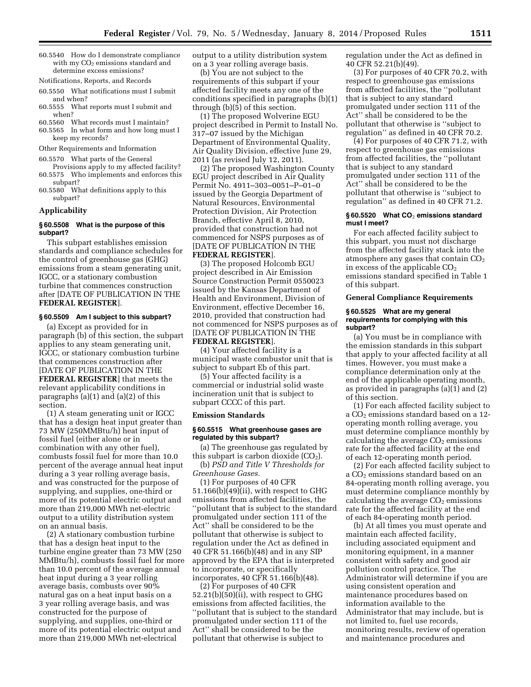- 60.5540 How do I demonstrate compliance with  $my CO<sub>2</sub>$  emissions standard and determine excess emissions?
- Notifications, Reports, and Records
- 60.5550 What notifications must I submit and when?
- 60.5555 What reports must I submit and when?

60.5560 What records must I maintain?

- 60.5565 In what form and how long must I keep my records?
- Other Requirements and Information
- 60.5570 What parts of the General Provisions apply to my affected facility?
- 60.5575 Who implements and enforces this subpart?
- 60.5580 What definitions apply to this subpart?

# **Applicability**

### **§ 60.5508 What is the purpose of this subpart?**

This subpart establishes emission standards and compliance schedules for the control of greenhouse gas (GHG) emissions from a steam generating unit, IGCC, or a stationary combustion turbine that commences construction after [DATE OF PUBLICATION IN THE **FEDERAL REGISTER**].

#### **§ 60.5509 Am I subject to this subpart?**

(a) Except as provided for in paragraph (b) of this section, the subpart applies to any steam generating unit, IGCC, or stationary combustion turbine that commences construction after [DATE OF PUBLICATION IN THE **FEDERAL REGISTER**] that meets the relevant applicability conditions in paragraphs (a)(1) and (a)(2) of this section.

(1) A steam generating unit or IGCC that has a design heat input greater than 73 MW (250MMBtu/h) heat input of fossil fuel (either alone or in combination with any other fuel), combusts fossil fuel for more than 10.0 percent of the average annual heat input during a 3 year rolling average basis, and was constructed for the purpose of supplying, and supplies, one-third or more of its potential electric output and more than 219,000 MWh net-electric output to a utility distribution system on an annual basis.

(2) A stationary combustion turbine that has a design heat input to the turbine engine greater than 73 MW (250 MMBtu/h), combusts fossil fuel for more than 10.0 percent of the average annual heat input during a 3 year rolling average basis, combusts over 90% natural gas on a heat input basis on a 3 year rolling average basis, and was constructed for the purpose of supplying, and supplies, one-third or more of its potential electric output and more than 219,000 MWh net-electrical

output to a utility distribution system on a 3 year rolling average basis.

(b) You are not subject to the requirements of this subpart if your affected facility meets any one of the conditions specified in paragraphs (b)(1) through (b)(5) of this section.

(1) The proposed Wolverine EGU project described in Permit to Install No. 317–07 issued by the Michigan Department of Environmental Quality, Air Quality Division, effective June 29, 2011 (as revised July 12, 2011).

(2) The proposed Washington County EGU project described in Air Quality Permit No. 4911–303–0051–P–01–0 issued by the Georgia Department of Natural Resources, Environmental Protection Division, Air Protection Branch, effective April 8, 2010, provided that construction had not commenced for NSPS purposes as of [DATE OF PUBLICATION IN THE **FEDERAL REGISTER**].

(3) The proposed Holcomb EGU project described in Air Emission Source Construction Permit 0550023 issued by the Kansas Department of Health and Environment, Division of Environment, effective December 16, 2010, provided that construction had not commenced for NSPS purposes as of [DATE OF PUBLICATION IN THE **FEDERAL REGISTER**].

(4) Your affected facility is a municipal waste combustor unit that is subject to subpart Eb of this part.

(5) Your affected facility is a commercial or industrial solid waste incineration unit that is subject to subpart CCCC of this part.

#### **Emission Standards**

# **§ 60.5515 What greenhouse gases are regulated by this subpart?**

(a) The greenhouse gas regulated by this subpart is carbon dioxide  $(CO<sub>2</sub>)$ .

(b) *PSD and Title V Thresholds for Greenhouse Gases.* 

(1) For purposes of 40 CFR 51.166(b)(49)(ii), with respect to GHG emissions from affected facilities, the ''pollutant that is subject to the standard promulgated under section 111 of the Act'' shall be considered to be the pollutant that otherwise is subject to regulation under the Act as defined in 40 CFR 51.166(b)(48) and in any SIP approved by the EPA that is interpreted to incorporate, or specifically incorporates, 40 CFR 51.166(b)(48).

(2) For purposes of 40 CFR  $52.21(b)(50)(ii)$ , with respect to GHG emissions from affected facilities, the ''pollutant that is subject to the standard promulgated under section 111 of the Act'' shall be considered to be the pollutant that otherwise is subject to

regulation under the Act as defined in 40 CFR 52.21(b)(49).

(3) For purposes of 40 CFR 70.2, with respect to greenhouse gas emissions from affected facilities, the ''pollutant that is subject to any standard promulgated under section 111 of the Act'' shall be considered to be the pollutant that otherwise is ''subject to regulation'' as defined in 40 CFR 70.2.

(4) For purposes of 40 CFR 71.2, with respect to greenhouse gas emissions from affected facilities, the ''pollutant that is subject to any standard promulgated under section 111 of the Act'' shall be considered to be the pollutant that otherwise is ''subject to regulation'' as defined in 40 CFR 71.2.

#### **§ 60.5520 What CO**2 **emissions standard must I meet?**

For each affected facility subject to this subpart, you must not discharge from the affected facility stack into the atmosphere any gases that contain  $CO<sub>2</sub>$ in excess of the applicable  $CO<sub>2</sub>$ emissions standard specified in Table 1 of this subpart.

#### **General Compliance Requirements**

#### **§ 60.5525 What are my general requirements for complying with this subpart?**

(a) You must be in compliance with the emission standards in this subpart that apply to your affected facility at all times. However, you must make a compliance determination only at the end of the applicable operating month, as provided in paragraphs (a)(1) and (2) of this section.

(1) For each affected facility subject to a CO2 emissions standard based on a 12 operating month rolling average, you must determine compliance monthly by calculating the average  $CO<sub>2</sub>$  emissions rate for the affected facility at the end of each 12-operating month period.

(2) For each affected facility subject to a CO<sub>2</sub> emissions standard based on an 84-operating month rolling average, you must determine compliance monthly by calculating the average  $CO<sub>2</sub>$  emissions rate for the affected facility at the end of each 84-operating month period.

(b) At all times you must operate and maintain each affected facility, including associated equipment and monitoring equipment, in a manner consistent with safety and good air pollution control practice. The Administrator will determine if you are using consistent operation and maintenance procedures based on information available to the Administrator that may include, but is not limited to, fuel use records, monitoring results, review of operation and maintenance procedures and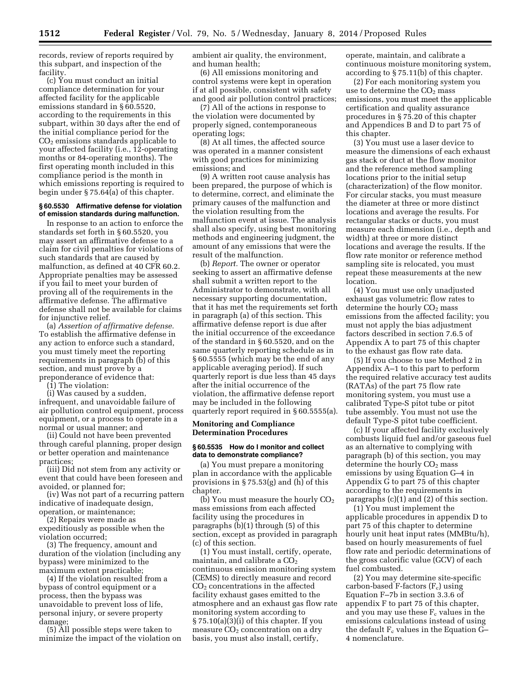records, review of reports required by this subpart, and inspection of the facility.

(c) You must conduct an initial compliance determination for your affected facility for the applicable emissions standard in § 60.5520, according to the requirements in this subpart, within 30 days after the end of the initial compliance period for the  $CO<sub>2</sub>$  emissions standards applicable to your affected facility (i.e., 12-operating months or 84-operating months). The first operating month included in this compliance period is the month in which emissions reporting is required to begin under § 75.64(a) of this chapter.

#### **§ 60.5530 Affirmative defense for violation of emission standards during malfunction.**

In response to an action to enforce the standards set forth in § 60.5520, you may assert an affirmative defense to a claim for civil penalties for violations of such standards that are caused by malfunction, as defined at 40 CFR 60.2. Appropriate penalties may be assessed if you fail to meet your burden of proving all of the requirements in the affirmative defense. The affirmative defense shall not be available for claims for injunctive relief.

(a) *Assertion of affirmative defense.*  To establish the affirmative defense in any action to enforce such a standard, you must timely meet the reporting requirements in paragraph (b) of this section, and must prove by a preponderance of evidence that:

(1) The violation:

(i) Was caused by a sudden, infrequent, and unavoidable failure of air pollution control equipment, process equipment, or a process to operate in a normal or usual manner; and

(ii) Could not have been prevented through careful planning, proper design or better operation and maintenance practices;

(iii) Did not stem from any activity or event that could have been foreseen and avoided, or planned for;

(iv) Was not part of a recurring pattern indicative of inadequate design, operation, or maintenance;

(2) Repairs were made as

expeditiously as possible when the violation occurred;

(3) The frequency, amount and duration of the violation (including any bypass) were minimized to the maximum extent practicable;

(4) If the violation resulted from a bypass of control equipment or a process, then the bypass was unavoidable to prevent loss of life, personal injury, or severe property damage;

(5) All possible steps were taken to minimize the impact of the violation on ambient air quality, the environment, and human health;

(6) All emissions monitoring and control systems were kept in operation if at all possible, consistent with safety and good air pollution control practices;

(7) All of the actions in response to the violation were documented by properly signed, contemporaneous operating logs;

(8) At all times, the affected source was operated in a manner consistent with good practices for minimizing emissions; and

(9) A written root cause analysis has been prepared, the purpose of which is to determine, correct, and eliminate the primary causes of the malfunction and the violation resulting from the malfunction event at issue. The analysis shall also specify, using best monitoring methods and engineering judgment, the amount of any emissions that were the result of the malfunction.

(b) *Report.* The owner or operator seeking to assert an affirmative defense shall submit a written report to the Administrator to demonstrate, with all necessary supporting documentation, that it has met the requirements set forth in paragraph (a) of this section. This affirmative defense report is due after the initial occurrence of the exceedance of the standard in § 60.5520, and on the same quarterly reporting schedule as in § 60.5555 (which may be the end of any applicable averaging period). If such quarterly report is due less than 45 days after the initial occurrence of the violation, the affirmative defense report may be included in the following quarterly report required in § 60.5555(a).

# **Monitoring and Compliance Determination Procedures**

### **§ 60.5535 How do I monitor and collect data to demonstrate compliance?**

(a) You must prepare a monitoring plan in accordance with the applicable provisions in § 75.53(g) and (h) of this chapter.

(b) You must measure the hourly  $CO<sub>2</sub>$ mass emissions from each affected facility using the procedures in paragraphs (b)(1) through (5) of this section, except as provided in paragraph (c) of this section.

(1) You must install, certify, operate, maintain, and calibrate a  $CO<sub>2</sub>$ continuous emission monitoring system (CEMS) to directly measure and record CO2 concentrations in the affected facility exhaust gases emitted to the atmosphere and an exhaust gas flow rate monitoring system according to § 75.10(a)(3)(i) of this chapter. If you measure  $CO<sub>2</sub>$  concentration on a dry basis, you must also install, certify,

operate, maintain, and calibrate a continuous moisture monitoring system, according to § 75.11(b) of this chapter.

(2) For each monitoring system you use to determine the  $CO<sub>2</sub>$  mass emissions, you must meet the applicable certification and quality assurance procedures in § 75.20 of this chapter and Appendices B and D to part 75 of this chapter.

(3) You must use a laser device to measure the dimensions of each exhaust gas stack or duct at the flow monitor and the reference method sampling locations prior to the initial setup (characterization) of the flow monitor. For circular stacks, you must measure the diameter at three or more distinct locations and average the results. For rectangular stacks or ducts, you must measure each dimension (i.e., depth and width) at three or more distinct locations and average the results. If the flow rate monitor or reference method sampling site is relocated, you must repeat these measurements at the new location.

(4) You must use only unadjusted exhaust gas volumetric flow rates to determine the hourly  $CO<sub>2</sub>$  mass emissions from the affected facility; you must not apply the bias adjustment factors described in section 7.6.5 of Appendix A to part 75 of this chapter to the exhaust gas flow rate data.

(5) If you choose to use Method 2 in Appendix A–1 to this part to perform the required relative accuracy test audits (RATAs) of the part 75 flow rate monitoring system, you must use a calibrated Type-S pitot tube or pitot tube assembly. You must not use the default Type-S pitot tube coefficient.

(c) If your affected facility exclusively combusts liquid fuel and/or gaseous fuel as an alternative to complying with paragraph (b) of this section, you may determine the hourly  $CO<sub>2</sub>$  mass emissions by using Equation G–4 in Appendix G to part 75 of this chapter according to the requirements in paragraphs (c)(1) and (2) of this section.

(1) You must implement the applicable procedures in appendix D to part 75 of this chapter to determine hourly unit heat input rates (MMBtu/h), based on hourly measurements of fuel flow rate and periodic determinations of the gross calorific value (GCV) of each fuel combusted.

(2) You may determine site-specific carbon-based  $F$ -factors  $(F_c)$  using Equation F–7b in section 3.3.6 of appendix F to part 75 of this chapter, and you may use these  $F_c$  values in the emissions calculations instead of using the default  $F_c$  values in the Equation G-4 nomenclature.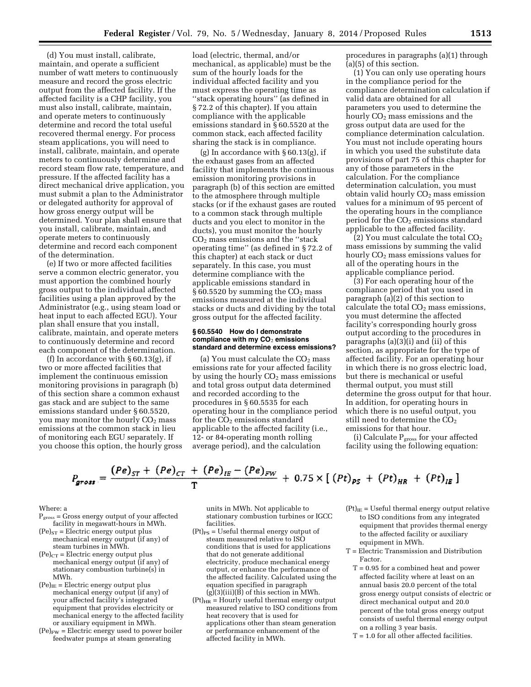(d) You must install, calibrate, maintain, and operate a sufficient number of watt meters to continuously measure and record the gross electric output from the affected facility. If the affected facility is a CHP facility, you must also install, calibrate, maintain, and operate meters to continuously determine and record the total useful recovered thermal energy. For process steam applications, you will need to install, calibrate, maintain, and operate meters to continuously determine and record steam flow rate, temperature, and pressure. If the affected facility has a direct mechanical drive application, you must submit a plan to the Administrator or delegated authority for approval of how gross energy output will be determined. Your plan shall ensure that you install, calibrate, maintain, and operate meters to continuously determine and record each component of the determination.

(e) If two or more affected facilities serve a common electric generator, you must apportion the combined hourly gross output to the individual affected facilities using a plan approved by the Administrator (e.g., using steam load or heat input to each affected EGU). Your plan shall ensure that you install, calibrate, maintain, and operate meters to continuously determine and record each component of the determination.

(f) In accordance with  $\S 60.13(g)$ , if two or more affected facilities that implement the continuous emission monitoring provisions in paragraph (b) of this section share a common exhaust gas stack and are subject to the same emissions standard under § 60.5520, you may monitor the hourly CO<sub>2</sub> mass emissions at the common stack in lieu of monitoring each EGU separately. If you choose this option, the hourly gross

load (electric, thermal, and/or mechanical, as applicable) must be the sum of the hourly loads for the individual affected facility and you must express the operating time as ''stack operating hours'' (as defined in § 72.2 of this chapter). If you attain compliance with the applicable emissions standard in § 60.5520 at the common stack, each affected facility sharing the stack is in compliance.

(g) In accordance with § 60.13(g), if the exhaust gases from an affected facility that implements the continuous emission monitoring provisions in paragraph (b) of this section are emitted to the atmosphere through multiple stacks (or if the exhaust gases are routed to a common stack through multiple ducts and you elect to monitor in the ducts), you must monitor the hourly CO2 mass emissions and the ''stack operating time'' (as defined in § 72.2 of this chapter) at each stack or duct separately. In this case, you must determine compliance with the applicable emissions standard in § 60.5520 by summing the  $CO<sub>2</sub>$  mass emissions measured at the individual stacks or ducts and dividing by the total gross output for the affected facility.

#### **§ 60.5540 How do I demonstrate compliance with my CO**2 **emissions standard and determine excess emissions?**

(a) You must calculate the  $CO<sub>2</sub>$  mass emissions rate for your affected facility by using the hourly  $CO<sub>2</sub>$  mass emissions and total gross output data determined and recorded according to the procedures in § 60.5535 for each operating hour in the compliance period for the  $CO<sub>2</sub>$  emissions standard applicable to the affected facility (i.e., 12- or 84-operating month rolling average period), and the calculation

procedures in paragraphs (a)(1) through (a)(5) of this section.

(1) You can only use operating hours in the compliance period for the compliance determination calculation if valid data are obtained for all parameters you used to determine the hourly  $CO<sub>2</sub>$  mass emissions and the gross output data are used for the compliance determination calculation. You must not include operating hours in which you used the substitute data provisions of part 75 of this chapter for any of those parameters in the calculation. For the compliance determination calculation, you must obtain valid hourly  $CO<sub>2</sub>$  mass emission values for a minimum of 95 percent of the operating hours in the compliance period for the  $CO<sub>2</sub>$  emissions standard applicable to the affected facility.

(2) You must calculate the total  $CO<sub>2</sub>$ mass emissions by summing the valid hourly  $CO<sub>2</sub>$  mass emissions values for all of the operating hours in the applicable compliance period.

(3) For each operating hour of the compliance period that you used in paragraph (a)(2) of this section to calculate the total  $CO<sub>2</sub>$  mass emissions, you must determine the affected facility's corresponding hourly gross output according to the procedures in paragraphs (a)(3)(i) and (ii) of this section, as appropriate for the type of affected facility. For an operating hour in which there is no gross electric load, but there is mechanical or useful thermal output, you must still determine the gross output for that hour. In addition, for operating hours in which there is no useful output, you still need to determine the CO2 emissions for that hour.

(i) Calculate  $P_{\text{gross}}$  for your affected facility using the following equation:

$$
P_{\text{gross}} = \frac{(Pe)_{ST} + (Pe)_{CT} + (Pe)_{IE} - (Pe)_{FW}}{T} + 0.75 \times [(Pt)_{PS} + (Pt)_{HR} + (Pt)_{IE}]
$$

#### Where: a

- $P<sub>gross</sub> = Gross energy output of your affected$ facility in megawatt-hours in MWh.
- $(Pe)_{ST}$  = Electric energy output plus mechanical energy output (if any) of steam turbines in MWh.
- $(Pe)_{CT}$  = Electric energy output plus mechanical energy output (if any) of stationary combustion turbine(s) in MWh.
- $(Pe)_{IE}$  = Electric energy output plus mechanical energy output (if any) of your affected facility's integrated equipment that provides electricity or mechanical energy to the affected facility or auxiliary equipment in MWh.
- $(Pe)_{FW}$  = Electric energy used to power boiler feedwater pumps at steam generating

units in MWh. Not applicable to stationary combustion turbines or IGCC facilities.

- $({\rm Pt})_{\rm PS} = {\rm Useful}$  thermal energy output of steam measured relative to ISO conditions that is used for applications that do not generate additional electricity, produce mechanical energy output, or enhance the performance of the affected facility. Calculated using the equation specified in paragraph  $(g)(3)(iii)(B)$  of this section in MWh.
- $(Pt)_{HR}$  = Hourly useful thermal energy output measured relative to ISO conditions from heat recovery that is used for applications other than steam generation or performance enhancement of the affected facility in MWh.
- $(Pt)_{IE}$  = Useful thermal energy output relative to ISO conditions from any integrated equipment that provides thermal energy to the affected facility or auxiliary equipment in MWh.
- T = Electric Transmission and Distribution Factor.
	- T = 0.95 for a combined heat and power affected facility where at least on an annual basis 20.0 percent of the total gross energy output consists of electric or direct mechanical output and 20.0 percent of the total gross energy output consists of useful thermal energy output on a rolling 3 year basis.
	- $T = 1.0$  for all other affected facilities.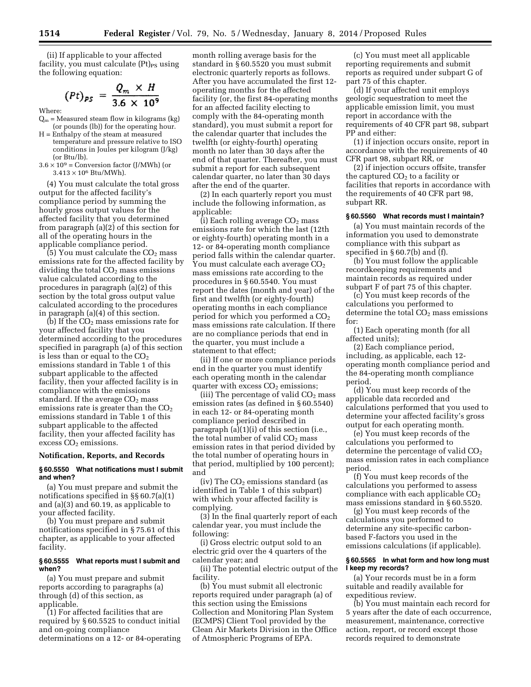(ii) If applicable to your affected facility, you must calculate  $(Pt)_{PS}$  using the following equation:

$$
(Pt)_{PS} = \frac{Q_m \times H}{3.6 \times 10^9}
$$

Where:

- $Q_m$  = Measured steam flow in kilograms (kg) (or pounds (lb)) for the operating hour.
- H = Enthalpy of the steam at measured temperature and pressure relative to ISO conditions in Joules per kilogram (J/kg) (or Btu/lb).
- $3.6 \times 10^9$  = Conversion factor (J/MWh) (or  $3.413 \times 10^6$  Btu/MWh).

(4) You must calculate the total gross output for the affected facility's compliance period by summing the hourly gross output values for the affected facility that you determined from paragraph (a)(2) of this section for all of the operating hours in the applicable compliance period.

 $(5)$  You must calculate the  $CO<sub>2</sub>$  mass emissions rate for the affected facility by dividing the total  $CO<sub>2</sub>$  mass emissions value calculated according to the procedures in paragraph (a)(2) of this section by the total gross output value calculated according to the procedures in paragraph (a)(4) of this section.

(b) If the  $CO<sub>2</sub>$  mass emissions rate for your affected facility that you determined according to the procedures specified in paragraph (a) of this section is less than or equal to the  $CO<sub>2</sub>$ emissions standard in Table 1 of this subpart applicable to the affected facility, then your affected facility is in compliance with the emissions standard. If the average  $CO<sub>2</sub>$  mass emissions rate is greater than the  $CO<sub>2</sub>$ emissions standard in Table 1 of this subpart applicable to the affected facility, then your affected facility has excess  $CO<sub>2</sub>$  emissions.

#### **Notification, Reports, and Records**

### **§ 60.5550 What notifications must I submit and when?**

(a) You must prepare and submit the notifications specified in §§ 60.7(a)(1) and (a)(3) and 60.19, as applicable to your affected facility.

(b) You must prepare and submit notifications specified in § 75.61 of this chapter, as applicable to your affected facility.

### **§ 60.5555 What reports must I submit and when?**

(a) You must prepare and submit reports according to paragraphs (a) through (d) of this section, as applicable.

(1) For affected facilities that are required by § 60.5525 to conduct initial and on-going compliance determinations on a 12- or 84-operating month rolling average basis for the standard in § 60.5520 you must submit electronic quarterly reports as follows. After you have accumulated the first 12 operating months for the affected facility (or, the first 84-operating months for an affected facility electing to comply with the 84-operating month standard), you must submit a report for the calendar quarter that includes the twelfth (or eighty-fourth) operating month no later than 30 days after the end of that quarter. Thereafter, you must submit a report for each subsequent calendar quarter, no later than 30 days after the end of the quarter.

(2) In each quarterly report you must include the following information, as applicable:

(i) Each rolling average  $CO<sub>2</sub>$  mass emissions rate for which the last (12th or eighty-fourth) operating month in a 12- or 84-operating month compliance period falls within the calendar quarter. You must calculate each average CO<sub>2</sub> mass emissions rate according to the procedures in § 60.5540. You must report the dates (month and year) of the first and twelfth (or eighty-fourth) operating months in each compliance period for which you performed a CO<sub>2</sub> mass emissions rate calculation. If there are no compliance periods that end in the quarter, you must include a statement to that effect;

(ii) If one or more compliance periods end in the quarter you must identify each operating month in the calendar quarter with excess  $CO<sub>2</sub>$  emissions;

(iii) The percentage of valid  $CO<sub>2</sub>$  mass emission rates (as defined in § 60.5540) in each 12- or 84-operating month compliance period described in paragraph (a)(1)(i) of this section (i.e., the total number of valid  $CO<sub>2</sub>$  mass emission rates in that period divided by the total number of operating hours in that period, multiplied by 100 percent); and

(iv) The  $CO<sub>2</sub>$  emissions standard (as identified in Table 1 of this subpart) with which your affected facility is complying.

(3) In the final quarterly report of each calendar year, you must include the following:

(i) Gross electric output sold to an electric grid over the 4 quarters of the calendar year; and

(ii) The potential electric output of the facility.

(b) You must submit all electronic reports required under paragraph (a) of this section using the Emissions Collection and Monitoring Plan System (ECMPS) Client Tool provided by the Clean Air Markets Division in the Office of Atmospheric Programs of EPA.

(c) You must meet all applicable reporting requirements and submit reports as required under subpart G of part 75 of this chapter.

(d) If your affected unit employs geologic sequestration to meet the applicable emission limit, you must report in accordance with the requirements of 40 CFR part 98, subpart PP and either:

(1) if injection occurs onsite, report in accordance with the requirements of 40 CFR part 98, subpart RR, or

(2) if injection occurs offsite, transfer the captured  $CO<sub>2</sub>$  to a facility or facilities that reports in accordance with the requirements of 40 CFR part 98, subpart RR.

# **§ 60.5560 What records must I maintain?**

(a) You must maintain records of the information you used to demonstrate compliance with this subpart as specified in § 60.7(b) and (f).

(b) You must follow the applicable recordkeeping requirements and maintain records as required under subpart F of part 75 of this chapter.

(c) You must keep records of the calculations you performed to determine the total  $CO<sub>2</sub>$  mass emissions for:

(1) Each operating month (for all affected units);

(2) Each compliance period, including, as applicable, each 12 operating month compliance period and the 84-operating month compliance period.

(d) You must keep records of the applicable data recorded and calculations performed that you used to determine your affected facility's gross output for each operating month.

(e) You must keep records of the calculations you performed to determine the percentage of valid  $CO<sub>2</sub>$ mass emission rates in each compliance period.

(f) You must keep records of the calculations you performed to assess compliance with each applicable  $CO<sub>2</sub>$ mass emissions standard in § 60.5520.

(g) You must keep records of the calculations you performed to determine any site-specific carbonbased F-factors you used in the emissions calculations (if applicable).

#### **§ 60.5565 In what form and how long must I keep my records?**

(a) Your records must be in a form suitable and readily available for expeditious review.

(b) You must maintain each record for 5 years after the date of each occurrence, measurement, maintenance, corrective action, report, or record except those records required to demonstrate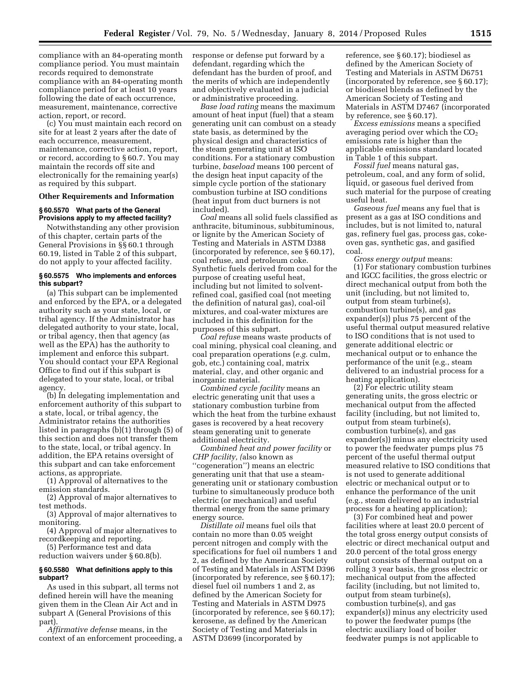compliance with an 84-operating month compliance period. You must maintain records required to demonstrate compliance with an 84-operating month compliance period for at least 10 years following the date of each occurrence, measurement, maintenance, corrective action, report, or record.

(c) You must maintain each record on site for at least 2 years after the date of each occurrence, measurement, maintenance, corrective action, report, or record, according to § 60.7. You may maintain the records off site and electronically for the remaining year(s) as required by this subpart.

# **Other Requirements and Information**

### **§ 60.5570 What parts of the General Provisions apply to my affected facility?**

Notwithstanding any other provision of this chapter, certain parts of the General Provisions in §§ 60.1 through 60.19, listed in Table 2 of this subpart, do not apply to your affected facility.

# **§ 60.5575 Who implements and enforces this subpart?**

(a) This subpart can be implemented and enforced by the EPA, or a delegated authority such as your state, local, or tribal agency. If the Administrator has delegated authority to your state, local, or tribal agency, then that agency (as well as the EPA) has the authority to implement and enforce this subpart. You should contact your EPA Regional Office to find out if this subpart is delegated to your state, local, or tribal agency.

(b) In delegating implementation and enforcement authority of this subpart to a state, local, or tribal agency, the Administrator retains the authorities listed in paragraphs (b)(1) through (5) of this section and does not transfer them to the state, local, or tribal agency. In addition, the EPA retains oversight of this subpart and can take enforcement actions, as appropriate.

(1) Approval of alternatives to the emission standards.

(2) Approval of major alternatives to test methods.

(3) Approval of major alternatives to monitoring.

(4) Approval of major alternatives to recordkeeping and reporting.

(5) Performance test and data reduction waivers under § 60.8(b).

### **§ 60.5580 What definitions apply to this subpart?**

As used in this subpart, all terms not defined herein will have the meaning given them in the Clean Air Act and in subpart A (General Provisions of this part).

*Affirmative defense* means, in the context of an enforcement proceeding, a response or defense put forward by a defendant, regarding which the defendant has the burden of proof, and the merits of which are independently and objectively evaluated in a judicial or administrative proceeding.

*Base load rating* means the maximum amount of heat input (fuel) that a steam generating unit can combust on a steady state basis, as determined by the physical design and characteristics of the steam generating unit at ISO conditions. For a stationary combustion turbine, *baseload* means 100 percent of the design heat input capacity of the simple cycle portion of the stationary combustion turbine at ISO conditions (heat input from duct burners is not included).

*Coal* means all solid fuels classified as anthracite, bituminous, subbituminous, or lignite by the American Society of Testing and Materials in ASTM D388 (incorporated by reference, see § 60.17), coal refuse, and petroleum coke. Synthetic fuels derived from coal for the purpose of creating useful heat, including but not limited to solventrefined coal, gasified coal (not meeting the definition of natural gas), coal-oil mixtures, and coal-water mixtures are included in this definition for the purposes of this subpart.

*Coal refuse* means waste products of coal mining, physical coal cleaning, and coal preparation operations (*e.g.* culm, gob, etc.) containing coal, matrix material, clay, and other organic and inorganic material.

*Combined cycle facility* means an electric generating unit that uses a stationary combustion turbine from which the heat from the turbine exhaust gases is recovered by a heat recovery steam generating unit to generate additional electricity.

*Combined heat and power facility* or *CHP facility, (*also known as ''cogeneration'') means an electric generating unit that that use a steamgenerating unit or stationary combustion turbine to simultaneously produce both electric (or mechanical) and useful thermal energy from the same primary energy source.

*Distillate oil* means fuel oils that contain no more than 0.05 weight percent nitrogen and comply with the specifications for fuel oil numbers 1 and 2, as defined by the American Society of Testing and Materials in ASTM D396 (incorporated by reference, see § 60.17); diesel fuel oil numbers 1 and 2, as defined by the American Society for Testing and Materials in ASTM D975 (incorporated by reference, see § 60.17); kerosene, as defined by the American Society of Testing and Materials in ASTM D3699 (incorporated by

reference, see § 60.17); biodiesel as defined by the American Society of Testing and Materials in ASTM D6751 (incorporated by reference, see § 60.17); or biodiesel blends as defined by the American Society of Testing and Materials in ASTM D7467 (incorporated by reference, see § 60.17).

*Excess emissions* means a specified averaging period over which the  $CO<sub>2</sub>$ emissions rate is higher than the applicable emissions standard located in Table 1 of this subpart.

*Fossil fuel* means natural gas, petroleum, coal, and any form of solid, liquid, or gaseous fuel derived from such material for the purpose of creating useful heat.

*Gaseous fuel* means any fuel that is present as a gas at ISO conditions and includes, but is not limited to, natural gas, refinery fuel gas, process gas, cokeoven gas, synthetic gas, and gasified coal.

*Gross energy output* means: (1) For stationary combustion turbines and IGCC facilities, the gross electric or direct mechanical output from both the unit (including, but not limited to, output from steam turbine(s), combustion turbine(s), and gas expander(s)) plus 75 percent of the useful thermal output measured relative to ISO conditions that is not used to generate additional electric or mechanical output or to enhance the performance of the unit (e.g., steam delivered to an industrial process for a heating application).

(2) For electric utility steam generating units, the gross electric or mechanical output from the affected facility (including, but not limited to, output from steam turbine(s), combustion turbine(s), and gas expander(s)) minus any electricity used to power the feedwater pumps plus 75 percent of the useful thermal output measured relative to ISO conditions that is not used to generate additional electric or mechanical output or to enhance the performance of the unit (e.g., steam delivered to an industrial process for a heating application);

(3) For combined heat and power facilities where at least 20.0 percent of the total gross energy output consists of electric or direct mechanical output and 20.0 percent of the total gross energy output consists of thermal output on a rolling 3 year basis, the gross electric or mechanical output from the affected facility (including, but not limited to, output from steam turbine(s), combustion turbine(s), and gas expander(s)) minus any electricity used to power the feedwater pumps (the electric auxiliary load of boiler feedwater pumps is not applicable to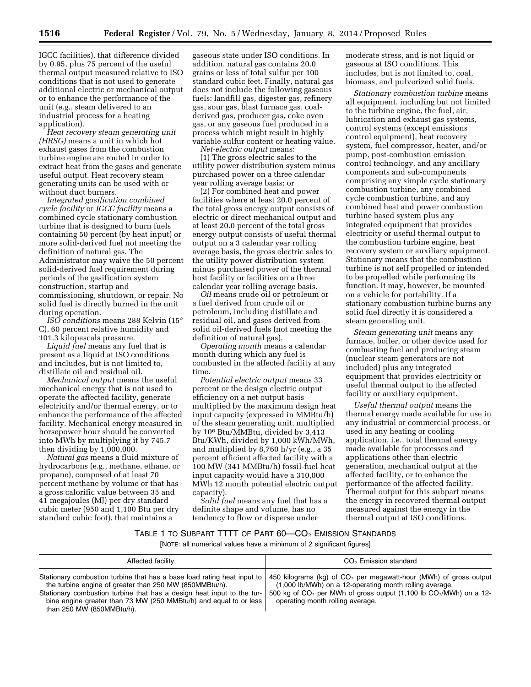IGCC facilities), that difference divided by 0.95, plus 75 percent of the useful thermal output measured relative to ISO conditions that is not used to generate additional electric or mechanical output or to enhance the performance of the unit (e.g., steam delivered to an industrial process for a heating application).

*Heat recovery steam generating unit (HRSG)* means a unit in which hot exhaust gases from the combustion turbine engine are routed in order to extract heat from the gases and generate useful output. Heat recovery steam generating units can be used with or without duct burners.

*Integrated gasification combined cycle facility* or *IGCC facility* means a combined cycle stationary combustion turbine that is designed to burn fuels containing 50 percent (by heat input) or more solid-derived fuel not meeting the definition of natural gas. The Administrator may waive the 50 percent solid-derived fuel requirement during periods of the gasification system construction, startup and commissioning, shutdown, or repair. No solid fuel is directly burned in the unit during operation.

*ISO conditions* means 288 Kelvin (15° C), 60 percent relative humidity and 101.3 kilopascals pressure.

*Liquid fuel* means any fuel that is present as a liquid at ISO conditions and includes, but is not limited to, distillate oil and residual oil.

*Mechanical output* means the useful mechanical energy that is not used to operate the affected facility, generate electricity and/or thermal energy, or to enhance the performance of the affected facility. Mechanical energy measured in horsepower hour should be converted into MWh by multiplying it by 745.7 then dividing by 1,000,000.

*Natural gas* means a fluid mixture of hydrocarbons (e.g., methane, ethane, or propane), composed of at least 70 percent methane by volume or that has a gross calorific value between 35 and 41 megajoules (MJ) per dry standard cubic meter (950 and 1,100 Btu per dry standard cubic foot), that maintains a

gaseous state under ISO conditions. In addition, natural gas contains 20.0 grains or less of total sulfur per 100 standard cubic feet. Finally, natural gas does not include the following gaseous fuels: landfill gas, digester gas, refinery gas, sour gas, blast furnace gas, coalderived gas, producer gas, coke oven gas, or any gaseous fuel produced in a process which might result in highly variable sulfur content or heating value. *Net-electric output* means:

(1) The gross electric sales to the utility power distribution system minus purchased power on a three calendar year rolling average basis; or

(2) For combined heat and power facilities where at least 20.0 percent of the total gross energy output consists of electric or direct mechanical output and at least 20.0 percent of the total gross energy output consists of useful thermal output on a 3 calendar year rolling average basis, the gross electric sales to the utility power distribution system minus purchased power of the thermal host facility or facilities on a three calendar year rolling average basis.

*Oil* means crude oil or petroleum or a fuel derived from crude oil or petroleum, including distillate and residual oil, and gases derived from solid oil-derived fuels (not meeting the definition of natural gas).

*Operating month* means a calendar month during which any fuel is combusted in the affected facility at any time.

*Potential electric output* means 33 percent or the design electric output efficiency on a net output basis multiplied by the maximum design heat input capacity (expressed in MMBtu/h) of the steam generating unit, multiplied by 106 Btu/MMBtu, divided by 3,413 Btu/KWh, divided by 1,000 kWh/MWh, and multiplied by 8,760 h/yr (e.g., a 35 percent efficient affected facility with a 100 MW (341 MMBtu/h) fossil-fuel heat input capacity would have a 310,000 MWh 12 month potential electric output capacity).

*Solid fuel* means any fuel that has a definite shape and volume, has no tendency to flow or disperse under

moderate stress, and is not liquid or gaseous at ISO conditions. This includes, but is not limited to, coal, biomass, and pulverized solid fuels.

*Stationary combustion turbine* means all equipment, including but not limited to the turbine engine, the fuel, air, lubrication and exhaust gas systems, control systems (except emissions control equipment), heat recovery system, fuel compressor, heater, and/or pump, post-combustion emission control technology, and any ancillary components and sub-components comprising any simple cycle stationary combustion turbine, any combined cycle combustion turbine, and any combined heat and power combustion turbine based system plus any integrated equipment that provides electricity or useful thermal output to the combustion turbine engine, heat recovery system or auxiliary equipment. Stationary means that the combustion turbine is not self propelled or intended to be propelled while performing its function. It may, however, be mounted on a vehicle for portability. If a stationary combustion turbine burns any solid fuel directly it is considered a steam generating unit.

*Steam generating unit* means any furnace, boiler, or other device used for combusting fuel and producing steam (nuclear steam generators are not included) plus any integrated equipment that provides electricity or useful thermal output to the affected facility or auxiliary equipment.

*Useful thermal output* means the thermal energy made available for use in any industrial or commercial process, or used in any heating or cooling application, i.e., total thermal energy made available for processes and applications other than electric generation, mechanical output at the affected facility, or to enhance the performance of the affected facility. Thermal output for this subpart means the energy in recovered thermal output measured against the energy in the thermal output at ISO conditions.

# TABLE 1 TO SUBPART TTTT OF PART  $60$ - $CO<sub>2</sub>$  Emission Standards

[NOTE: all numerical values have a minimum of 2 significant figures]

| Affected facility                                                                                                                                                                                                                                                                                              | $CO2$ Emission standard                                                                                                                                                                                                                      |
|----------------------------------------------------------------------------------------------------------------------------------------------------------------------------------------------------------------------------------------------------------------------------------------------------------------|----------------------------------------------------------------------------------------------------------------------------------------------------------------------------------------------------------------------------------------------|
| Stationary combustion turbine that has a base load rating heat input to<br>the turbine engine of greater than 250 MW (850MMBtu/h).<br>Stationary combustion turbine that has a design heat input to the tur-<br>bine engine greater than 73 MW (250 MMBtu/h) and equal to or less<br>than 250 MW (850MMBtu/h). | 450 kilograms (kg) of $CO2$ per megawatt-hour (MWh) of gross output<br>(1,000 lb/MWh) on a 12-operating month rolling average.<br>500 kg of $CO2$ per MWh of gross output (1,100 lb $CO2/MWh$ ) on a 12-<br>operating month rolling average. |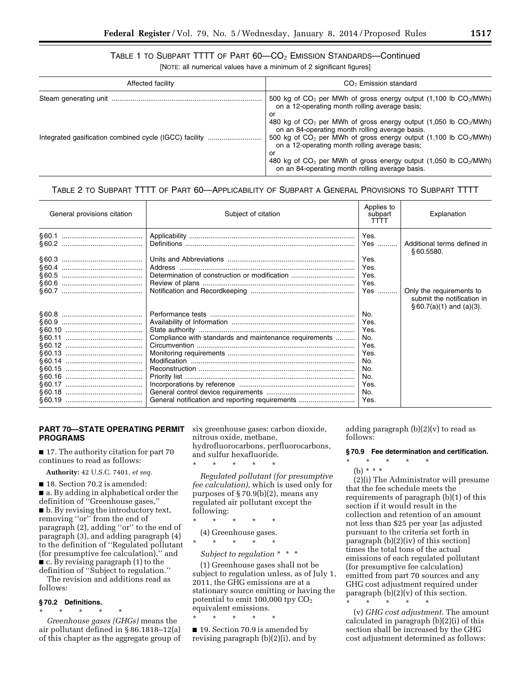# TABLE 1 TO SUBPART TTTT OF PART 60—CO2 EMISSION STANDARDS—Continued

[NOTE: all numerical values have a minimum of 2 significant figures]

| Affected facility | CO <sub>2</sub> Emission standard                                                                                                                                                               |
|-------------------|-------------------------------------------------------------------------------------------------------------------------------------------------------------------------------------------------|
|                   | 500 kg of $CO2$ per MWh of gross energy output (1,100 lb $CO2/MWh$ )<br>on a 12-operating month rolling average basis;<br>or                                                                    |
|                   | 480 kg of $CO2$ per MWh of gross energy output (1,050 lb $CO2/MWh$ )<br>on an 84-operating month rolling average basis.<br>500 kg of $CO2$ per MWh of gross energy output (1,100 lb $CO2/MWh$ ) |
|                   | on a 12-operating month rolling average basis;<br>or<br>480 kg of $CO2$ per MWh of gross energy output (1,050 lb $CO2/MWh$ )<br>on an 84-operating month rolling average basis.                 |

# TABLE 2 TO SUBPART TTTT OF PART 60—APPLICABILITY OF SUBPART A GENERAL PROVISIONS TO SUBPART TTTT

| General provisions citation | Subject of citation                                    | Applies to<br>subpart<br>TTTT | Explanation                                                                              |
|-----------------------------|--------------------------------------------------------|-------------------------------|------------------------------------------------------------------------------------------|
|                             |                                                        | Yes.<br>Yes                   | Additional terms defined in<br>\$60.5580.                                                |
|                             |                                                        | Yes.<br>Yes.                  |                                                                                          |
|                             | Determination of construction or modification          | Yes.                          |                                                                                          |
|                             |                                                        | Yes.                          |                                                                                          |
| § 60.7 ……………………………………       |                                                        | Yes                           | Only the requirements to<br>submit the notification in<br>$\S 60.7(a)(1)$ and $(a)(3)$ . |
|                             |                                                        | No.                           |                                                                                          |
|                             |                                                        | Yes.                          |                                                                                          |
|                             |                                                        | Yes.                          |                                                                                          |
|                             | Compliance with standards and maintenance requirements | No.                           |                                                                                          |
|                             |                                                        | Yes.                          |                                                                                          |
|                             |                                                        | Yes.                          |                                                                                          |
|                             |                                                        | No.                           |                                                                                          |
|                             |                                                        | No.                           |                                                                                          |
|                             |                                                        | No.                           |                                                                                          |
|                             |                                                        | Yes.                          |                                                                                          |
|                             |                                                        | No.                           |                                                                                          |
|                             |                                                        | Yes.                          |                                                                                          |

# **PART 70—STATE OPERATING PERMIT PROGRAMS**

■ 17. The authority citation for part 70 continues to read as follows:

**Authority:** 42 U.S.C. 7401, *et seq.* 

■ 18. Section 70.2 is amended: ■ a. By adding in alphabetical order the definition of ''Greenhouse gases,'' ■ b. By revising the introductory text, removing "or" from the end of paragraph (2), adding ''or'' to the end of paragraph (3), and adding paragraph (4) to the definition of ''Regulated pollutant (for presumptive fee calculation),'' and ■ c. By revising paragraph (1) to the definition of ''Subject to regulation.''

The revision and additions read as follows:

### **§ 70.2 Definitions.**

\* \* \* \* \*

*Greenhouse gases (GHGs)* means the air pollutant defined in § 86.1818–12(a) of this chapter as the aggregate group of six greenhouse gases: carbon dioxide, nitrous oxide, methane, hydrofluorocarbons, perfluorocarbons, and sulfur hexafluoride.

*Regulated pollutant (for presumptive fee calculation),* which is used only for purposes of § 70.9(b)(2), means any regulated air pollutant except the following:

\* \* \* \* \*

\* \* \* \* \*

(4) Greenhouse gases.

\* \* \* \* \*

\* \* \* \* \*

*Subject to regulation* \* \* \*

(1) Greenhouse gases shall not be subject to regulation unless, as of July 1, 2011, the GHG emissions are at a stationary source emitting or having the potential to emit  $100,000$  tpy  $CO<sub>2</sub>$ equivalent emissions.

■ 19. Section 70.9 is amended by revising paragraph (b)(2)(i), and by adding paragraph  $(b)(2)(v)$  to read as follows:

### **§ 70.9 Fee determination and certification.**

\* \* \* \* \*

(b) \* \* \*

(2)(i) The Administrator will presume that the fee schedule meets the requirements of paragraph (b)(1) of this section if it would result in the collection and retention of an amount not less than \$25 per year [as adjusted pursuant to the criteria set forth in paragraph (b)(2)(iv) of this section] times the total tons of the actual emissions of each regulated pollutant (for presumptive fee calculation) emitted from part 70 sources and any GHG cost adjustment required under paragraph  $(b)(2)(v)$  of this section. \* \* \* \* \*

(v) *GHG cost adjustment.* The amount calculated in paragraph (b)(2)(i) of this section shall be increased by the GHG cost adjustment determined as follows: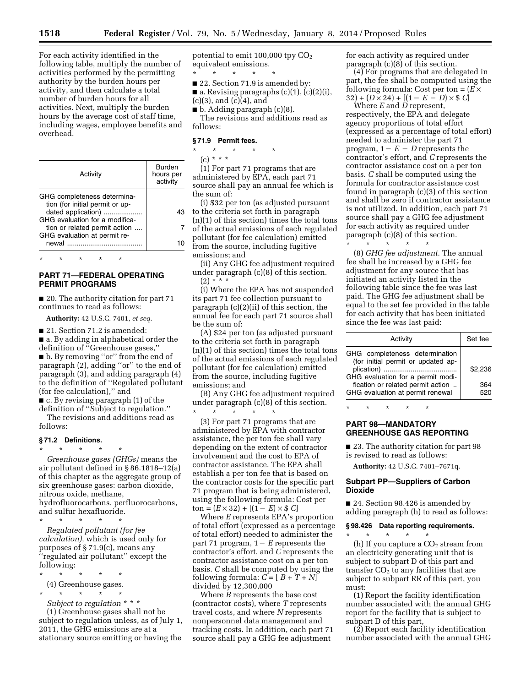For each activity identified in the following table, multiply the number of activities performed by the permitting authority by the burden hours per activity, and then calculate a total number of burden hours for all activities. Next, multiply the burden hours by the average cost of staff time, including wages, employee benefits and overhead.

| Activity                                                       | Burden<br>hours per<br>activity |
|----------------------------------------------------------------|---------------------------------|
| GHG completeness determina-<br>tion (for initial permit or up- |                                 |
| dated application)<br>GHG evaluation for a modifica-           | 43                              |
| tion or related permit action<br>GHG evaluation at permit re-  |                                 |
| newal                                                          |                                 |

# **PART 71—FEDERAL OPERATING PERMIT PROGRAMS**

\* \* \* \* \*

■ 20. The authority citation for part 71 continues to read as follows:

**Authority:** 42 U.S.C. 7401, *et seq.* 

■ 21. Section 71.2 is amended:

■ a. By adding in alphabetical order the definition of ''Greenhouse gases,'' ■ b. By removing ''or'' from the end of paragraph (2), adding ''or'' to the end of paragraph (3), and adding paragraph (4) to the definition of ''Regulated pollutant (for fee calculation),'' and

■ c. By revising paragraph (1) of the definition of ''Subject to regulation.''

The revisions and additions read as follows:

### **§ 71.2 Definitions.**

\* \* \* \* \* *Greenhouse gases (GHGs)* means the air pollutant defined in § 86.1818–12(a) of this chapter as the aggregate group of six greenhouse gases: carbon dioxide, nitrous oxide, methane, hydrofluorocarbons, perfluorocarbons, and sulfur hexafluoride.

\* \* \* \* \* *Regulated pollutant (for fee calculation),* which is used only for purposes of § 71.9(c), means any ''regulated air pollutant'' except the following:

- \* \* \* \* \*
- (4) Greenhouse gases. \* \* \* \* \*

*Subject to regulation* \* \* \*

(1) Greenhouse gases shall not be subject to regulation unless, as of July 1, 2011, the GHG emissions are at a stationary source emitting or having the

potential to emit  $100,000$  tpy  $CO<sub>2</sub>$ equivalent emissions.

\* \* \* \* \* ■ 22. Section 71.9 is amended by:  $\blacksquare$  a. Revising paragraphs (c)(1), (c)(2)(i),

 $(c)(3)$ , and  $(c)(4)$ , and

 $\blacksquare$  b. Adding paragraph (c)(8).

The revisions and additions read as follows:

#### **§ 71.9 Permit fees.**

\* \* \* \* \*  $(c) * * * *$ 

(1) For part 71 programs that are administered by EPA, each part 71 source shall pay an annual fee which is the sum of:

(i) \$32 per ton (as adjusted pursuant to the criteria set forth in paragraph (n)(1) of this section) times the total tons of the actual emissions of each regulated pollutant (for fee calculation) emitted from the source, including fugitive emissions; and

(ii) Any GHG fee adjustment required under paragraph (c)(8) of this section.  $(2)$  \* \* \*

(i) Where the EPA has not suspended its part 71 fee collection pursuant to paragraph (c)(2)(ii) of this section, the annual fee for each part 71 source shall be the sum of:

(A) \$24 per ton (as adjusted pursuant to the criteria set forth in paragraph (n)(1) of this section) times the total tons of the actual emissions of each regulated pollutant (for fee calculation) emitted from the source, including fugitive emissions; and

(B) Any GHG fee adjustment required under paragraph (c)(8) of this section.

\* \* \* \* \* (3) For part 71 programs that are administered by EPA with contractor assistance, the per ton fee shall vary depending on the extent of contractor involvement and the cost to EPA of contractor assistance. The EPA shall establish a per ton fee that is based on the contractor costs for the specific part 71 program that is being administered, using the following formula: Cost per  $\tan = (E \times 32) + [(1 - E) \times $C]$ 

Where *E* represents EPA's proportion of total effort (expressed as a percentage of total effort) needed to administer the part 71 program,  $1-E$  represents the contractor's effort, and *C* represents the contractor assistance cost on a per ton basis. *C* shall be computed by using the following formula:  $C = [B + T + N]$ divided by 12,300,000

Where *B* represents the base cost (contractor costs), where *T* represents travel costs, and where *N* represents nonpersonnel data management and tracking costs. In addition, each part 71 source shall pay a GHG fee adjustment

for each activity as required under paragraph (c)(8) of this section.

(4) For programs that are delegated in part, the fee shall be computed using the following formula: Cost per ton =  $(E \times$  $32$ ) +  $(D \times 24)$  +  $[(1 - E - D) \times $C]$ 

Where *E* and *D* represent, respectively, the EPA and delegate agency proportions of total effort (expressed as a percentage of total effort) needed to administer the part 71 program,  $1 - E - D$  represents the contractor's effort, and *C* represents the contractor assistance cost on a per ton basis. *C* shall be computed using the formula for contractor assistance cost found in paragraph (c)(3) of this section and shall be zero if contractor assistance is not utilized. In addition, each part 71 source shall pay a GHG fee adjustment for each activity as required under paragraph  $(c)(8)$  of this section. \* \* \* \* \*

(8) *GHG fee adjustment.* The annual fee shall be increased by a GHG fee adjustment for any source that has initiated an activity listed in the following table since the fee was last paid. The GHG fee adjustment shall be equal to the set fee provided in the table for each activity that has been initiated since the fee was last paid:

| Activity                                                                                                                                       | Set fee        |
|------------------------------------------------------------------------------------------------------------------------------------------------|----------------|
| GHG completeness determination<br>(for initial permit or updated ap-<br>GHG evaluation for a permit modi-<br>fication or related permit action | \$2.236<br>364 |
| GHG evaluation at permit renewal                                                                                                               | 520            |

\* \* \* \* \*

# **PART 98—MANDATORY GREENHOUSE GAS REPORTING**

■ 23. The authority citation for part 98 is revised to read as follows:

**Authority:** 42 U.S.C. 7401–7671q.

# **Subpart PP—Suppliers of Carbon Dioxide**

■ 24. Section 98.426 is amended by adding paragraph (h) to read as follows:

**§ 98.426 Data reporting requirements.** 

\* \* \* \* \*

(h) If you capture a  $CO<sub>2</sub>$  stream from an electricity generating unit that is subject to subpart D of this part and transfer  $CO<sub>2</sub>$  to any facilities that are subject to subpart RR of this part, you must:

(1) Report the facility identification number associated with the annual GHG report for the facility that is subject to subpart D of this part,

(2) Report each facility identification number associated with the annual GHG